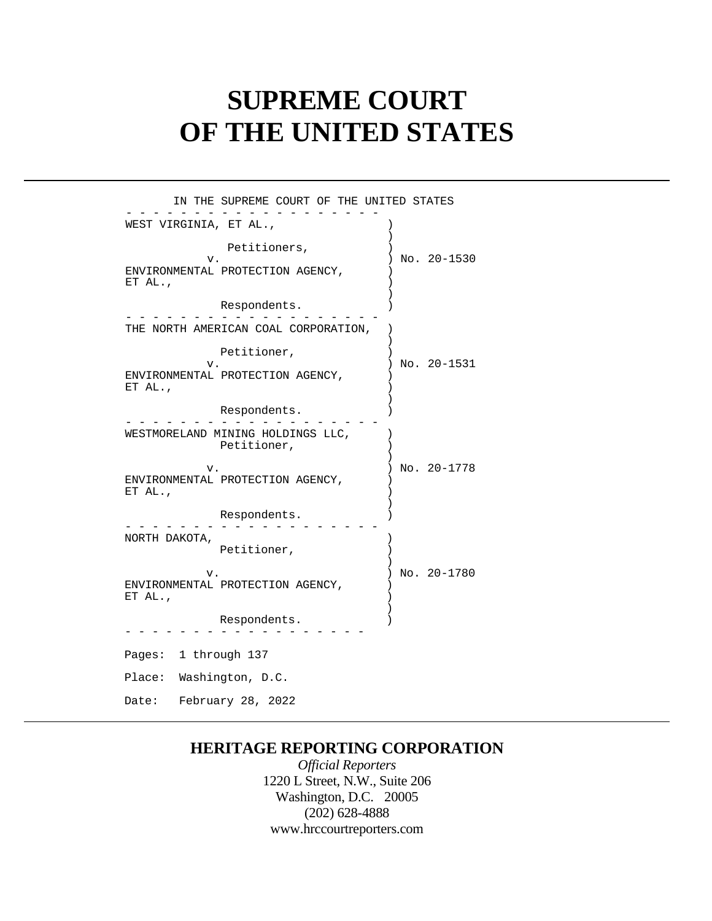# **SUPREME COURT OF THE UNITED STATES**

| IN THE SUPREME COURT OF THE UNITED STATES                                        |  |
|----------------------------------------------------------------------------------|--|
| WEST VIRGINIA, ET AL.,                                                           |  |
| Petitioners,<br>No. 20-1530<br>v.<br>ENVIRONMENTAL PROTECTION AGENCY,<br>ET AL., |  |
| Respondents.                                                                     |  |
| THE NORTH AMERICAN COAL CORPORATION,                                             |  |
| Petitioner,<br>No. 20-1531<br>v.<br>ENVIRONMENTAL PROTECTION AGENCY,             |  |
| ET AL.,<br>Respondents.                                                          |  |
| WESTMORELAND MINING HOLDINGS LLC,<br>Petitioner,                                 |  |
| No. 20-1778<br>v.<br>ENVIRONMENTAL PROTECTION AGENCY,<br>ET AL.,                 |  |
| Respondents.                                                                     |  |
| NORTH DAKOTA,<br>Petitioner,                                                     |  |
| No. 20-1780<br>v.<br>ENVIRONMENTAL PROTECTION AGENCY,<br>ET AL.,                 |  |
| Respondents.                                                                     |  |
| Pages: 1 through 137                                                             |  |
| Place: Washington, D.C.                                                          |  |
| February 28, 2022<br>Date:                                                       |  |

## **HERITAGE REPORTING CORPORATION**

*Official Reporters*  1220 L Street, N.W., Suite 206 Washington, D.C. 20005 (202) 628-4888 <www.hrccourtreporters.com>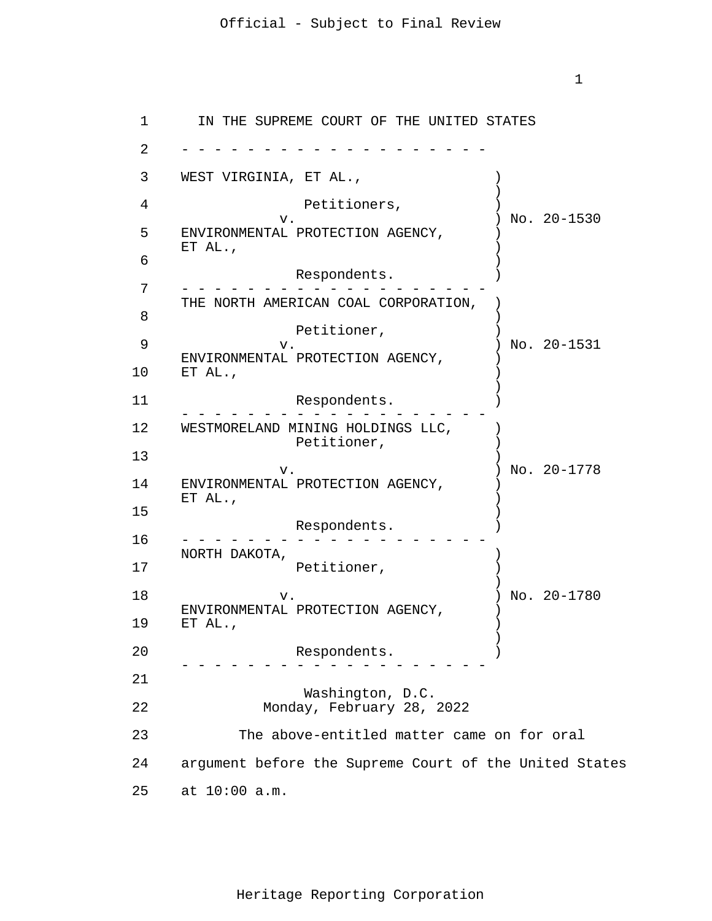1

1 2 3 4 5 6 7 8 9 10 11 12 13 14 ENVIRONMENTAL PROTECTION AGENCY,  $\qquad$  ) 15 16 17 18 19 20 21 22 23 24 argument before the Supreme Court of the United States 25 at 10:00 a.m. - - - - - - - - - - - - - - - - - - - - - - - - - - - - - - - - - - - - - - - - - - - - - - - - - - - - - - - - - - - - - - - - - - - - - - - - - - - - - - - - - - - - - - - - - - - - - - - IN THE SUPREME COURT OF THE UNITED STATES WEST VIRGINIA, ET AL.,  $\qquad \qquad$  $\lambda$ Petitioners,  $)$ v.<br>
(V. ) No. 20–1530<br>
(No. 20–1530 ENVIRONMENTAL PROTECTION AGENCY, ET  $AL.$ , ) Respondents. ) THE NORTH AMERICAN COAL CORPORATION, ) Petitioner,<br>v. ) No. 20-1531 ENVIRONMENTAL PROTECTION AGENCY, ET AL., ) ) Respondents. (1) WESTMORELAND MINING HOLDINGS LLC, Petitioner, )  $)$ v. ) No. 20-1778 ET AL., ) Respondents. ) NORTH DAKOTA, ) Petitioner, ) ) v. ) No. 20-1780 ENVIRONMENTAL PROTECTION AGENCY, ET AL., ) ) Respondents. ) Washington, D.C. Monday, February 28, 2022 The above-entitled matter came on for oral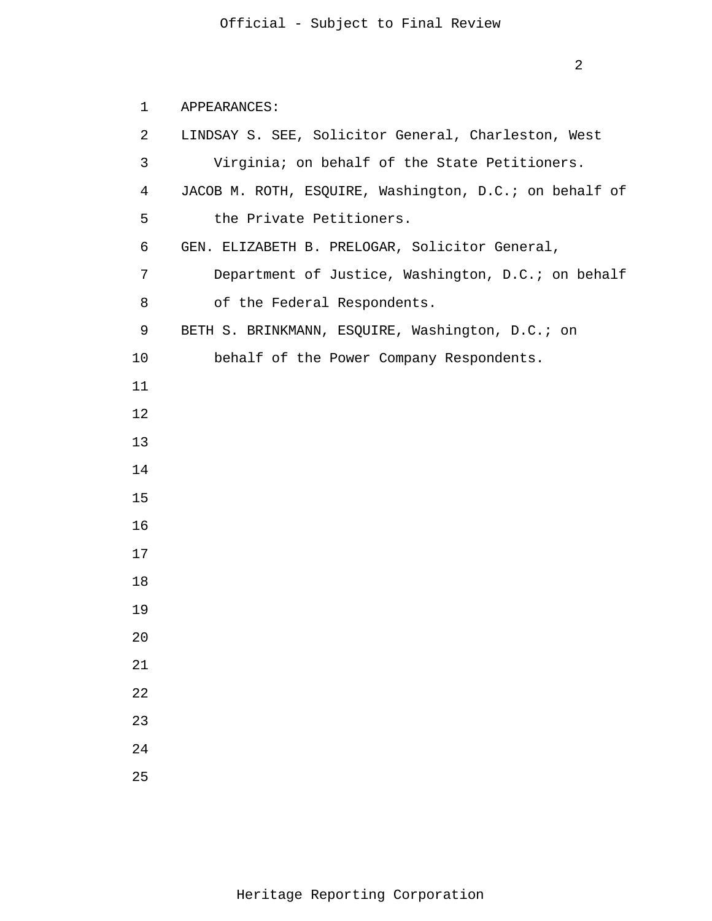### APPEARANCES:

| 2  | LINDSAY S. SEE, Solicitor General, Charleston, West    |
|----|--------------------------------------------------------|
| 3  | Virginia; on behalf of the State Petitioners.          |
| 4  | JACOB M. ROTH, ESQUIRE, Washington, D.C.; on behalf of |
| 5  | the Private Petitioners.                               |
| 6  | GEN. ELIZABETH B. PRELOGAR, Solicitor General,         |
| 7  | Department of Justice, Washington, D.C.; on behalf     |
| 8  | of the Federal Respondents.                            |
| 9  | BETH S. BRINKMANN, ESQUIRE, Washington, D.C.; on       |
| 10 | behalf of the Power Company Respondents.               |
| 11 |                                                        |
| 12 |                                                        |
| 13 |                                                        |
| 14 |                                                        |
| 15 |                                                        |
| 16 |                                                        |
| 17 |                                                        |
| 18 |                                                        |
| 19 |                                                        |
| 20 |                                                        |
| 21 |                                                        |
| 22 |                                                        |
| 23 |                                                        |
| 24 |                                                        |
| 25 |                                                        |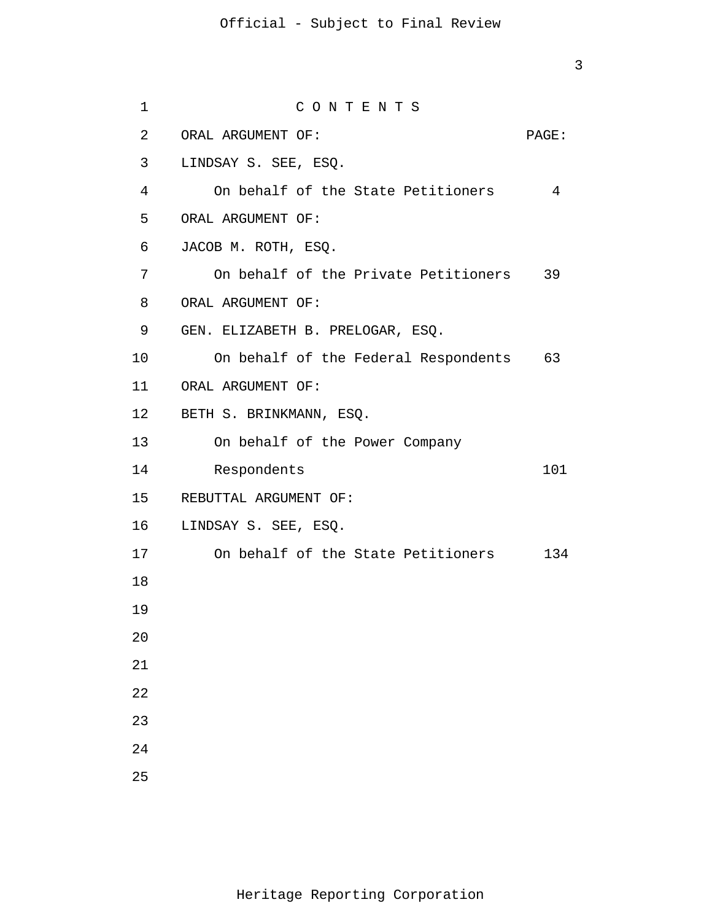3

| 1  | CONTENTS                                |       |
|----|-----------------------------------------|-------|
| 2  | ORAL ARGUMENT OF:                       | PAGE: |
| 3  | LINDSAY S. SEE, ESQ.                    |       |
| 4  | On behalf of the State Petitioners      | 4     |
| 5  | ORAL ARGUMENT OF:                       |       |
| 6  | JACOB M. ROTH, ESQ.                     |       |
| 7  | On behalf of the Private Petitioners 39 |       |
| 8  | ORAL ARGUMENT OF:                       |       |
| 9  | GEN. ELIZABETH B. PRELOGAR, ESQ.        |       |
| 10 | On behalf of the Federal Respondents 63 |       |
|    | 11 ORAL ARGUMENT OF:                    |       |
|    | 12 BETH S. BRINKMANN, ESQ.              |       |
| 13 | On behalf of the Power Company          |       |
| 14 | Respondents                             | 101   |
|    | 15 REBUTTAL ARGUMENT OF:                |       |
|    | 16 LINDSAY S. SEE, ESQ.                 |       |
| 17 | On behalf of the State Petitioners      | 134   |
| 18 |                                         |       |
| 19 |                                         |       |
| 20 |                                         |       |
| 21 |                                         |       |
| 22 |                                         |       |
| 23 |                                         |       |
| 24 |                                         |       |
| 25 |                                         |       |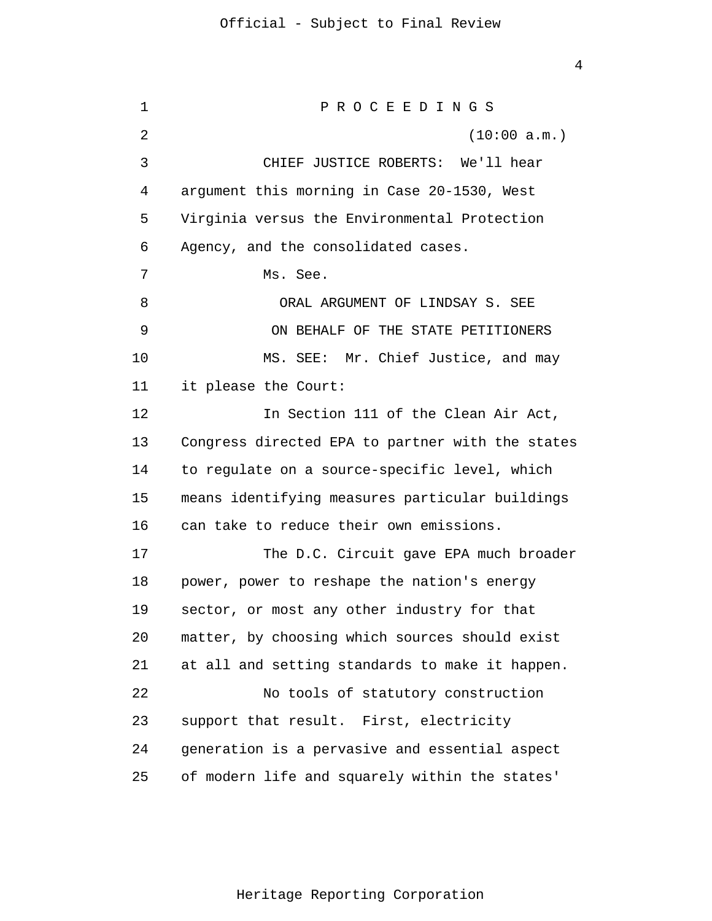1 2 3 4 5 6 7 8 9 10 11 12 13 14 15 16 17 18 19 20 21 22 23 24 25 P R O C E E D I N G S (10:00 a.m.) CHIEF JUSTICE ROBERTS: We'll hear argument this morning in Case 20-1530, West Virginia versus the Environmental Protection Agency, and the consolidated cases. Ms. See. ORAL ARGUMENT OF LINDSAY S. SEE ON BEHALF OF THE STATE PETITIONERS MS. SEE: Mr. Chief Justice, and may it please the Court: In Section 111 of the Clean Air Act, Congress directed EPA to partner with the states to regulate on a source-specific level, which means identifying measures particular buildings can take to reduce their own emissions. The D.C. Circuit gave EPA much broader power, power to reshape the nation's energy sector, or most any other industry for that matter, by choosing which sources should exist at all and setting standards to make it happen. No tools of statutory construction support that result. First, electricity generation is a pervasive and essential aspect of modern life and squarely within the states'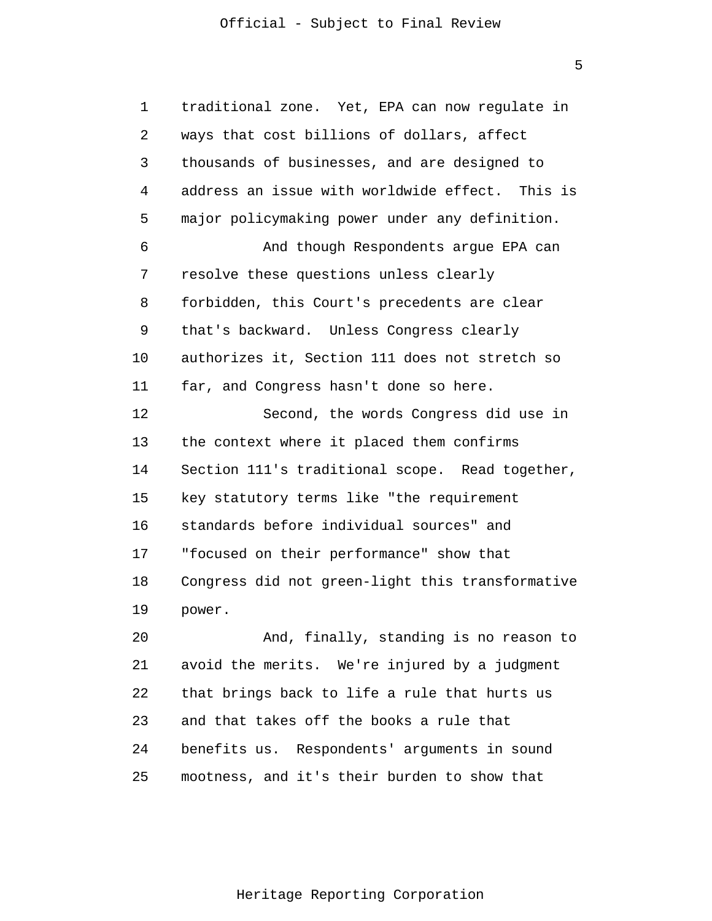5

1 2 3 4 5 6 7 8 9 10 11 12 13 14 15 16 17 18 19 20 21 22 traditional zone. Yet, EPA can now regulate in ways that cost billions of dollars, affect thousands of businesses, and are designed to address an issue with worldwide effect. This is major policymaking power under any definition. And though Respondents argue EPA can resolve these questions unless clearly forbidden, this Court's precedents are clear that's backward. Unless Congress clearly authorizes it, Section 111 does not stretch so far, and Congress hasn't done so here. Second, the words Congress did use in the context where it placed them confirms Section 111's traditional scope. Read together, key statutory terms like "the requirement standards before individual sources" and "focused on their performance" show that Congress did not green-light this transformative power. And, finally, standing is no reason to avoid the merits. We're injured by a judgment that brings back to life a rule that hurts us

24 25 benefits us. Respondents' arguments in sound mootness, and it's their burden to show that

and that takes off the books a rule that

23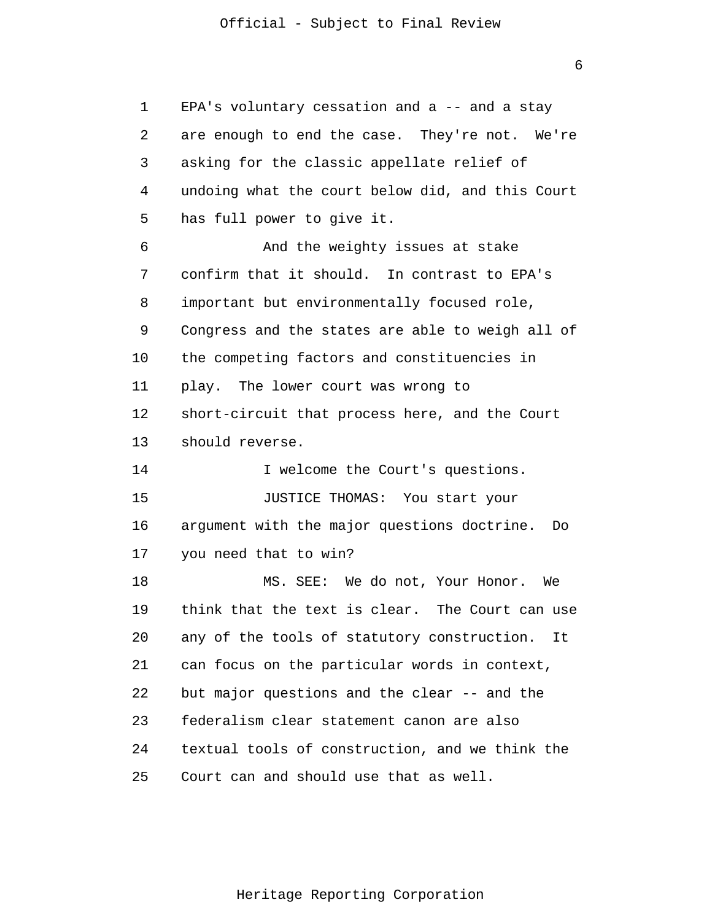6

| 1  | EPA's voluntary cessation and a -- and a stay     |
|----|---------------------------------------------------|
| 2  | are enough to end the case. They're not. We're    |
| 3  | asking for the classic appellate relief of        |
| 4  | undoing what the court below did, and this Court  |
| 5  | has full power to give it.                        |
| 6  | And the weighty issues at stake                   |
| 7  | confirm that it should. In contrast to EPA's      |
| 8  | important but environmentally focused role,       |
| 9  | Congress and the states are able to weigh all of  |
| 10 | the competing factors and constituencies in       |
| 11 | play. The lower court was wrong to                |
| 12 | short-circuit that process here, and the Court    |
| 13 | should reverse.                                   |
| 14 | I welcome the Court's questions.                  |
| 15 | JUSTICE THOMAS: You start your                    |
| 16 | argument with the major questions doctrine.<br>Do |
| 17 | you need that to win?                             |
| 18 | MS. SEE: We do not, Your Honor. We                |
| 19 | think that the text is clear. The Court can use   |
| 20 | any of the tools of statutory construction. It    |
| 21 | can focus on the particular words in context,     |
| 22 | but major questions and the clear -- and the      |
| 23 | federalism clear statement canon are also         |
| 24 | textual tools of construction, and we think the   |
| 25 | Court can and should use that as well.            |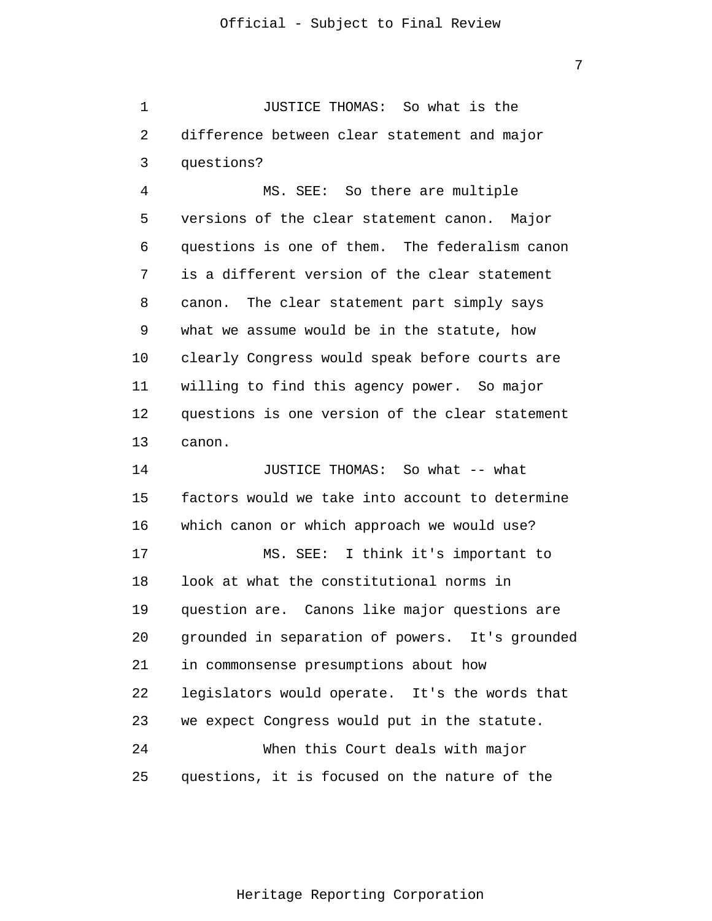1 2 3 JUSTICE THOMAS: So what is the difference between clear statement and major questions?

4 5 6 7 8 9 10 11 12 13 MS. SEE: So there are multiple versions of the clear statement canon. Major questions is one of them. The federalism canon is a different version of the clear statement canon. The clear statement part simply says what we assume would be in the statute, how clearly Congress would speak before courts are willing to find this agency power. So major questions is one version of the clear statement canon.

14 15 16 17 18 19 20 21 22 23 24 25 JUSTICE THOMAS: So what -- what factors would we take into account to determine which canon or which approach we would use? MS. SEE: I think it's important to look at what the constitutional norms in question are. Canons like major questions are grounded in separation of powers. It's grounded in commonsense presumptions about how legislators would operate. It's the words that we expect Congress would put in the statute. When this Court deals with major questions, it is focused on the nature of the

Heritage Reporting Corporation

7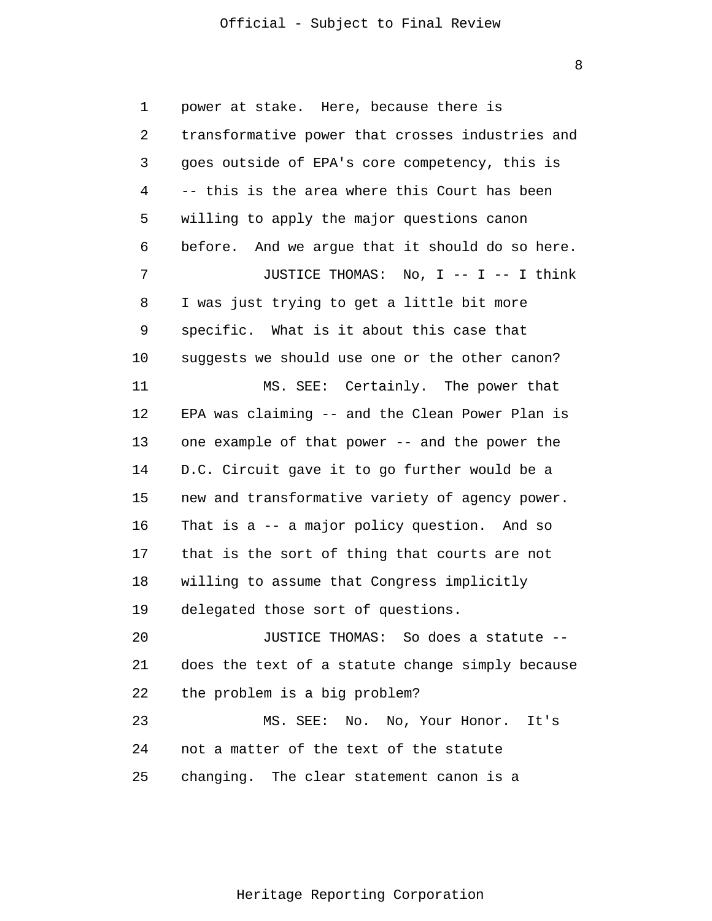8

1 2 3 4 5 6 7 8 9 10 11 12 13 14 15 16 17 18 19 20 21 22 23 24 25 power at stake. Here, because there is transformative power that crosses industries and goes outside of EPA's core competency, this is -- this is the area where this Court has been willing to apply the major questions canon before. And we argue that it should do so here. JUSTICE THOMAS: No, I -- I -- I think I was just trying to get a little bit more specific. What is it about this case that suggests we should use one or the other canon? MS. SEE: Certainly. The power that EPA was claiming -- and the Clean Power Plan is one example of that power -- and the power the D.C. Circuit gave it to go further would be a new and transformative variety of agency power. That is a -- a major policy question. And so that is the sort of thing that courts are not willing to assume that Congress implicitly delegated those sort of questions. JUSTICE THOMAS: So does a statute - does the text of a statute change simply because the problem is a big problem? MS. SEE: No. No, Your Honor. It's not a matter of the text of the statute changing. The clear statement canon is a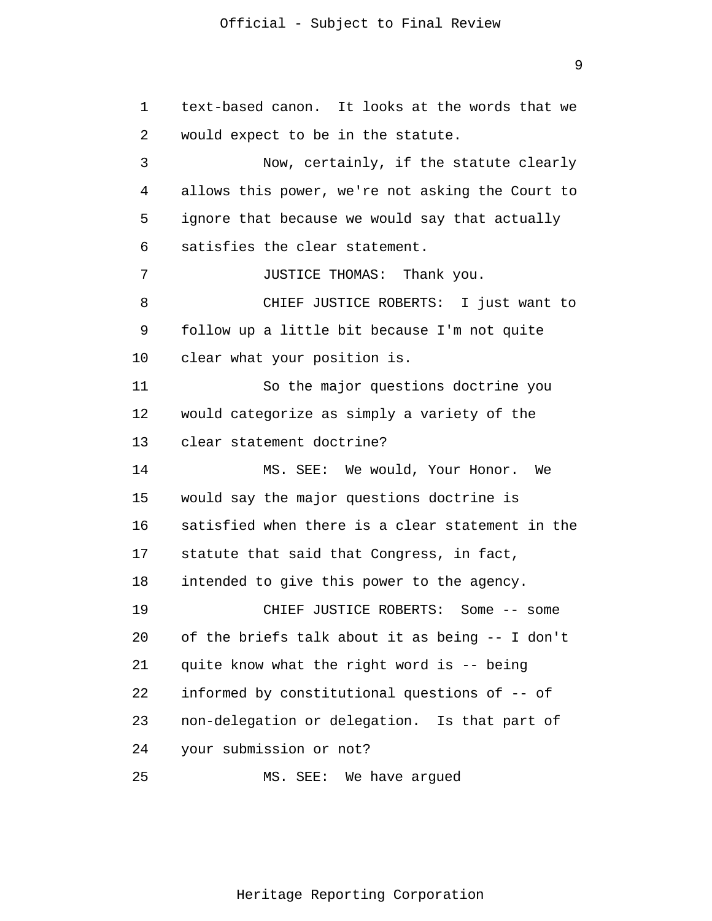1 2 3 4 5 6 7 8 9 10 11 12 13 14 15 16 17 18 19 20 21 22 23 24 25 text-based canon. It looks at the words that we would expect to be in the statute. Now, certainly, if the statute clearly allows this power, we're not asking the Court to ignore that because we would say that actually satisfies the clear statement. JUSTICE THOMAS: Thank you. CHIEF JUSTICE ROBERTS: I just want to follow up a little bit because I'm not quite clear what your position is. So the major questions doctrine you would categorize as simply a variety of the clear statement doctrine? MS. SEE: We would, Your Honor. We would say the major questions doctrine is satisfied when there is a clear statement in the statute that said that Congress, in fact, intended to give this power to the agency. CHIEF JUSTICE ROBERTS: Some -- some of the briefs talk about it as being -- I don't quite know what the right word is -- being informed by constitutional questions of -- of non-delegation or delegation. Is that part of your submission or not? MS. SEE: We have argued

9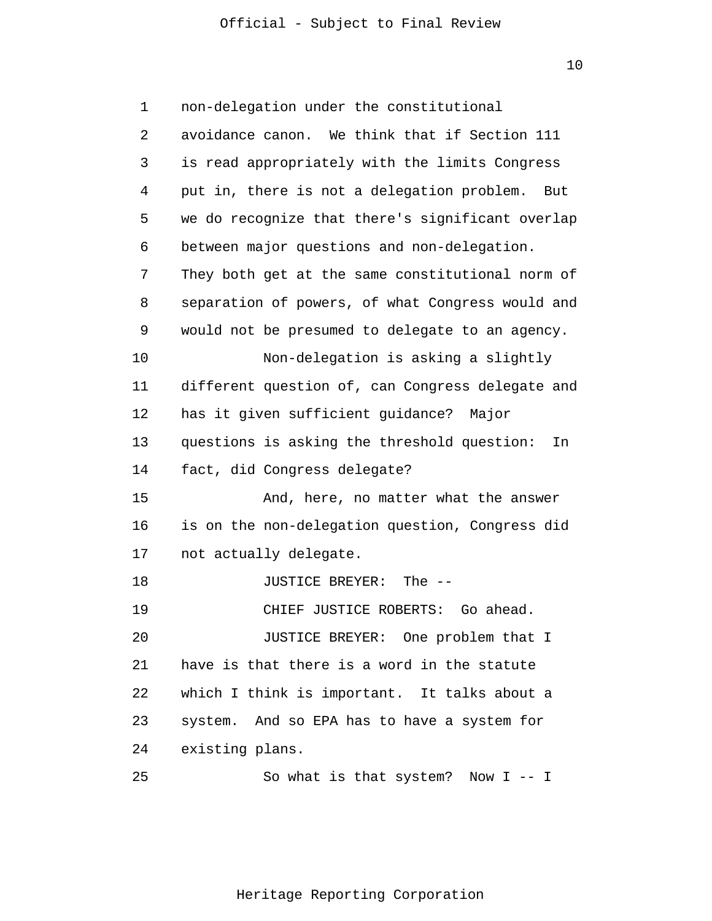10

| 1  | non-delegation under the constitutional           |
|----|---------------------------------------------------|
| 2  | avoidance canon. We think that if Section 111     |
| 3  | is read appropriately with the limits Congress    |
| 4  | put in, there is not a delegation problem.<br>But |
| 5  | we do recognize that there's significant overlap  |
| 6  | between major questions and non-delegation.       |
| 7  | They both get at the same constitutional norm of  |
| 8  | separation of powers, of what Congress would and  |
| 9  | would not be presumed to delegate to an agency.   |
| 10 | Non-delegation is asking a slightly               |
| 11 | different question of, can Congress delegate and  |
| 12 | has it given sufficient guidance? Major           |
| 13 | questions is asking the threshold question:<br>In |
| 14 | fact, did Congress delegate?                      |
| 15 | And, here, no matter what the answer              |
| 16 | is on the non-delegation question, Congress did   |
| 17 | not actually delegate.                            |
| 18 | JUSTICE BREYER:<br>The $--$                       |
| 19 | CHIEF JUSTICE ROBERTS: Go ahead.                  |
| 20 | JUSTICE BREYER: One problem that I                |
| 21 | have is that there is a word in the statute       |
| 22 | which I think is important. It talks about a      |
| 23 | system. And so EPA has to have a system for       |
| 24 | existing plans.                                   |
| 25 | So what is that system? Now $I - - I$             |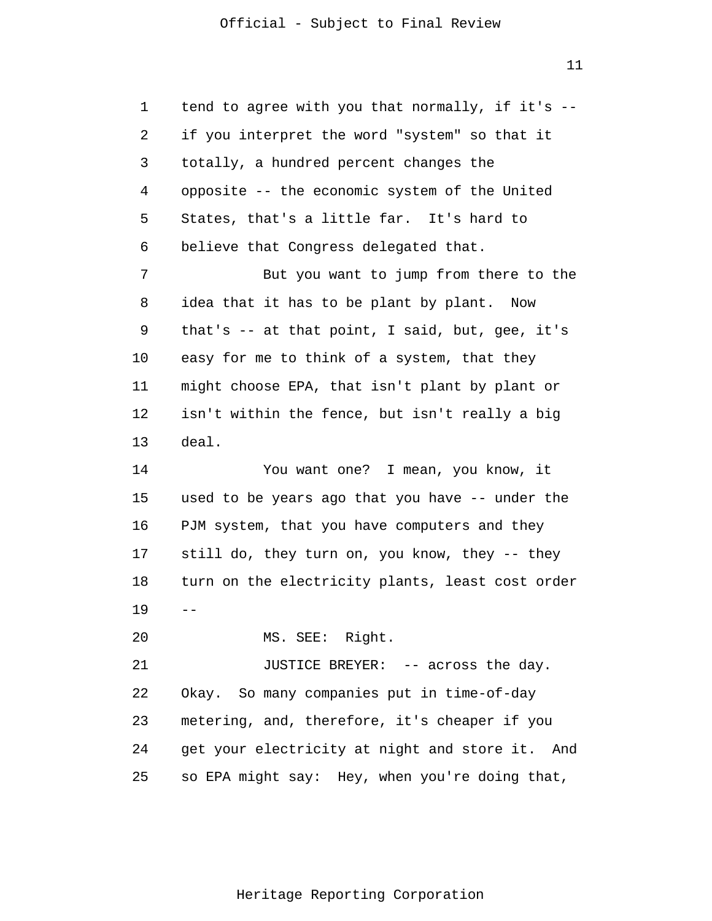1 2 3 4 5 6 7 8 9 10 11 12 13 14 15 16 17 18 19 20 21 22 23 24 25  $$  tend to agree with you that normally, if it's - if you interpret the word "system" so that it totally, a hundred percent changes the opposite -- the economic system of the United States, that's a little far. It's hard to believe that Congress delegated that. But you want to jump from there to the idea that it has to be plant by plant. Now that's -- at that point, I said, but, gee, it's easy for me to think of a system, that they might choose EPA, that isn't plant by plant or isn't within the fence, but isn't really a big deal. You want one? I mean, you know, it used to be years ago that you have -- under the PJM system, that you have computers and they still do, they turn on, you know, they -- they turn on the electricity plants, least cost order MS. SEE: Right. JUSTICE BREYER: -- across the day. Okay. So many companies put in time-of-day metering, and, therefore, it's cheaper if you get your electricity at night and store it. And so EPA might say: Hey, when you're doing that,

11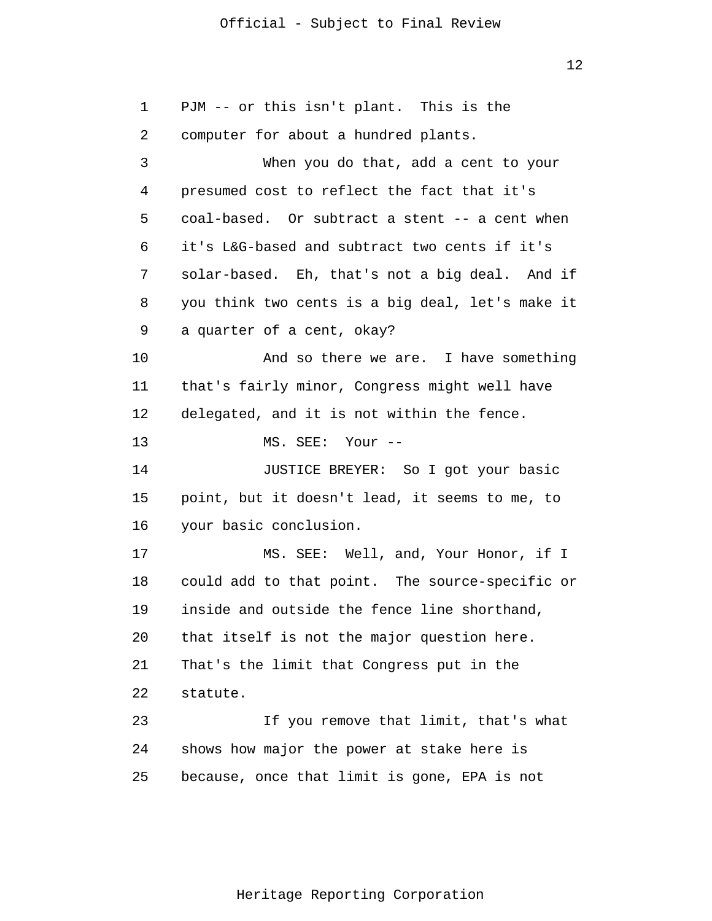12

1 2 3 4 5 6 7 8 9 10 11 12 13 14 15 16 17 18 19 20 21 22 23 24 25 PJM -- or this isn't plant. This is the computer for about a hundred plants. When you do that, add a cent to your presumed cost to reflect the fact that it's coal-based. Or subtract a stent -- a cent when it's L&G-based and subtract two cents if it's solar-based. Eh, that's not a big deal. And if you think two cents is a big deal, let's make it a quarter of a cent, okay? And so there we are. I have something that's fairly minor, Congress might well have delegated, and it is not within the fence. MS. SEE: Your -- JUSTICE BREYER: So I got your basic point, but it doesn't lead, it seems to me, to your basic conclusion. MS. SEE: Well, and, Your Honor, if I could add to that point. The source-specific or inside and outside the fence line shorthand, that itself is not the major question here. That's the limit that Congress put in the statute. If you remove that limit, that's what shows how major the power at stake here is because, once that limit is gone, EPA is not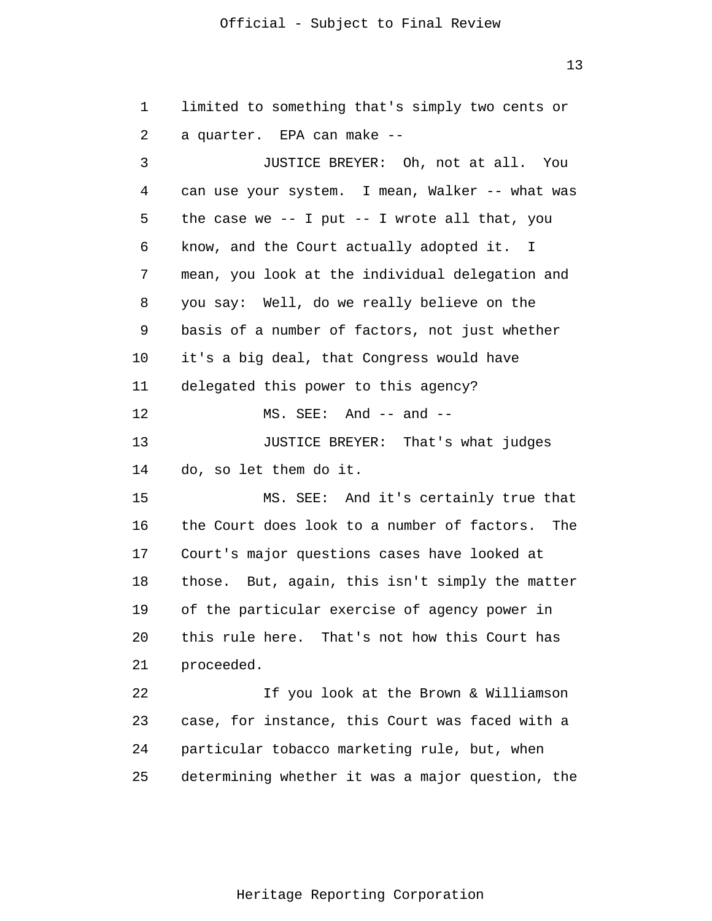13

1 2 3 4 5 6 7 8 9 10 11 12 13 14 15 16 17 18 19 20 21 22 23 24 25 limited to something that's simply two cents or a quarter. EPA can make -- JUSTICE BREYER: Oh, not at all. You can use your system. I mean, Walker -- what was the case we  $--$  I put  $--$  I wrote all that, you know, and the Court actually adopted it. I mean, you look at the individual delegation and you say: Well, do we really believe on the basis of a number of factors, not just whether it's a big deal, that Congress would have delegated this power to this agency?  $MS. SEE: And -- and --$  JUSTICE BREYER: That's what judges do, so let them do it. MS. SEE: And it's certainly true that the Court does look to a number of factors. The Court's major questions cases have looked at those. But, again, this isn't simply the matter of the particular exercise of agency power in this rule here. That's not how this Court has proceeded. If you look at the Brown & Williamson case, for instance, this Court was faced with a particular tobacco marketing rule, but, when determining whether it was a major question, the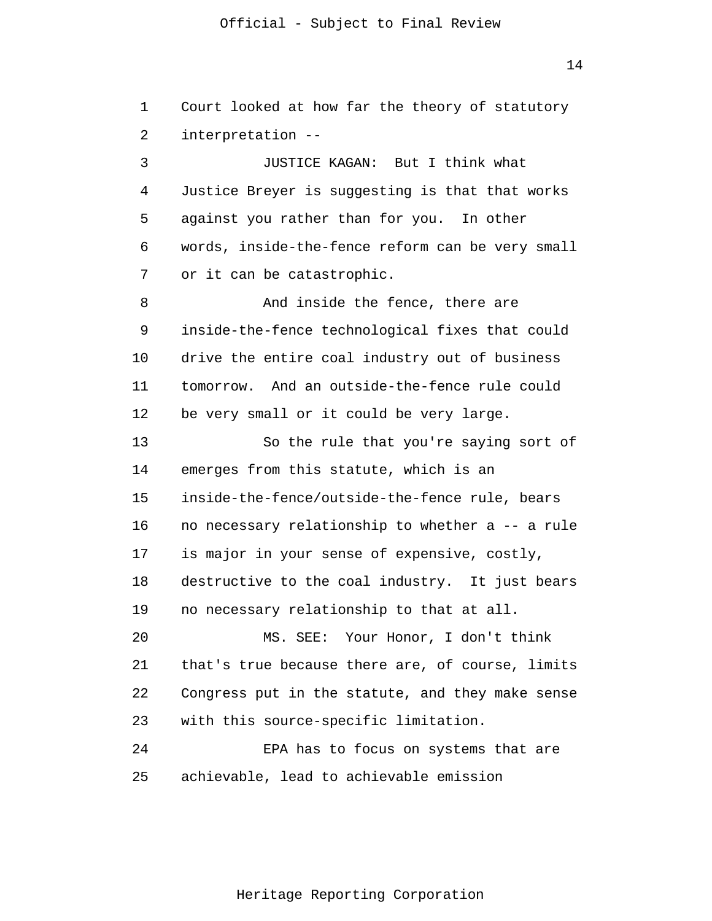14

1 2 3 4 Court looked at how far the theory of statutory interpretation -- JUSTICE KAGAN: But I think what Justice Breyer is suggesting is that that works

6 7 words, inside-the-fence reform can be very small or it can be catastrophic.

against you rather than for you. In other

5

8 9 10 11 12 And inside the fence, there are inside-the-fence technological fixes that could drive the entire coal industry out of business tomorrow. And an outside-the-fence rule could be very small or it could be very large.

13 14 15 16 17 18 19 So the rule that you're saying sort of emerges from this statute, which is an inside-the-fence/outside-the-fence rule, bears no necessary relationship to whether a -- a rule is major in your sense of expensive, costly, destructive to the coal industry. It just bears no necessary relationship to that at all.

20 21 22 23 MS. SEE: Your Honor, I don't think that's true because there are, of course, limits Congress put in the statute, and they make sense with this source-specific limitation.

24 25 EPA has to focus on systems that are achievable, lead to achievable emission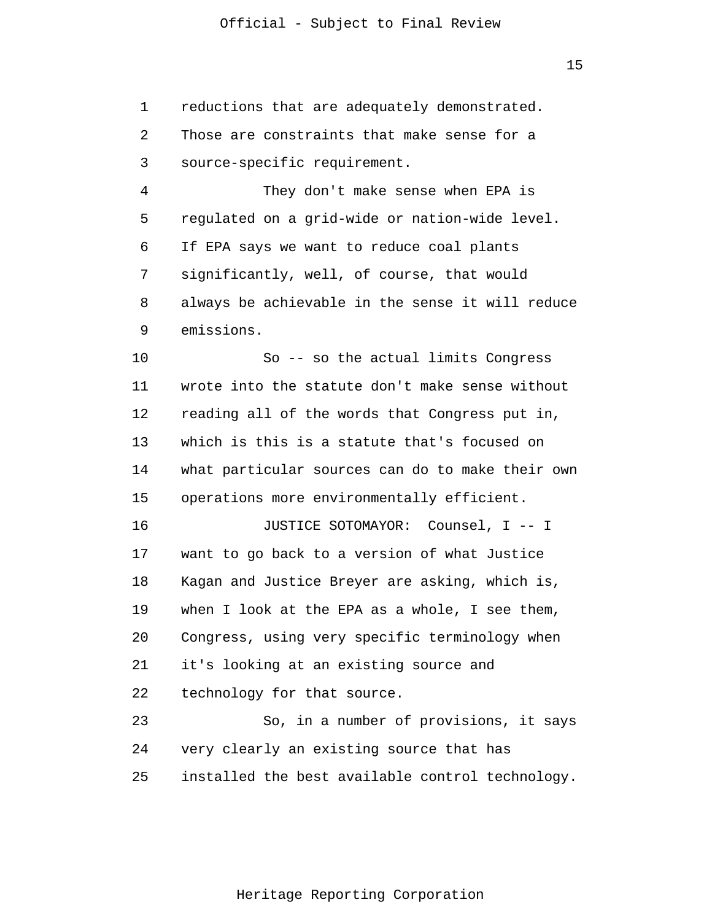1 2 3 reductions that are adequately demonstrated. Those are constraints that make sense for a source-specific requirement.

4 5 6 7 8 9 They don't make sense when EPA is regulated on a grid-wide or nation-wide level. If EPA says we want to reduce coal plants significantly, well, of course, that would always be achievable in the sense it will reduce emissions.

10 11 12 13 14 15 So -- so the actual limits Congress wrote into the statute don't make sense without reading all of the words that Congress put in, which is this is a statute that's focused on what particular sources can do to make their own operations more environmentally efficient.

16 17 18 19 20 21 22 JUSTICE SOTOMAYOR: Counsel, I -- I want to go back to a version of what Justice Kagan and Justice Breyer are asking, which is, when I look at the EPA as a whole, I see them, Congress, using very specific terminology when it's looking at an existing source and technology for that source.

23 24 25 So, in a number of provisions, it says very clearly an existing source that has installed the best available control technology.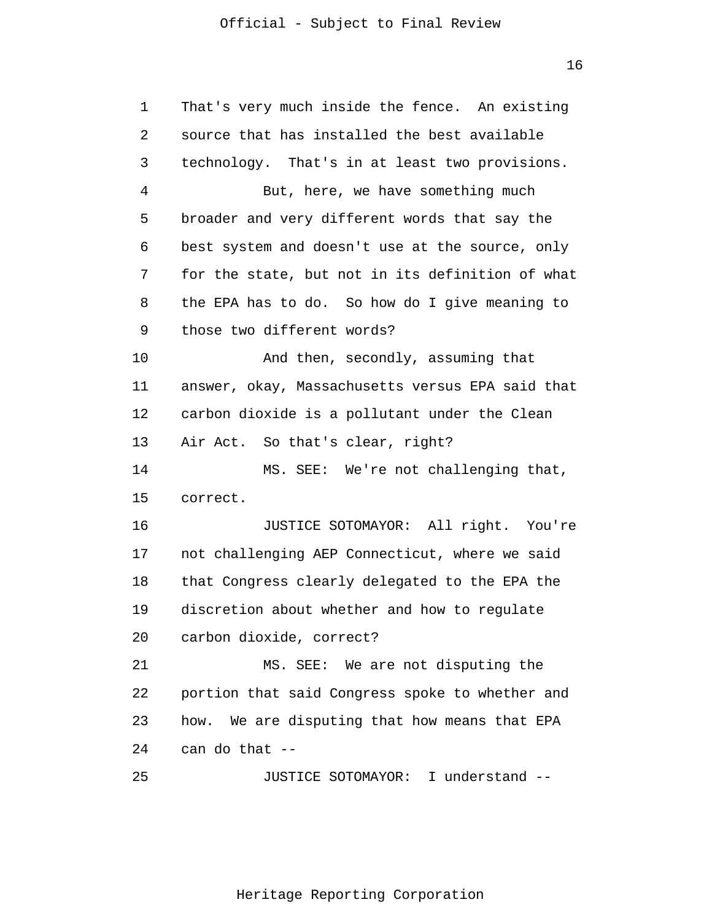16

| 1  | That's very much inside the fence. An existing   |
|----|--------------------------------------------------|
| 2  | source that has installed the best available     |
| 3  | technology. That's in at least two provisions.   |
| 4  | But, here, we have something much                |
| 5  | broader and very different words that say the    |
| 6  | best system and doesn't use at the source, only  |
| 7  | for the state, but not in its definition of what |
| 8  | the EPA has to do. So how do I give meaning to   |
| 9  | those two different words?                       |
| 10 | And then, secondly, assuming that                |
| 11 | answer, okay, Massachusetts versus EPA said that |
| 12 | carbon dioxide is a pollutant under the Clean    |
| 13 | Air Act. So that's clear, right?                 |
| 14 | MS. SEE: We're not challenging that,             |
| 15 | correct.                                         |
| 16 | JUSTICE SOTOMAYOR: All right. You're             |
| 17 | not challenging AEP Connecticut, where we said   |
| 18 | that Congress clearly delegated to the EPA the   |
| 19 | discretion about whether and how to regulate     |
| 20 | carbon dioxide, correct?                         |
| 21 | MS. SEE: We are not disputing the                |
| 22 | portion that said Congress spoke to whether and  |
| 23 | how. We are disputing that how means that EPA    |
| 24 | can do that --                                   |
| 25 | JUSTICE SOTOMAYOR: I understand --               |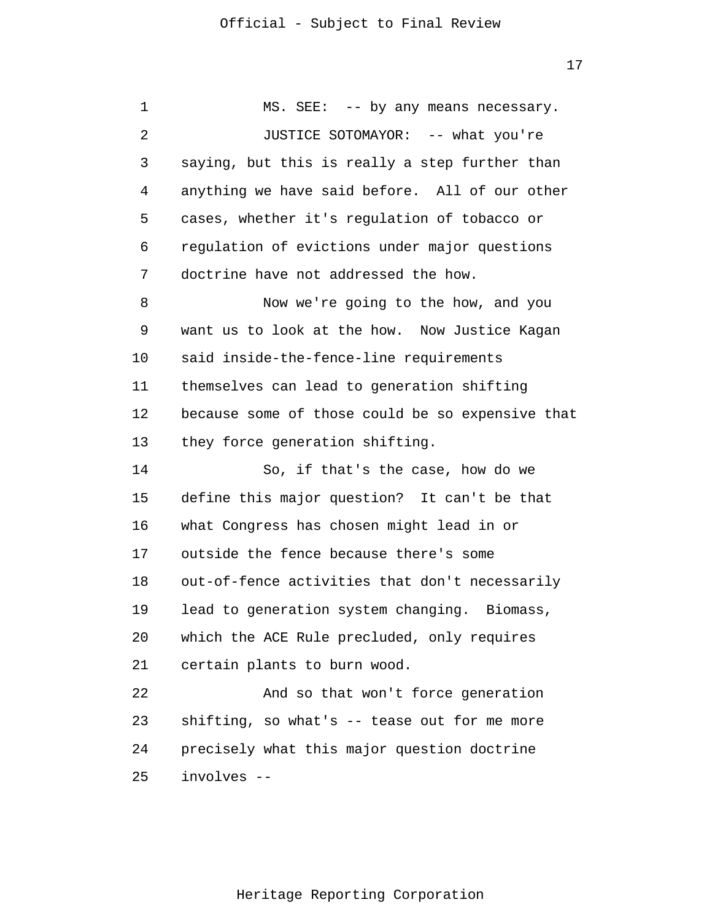| 1  | MS. SEE: -- by any means necessary.              |
|----|--------------------------------------------------|
| 2  | JUSTICE SOTOMAYOR: -- what you're                |
| 3  | saying, but this is really a step further than   |
| 4  | anything we have said before. All of our other   |
| 5  | cases, whether it's regulation of tobacco or     |
| 6  | regulation of evictions under major questions    |
| 7  | doctrine have not addressed the how.             |
| 8  | Now we're going to the how, and you              |
| 9  | want us to look at the how. Now Justice Kagan    |
| 10 | said inside-the-fence-line requirements          |
| 11 | themselves can lead to generation shifting       |
| 12 | because some of those could be so expensive that |
| 13 | they force generation shifting.                  |
| 14 | So, if that's the case, how do we                |
| 15 | define this major question? It can't be that     |
| 16 | what Congress has chosen might lead in or        |
| 17 | outside the fence because there's some           |
| 18 | out-of-fence activities that don't necessarily   |
| 19 | lead to generation system changing. Biomass,     |
| 20 | which the ACE Rule precluded, only requires      |
| 21 | certain plants to burn wood.                     |
| 22 | And so that won't force generation               |
| 23 | shifting, so what's -- tease out for me more     |
| 24 | precisely what this major question doctrine      |
| 25 | involves --                                      |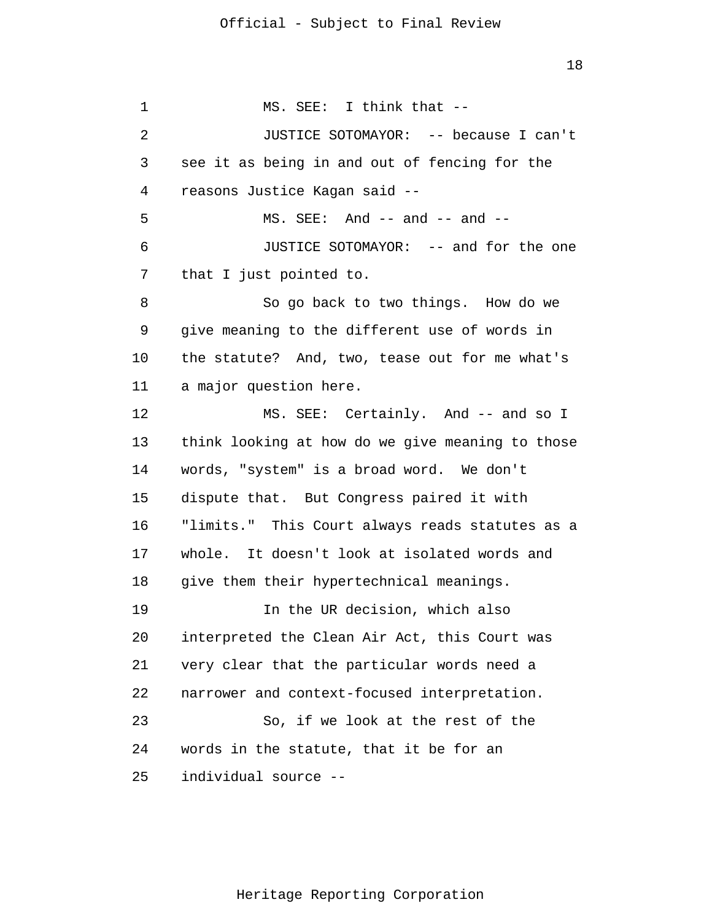1 2 3 4 5 6 7 8 9 10 11 12 13 14 15 16 17 18 19 20 21 22 23 24 25 MS. SEE: I think that -- JUSTICE SOTOMAYOR: -- because I can't see it as being in and out of fencing for the reasons Justice Kagan said --  $MS. SEE: And -- and -- and --$  JUSTICE SOTOMAYOR: -- and for the one that I just pointed to. So go back to two things. How do we give meaning to the different use of words in the statute? And, two, tease out for me what's a major question here. MS. SEE: Certainly. And -- and so I think looking at how do we give meaning to those words, "system" is a broad word. We don't dispute that. But Congress paired it with "limits." This Court always reads statutes as a whole. It doesn't look at isolated words and give them their hypertechnical meanings. In the UR decision, which also interpreted the Clean Air Act, this Court was very clear that the particular words need a narrower and context-focused interpretation. So, if we look at the rest of the words in the statute, that it be for an individual source --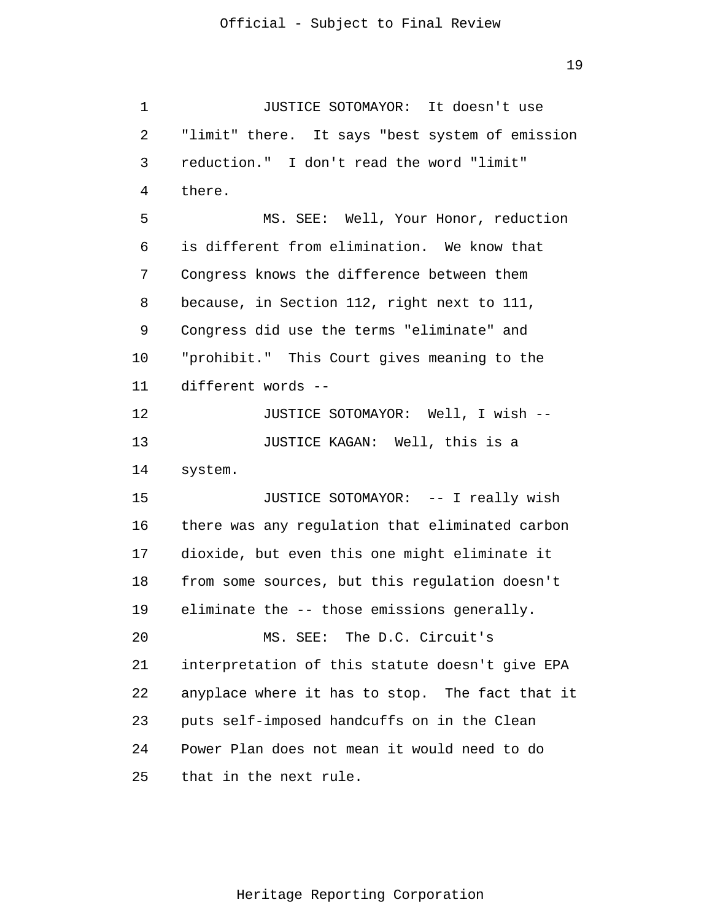1 2 3 4 5 6 7 8 9 10 11 12 13 14 15 16 17 18 19 20 21 22 23 24 25 JUSTICE SOTOMAYOR: It doesn't use "limit" there. It says "best system of emission reduction." I don't read the word "limit" there. MS. SEE: Well, Your Honor, reduction is different from elimination. We know that Congress knows the difference between them because, in Section 112, right next to 111, Congress did use the terms "eliminate" and "prohibit." This Court gives meaning to the different words -- JUSTICE SOTOMAYOR: Well, I wish -- JUSTICE KAGAN: Well, this is a system. JUSTICE SOTOMAYOR: -- I really wish there was any regulation that eliminated carbon dioxide, but even this one might eliminate it from some sources, but this regulation doesn't eliminate the -- those emissions generally. MS. SEE: The D.C. Circuit's interpretation of this statute doesn't give EPA anyplace where it has to stop. The fact that it puts self-imposed handcuffs on in the Clean Power Plan does not mean it would need to do that in the next rule.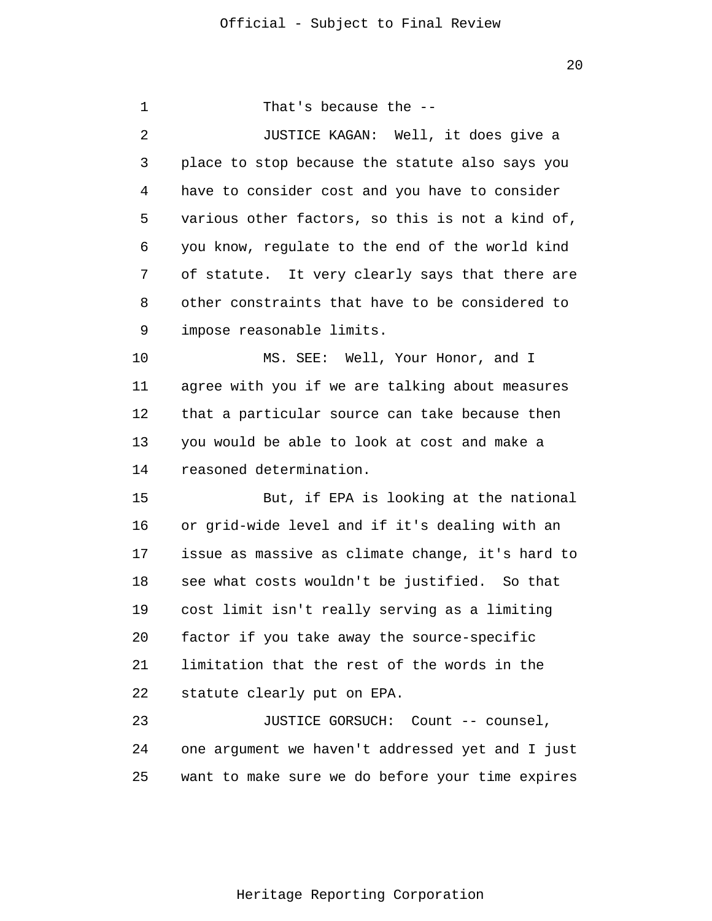1 2 3 4 5 6 7 8 9 10 11 12 13 14 15 16 17 18 19 20 21 22 23 24 25 That's because the -- JUSTICE KAGAN: Well, it does give a place to stop because the statute also says you have to consider cost and you have to consider various other factors, so this is not a kind of, you know, regulate to the end of the world kind of statute. It very clearly says that there are other constraints that have to be considered to impose reasonable limits. MS. SEE: Well, Your Honor, and I agree with you if we are talking about measures that a particular source can take because then you would be able to look at cost and make a reasoned determination. But, if EPA is looking at the national or grid-wide level and if it's dealing with an issue as massive as climate change, it's hard to see what costs wouldn't be justified. So that cost limit isn't really serving as a limiting factor if you take away the source-specific limitation that the rest of the words in the statute clearly put on EPA. JUSTICE GORSUCH: Count -- counsel, one argument we haven't addressed yet and I just want to make sure we do before your time expires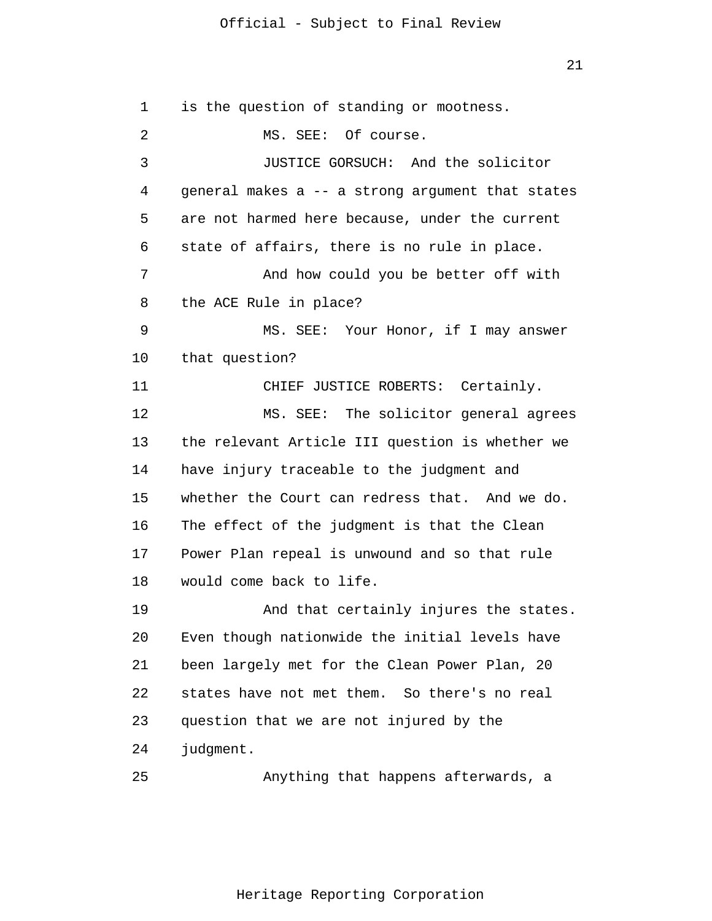21

1 2 3 4 5 6 7 8 9 10 11 12 13 14 15 16 17 18 19 20 21 22 23 24 25 is the question of standing or mootness. MS. SEE: Of course. JUSTICE GORSUCH: And the solicitor general makes a -- a strong argument that states are not harmed here because, under the current state of affairs, there is no rule in place. And how could you be better off with the ACE Rule in place? MS. SEE: Your Honor, if I may answer that question? CHIEF JUSTICE ROBERTS: Certainly. MS. SEE: The solicitor general agrees the relevant Article III question is whether we have injury traceable to the judgment and whether the Court can redress that. And we do. The effect of the judgment is that the Clean Power Plan repeal is unwound and so that rule would come back to life. And that certainly injures the states. Even though nationwide the initial levels have been largely met for the Clean Power Plan, 20 states have not met them. So there's no real question that we are not injured by the judgment. Anything that happens afterwards, a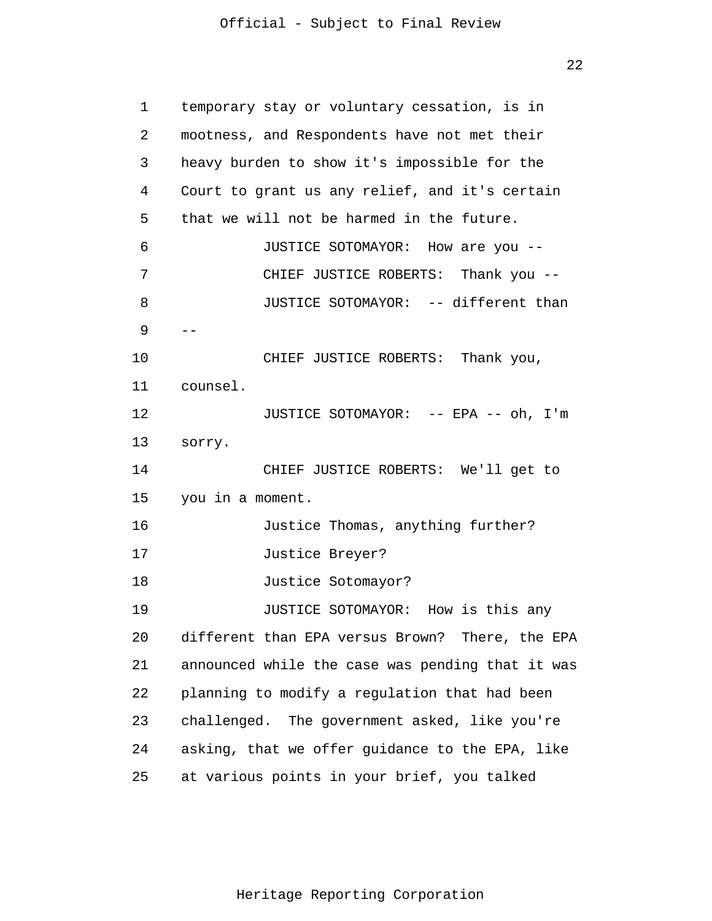22

| 1               | temporary stay or voluntary cessation, is in     |
|-----------------|--------------------------------------------------|
| 2               | mootness, and Respondents have not met their     |
| 3               | heavy burden to show it's impossible for the     |
| 4               | Court to grant us any relief, and it's certain   |
| 5               | that we will not be harmed in the future.        |
| 6               | JUSTICE SOTOMAYOR: How are you --                |
| 7               | CHIEF JUSTICE ROBERTS: Thank you --              |
| 8               | JUSTICE SOTOMAYOR: -- different than             |
| 9               | $- -$                                            |
| 10              | CHIEF JUSTICE ROBERTS: Thank you,                |
| 11              | counsel.                                         |
| 12              | JUSTICE SOTOMAYOR: -- EPA -- oh, I'm             |
| 13              | sorry.                                           |
| 14              | CHIEF JUSTICE ROBERTS: We'll get to              |
| 15 <sub>2</sub> | you in a moment.                                 |
| 16              | Justice Thomas, anything further?                |
| 17              | Justice Breyer?                                  |
| 18              | Justice Sotomayor?                               |
| 19              | JUSTICE SOTOMAYOR: How is this any               |
| 20              | different than EPA versus Brown? There, the EPA  |
| 21              | announced while the case was pending that it was |
| 22              | planning to modify a regulation that had been    |
| 23              | challenged. The government asked, like you're    |
| 24              | asking, that we offer guidance to the EPA, like  |
| 25              | at various points in your brief, you talked      |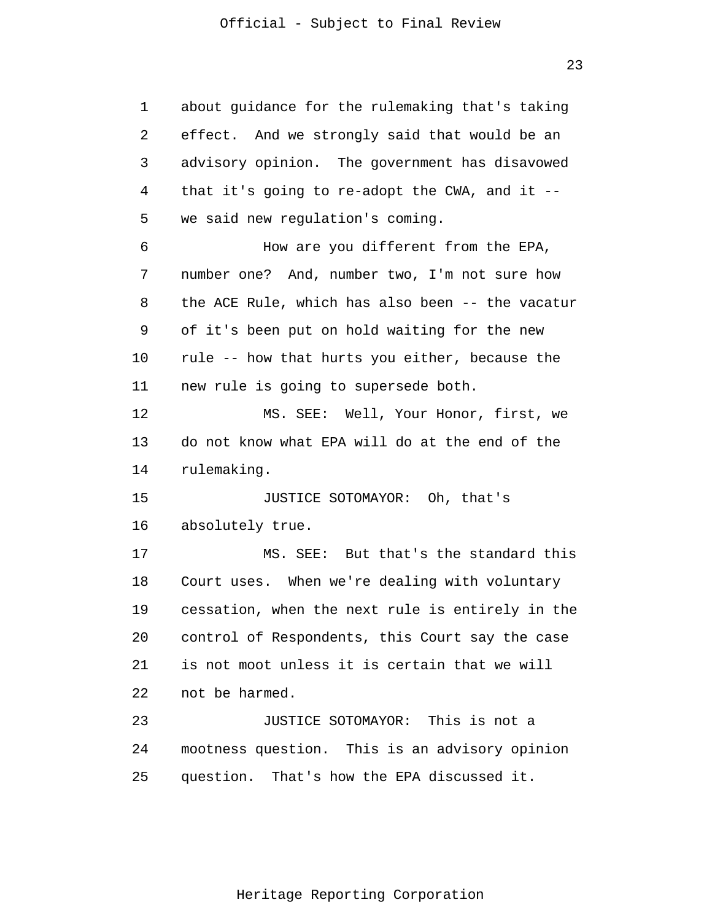1 2 3 4 5 6 7 8 9 10 11 12 13 14 15 16 17 18 19 20 21 22 23 24 25 about guidance for the rulemaking that's taking effect. And we strongly said that would be an advisory opinion. The government has disavowed that it's going to re-adopt the CWA, and it - we said new regulation's coming. How are you different from the EPA, number one? And, number two, I'm not sure how the ACE Rule, which has also been -- the vacatur of it's been put on hold waiting for the new rule -- how that hurts you either, because the new rule is going to supersede both. MS. SEE: Well, Your Honor, first, we do not know what EPA will do at the end of the rulemaking. JUSTICE SOTOMAYOR: Oh, that's absolutely true. MS. SEE: But that's the standard this Court uses. When we're dealing with voluntary cessation, when the next rule is entirely in the control of Respondents, this Court say the case is not moot unless it is certain that we will not be harmed. JUSTICE SOTOMAYOR: This is not a mootness question. This is an advisory opinion question. That's how the EPA discussed it.

23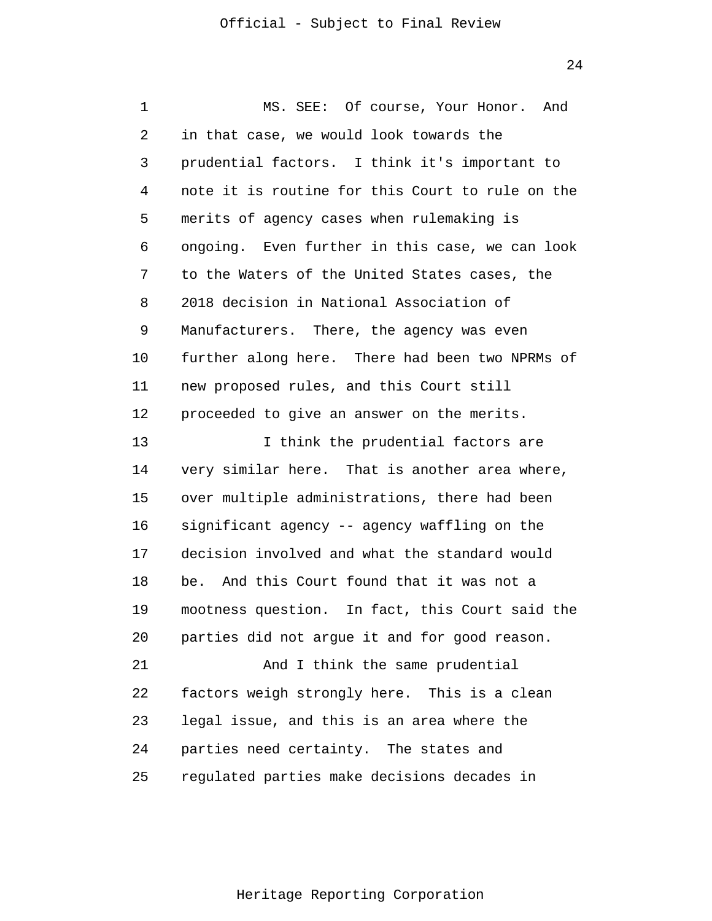24

1 2 3 4 5 6 7 8 9 10 11 12 13 14 15 16 17 18 19 20 21 22 23 24 25 MS. SEE: Of course, Your Honor. And in that case, we would look towards the prudential factors. I think it's important to note it is routine for this Court to rule on the merits of agency cases when rulemaking is ongoing. Even further in this case, we can look to the Waters of the United States cases, the 2018 decision in National Association of Manufacturers. There, the agency was even further along here. There had been two NPRMs of new proposed rules, and this Court still proceeded to give an answer on the merits. I think the prudential factors are very similar here. That is another area where, over multiple administrations, there had been significant agency -- agency waffling on the decision involved and what the standard would be. And this Court found that it was not a mootness question. In fact, this Court said the parties did not argue it and for good reason. And I think the same prudential factors weigh strongly here. This is a clean legal issue, and this is an area where the parties need certainty. The states and regulated parties make decisions decades in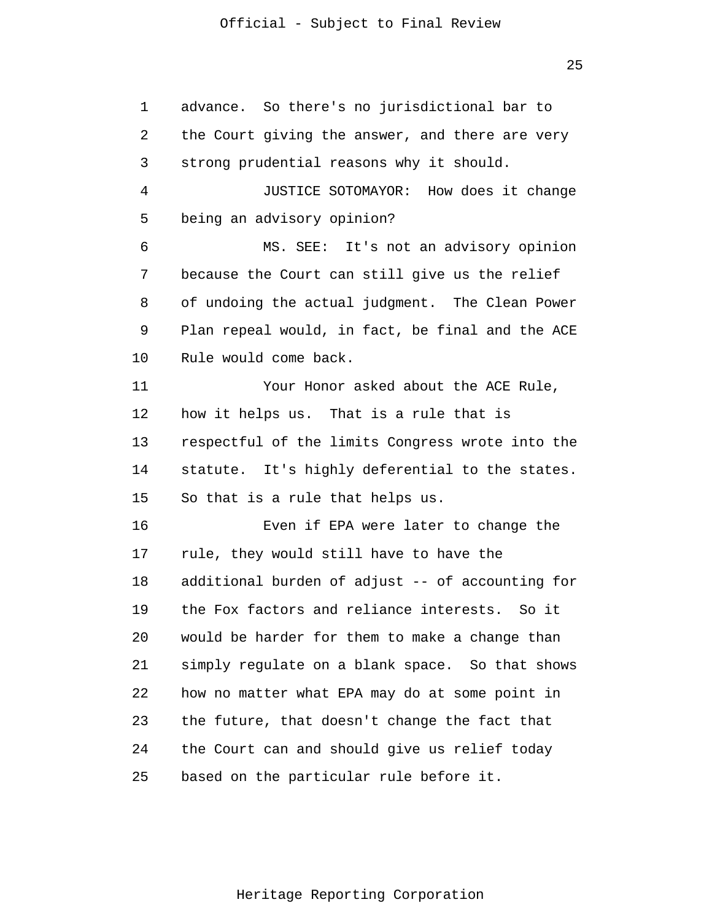25

1 2 3 4 5 6 7 8 9 10 11 12 13 14 15 16 17 18 19 20 21 22 23 24 25 advance. So there's no jurisdictional bar to the Court giving the answer, and there are very strong prudential reasons why it should. JUSTICE SOTOMAYOR: How does it change being an advisory opinion? MS. SEE: It's not an advisory opinion because the Court can still give us the relief of undoing the actual judgment. The Clean Power Plan repeal would, in fact, be final and the ACE Rule would come back. Your Honor asked about the ACE Rule, how it helps us. That is a rule that is respectful of the limits Congress wrote into the statute. It's highly deferential to the states. So that is a rule that helps us. Even if EPA were later to change the rule, they would still have to have the additional burden of adjust -- of accounting for the Fox factors and reliance interests. So it would be harder for them to make a change than simply regulate on a blank space. So that shows how no matter what EPA may do at some point in the future, that doesn't change the fact that the Court can and should give us relief today based on the particular rule before it.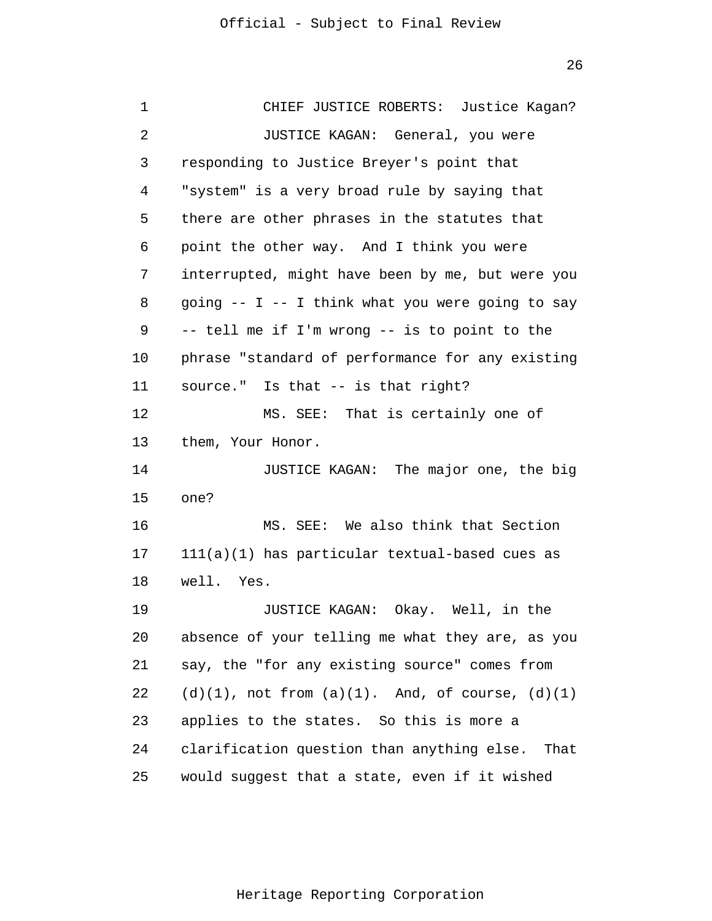| 1  | CHIEF JUSTICE ROBERTS: Justice Kagan?                   |
|----|---------------------------------------------------------|
| 2  | JUSTICE KAGAN: General, you were                        |
| 3  | responding to Justice Breyer's point that               |
| 4  | "system" is a very broad rule by saying that            |
| 5  | there are other phrases in the statutes that            |
| 6  | point the other way. And I think you were               |
| 7  | interrupted, might have been by me, but were you        |
| 8  | going -- I -- I think what you were going to say        |
| 9  | -- tell me if I'm wrong -- is to point to the           |
| 10 | phrase "standard of performance for any existing        |
| 11 | source." Is that -- is that right?                      |
| 12 | MS. SEE: That is certainly one of                       |
| 13 | them, Your Honor.                                       |
| 14 | JUSTICE KAGAN: The major one, the big                   |
| 15 | one?                                                    |
| 16 | MS. SEE: We also think that Section                     |
| 17 | 111(a)(1) has particular textual-based cues as          |
| 18 | well. Yes.                                              |
| 19 | JUSTICE KAGAN: Okay. Well, in the                       |
| 20 | absence of your telling me what they are, as you        |
| 21 | say, the "for any existing source" comes from           |
| 22 | $(d)(1)$ , not from $(a)(1)$ . And, of course, $(d)(1)$ |
| 23 | applies to the states. So this is more a                |
| 24 | clarification question than anything else. That         |
| 25 | would suggest that a state, even if it wished           |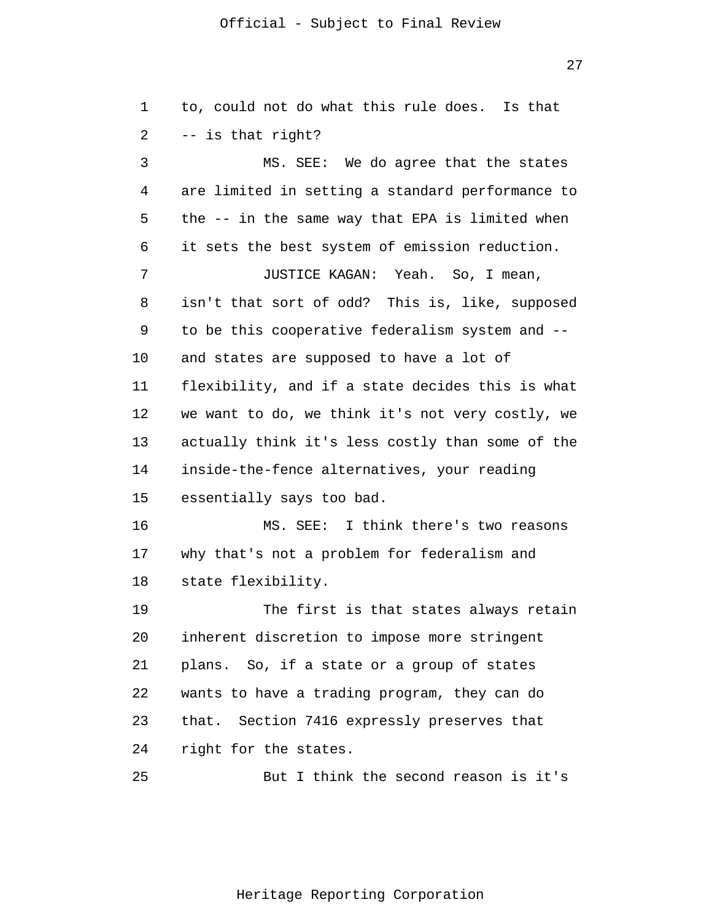27

| 1  | to, could not do what this rule does.<br>Is that |
|----|--------------------------------------------------|
| 2  | -- is that right?                                |
| 3  | MS. SEE: We do agree that the states             |
| 4  | are limited in setting a standard performance to |
| 5  | the -- in the same way that EPA is limited when  |
| 6  | it sets the best system of emission reduction.   |
| 7  | JUSTICE KAGAN: Yeah. So, I mean,                 |
| 8  | isn't that sort of odd? This is, like, supposed  |
| 9  | to be this cooperative federalism system and --  |
| 10 | and states are supposed to have a lot of         |
| 11 | flexibility, and if a state decides this is what |
| 12 | we want to do, we think it's not very costly, we |
| 13 | actually think it's less costly than some of the |
| 14 | inside-the-fence alternatives, your reading      |
| 15 | essentially says too bad.                        |
| 16 | MS. SEE: I think there's two reasons             |
| 17 | why that's not a problem for federalism and      |
| 18 | state flexibility.                               |
| 19 | The first is that states always retain           |
| 20 | inherent discretion to impose more stringent     |
| 21 | plans. So, if a state or a group of states       |
| 22 | wants to have a trading program, they can do     |
| 23 | that. Section 7416 expressly preserves that      |
| 24 | right for the states.                            |
| 25 | But I think the second reason is it's            |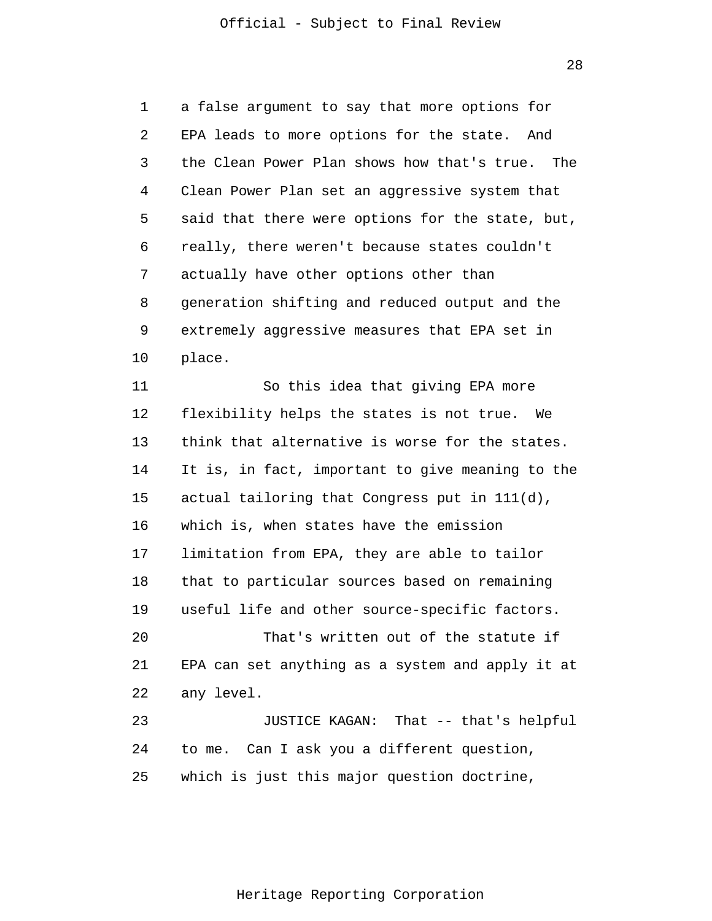1 2 3 4 5 6 7 8 9 10 11 12 13 14 15 16 a false argument to say that more options for EPA leads to more options for the state. And the Clean Power Plan shows how that's true. The Clean Power Plan set an aggressive system that said that there were options for the state, but, really, there weren't because states couldn't actually have other options other than generation shifting and reduced output and the extremely aggressive measures that EPA set in place. So this idea that giving EPA more flexibility helps the states is not true. We think that alternative is worse for the states. It is, in fact, important to give meaning to the actual tailoring that Congress put in 111(d), which is, when states have the emission

17 18 19 limitation from EPA, they are able to tailor that to particular sources based on remaining useful life and other source-specific factors.

20 21 22 That's written out of the statute if EPA can set anything as a system and apply it at any level.

23 24 25 JUSTICE KAGAN: That -- that's helpful to me. Can I ask you a different question, which is just this major question doctrine,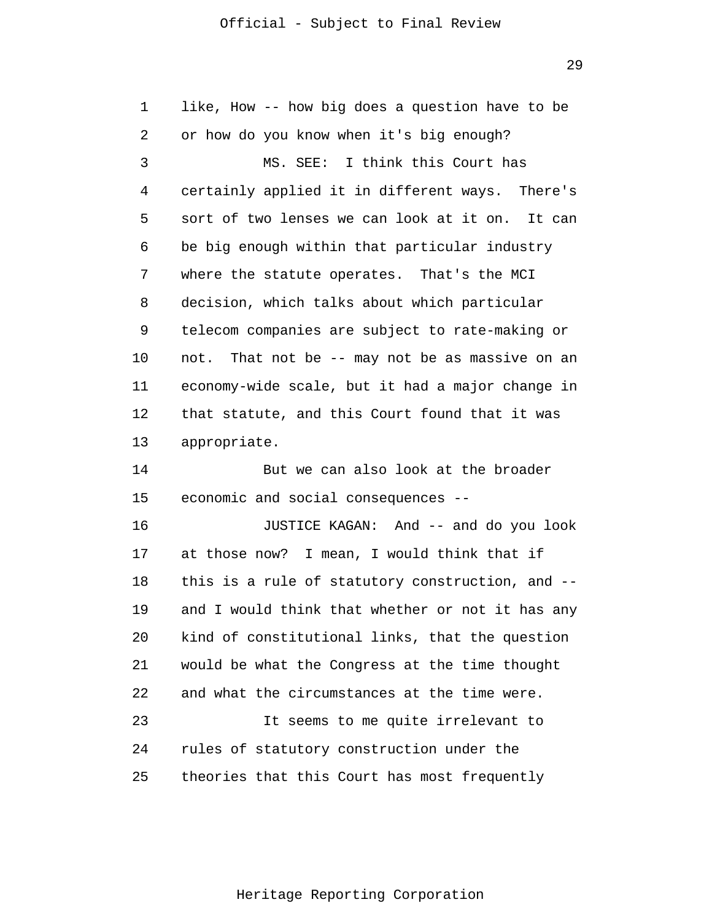29

| 1  | like, How -- how big does a question have to be  |
|----|--------------------------------------------------|
| 2  | or how do you know when it's big enough?         |
| 3  | MS. SEE: I think this Court has                  |
| 4  | certainly applied it in different ways. There's  |
| 5  | sort of two lenses we can look at it on. It can  |
| 6  | be big enough within that particular industry    |
| 7  | where the statute operates. That's the MCI       |
| 8  | decision, which talks about which particular     |
| 9  | telecom companies are subject to rate-making or  |
| 10 | not. That not be -- may not be as massive on an  |
| 11 | economy-wide scale, but it had a major change in |
| 12 | that statute, and this Court found that it was   |
| 13 | appropriate.                                     |
| 14 | But we can also look at the broader              |
| 15 | economic and social consequences --              |
| 16 | JUSTICE KAGAN: And -- and do you look            |
| 17 | at those now? I mean, I would think that if      |
| 18 |                                                  |
| 19 | this is a rule of statutory construction, and -- |
|    | and I would think that whether or not it has any |
| 20 | kind of constitutional links, that the question  |
| 21 | would be what the Congress at the time thought   |
| 22 | and what the circumstances at the time were.     |
| 23 | It seems to me quite irrelevant to               |
| 24 | rules of statutory construction under the        |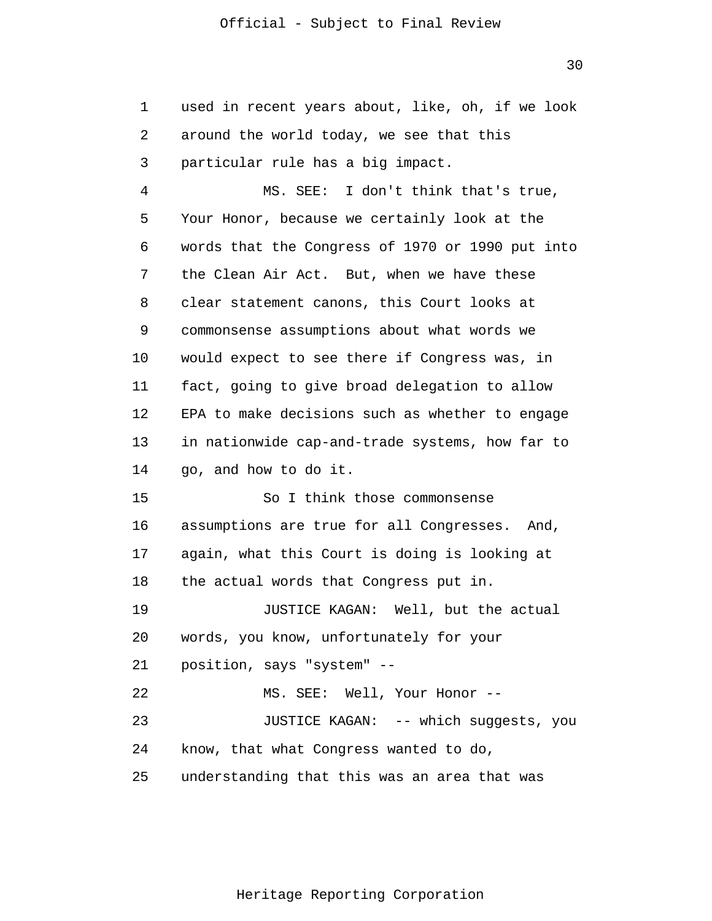| 1  | used in recent years about, like, oh, if we look |
|----|--------------------------------------------------|
| 2  | around the world today, we see that this         |
| 3  | particular rule has a big impact.                |
| 4  | MS. SEE: I don't think that's true,              |
| 5  | Your Honor, because we certainly look at the     |
| 6  | words that the Congress of 1970 or 1990 put into |
| 7  | the Clean Air Act. But, when we have these       |
| 8  | clear statement canons, this Court looks at      |
| 9  | commonsense assumptions about what words we      |
| 10 | would expect to see there if Congress was, in    |
| 11 | fact, going to give broad delegation to allow    |
| 12 | EPA to make decisions such as whether to engage  |
| 13 | in nationwide cap-and-trade systems, how far to  |
| 14 | go, and how to do it.                            |
| 15 | So I think those commonsense                     |
| 16 | assumptions are true for all Congresses. And,    |
| 17 | again, what this Court is doing is looking at    |
| 18 | the actual words that Congress put in.           |
| 19 | JUSTICE KAGAN: Well, but the actual              |
| 20 | words, you know, unfortunately for your          |
| 21 | position, says "system" --                       |
| 22 | MS. SEE: Well, Your Honor --                     |
| 23 | JUSTICE KAGAN: -- which suggests, you            |
| 24 | know, that what Congress wanted to do,           |
| 25 | understanding that this was an area that was     |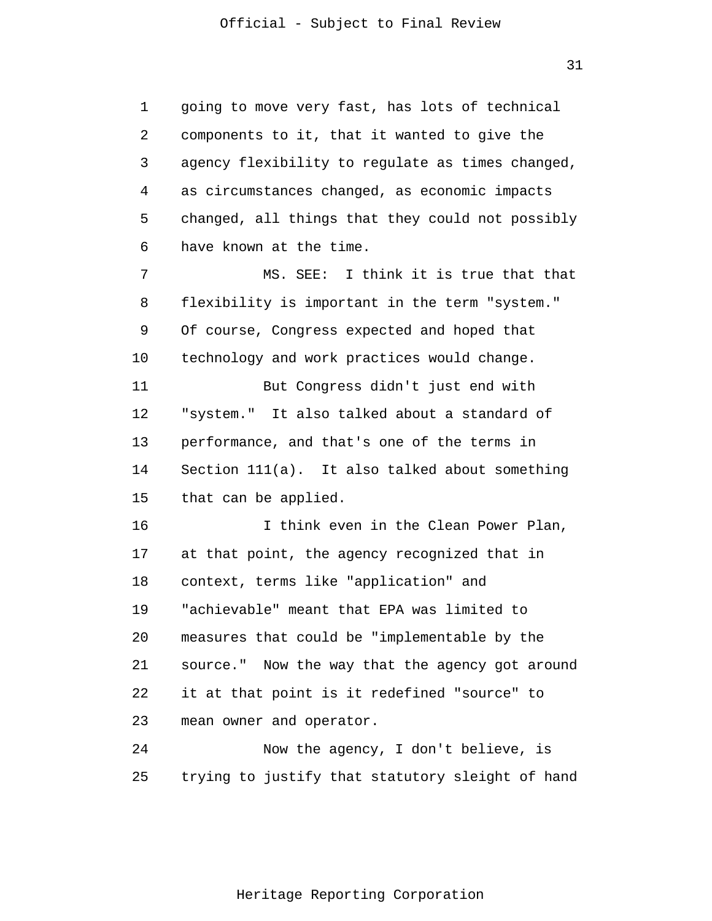31

1 2 3 4 5 6 7 8 9 10 11 12 13 14 15 16 17 18 19 20 21 22 23 24 25 going to move very fast, has lots of technical components to it, that it wanted to give the agency flexibility to regulate as times changed, as circumstances changed, as economic impacts changed, all things that they could not possibly have known at the time. MS. SEE: I think it is true that that flexibility is important in the term "system." Of course, Congress expected and hoped that technology and work practices would change. But Congress didn't just end with "system." It also talked about a standard of performance, and that's one of the terms in Section 111(a). It also talked about something that can be applied. I think even in the Clean Power Plan, at that point, the agency recognized that in context, terms like "application" and "achievable" meant that EPA was limited to measures that could be "implementable by the source." Now the way that the agency got around it at that point is it redefined "source" to mean owner and operator. Now the agency, I don't believe, is trying to justify that statutory sleight of hand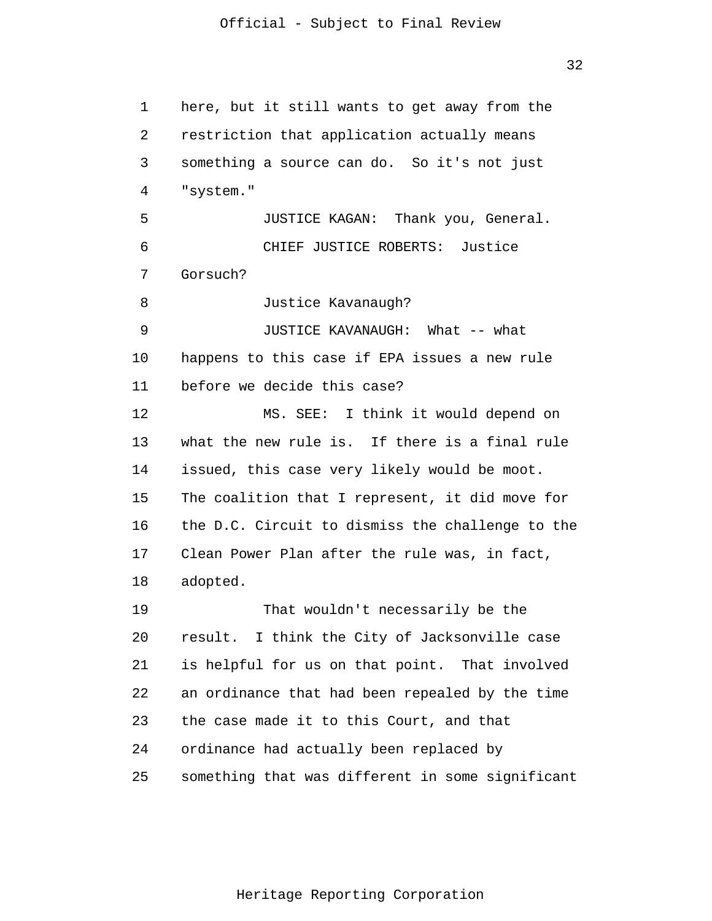1 2 3 4 5 6 7 8 9 10 11 12 13 14 15 16 17 18 19 20 21 22 23 24 25 here, but it still wants to get away from the restriction that application actually means something a source can do. So it's not just "system." JUSTICE KAGAN: Thank you, General. CHIEF JUSTICE ROBERTS: Justice Gorsuch? Justice Kavanaugh? JUSTICE KAVANAUGH: What -- what happens to this case if EPA issues a new rule before we decide this case? MS. SEE: I think it would depend on what the new rule is. If there is a final rule issued, this case very likely would be moot. The coalition that I represent, it did move for the D.C. Circuit to dismiss the challenge to the Clean Power Plan after the rule was, in fact, adopted. That wouldn't necessarily be the result. I think the City of Jacksonville case is helpful for us on that point. That involved an ordinance that had been repealed by the time the case made it to this Court, and that ordinance had actually been replaced by something that was different in some significant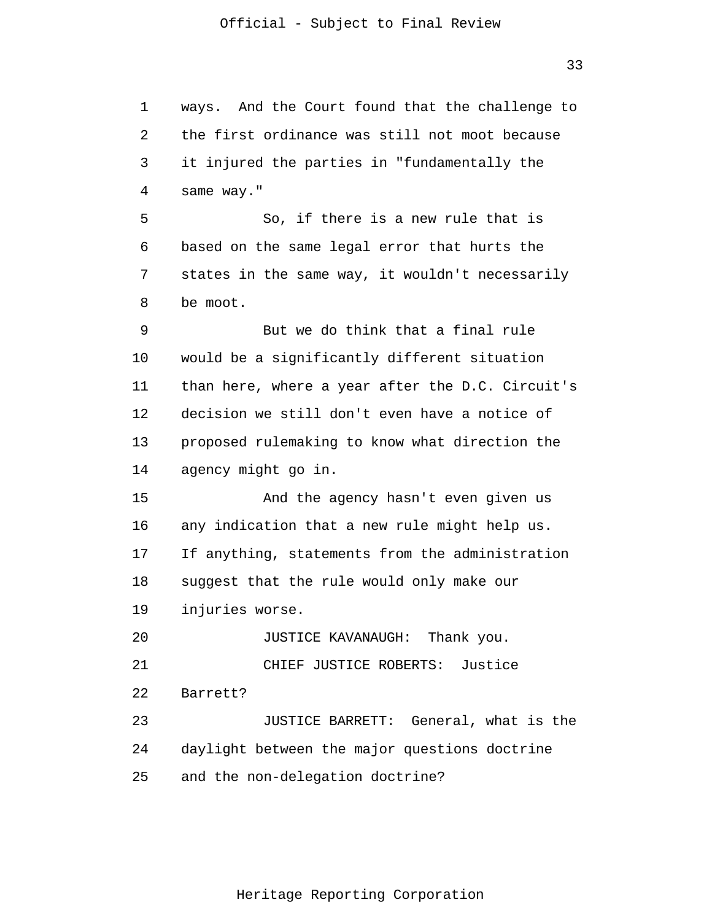ways. And the Court found that the challenge to the first ordinance was still not moot because it injured the parties in "fundamentally the

5 6 7 8 9 10 11 12 13 14 15 16 17 So, if there is a new rule that is based on the same legal error that hurts the states in the same way, it wouldn't necessarily be moot. But we do think that a final rule would be a significantly different situation than here, where a year after the D.C. Circuit's decision we still don't even have a notice of proposed rulemaking to know what direction the agency might go in. And the agency hasn't even given us any indication that a new rule might help us. If anything, statements from the administration

18 suggest that the rule would only make our

19 injuries worse.

1

2

3

4

same way."

20 21 22 23 24 25 JUSTICE KAVANAUGH: Thank you. CHIEF JUSTICE ROBERTS: Justice Barrett? JUSTICE BARRETT: General, what is the daylight between the major questions doctrine and the non-delegation doctrine?

33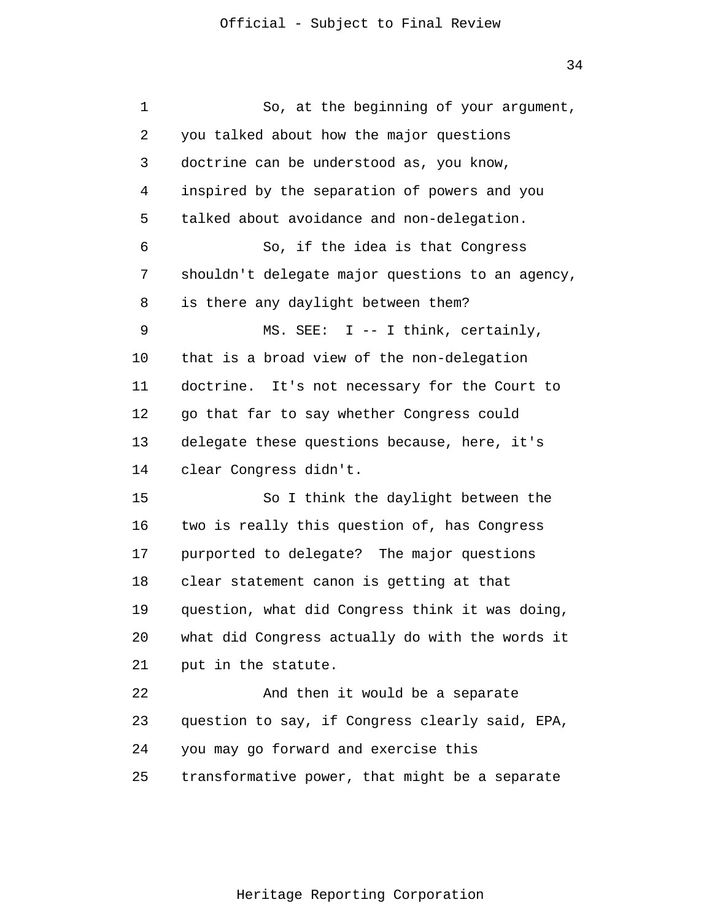| 1  | So, at the beginning of your argument,           |
|----|--------------------------------------------------|
| 2  | you talked about how the major questions         |
| 3  | doctrine can be understood as, you know,         |
| 4  | inspired by the separation of powers and you     |
| 5  | talked about avoidance and non-delegation.       |
| 6  | So, if the idea is that Congress                 |
| 7  | shouldn't delegate major questions to an agency, |
| 8  | is there any daylight between them?              |
| 9  | MS. SEE: $I$ -- I think, certainly,              |
| 10 | that is a broad view of the non-delegation       |
| 11 | doctrine. It's not necessary for the Court to    |
| 12 | go that far to say whether Congress could        |
| 13 | delegate these questions because, here, it's     |
| 14 | clear Congress didn't.                           |
| 15 | So I think the daylight between the              |
| 16 | two is really this question of, has Congress     |
| 17 | purported to delegate? The major questions       |
| 18 | clear statement canon is getting at that         |
| 19 | question, what did Congress think it was doing,  |
| 20 | what did Congress actually do with the words it  |
| 21 | put in the statute.                              |
| 22 | And then it would be a separate                  |
| 23 | question to say, if Congress clearly said, EPA,  |
| 24 | you may go forward and exercise this             |
| 25 | transformative power, that might be a separate   |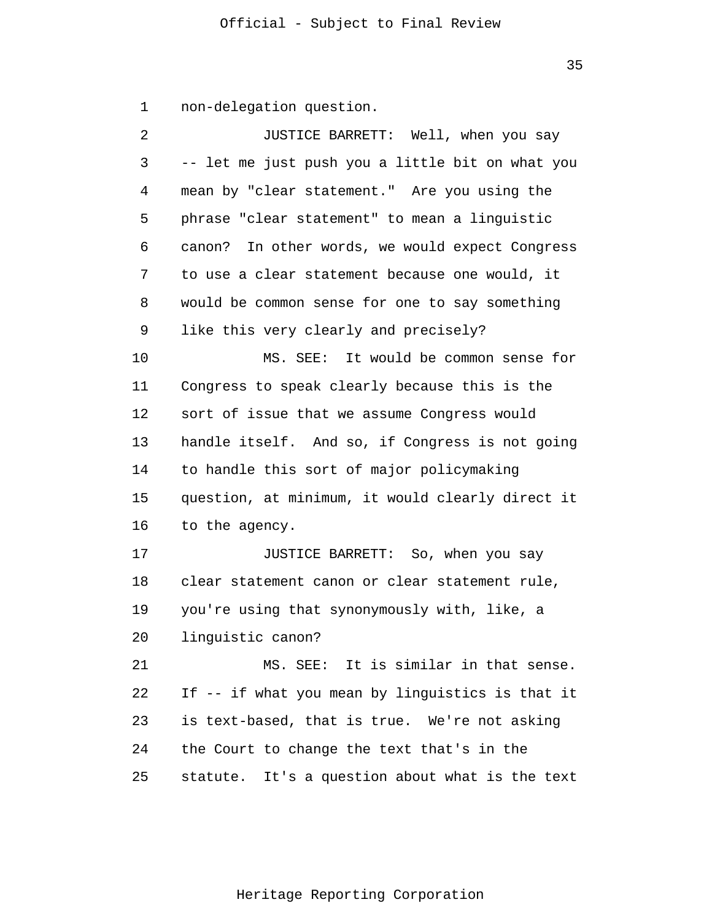1 non-delegation question.

| 2  | JUSTICE BARRETT: Well, when you say              |
|----|--------------------------------------------------|
| 3  | -- let me just push you a little bit on what you |
| 4  | mean by "clear statement." Are you using the     |
| 5  | phrase "clear statement" to mean a linguistic    |
| 6  | canon? In other words, we would expect Congress  |
| 7  | to use a clear statement because one would, it   |
| 8  | would be common sense for one to say something   |
| 9  | like this very clearly and precisely?            |
| 10 | MS. SEE: It would be common sense for            |
| 11 | Congress to speak clearly because this is the    |
| 12 | sort of issue that we assume Congress would      |
| 13 | handle itself. And so, if Congress is not going  |
| 14 | to handle this sort of major policymaking        |
| 15 | question, at minimum, it would clearly direct it |
| 16 | to the agency.                                   |
| 17 | JUSTICE BARRETT: So, when you say                |
| 18 | clear statement canon or clear statement rule,   |
| 19 | you're using that synonymously with, like, a     |
| 20 | linguistic canon?                                |
| 21 | MS. SEE: It is similar in that sense.            |
| 22 | If -- if what you mean by linguistics is that it |
| 23 | is text-based, that is true. We're not asking    |
| 24 | the Court to change the text that's in the       |
| 25 | statute. It's a question about what is the text  |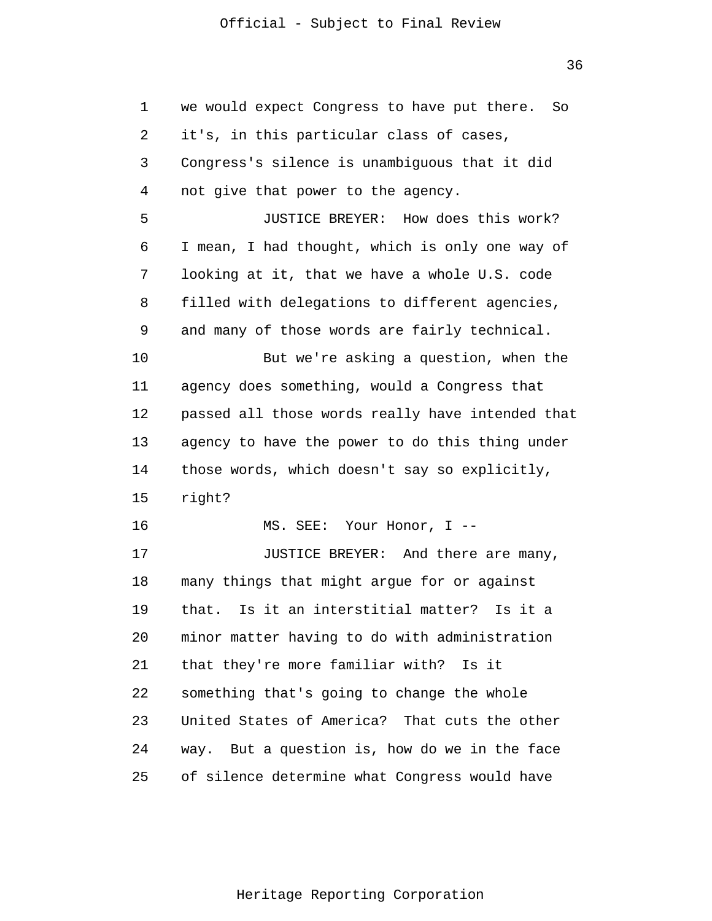36

| 1  | we would expect Congress to have put there.<br>So |
|----|---------------------------------------------------|
| 2  | it's, in this particular class of cases,          |
| 3  | Congress's silence is unambiguous that it did     |
| 4  | not give that power to the agency.                |
| 5  | JUSTICE BREYER: How does this work?               |
| 6  | I mean, I had thought, which is only one way of   |
| 7  | looking at it, that we have a whole U.S. code     |
| 8  | filled with delegations to different agencies,    |
| 9  | and many of those words are fairly technical.     |
| 10 | But we're asking a question, when the             |
| 11 | agency does something, would a Congress that      |
| 12 | passed all those words really have intended that  |
| 13 | agency to have the power to do this thing under   |
| 14 | those words, which doesn't say so explicitly,     |
| 15 | right?                                            |
| 16 | MS. SEE: Your Honor, I --                         |
| 17 | JUSTICE BREYER: And there are many,               |
| 18 | many things that might argue for or against       |
| 19 | Is it an interstitial matter? Is it a<br>that.    |
| 20 | minor matter having to do with administration     |
| 21 | that they're more familiar with? Is it            |
| 22 | something that's going to change the whole        |
| 23 | United States of America? That cuts the other     |
| 24 | way. But a question is, how do we in the face     |
| 25 | of silence determine what Congress would have     |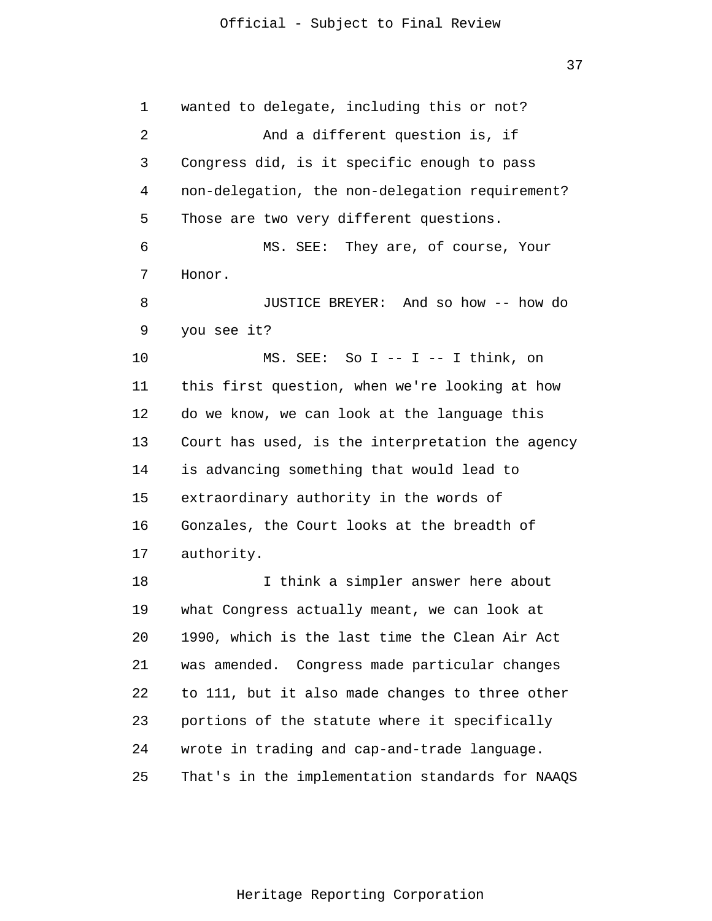37

1 2 3 4 5 6 7 8 9 10 11 12 13 14 15 16 17 18 19 20 21 22 23 24 25 wanted to delegate, including this or not? And a different question is, if Congress did, is it specific enough to pass non-delegation, the non-delegation requirement? Those are two very different questions. MS. SEE: They are, of course, Your Honor. JUSTICE BREYER: And so how -- how do you see it? MS. SEE: So I -- I -- I think, on this first question, when we're looking at how do we know, we can look at the language this Court has used, is the interpretation the agency is advancing something that would lead to extraordinary authority in the words of Gonzales, the Court looks at the breadth of authority. I think a simpler answer here about what Congress actually meant, we can look at 1990, which is the last time the Clean Air Act was amended. Congress made particular changes to 111, but it also made changes to three other portions of the statute where it specifically wrote in trading and cap-and-trade language. That's in the implementation standards for NAAQS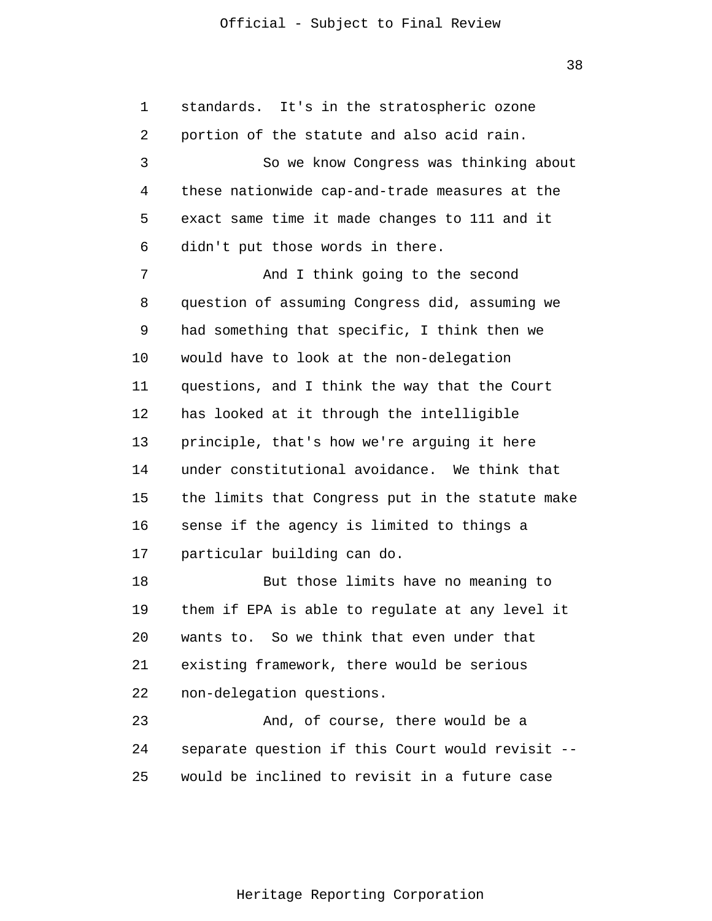38

1 2 3 4 5 6 7 8 9 10 11 12 13 14 15 16 17 18 19 20 21 22 23 24 25 standards. It's in the stratospheric ozone portion of the statute and also acid rain. So we know Congress was thinking about these nationwide cap-and-trade measures at the exact same time it made changes to 111 and it didn't put those words in there. And I think going to the second question of assuming Congress did, assuming we had something that specific, I think then we would have to look at the non-delegation questions, and I think the way that the Court has looked at it through the intelligible principle, that's how we're arguing it here under constitutional avoidance. We think that the limits that Congress put in the statute make sense if the agency is limited to things a particular building can do. But those limits have no meaning to them if EPA is able to regulate at any level it wants to. So we think that even under that existing framework, there would be serious non-delegation questions. And, of course, there would be a separate question if this Court would revisit - would be inclined to revisit in a future case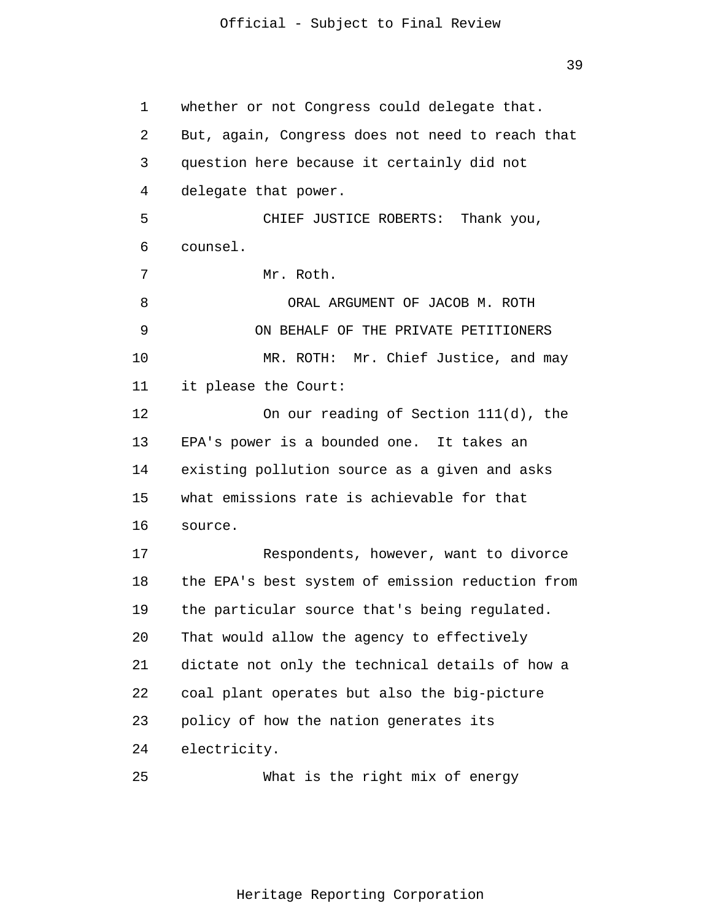39

1 2 3 4 5 6 7 8 9 10 11 12 13 14 15 16 17 18 19 20 21 22 23 24 25 whether or not Congress could delegate that. But, again, Congress does not need to reach that question here because it certainly did not delegate that power. CHIEF JUSTICE ROBERTS: Thank you, counsel. Mr. Roth. ORAL ARGUMENT OF JACOB M. ROTH ON BEHALF OF THE PRIVATE PETITIONERS MR. ROTH: Mr. Chief Justice, and may it please the Court: On our reading of Section 111(d), the EPA's power is a bounded one. It takes an existing pollution source as a given and asks what emissions rate is achievable for that source. Respondents, however, want to divorce the EPA's best system of emission reduction from the particular source that's being regulated. That would allow the agency to effectively dictate not only the technical details of how a coal plant operates but also the big-picture policy of how the nation generates its electricity. What is the right mix of energy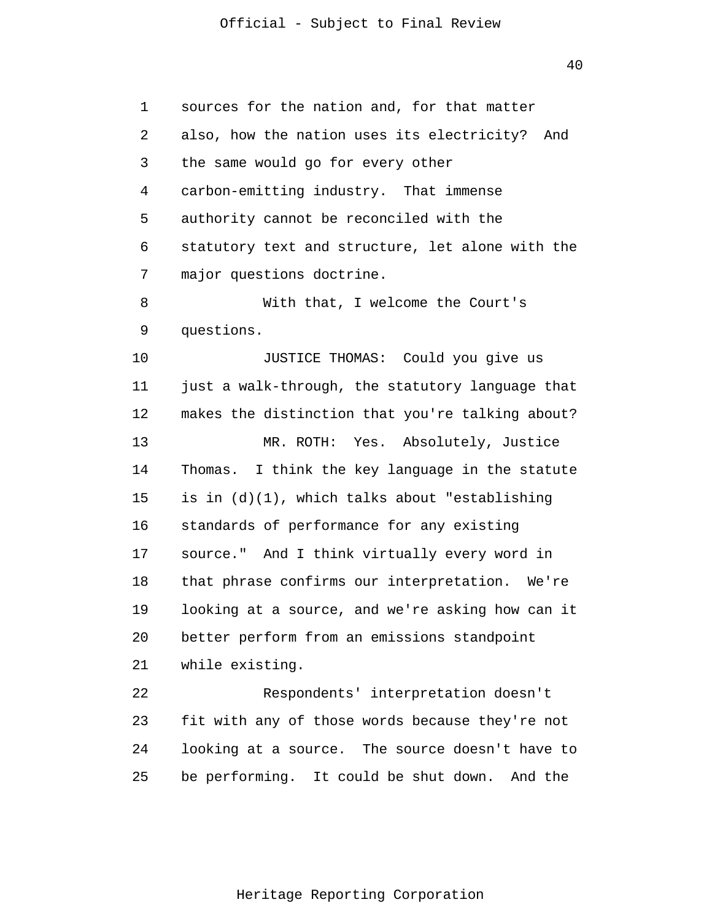40

1 2 3 4 5 6 7 8 9 10 11 12 13 14 15 16 17 18 19 20 21 22 23 24 25 sources for the nation and, for that matter also, how the nation uses its electricity? And the same would go for every other carbon-emitting industry. That immense authority cannot be reconciled with the statutory text and structure, let alone with the major questions doctrine. With that, I welcome the Court's questions. JUSTICE THOMAS: Could you give us just a walk-through, the statutory language that makes the distinction that you're talking about? MR. ROTH: Yes. Absolutely, Justice Thomas. I think the key language in the statute is in (d)(1), which talks about "establishing standards of performance for any existing source." And I think virtually every word in that phrase confirms our interpretation. We're looking at a source, and we're asking how can it better perform from an emissions standpoint while existing. Respondents' interpretation doesn't fit with any of those words because they're not looking at a source. The source doesn't have to be performing. It could be shut down. And the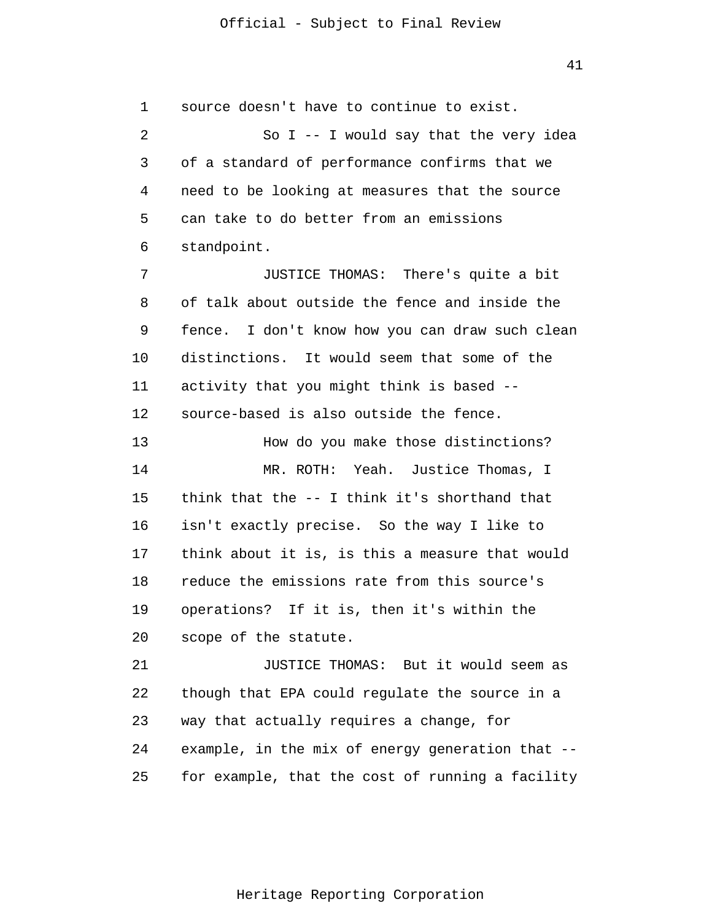1 2 3 4 5 6 7 source doesn't have to continue to exist. So I  $-$ - I would say that the very idea of a standard of performance confirms that we need to be looking at measures that the source can take to do better from an emissions standpoint. JUSTICE THOMAS: There's quite a bit

8 9 10 11 12 of talk about outside the fence and inside the fence. I don't know how you can draw such clean distinctions. It would seem that some of the activity that you might think is based - source-based is also outside the fence.

13 14 15 16 17 18 19 20 How do you make those distinctions? MR. ROTH: Yeah. Justice Thomas, I think that the -- I think it's shorthand that isn't exactly precise. So the way I like to think about it is, is this a measure that would reduce the emissions rate from this source's operations? If it is, then it's within the scope of the statute.

21 22 23 24 25 JUSTICE THOMAS: But it would seem as though that EPA could regulate the source in a way that actually requires a change, for example, in the mix of energy generation that - for example, that the cost of running a facility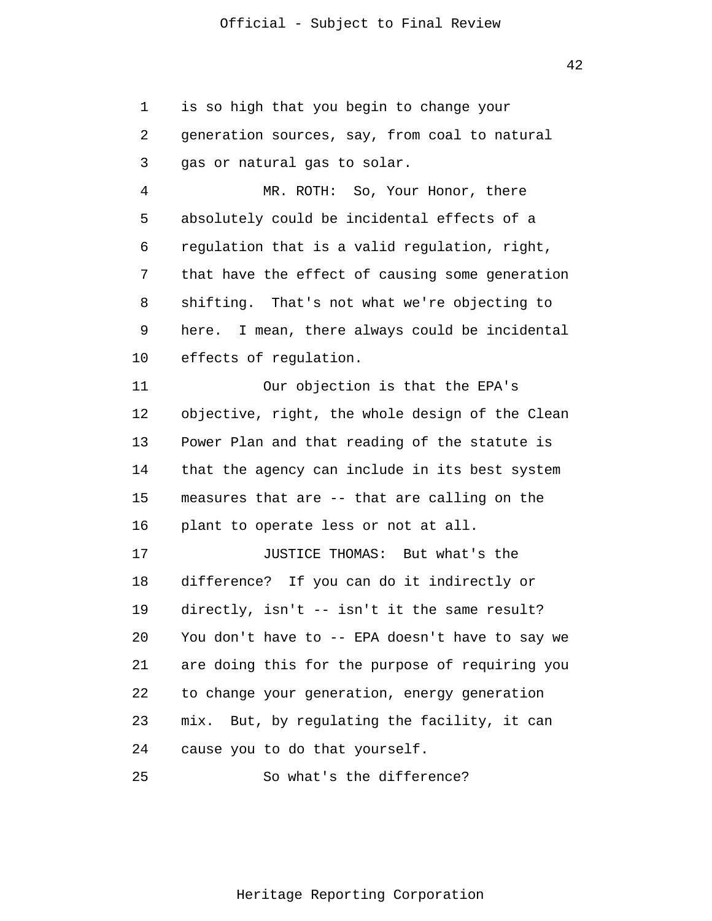1 2 3 4 5 6 7 8 9 10 11 12 13 14 15 16 17 18 19 20 21 22 23 24 25 is so high that you begin to change your generation sources, say, from coal to natural gas or natural gas to solar. MR. ROTH: So, Your Honor, there absolutely could be incidental effects of a regulation that is a valid regulation, right, that have the effect of causing some generation shifting. That's not what we're objecting to here. I mean, there always could be incidental effects of regulation. Our objection is that the EPA's objective, right, the whole design of the Clean Power Plan and that reading of the statute is that the agency can include in its best system measures that are -- that are calling on the plant to operate less or not at all. JUSTICE THOMAS: But what's the difference? If you can do it indirectly or directly, isn't -- isn't it the same result? You don't have to -- EPA doesn't have to say we are doing this for the purpose of requiring you to change your generation, energy generation mix. But, by regulating the facility, it can cause you to do that yourself. So what's the difference?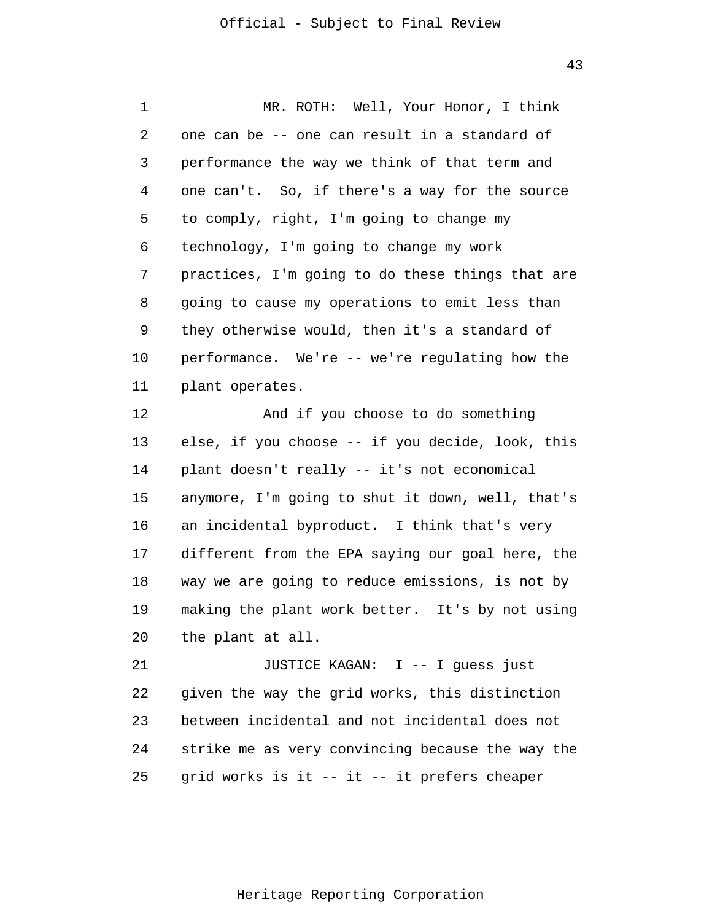43

1 2 3 4 5 6 7 8 9 10 11 12 13 14 15 16 17 18 19 20 21 22 23 24 25 MR. ROTH: Well, Your Honor, I think one can be -- one can result in a standard of performance the way we think of that term and one can't. So, if there's a way for the source to comply, right, I'm going to change my technology, I'm going to change my work practices, I'm going to do these things that are going to cause my operations to emit less than they otherwise would, then it's a standard of performance. We're -- we're regulating how the plant operates. And if you choose to do something else, if you choose -- if you decide, look, this plant doesn't really -- it's not economical anymore, I'm going to shut it down, well, that's an incidental byproduct. I think that's very different from the EPA saying our goal here, the way we are going to reduce emissions, is not by making the plant work better. It's by not using the plant at all. JUSTICE KAGAN: I -- I guess just given the way the grid works, this distinction between incidental and not incidental does not strike me as very convincing because the way the grid works is it -- it -- it prefers cheaper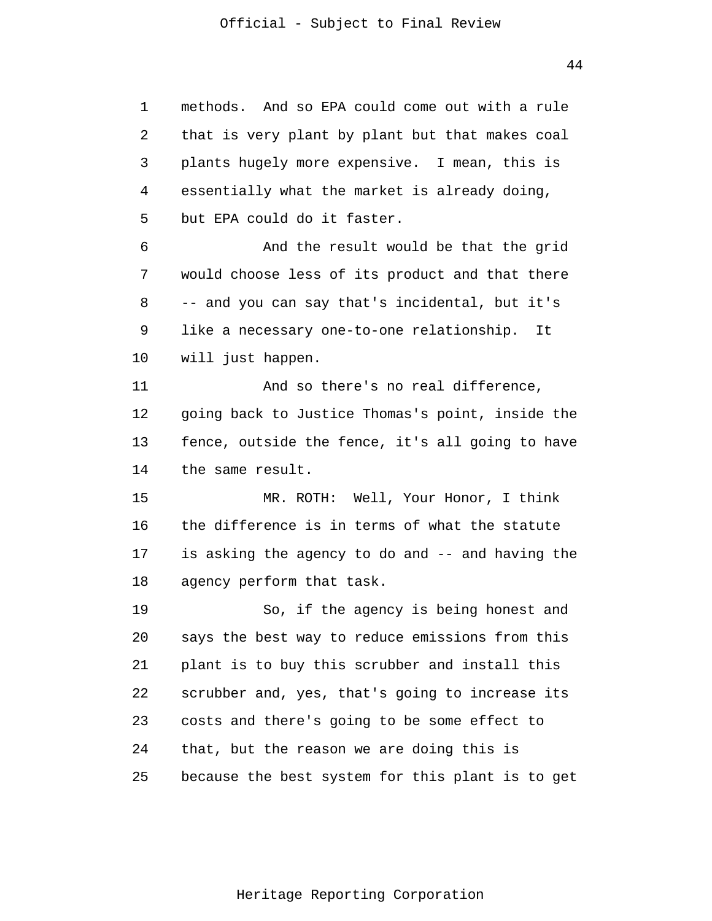1 2 3 4 5 6 7 8 9 10 11 12 13 14 15 16 17 18 19 20 21 22 23 24 25 methods. And so EPA could come out with a rule that is very plant by plant but that makes coal plants hugely more expensive. I mean, this is essentially what the market is already doing, but EPA could do it faster. And the result would be that the grid would choose less of its product and that there -- and you can say that's incidental, but it's like a necessary one-to-one relationship. It will just happen. And so there's no real difference, going back to Justice Thomas's point, inside the fence, outside the fence, it's all going to have the same result. MR. ROTH: Well, Your Honor, I think the difference is in terms of what the statute is asking the agency to do and -- and having the agency perform that task. So, if the agency is being honest and says the best way to reduce emissions from this plant is to buy this scrubber and install this scrubber and, yes, that's going to increase its costs and there's going to be some effect to that, but the reason we are doing this is because the best system for this plant is to get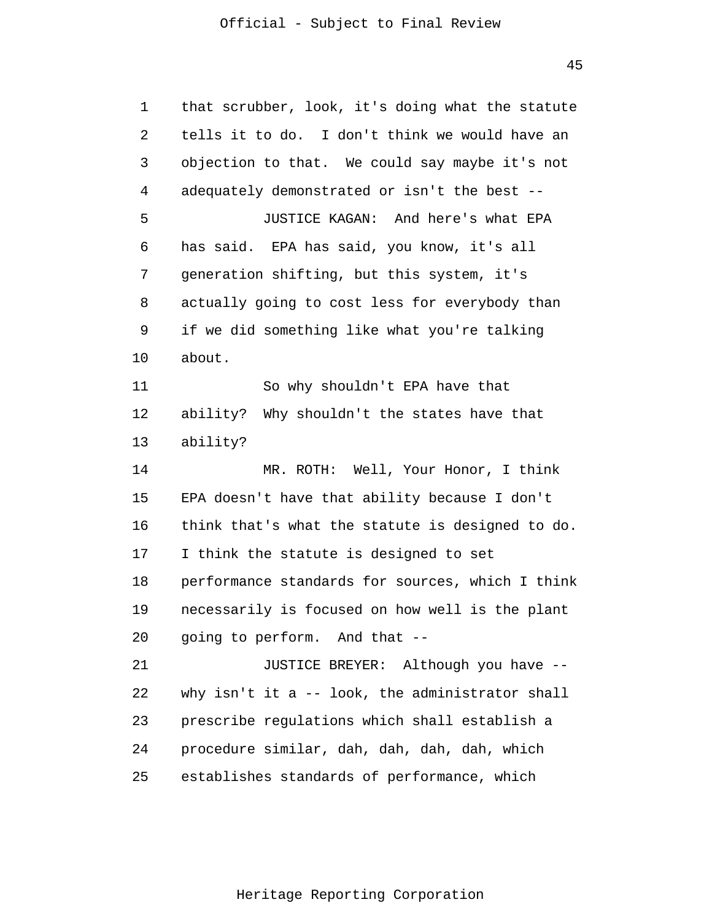45

| 1  | that scrubber, look, it's doing what the statute |
|----|--------------------------------------------------|
| 2  | tells it to do. I don't think we would have an   |
| 3  | objection to that. We could say maybe it's not   |
| 4  | adequately demonstrated or isn't the best --     |
| 5  | JUSTICE KAGAN: And here's what EPA               |
| 6  | has said. EPA has said, you know, it's all       |
| 7  | generation shifting, but this system, it's       |
| 8  | actually going to cost less for everybody than   |
| 9  | if we did something like what you're talking     |
| 10 | about.                                           |
| 11 | So why shouldn't EPA have that                   |
| 12 | ability? Why shouldn't the states have that      |
| 13 | ability?                                         |
| 14 | MR. ROTH: Well, Your Honor, I think              |
| 15 | EPA doesn't have that ability because I don't    |
| 16 | think that's what the statute is designed to do. |
| 17 | I think the statute is designed to set           |
| 18 | performance standards for sources, which I think |
| 19 | necessarily is focused on how well is the plant  |
| 20 | going to perform. And that --                    |
| 21 | JUSTICE BREYER: Although you have --             |
| 22 | why isn't it a -- look, the administrator shall  |
| 23 | prescribe regulations which shall establish a    |
| 24 | procedure similar, dah, dah, dah, dah, which     |
| 25 | establishes standards of performance, which      |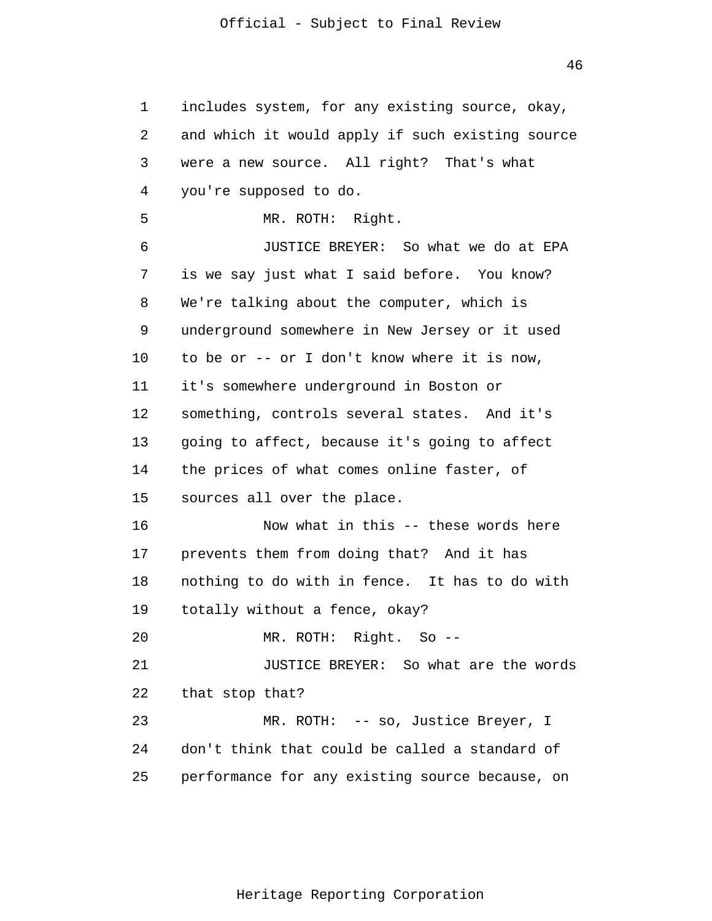1 2 3 4 5 6 7 8 9 10 11 12 13 14 15 16 17 18 19 20 21 22 23 24 25 includes system, for any existing source, okay, and which it would apply if such existing source were a new source. All right? That's what you're supposed to do. MR. ROTH: Right. JUSTICE BREYER: So what we do at EPA is we say just what I said before. You know? We're talking about the computer, which is underground somewhere in New Jersey or it used to be or -- or I don't know where it is now, it's somewhere underground in Boston or something, controls several states. And it's going to affect, because it's going to affect the prices of what comes online faster, of sources all over the place. Now what in this -- these words here prevents them from doing that? And it has nothing to do with in fence. It has to do with totally without a fence, okay? MR. ROTH: Right. So -- JUSTICE BREYER: So what are the words that stop that? MR. ROTH: -- so, Justice Breyer, I don't think that could be called a standard of performance for any existing source because, on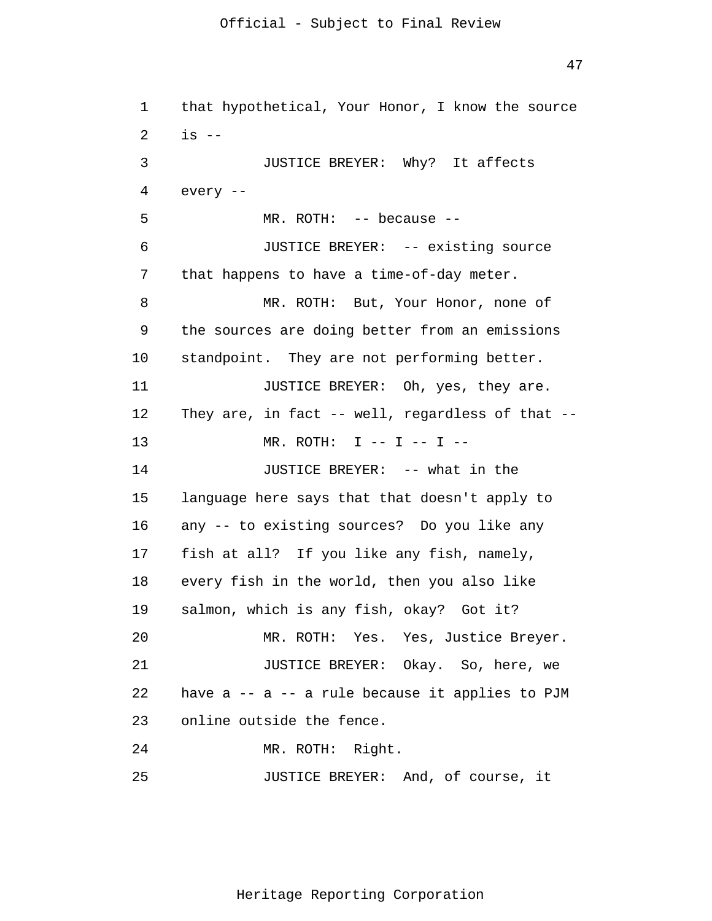47

1 2 3 4 5 6 7 8 9 10 11 12 13 14 15 16 17 18 19 20 21 22 23 24 25 that hypothetical, Your Honor, I know the source is -- JUSTICE BREYER: Why? It affects every -- MR. ROTH: -- because -- JUSTICE BREYER: -- existing source that happens to have a time-of-day meter. MR. ROTH: But, Your Honor, none of the sources are doing better from an emissions standpoint. They are not performing better. JUSTICE BREYER: Oh, yes, they are. They are, in fact -- well, regardless of that -- $MR.$  ROTH: I -- I -- I -- JUSTICE BREYER: -- what in the language here says that that doesn't apply to any -- to existing sources? Do you like any fish at all? If you like any fish, namely, every fish in the world, then you also like salmon, which is any fish, okay? Got it? MR. ROTH: Yes. Yes, Justice Breyer. JUSTICE BREYER: Okay. So, here, we have  $a$  --  $a$  -- a rule because it applies to PJM online outside the fence. MR. ROTH: Right. JUSTICE BREYER: And, of course, it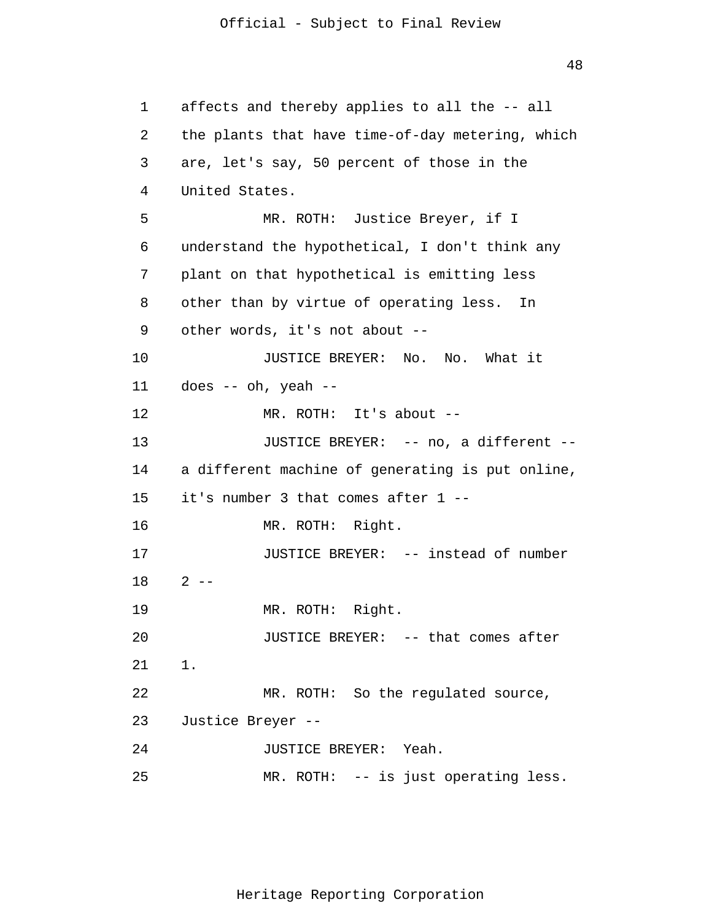48

1 2 3 4 5 6 7 8 9 10 11 12 13 14 15 16 17 18 19 20 21 22 23 24 25 affects and thereby applies to all the -- all the plants that have time-of-day metering, which are, let's say, 50 percent of those in the United States. MR. ROTH: Justice Breyer, if I understand the hypothetical, I don't think any plant on that hypothetical is emitting less other than by virtue of operating less. In other words, it's not about -- JUSTICE BREYER: No. No. What it does -- oh, yeah -- MR. ROTH: It's about -- JUSTICE BREYER: -- no, a different - a different machine of generating is put online, it's number 3 that comes after 1 -- MR. ROTH: Right. JUSTICE BREYER: -- instead of number  $2 - -$ MR. ROTH: Right. JUSTICE BREYER: -- that comes after 1. MR. ROTH: So the regulated source, Justice Breyer -- JUSTICE BREYER: Yeah. MR. ROTH: -- is just operating less.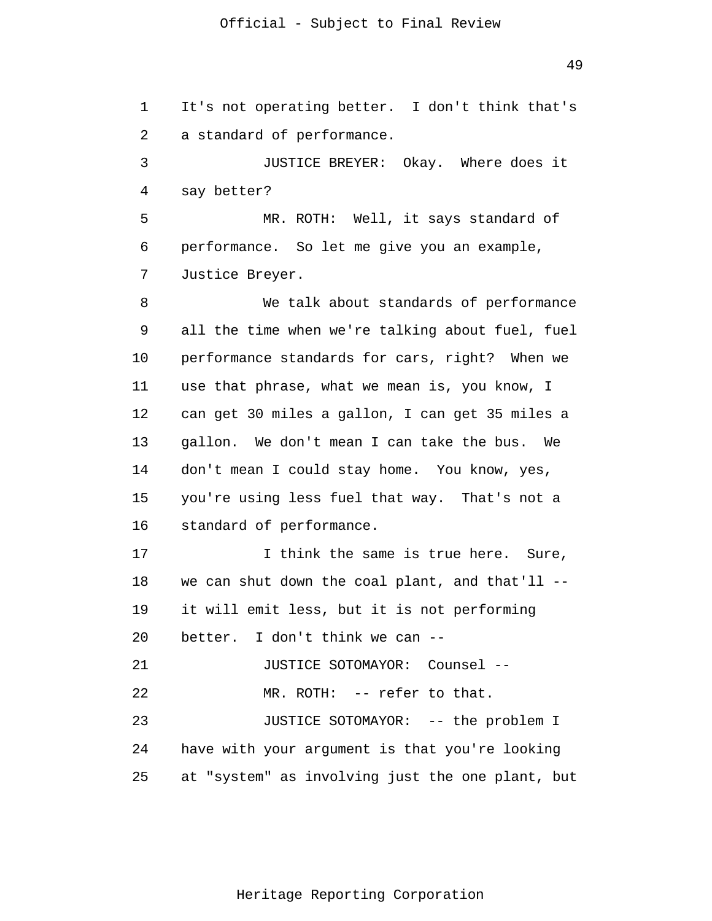1 2 3 4 5 6 7 8 9 10 11 12 13 14 15 16 17 18 19 20 21 22 23 24 25 It's not operating better. I don't think that's a standard of performance. JUSTICE BREYER: Okay. Where does it say better? MR. ROTH: Well, it says standard of performance. So let me give you an example, Justice Breyer. We talk about standards of performance all the time when we're talking about fuel, fuel performance standards for cars, right? When we use that phrase, what we mean is, you know, I can get 30 miles a gallon, I can get 35 miles a gallon. We don't mean I can take the bus. We don't mean I could stay home. You know, yes, you're using less fuel that way. That's not a standard of performance. I think the same is true here. Sure, we can shut down the coal plant, and that'll - it will emit less, but it is not performing better. I don't think we can -- JUSTICE SOTOMAYOR: Counsel -- MR. ROTH: -- refer to that. JUSTICE SOTOMAYOR: -- the problem I have with your argument is that you're looking at "system" as involving just the one plant, but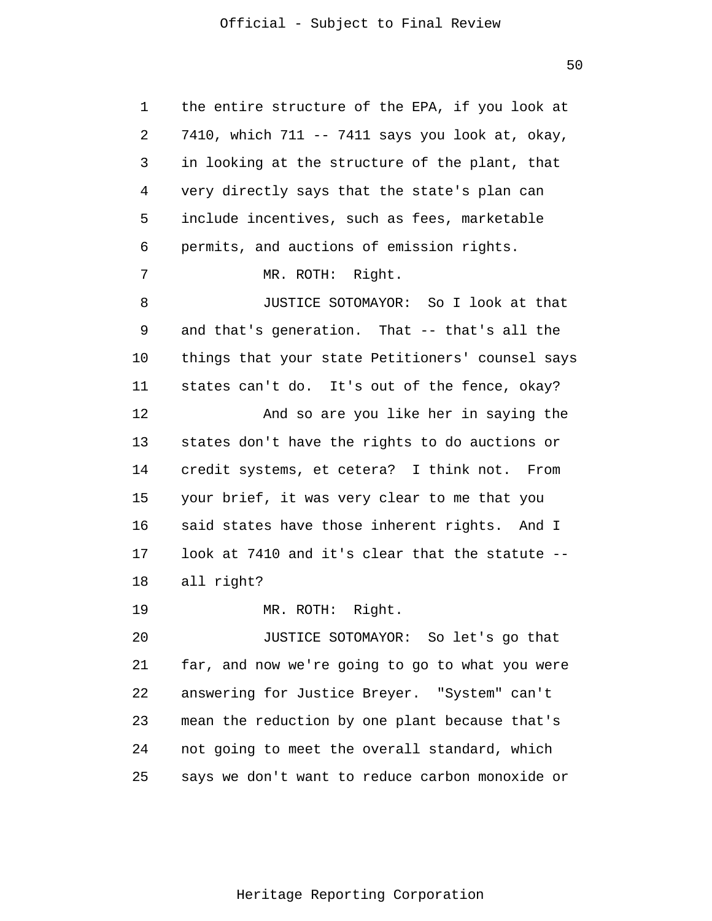50

1 2 3 4 5 6 7 8 9 10 11 12 13 14 15 16 17 18 19 20 21 22 23 24 25 the entire structure of the EPA, if you look at 7410, which 711 -- 7411 says you look at, okay, in looking at the structure of the plant, that very directly says that the state's plan can include incentives, such as fees, marketable permits, and auctions of emission rights. MR. ROTH: Right. JUSTICE SOTOMAYOR: So I look at that and that's generation. That -- that's all the things that your state Petitioners' counsel says states can't do. It's out of the fence, okay? And so are you like her in saying the states don't have the rights to do auctions or credit systems, et cetera? I think not. From your brief, it was very clear to me that you said states have those inherent rights. And I look at 7410 and it's clear that the statute - all right? MR. ROTH: Right. JUSTICE SOTOMAYOR: So let's go that far, and now we're going to go to what you were answering for Justice Breyer. "System" can't mean the reduction by one plant because that's not going to meet the overall standard, which says we don't want to reduce carbon monoxide or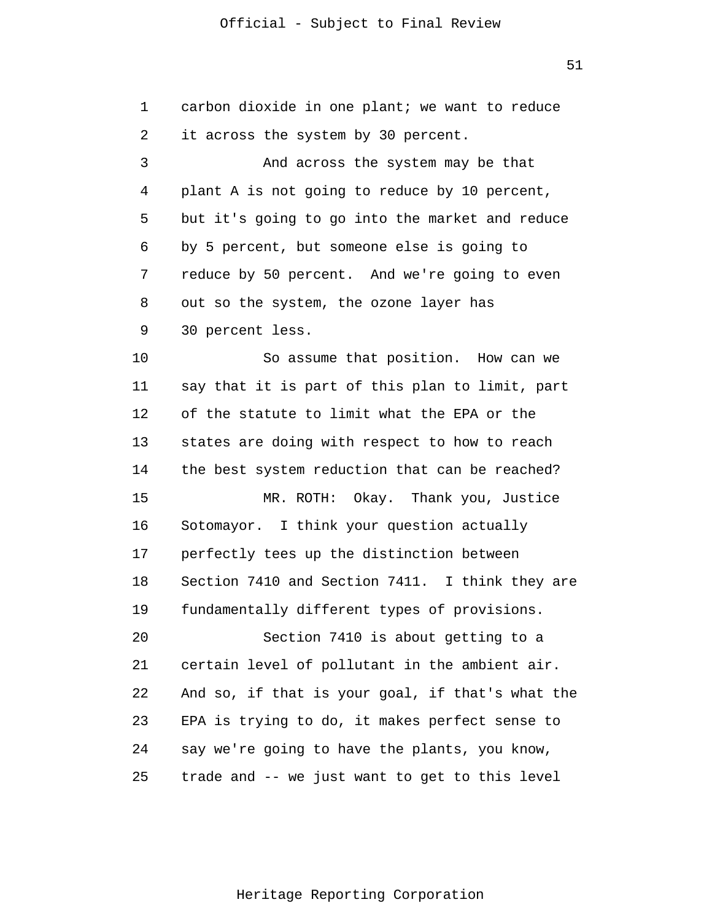1

carbon dioxide in one plant; we want to reduce

2 3 4 5 6 7 8 9 10 11 12 13 14 15 16 17 18 19 20 21 22 23 24 25 it across the system by 30 percent. And across the system may be that plant A is not going to reduce by 10 percent, but it's going to go into the market and reduce by 5 percent, but someone else is going to reduce by 50 percent. And we're going to even out so the system, the ozone layer has 30 percent less. So assume that position. How can we say that it is part of this plan to limit, part of the statute to limit what the EPA or the states are doing with respect to how to reach the best system reduction that can be reached? MR. ROTH: Okay. Thank you, Justice Sotomayor. I think your question actually perfectly tees up the distinction between Section 7410 and Section 7411. I think they are fundamentally different types of provisions. Section 7410 is about getting to a certain level of pollutant in the ambient air. And so, if that is your goal, if that's what the EPA is trying to do, it makes perfect sense to say we're going to have the plants, you know, trade and -- we just want to get to this level

Heritage Reporting Corporation

51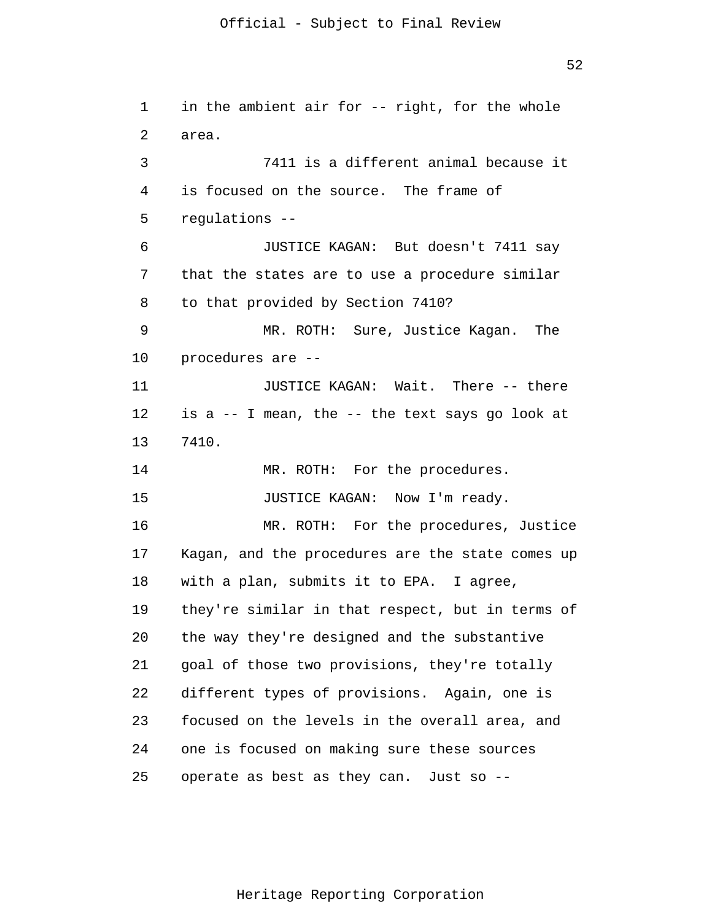1 2 3 4 5 6 7 8 9 10 11 12 13 14 15 16 17 18 19 20 21 22 23 24 25 in the ambient air for -- right, for the whole area. 7411 is a different animal because it is focused on the source. The frame of regulations -- JUSTICE KAGAN: But doesn't 7411 say that the states are to use a procedure similar to that provided by Section 7410? MR. ROTH: Sure, Justice Kagan. The procedures are -- JUSTICE KAGAN: Wait. There -- there is a -- I mean, the -- the text says go look at 7410. MR. ROTH: For the procedures. JUSTICE KAGAN: Now I'm ready. MR. ROTH: For the procedures, Justice Kagan, and the procedures are the state comes up with a plan, submits it to EPA. I agree, they're similar in that respect, but in terms of the way they're designed and the substantive goal of those two provisions, they're totally different types of provisions. Again, one is focused on the levels in the overall area, and one is focused on making sure these sources operate as best as they can. Just so --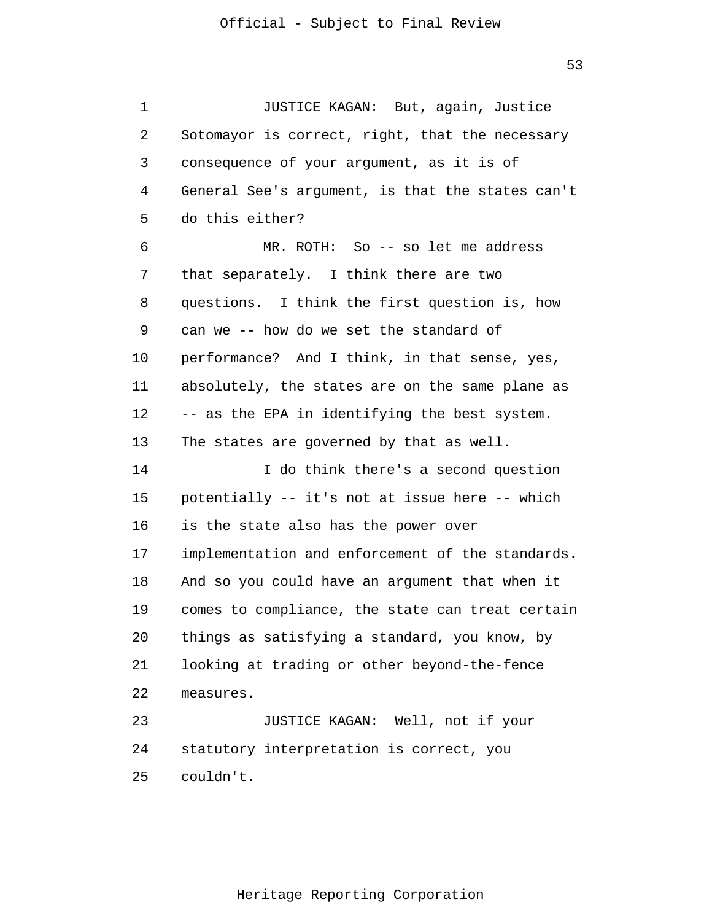1 2 3 4 5 6 7 8 9 10 11 12 13 14 15 16 17 18 19 20 21 22 23 24 25 JUSTICE KAGAN: But, again, Justice Sotomayor is correct, right, that the necessary consequence of your argument, as it is of General See's argument, is that the states can't do this either? MR. ROTH: So -- so let me address that separately. I think there are two questions. I think the first question is, how can we -- how do we set the standard of performance? And I think, in that sense, yes, absolutely, the states are on the same plane as -- as the EPA in identifying the best system. The states are governed by that as well. I do think there's a second question potentially -- it's not at issue here -- which is the state also has the power over implementation and enforcement of the standards. And so you could have an argument that when it comes to compliance, the state can treat certain things as satisfying a standard, you know, by looking at trading or other beyond-the-fence measures. JUSTICE KAGAN: Well, not if your statutory interpretation is correct, you couldn't.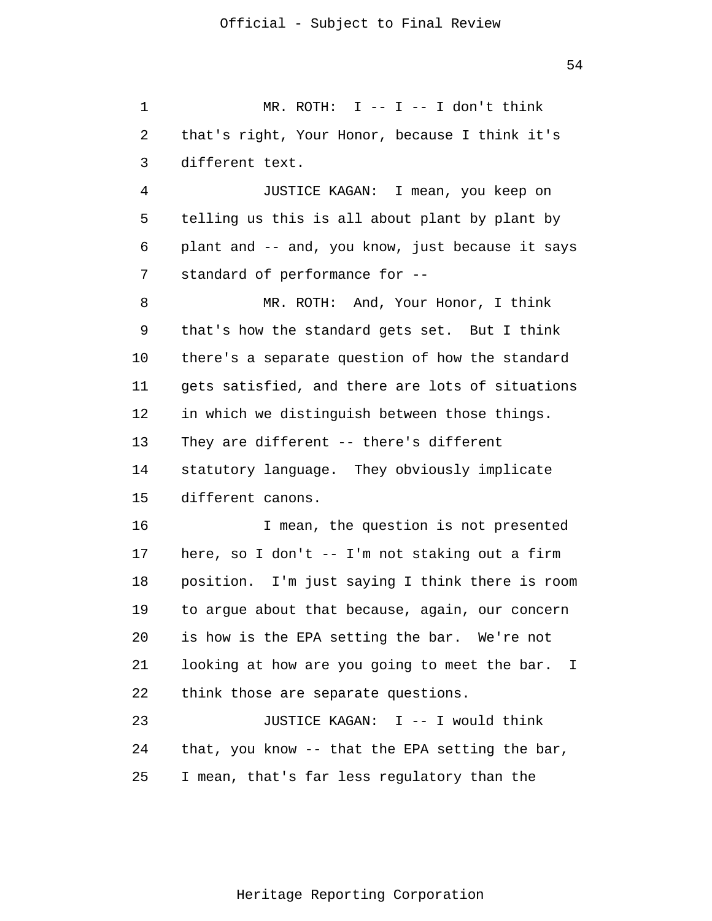1 2 3 MR. ROTH:  $I$  --  $I$  --  $I$  don't think that's right, Your Honor, because I think it's different text.

4 5 6 7 JUSTICE KAGAN: I mean, you keep on telling us this is all about plant by plant by plant and -- and, you know, just because it says standard of performance for --

8 9 10 11 12 13 14 15 MR. ROTH: And, Your Honor, I think that's how the standard gets set. But I think there's a separate question of how the standard gets satisfied, and there are lots of situations in which we distinguish between those things. They are different -- there's different statutory language. They obviously implicate different canons.

16 17 18 19 20 21 22 I mean, the question is not presented here, so I don't -- I'm not staking out a firm position. I'm just saying I think there is room to argue about that because, again, our concern is how is the EPA setting the bar. We're not looking at how are you going to meet the bar. I think those are separate questions.

23 24 25 JUSTICE KAGAN: I -- I would think that, you know -- that the EPA setting the bar, I mean, that's far less regulatory than the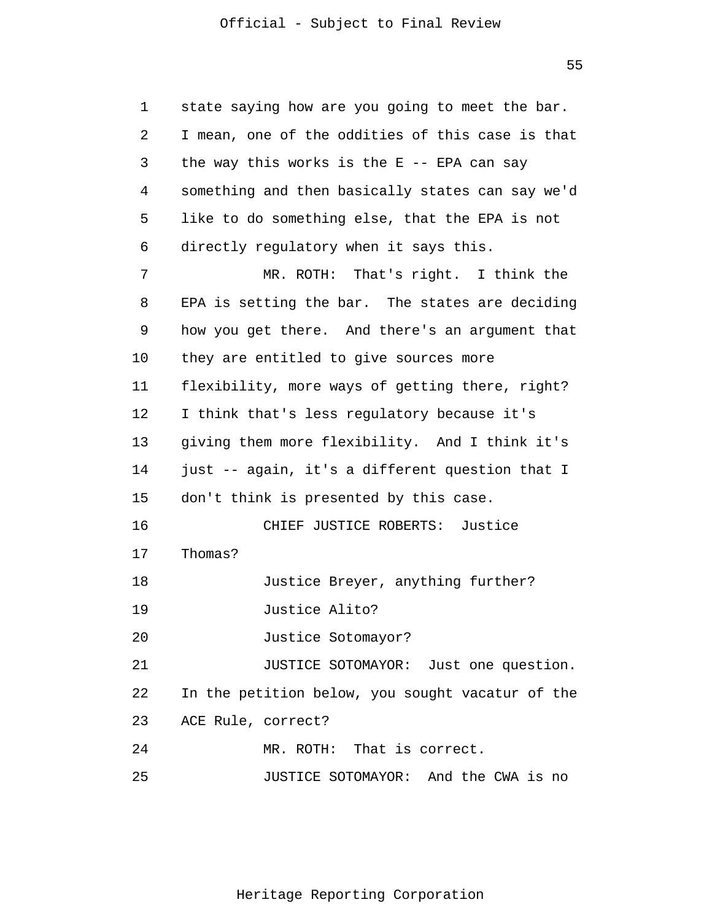1 2 3 4 5 6 7 8 9 10 11 12 13 14 15 16 17 18 19 20 21 22 23 24 25 state saying how are you going to meet the bar. I mean, one of the oddities of this case is that the way this works is the  $E$  -- EPA can say something and then basically states can say we'd like to do something else, that the EPA is not directly regulatory when it says this. MR. ROTH: That's right. I think the EPA is setting the bar. The states are deciding how you get there. And there's an argument that they are entitled to give sources more flexibility, more ways of getting there, right? I think that's less regulatory because it's giving them more flexibility. And I think it's just -- again, it's a different question that I don't think is presented by this case. CHIEF JUSTICE ROBERTS: Justice Thomas? Justice Breyer, anything further? Justice Alito? Justice Sotomayor? JUSTICE SOTOMAYOR: Just one question. In the petition below, you sought vacatur of the ACE Rule, correct? MR. ROTH: That is correct. JUSTICE SOTOMAYOR: And the CWA is no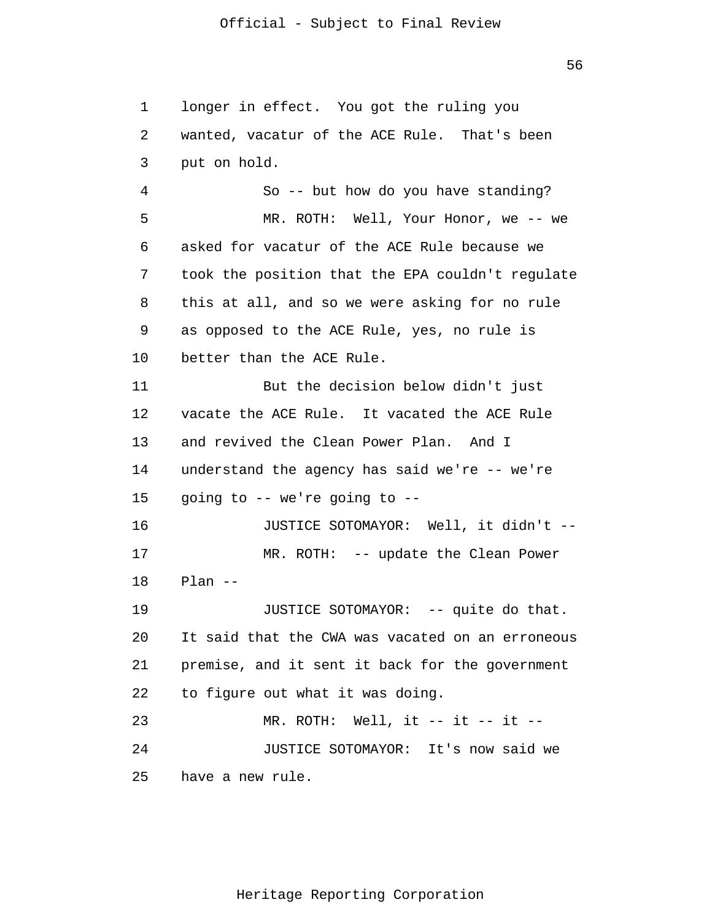56

1 2 3 4 5 6 7 8 9 10 11 12 13 14 15 16 17 18 19 20 21 22 23 24 25 longer in effect. You got the ruling you wanted, vacatur of the ACE Rule. That's been put on hold. So -- but how do you have standing? MR. ROTH: Well, Your Honor, we -- we asked for vacatur of the ACE Rule because we took the position that the EPA couldn't regulate this at all, and so we were asking for no rule as opposed to the ACE Rule, yes, no rule is better than the ACE Rule. But the decision below didn't just vacate the ACE Rule. It vacated the ACE Rule and revived the Clean Power Plan. And I understand the agency has said we're -- we're going to -- we're going to -- JUSTICE SOTOMAYOR: Well, it didn't -- MR. ROTH: -- update the Clean Power Plan -- JUSTICE SOTOMAYOR: -- quite do that. It said that the CWA was vacated on an erroneous premise, and it sent it back for the government to figure out what it was doing.  $MR.$  ROTH: Well, it -- it -- it -- JUSTICE SOTOMAYOR: It's now said we have a new rule.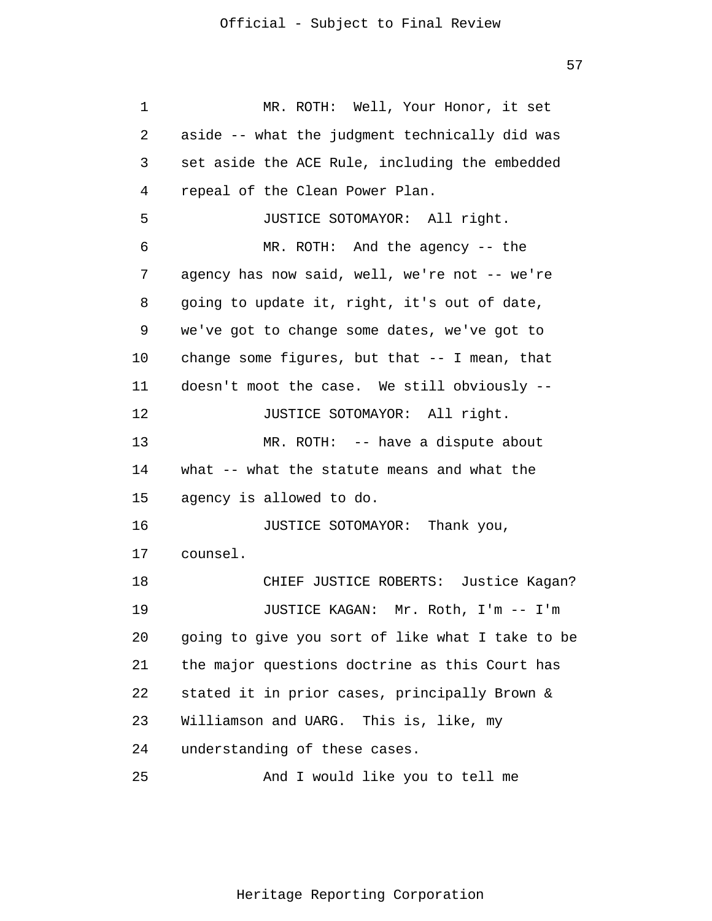1 2 3 4 5 6 7 8 9 10 11 12 13 14 15 16 17 18 19 20 21 22 23 24 25 MR. ROTH: Well, Your Honor, it set aside -- what the judgment technically did was set aside the ACE Rule, including the embedded repeal of the Clean Power Plan. JUSTICE SOTOMAYOR: All right. MR. ROTH: And the agency -- the agency has now said, well, we're not -- we're going to update it, right, it's out of date, we've got to change some dates, we've got to change some figures, but that -- I mean, that doesn't moot the case. We still obviously -- JUSTICE SOTOMAYOR: All right. MR. ROTH: -- have a dispute about what -- what the statute means and what the agency is allowed to do. JUSTICE SOTOMAYOR: Thank you, counsel. CHIEF JUSTICE ROBERTS: Justice Kagan? JUSTICE KAGAN: Mr. Roth, I'm -- I'm going to give you sort of like what I take to be the major questions doctrine as this Court has stated it in prior cases, principally Brown & Williamson and UARG. This is, like, my understanding of these cases. And I would like you to tell me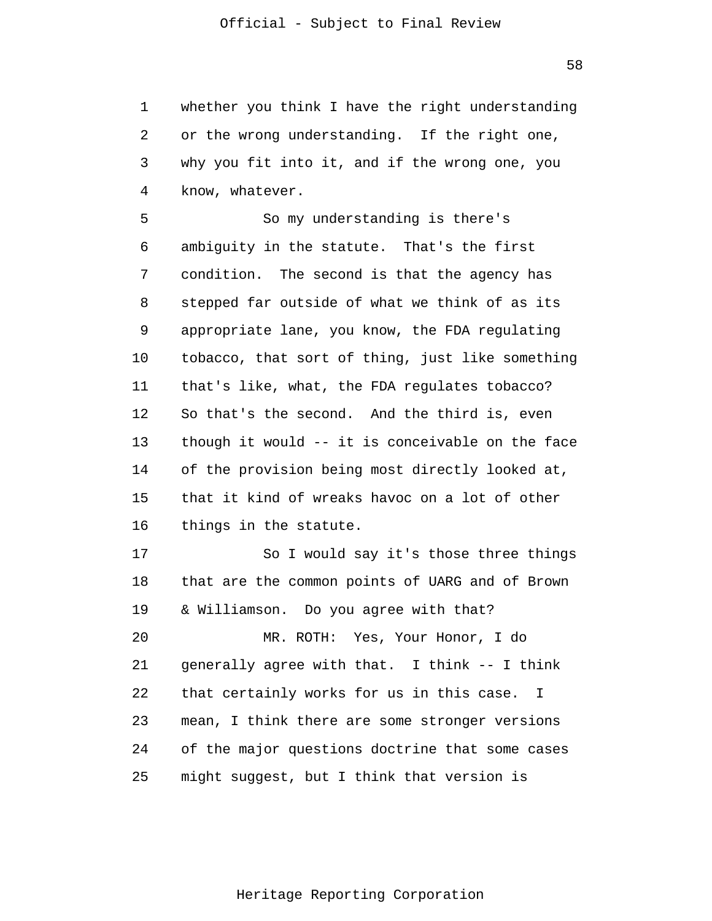1 2 3 4 whether you think I have the right understanding or the wrong understanding. If the right one, why you fit into it, and if the wrong one, you know, whatever.

5 6 7 8 9 10 11 12 13 14 15 16 So my understanding is there's ambiguity in the statute. That's the first condition. The second is that the agency has stepped far outside of what we think of as its appropriate lane, you know, the FDA regulating tobacco, that sort of thing, just like something that's like, what, the FDA regulates tobacco? So that's the second. And the third is, even though it would -- it is conceivable on the face of the provision being most directly looked at, that it kind of wreaks havoc on a lot of other things in the statute.

17 18 19 20 So I would say it's those three things that are the common points of UARG and of Brown & Williamson. Do you agree with that? MR. ROTH: Yes, Your Honor, I do

21 22 23 24 25 generally agree with that. I think -- I think that certainly works for us in this case. I mean, I think there are some stronger versions of the major questions doctrine that some cases might suggest, but I think that version is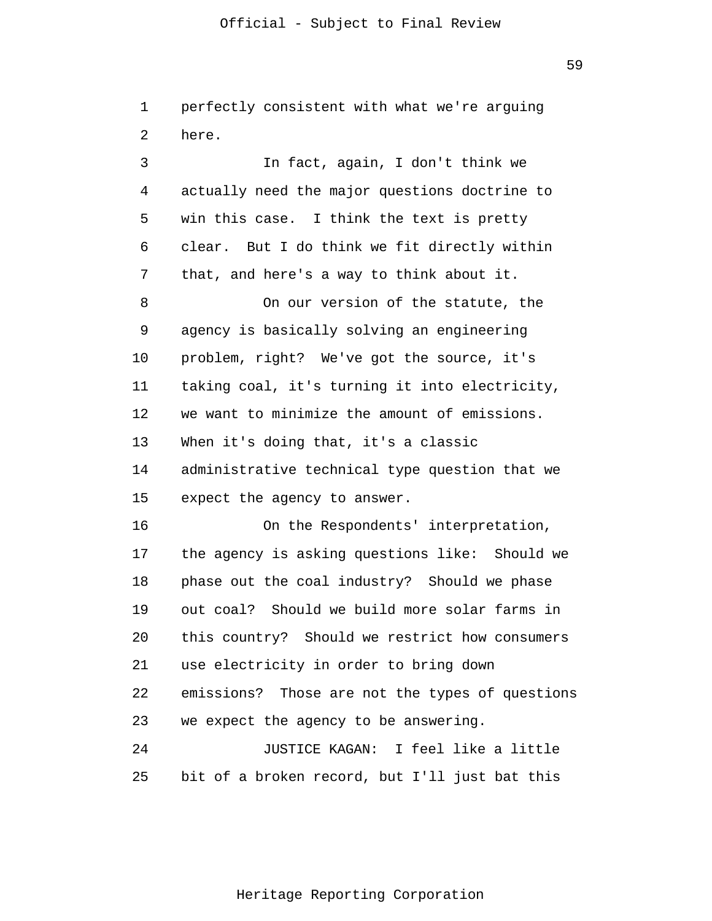1 2 perfectly consistent with what we're arguing here.

3 4 5 6 7 8 9 10 11 12 13 14 15 16 17 18 19 20 21 22 23 24 25 In fact, again, I don't think we actually need the major questions doctrine to win this case. I think the text is pretty clear. But I do think we fit directly within that, and here's a way to think about it. On our version of the statute, the agency is basically solving an engineering problem, right? We've got the source, it's taking coal, it's turning it into electricity, we want to minimize the amount of emissions. When it's doing that, it's a classic administrative technical type question that we expect the agency to answer. On the Respondents' interpretation, the agency is asking questions like: Should we phase out the coal industry? Should we phase out coal? Should we build more solar farms in this country? Should we restrict how consumers use electricity in order to bring down emissions? Those are not the types of questions we expect the agency to be answering. JUSTICE KAGAN: I feel like a little bit of a broken record, but I'll just bat this

Heritage Reporting Corporation

59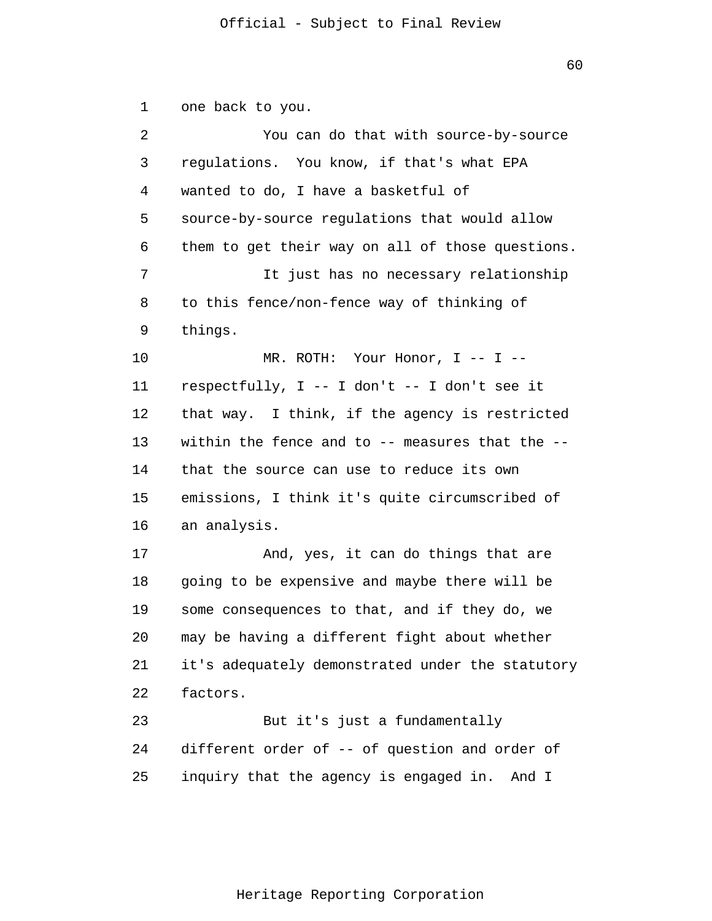1 2 3 4 5 6 7 8 9 10 11 12 13 14 15 16 17 18 19 20 21 22 23 24 25 one back to you. You can do that with source-by-source regulations. You know, if that's what EPA wanted to do, I have a basketful of source-by-source regulations that would allow them to get their way on all of those questions. It just has no necessary relationship to this fence/non-fence way of thinking of things. MR. ROTH: Your Honor, I -- I - respectfully, I -- I don't -- I don't see it that way. I think, if the agency is restricted within the fence and to  $-$ - measures that the  $-$  that the source can use to reduce its own emissions, I think it's quite circumscribed of an analysis. And, yes, it can do things that are going to be expensive and maybe there will be some consequences to that, and if they do, we may be having a different fight about whether it's adequately demonstrated under the statutory factors. But it's just a fundamentally different order of -- of question and order of inquiry that the agency is engaged in. And I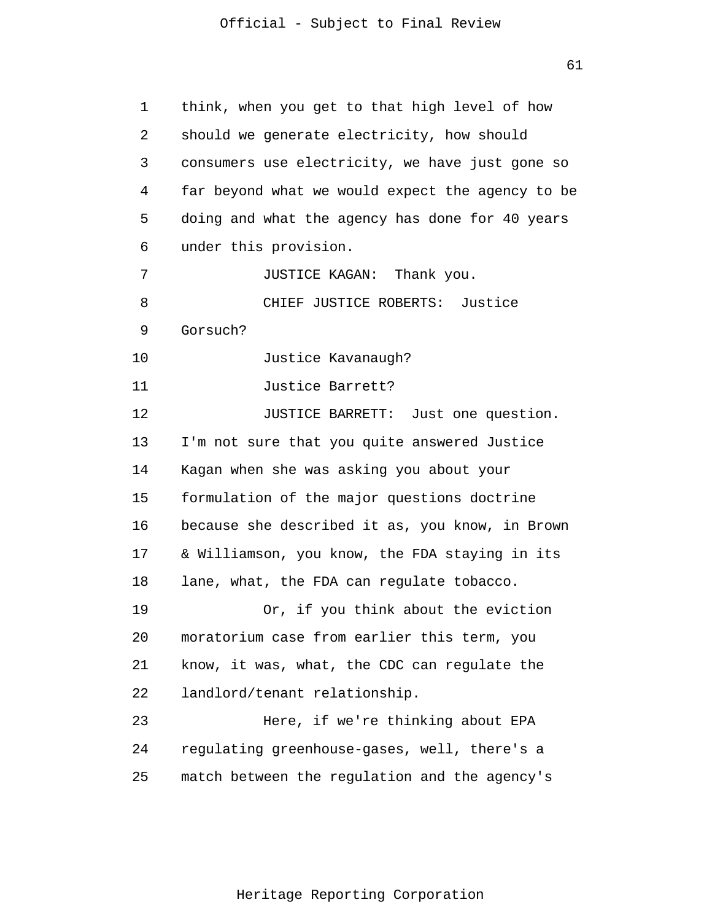61

| 1  | think, when you get to that high level of how    |
|----|--------------------------------------------------|
| 2  | should we generate electricity, how should       |
| 3  | consumers use electricity, we have just gone so  |
| 4  | far beyond what we would expect the agency to be |
| 5  | doing and what the agency has done for 40 years  |
| 6  | under this provision.                            |
| 7  | JUSTICE KAGAN: Thank you.                        |
| 8  | CHIEF JUSTICE ROBERTS: Justice                   |
| 9  | Gorsuch?                                         |
| 10 | Justice Kavanaugh?                               |
| 11 | Justice Barrett?                                 |
| 12 | JUSTICE BARRETT: Just one question.              |
| 13 | I'm not sure that you quite answered Justice     |
| 14 | Kagan when she was asking you about your         |
| 15 | formulation of the major questions doctrine      |
| 16 | because she described it as, you know, in Brown  |
| 17 | & Williamson, you know, the FDA staying in its   |
| 18 | lane, what, the FDA can regulate tobacco.        |
| 19 | Or, if you think about the eviction              |
| 20 | moratorium case from earlier this term, you      |
| 21 | know, it was, what, the CDC can regulate the     |
| 22 | landlord/tenant relationship.                    |
| 23 | Here, if we're thinking about EPA                |
| 24 | regulating greenhouse-gases, well, there's a     |
| 25 | match between the regulation and the agency's    |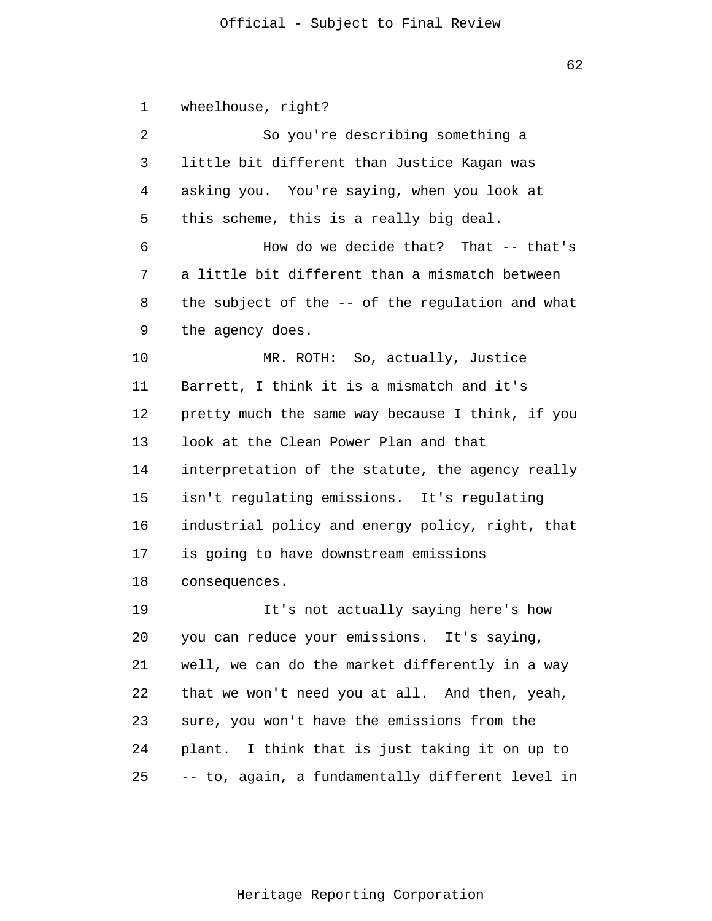62

1 2 3 4 5 6 7 8 9 10 11 12 13 14 15 16 17 18 19 20 21 22 23 24 25 wheelhouse, right? So you're describing something a little bit different than Justice Kagan was asking you. You're saying, when you look at this scheme, this is a really big deal. How do we decide that? That -- that's a little bit different than a mismatch between the subject of the -- of the regulation and what the agency does. MR. ROTH: So, actually, Justice Barrett, I think it is a mismatch and it's pretty much the same way because I think, if you look at the Clean Power Plan and that interpretation of the statute, the agency really isn't regulating emissions. It's regulating industrial policy and energy policy, right, that is going to have downstream emissions consequences. It's not actually saying here's how you can reduce your emissions. It's saying, well, we can do the market differently in a way that we won't need you at all. And then, yeah, sure, you won't have the emissions from the plant. I think that is just taking it on up to -- to, again, a fundamentally different level in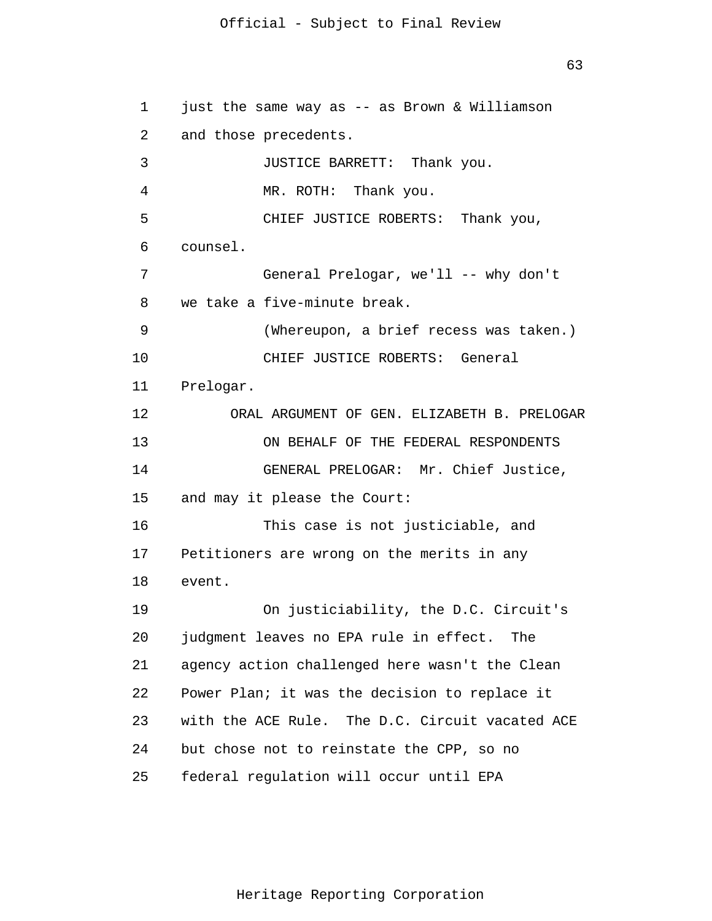63

1 2 3 4 5 6 7 8 9 10 11 12 13 14 15 16 17 18 19 20 21 22 23 24 25 just the same way as -- as Brown & Williamson and those precedents. JUSTICE BARRETT: Thank you. MR. ROTH: Thank you. CHIEF JUSTICE ROBERTS: Thank you, counsel. General Prelogar, we'll -- why don't we take a five-minute break. (Whereupon, a brief recess was taken.) CHIEF JUSTICE ROBERTS: General Prelogar. ORAL ARGUMENT OF GEN. ELIZABETH B. PRELOGAR ON BEHALF OF THE FEDERAL RESPONDENTS GENERAL PRELOGAR: Mr. Chief Justice, and may it please the Court: This case is not justiciable, and Petitioners are wrong on the merits in any event. On justiciability, the D.C. Circuit's judgment leaves no EPA rule in effect. The agency action challenged here wasn't the Clean Power Plan; it was the decision to replace it with the ACE Rule. The D.C. Circuit vacated ACE but chose not to reinstate the CPP, so no federal regulation will occur until EPA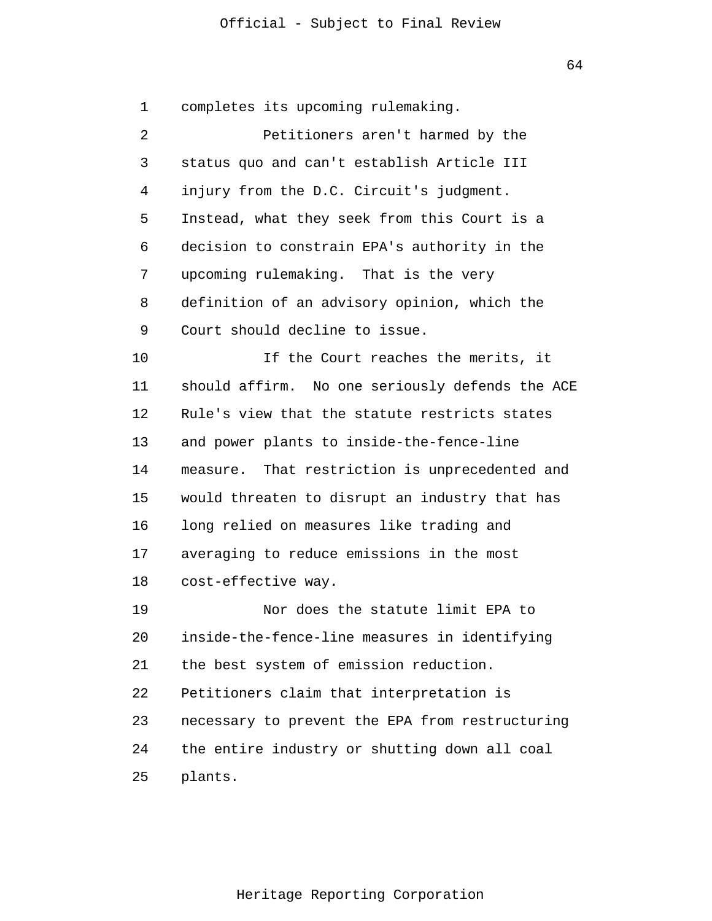64

1 2 3 4 5 6 7 8 9 10 11 12 13 14 15 16 17 18 19 20 21 22 23 24 25 completes its upcoming rulemaking. Petitioners aren't harmed by the status quo and can't establish Article III injury from the D.C. Circuit's judgment. Instead, what they seek from this Court is a decision to constrain EPA's authority in the upcoming rulemaking. That is the very definition of an advisory opinion, which the Court should decline to issue. If the Court reaches the merits, it should affirm. No one seriously defends the ACE Rule's view that the statute restricts states and power plants to inside-the-fence-line measure. That restriction is unprecedented and would threaten to disrupt an industry that has long relied on measures like trading and averaging to reduce emissions in the most cost-effective way. Nor does the statute limit EPA to inside-the-fence-line measures in identifying the best system of emission reduction. Petitioners claim that interpretation is necessary to prevent the EPA from restructuring the entire industry or shutting down all coal plants.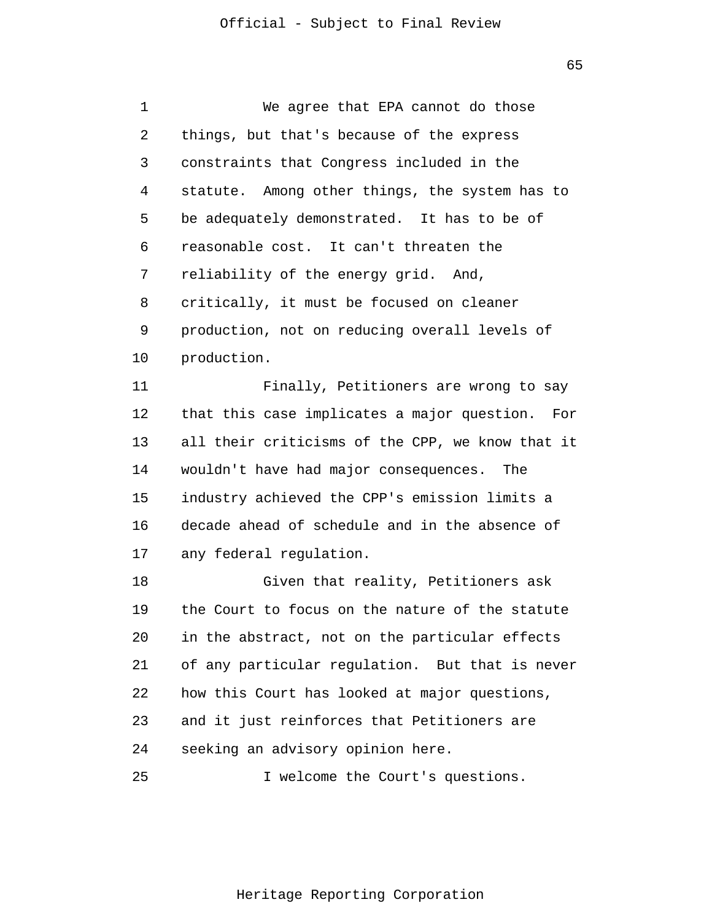65

| 1  | We agree that EPA cannot do those                |
|----|--------------------------------------------------|
| 2  | things, but that's because of the express        |
| 3  | constraints that Congress included in the        |
| 4  | statute. Among other things, the system has to   |
| 5  | be adequately demonstrated. It has to be of      |
| 6  | reasonable cost. It can't threaten the           |
| 7  | reliability of the energy grid. And,             |
| 8  | critically, it must be focused on cleaner        |
| 9  | production, not on reducing overall levels of    |
| 10 | production.                                      |
| 11 | Finally, Petitioners are wrong to say            |
| 12 | that this case implicates a major question. For  |
| 13 | all their criticisms of the CPP, we know that it |
| 14 | wouldn't have had major consequences. The        |
| 15 | industry achieved the CPP's emission limits a    |
| 16 | decade ahead of schedule and in the absence of   |
| 17 | any federal regulation.                          |
| 18 | Given that reality, Petitioners ask              |
| 19 | the Court to focus on the nature of the statute  |
| 20 | in the abstract, not on the particular effects   |
| 21 | of any particular regulation. But that is never  |
| 22 | how this Court has looked at major questions,    |
| 23 | and it just reinforces that Petitioners are      |
| 24 | seeking an advisory opinion here.                |
| 25 | I welcome the Court's questions.                 |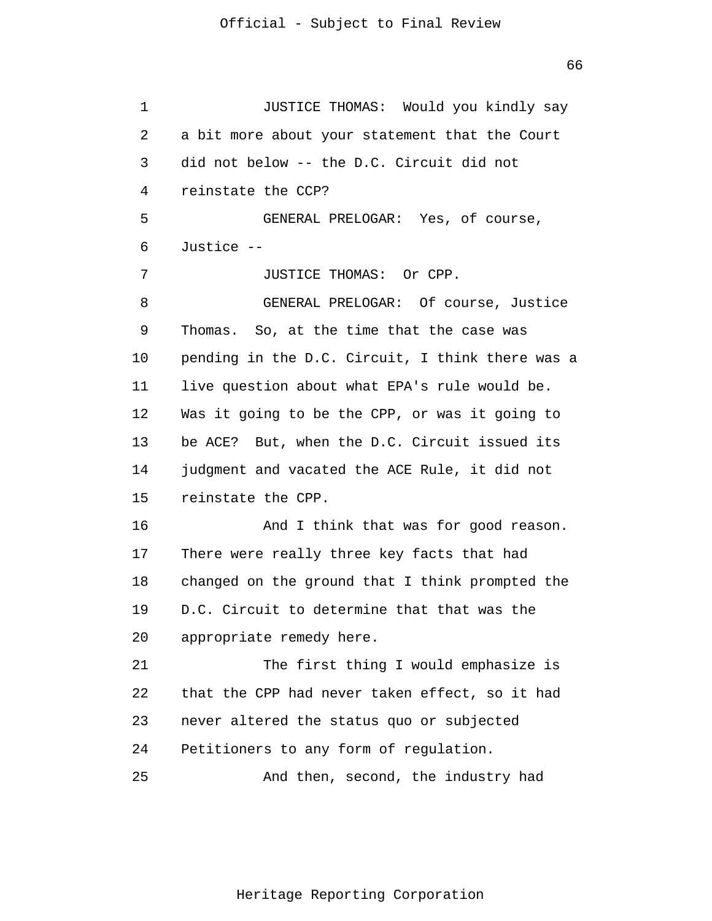1 2 3 4 5 6 7 8 9 10 11 12 13 14 15 16 17 18 19 20 21 22 23 24 25 JUSTICE THOMAS: Would you kindly say a bit more about your statement that the Court did not below -- the D.C. Circuit did not reinstate the CCP? GENERAL PRELOGAR: Yes, of course, Justice -- JUSTICE THOMAS: Or CPP. GENERAL PRELOGAR: Of course, Justice Thomas. So, at the time that the case was pending in the D.C. Circuit, I think there was a live question about what EPA's rule would be. Was it going to be the CPP, or was it going to be ACE? But, when the D.C. Circuit issued its judgment and vacated the ACE Rule, it did not reinstate the CPP. And I think that was for good reason. There were really three key facts that had changed on the ground that I think prompted the D.C. Circuit to determine that that was the appropriate remedy here. The first thing I would emphasize is that the CPP had never taken effect, so it had never altered the status quo or subjected Petitioners to any form of regulation. And then, second, the industry had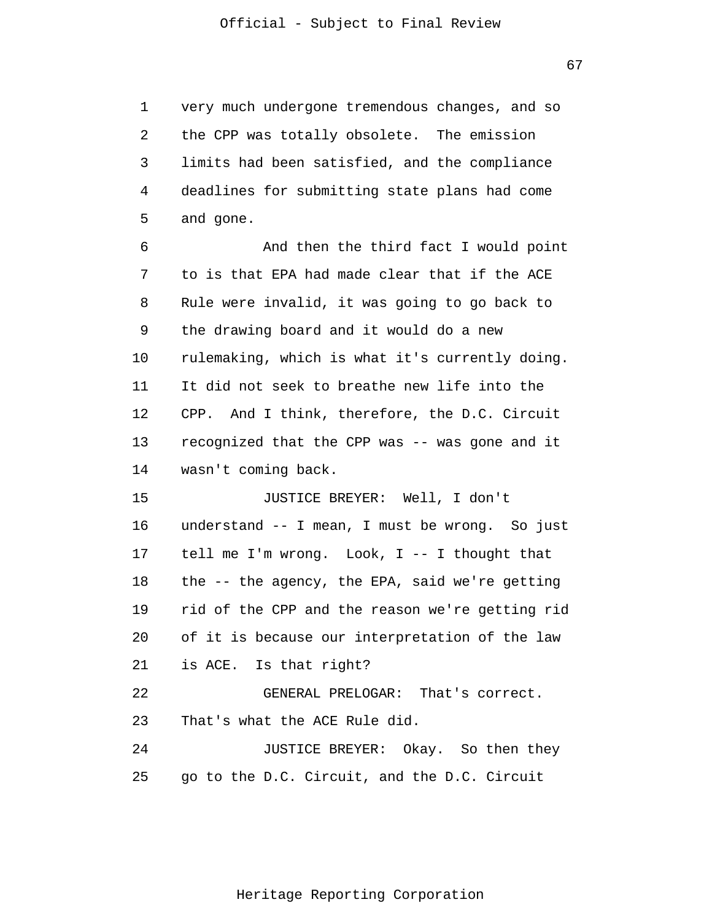1 2 3 4 5 very much undergone tremendous changes, and so the CPP was totally obsolete. The emission limits had been satisfied, and the compliance deadlines for submitting state plans had come and gone.

6 7 8 9 10 11 12 13 14 And then the third fact I would point to is that EPA had made clear that if the ACE Rule were invalid, it was going to go back to the drawing board and it would do a new rulemaking, which is what it's currently doing. It did not seek to breathe new life into the CPP. And I think, therefore, the D.C. Circuit recognized that the CPP was -- was gone and it wasn't coming back.

15 16 17 18 19 20 21 22 23 JUSTICE BREYER: Well, I don't understand -- I mean, I must be wrong. So just tell me I'm wrong. Look, I -- I thought that the -- the agency, the EPA, said we're getting rid of the CPP and the reason we're getting rid of it is because our interpretation of the law is ACE. Is that right? GENERAL PRELOGAR: That's correct. That's what the ACE Rule did.

24 25 JUSTICE BREYER: Okay. So then they go to the D.C. Circuit, and the D.C. Circuit

67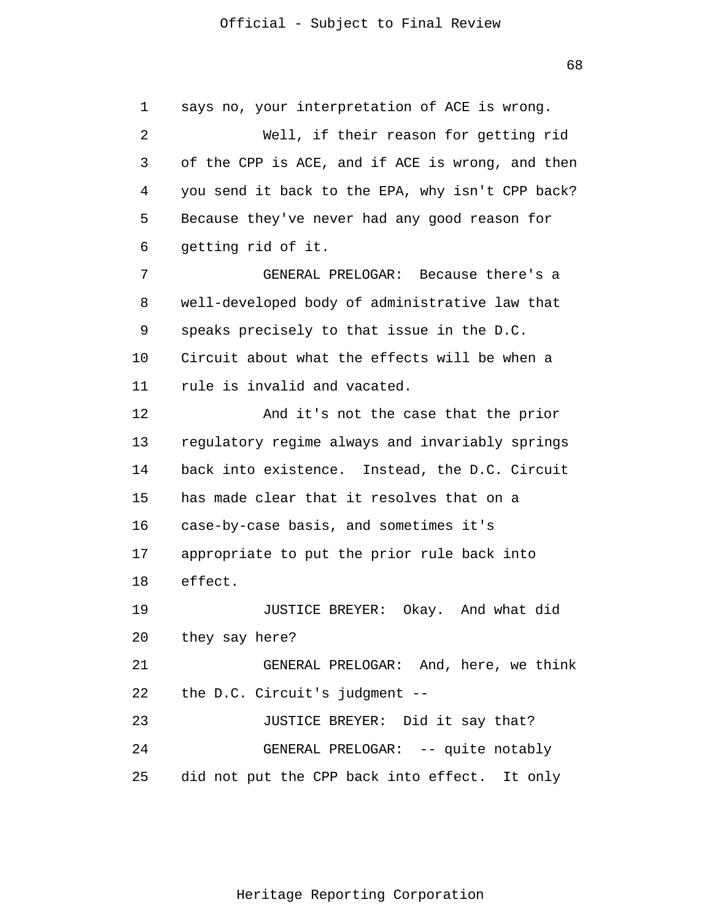1 2 3 4 5 6 7 8 9 10 11 12 13 14 15 16 17 18 19 20 21 22 23 24 25 says no, your interpretation of ACE is wrong. Well, if their reason for getting rid of the CPP is ACE, and if ACE is wrong, and then you send it back to the EPA, why isn't CPP back? Because they've never had any good reason for getting rid of it. GENERAL PRELOGAR: Because there's a well-developed body of administrative law that speaks precisely to that issue in the D.C. Circuit about what the effects will be when a rule is invalid and vacated. And it's not the case that the prior regulatory regime always and invariably springs back into existence. Instead, the D.C. Circuit has made clear that it resolves that on a case-by-case basis, and sometimes it's appropriate to put the prior rule back into effect. JUSTICE BREYER: Okay. And what did they say here? GENERAL PRELOGAR: And, here, we think the D.C. Circuit's judgment -- JUSTICE BREYER: Did it say that? GENERAL PRELOGAR: -- quite notably did not put the CPP back into effect. It only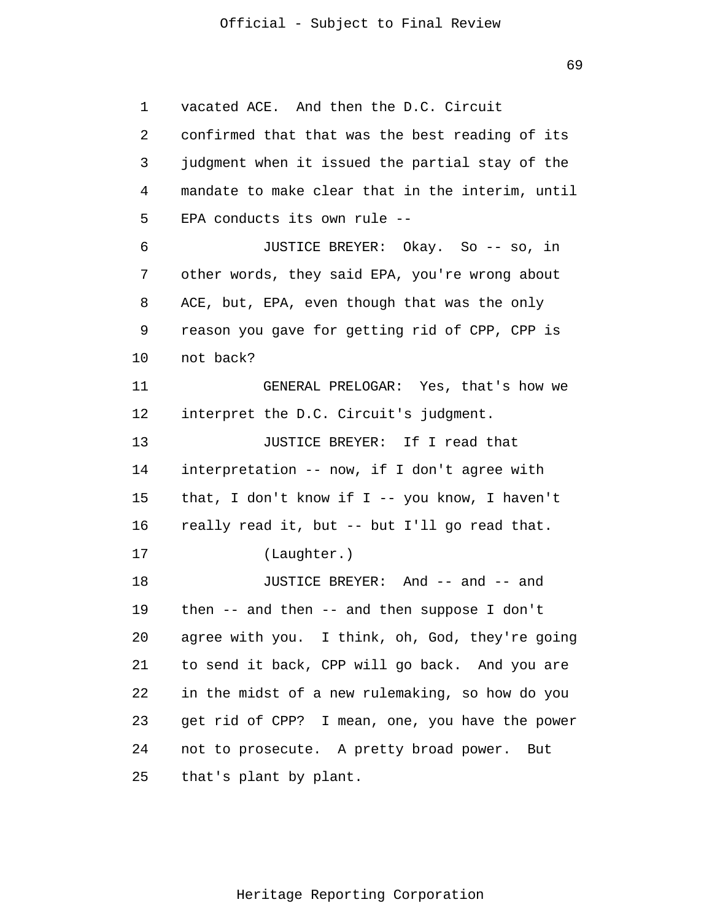1 2 3 4 5 6 7 8 9 10 11 12 13 14 15 16 17 18 19 20 21 22 23 24 25 vacated ACE. And then the D.C. Circuit confirmed that that was the best reading of its judgment when it issued the partial stay of the mandate to make clear that in the interim, until EPA conducts its own rule -- JUSTICE BREYER: Okay. So -- so, in other words, they said EPA, you're wrong about ACE, but, EPA, even though that was the only reason you gave for getting rid of CPP, CPP is not back? GENERAL PRELOGAR: Yes, that's how we interpret the D.C. Circuit's judgment. JUSTICE BREYER: If I read that interpretation -- now, if I don't agree with that, I don't know if I -- you know, I haven't really read it, but -- but I'll go read that. (Laughter.) JUSTICE BREYER: And -- and -- and then -- and then -- and then suppose I don't agree with you. I think, oh, God, they're going to send it back, CPP will go back. And you are in the midst of a new rulemaking, so how do you get rid of CPP? I mean, one, you have the power not to prosecute. A pretty broad power. But that's plant by plant.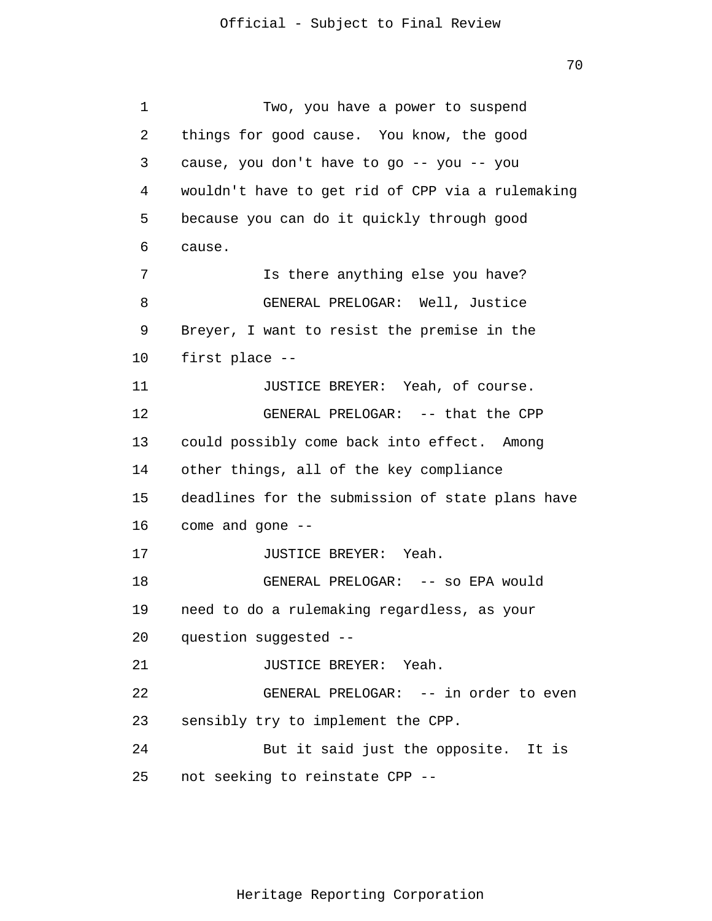70

1 2 3 4 5 6 7 8 9 10 11 12 13 14 15 16 17 18 19 20 21 22 23 24 25 Two, you have a power to suspend things for good cause. You know, the good cause, you don't have to go -- you -- you wouldn't have to get rid of CPP via a rulemaking because you can do it quickly through good cause. Is there anything else you have? GENERAL PRELOGAR: Well, Justice Breyer, I want to resist the premise in the first place -- JUSTICE BREYER: Yeah, of course. GENERAL PRELOGAR: -- that the CPP could possibly come back into effect. Among other things, all of the key compliance deadlines for the submission of state plans have come and gone -- JUSTICE BREYER: Yeah. GENERAL PRELOGAR: -- so EPA would need to do a rulemaking regardless, as your question suggested -- JUSTICE BREYER: Yeah. GENERAL PRELOGAR: -- in order to even sensibly try to implement the CPP. But it said just the opposite. It is not seeking to reinstate CPP --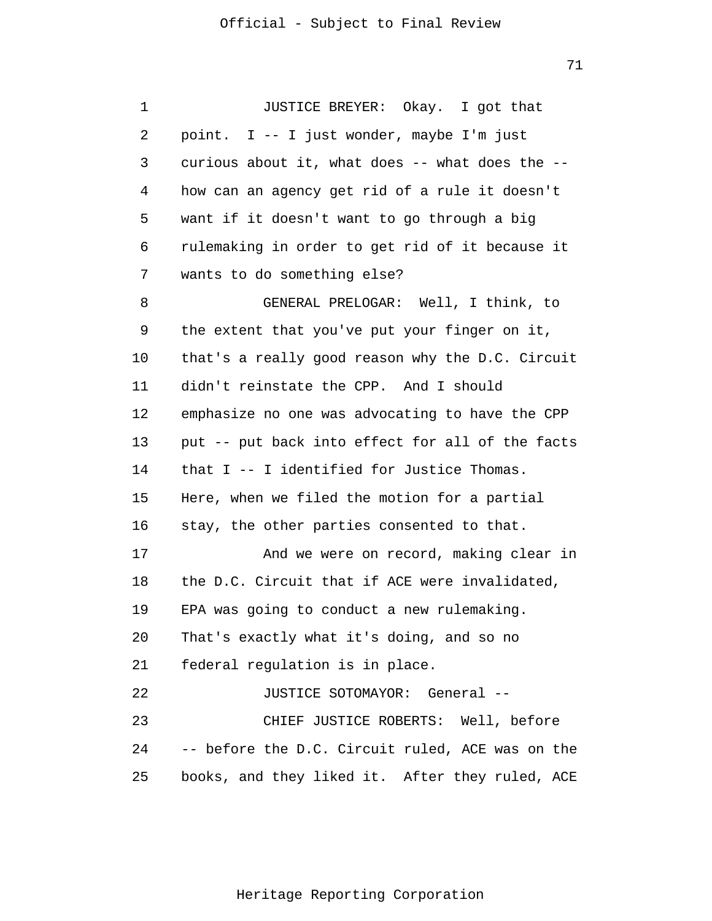1 2 3 4 5 6 7 8 9 10 11 12 13 14 15 16 17 18 19 20 21 22 23 24 25 JUSTICE BREYER: Okay. I got that point. I -- I just wonder, maybe I'm just curious about it, what does -- what does the - how can an agency get rid of a rule it doesn't want if it doesn't want to go through a big rulemaking in order to get rid of it because it wants to do something else? GENERAL PRELOGAR: Well, I think, to the extent that you've put your finger on it, that's a really good reason why the D.C. Circuit didn't reinstate the CPP. And I should emphasize no one was advocating to have the CPP put -- put back into effect for all of the facts that I -- I identified for Justice Thomas. Here, when we filed the motion for a partial stay, the other parties consented to that. And we were on record, making clear in the D.C. Circuit that if ACE were invalidated, EPA was going to conduct a new rulemaking. That's exactly what it's doing, and so no federal regulation is in place. JUSTICE SOTOMAYOR: General -- CHIEF JUSTICE ROBERTS: Well, before -- before the D.C. Circuit ruled, ACE was on the books, and they liked it. After they ruled, ACE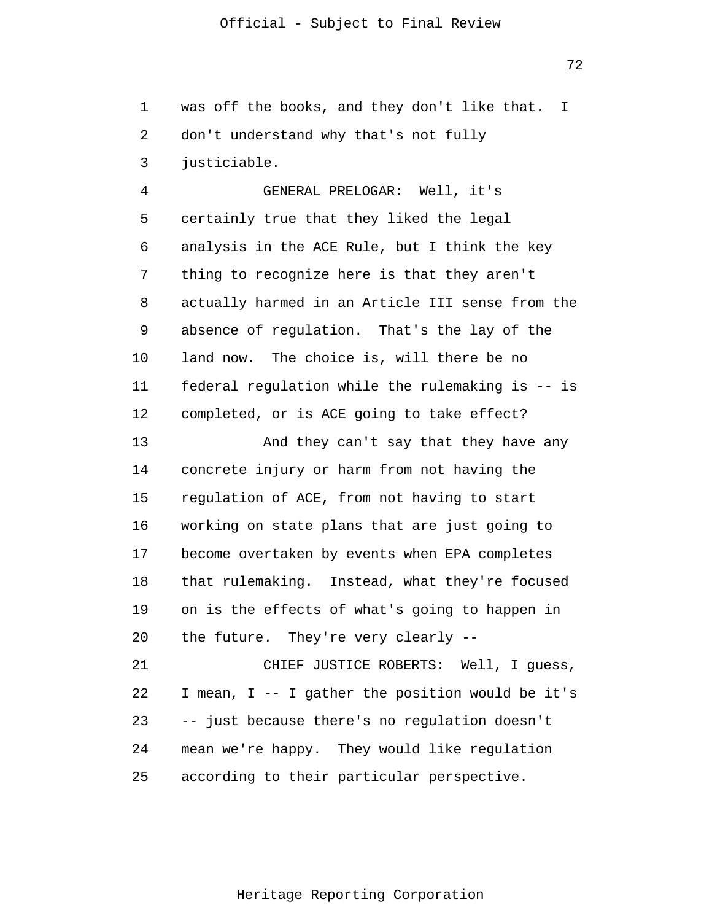1 2 3 was off the books, and they don't like that. I don't understand why that's not fully justiciable.

4 5 6 7 8 9 10 11 12 GENERAL PRELOGAR: Well, it's certainly true that they liked the legal analysis in the ACE Rule, but I think the key thing to recognize here is that they aren't actually harmed in an Article III sense from the absence of regulation. That's the lay of the land now. The choice is, will there be no federal regulation while the rulemaking is -- is completed, or is ACE going to take effect?

13 14 15 16 17 18 19 20 And they can't say that they have any concrete injury or harm from not having the regulation of ACE, from not having to start working on state plans that are just going to become overtaken by events when EPA completes that rulemaking. Instead, what they're focused on is the effects of what's going to happen in the future. They're very clearly --

21 22 23 24 25 CHIEF JUSTICE ROBERTS: Well, I guess, I mean, I -- I gather the position would be it's -- just because there's no regulation doesn't mean we're happy. They would like regulation according to their particular perspective.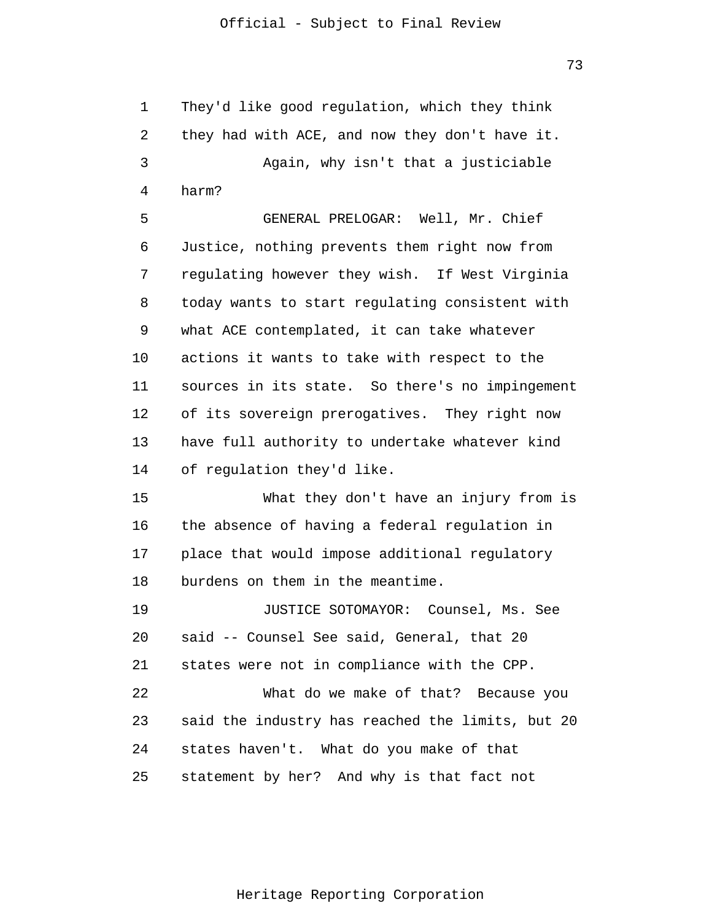They'd like good regulation, which they think

1

73

2 3 4 5 6 7 8 9 10 11 12 13 14 15 16 17 18 19 20 21 22 23 24 25 they had with ACE, and now they don't have it. Again, why isn't that a justiciable harm? GENERAL PRELOGAR: Well, Mr. Chief Justice, nothing prevents them right now from regulating however they wish. If West Virginia today wants to start regulating consistent with what ACE contemplated, it can take whatever actions it wants to take with respect to the sources in its state. So there's no impingement of its sovereign prerogatives. They right now have full authority to undertake whatever kind of regulation they'd like. What they don't have an injury from is the absence of having a federal regulation in place that would impose additional regulatory burdens on them in the meantime. JUSTICE SOTOMAYOR: Counsel, Ms. See said -- Counsel See said, General, that 20 states were not in compliance with the CPP. What do we make of that? Because you said the industry has reached the limits, but 20 states haven't. What do you make of that statement by her? And why is that fact not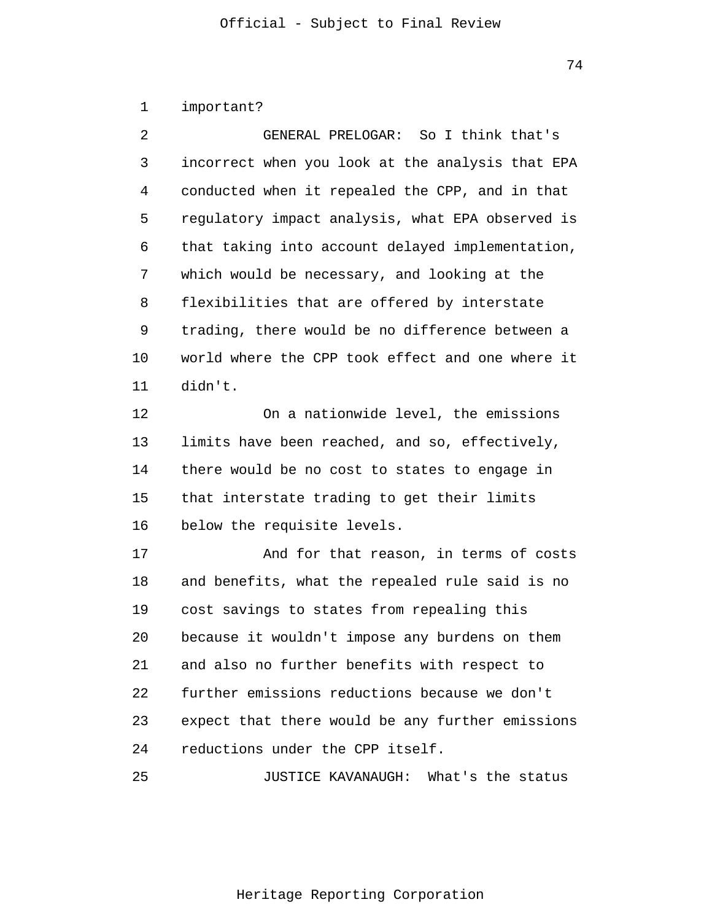|  | important? |  |
|--|------------|--|
|--|------------|--|

| 2  | GENERAL PRELOGAR: So I think that's              |
|----|--------------------------------------------------|
| 3  | incorrect when you look at the analysis that EPA |
| 4  | conducted when it repealed the CPP, and in that  |
| 5  | regulatory impact analysis, what EPA observed is |
| 6  | that taking into account delayed implementation, |
| 7  | which would be necessary, and looking at the     |
| 8  | flexibilities that are offered by interstate     |
| 9  | trading, there would be no difference between a  |
| 10 | world where the CPP took effect and one where it |
| 11 | didn't.                                          |
| 12 | On a nationwide level, the emissions             |
| 13 | limits have been reached, and so, effectively,   |
| 14 | there would be no cost to states to engage in    |
| 15 | that interstate trading to get their limits      |
| 16 | below the requisite levels.                      |
| 17 | And for that reason, in terms of costs           |
| 18 | and benefits, what the repealed rule said is no  |
| 19 | cost savings to states from repealing this       |
| 20 | because it wouldn't impose any burdens on them   |
| 21 | and also no further benefits with respect to     |
| 22 | further emissions reductions because we don't    |

23 24 expect that there would be any further emissions reductions under the CPP itself.

25 JUSTICE KAVANAUGH: What's the status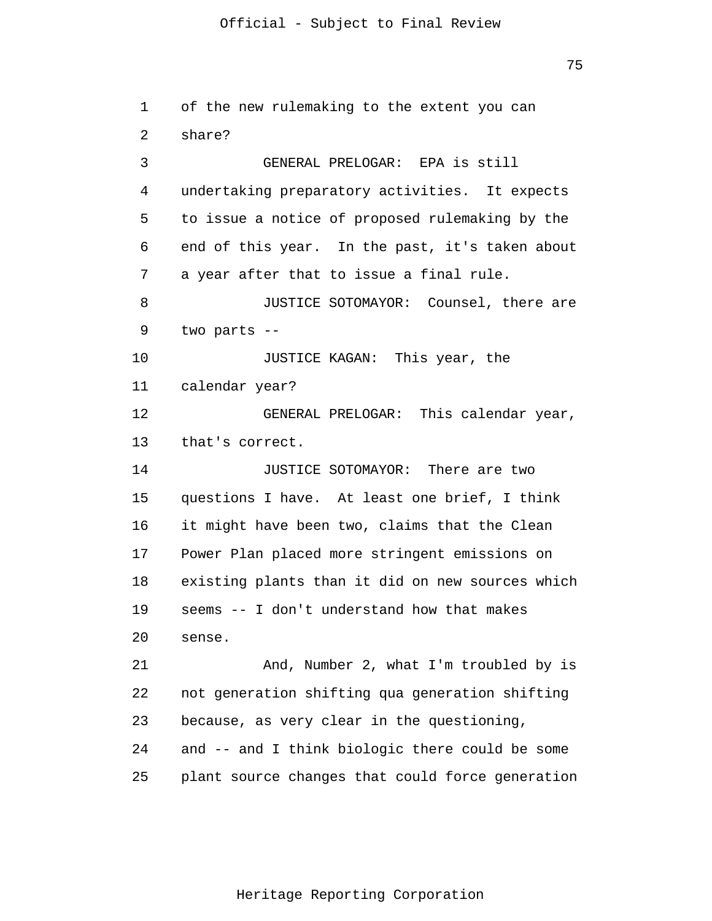75

```
1 
 2 
 3 
 4 
 5 
 6 
 7 
 8 
 9 
10 
11 
12 
13 
14 
15 
16 
17 
18 
19 
20 
21 
22 
23 
24 
25 
      of the new rulemaking to the extent you can 
      share?
                  GENERAL PRELOGAR: EPA is still
       undertaking preparatory activities. It expects
       to issue a notice of proposed rulemaking by the
       end of this year. In the past, it's taken about
       a year after that to issue a final rule.
                  JUSTICE SOTOMAYOR: Counsel, there are
       two parts --
                 JUSTICE KAGAN: This year, the
       calendar year?
                  GENERAL PRELOGAR: This calendar year,
       that's correct.
                  JUSTICE SOTOMAYOR: There are two
       questions I have. At least one brief, I think
       it might have been two, claims that the Clean
       Power Plan placed more stringent emissions on
       existing plants than it did on new sources which
       seems -- I don't understand how that makes
       sense.
                  And, Number 2, what I'm troubled by is
       not generation shifting qua generation shifting
       because, as very clear in the questioning,
       and -- and I think biologic there could be some
       plant source changes that could force generation
```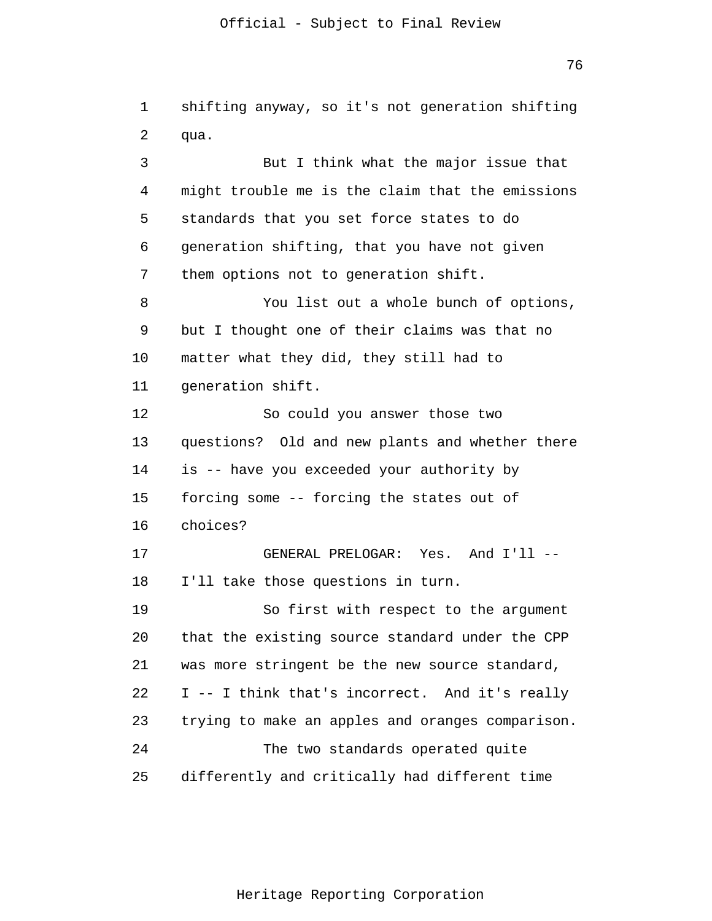1 2 3 4 5 6 7 8 9 10 11 12 13 14 15 16 17 18 19 20 21 22 23 24 25 shifting anyway, so it's not generation shifting qua. But I think what the major issue that might trouble me is the claim that the emissions standards that you set force states to do generation shifting, that you have not given them options not to generation shift. You list out a whole bunch of options, but I thought one of their claims was that no matter what they did, they still had to generation shift. So could you answer those two questions? Old and new plants and whether there is -- have you exceeded your authority by forcing some -- forcing the states out of choices? GENERAL PRELOGAR: Yes. And I'll -- I'll take those questions in turn. So first with respect to the argument that the existing source standard under the CPP was more stringent be the new source standard, I -- I think that's incorrect. And it's really trying to make an apples and oranges comparison. The two standards operated quite differently and critically had different time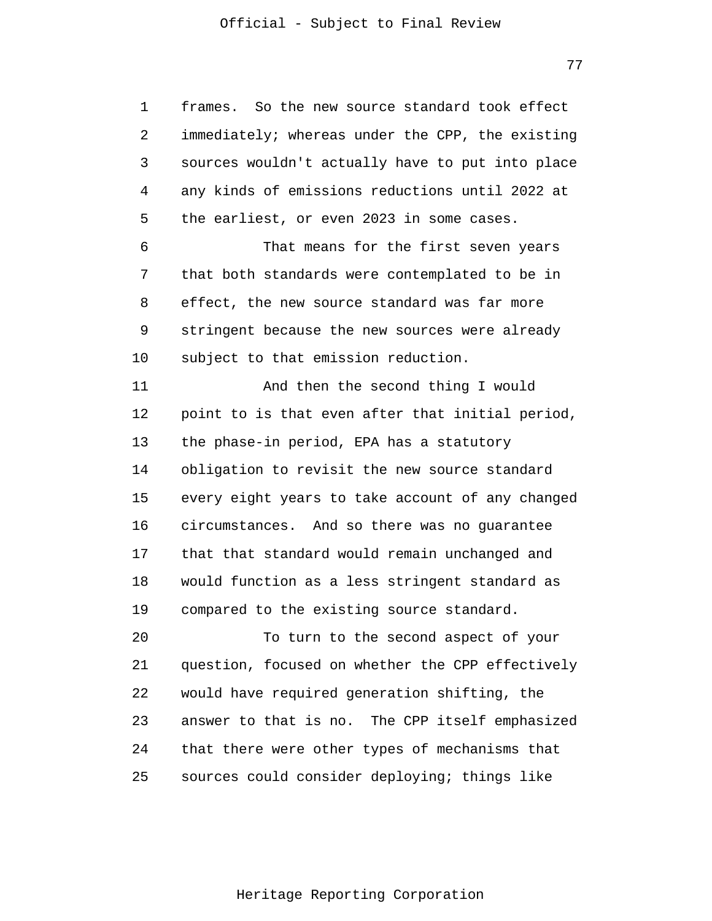77

1 2 3 4 5 frames. So the new source standard took effect immediately; whereas under the CPP, the existing sources wouldn't actually have to put into place any kinds of emissions reductions until 2022 at the earliest, or even 2023 in some cases.

6 7 8 9 10 That means for the first seven years that both standards were contemplated to be in effect, the new source standard was far more stringent because the new sources were already subject to that emission reduction.

11 12 13 14 15 16 17 18 19 And then the second thing I would point to is that even after that initial period, the phase-in period, EPA has a statutory obligation to revisit the new source standard every eight years to take account of any changed circumstances. And so there was no guarantee that that standard would remain unchanged and would function as a less stringent standard as compared to the existing source standard.

20 21 22 23 24 25 To turn to the second aspect of your question, focused on whether the CPP effectively would have required generation shifting, the answer to that is no. The CPP itself emphasized that there were other types of mechanisms that sources could consider deploying; things like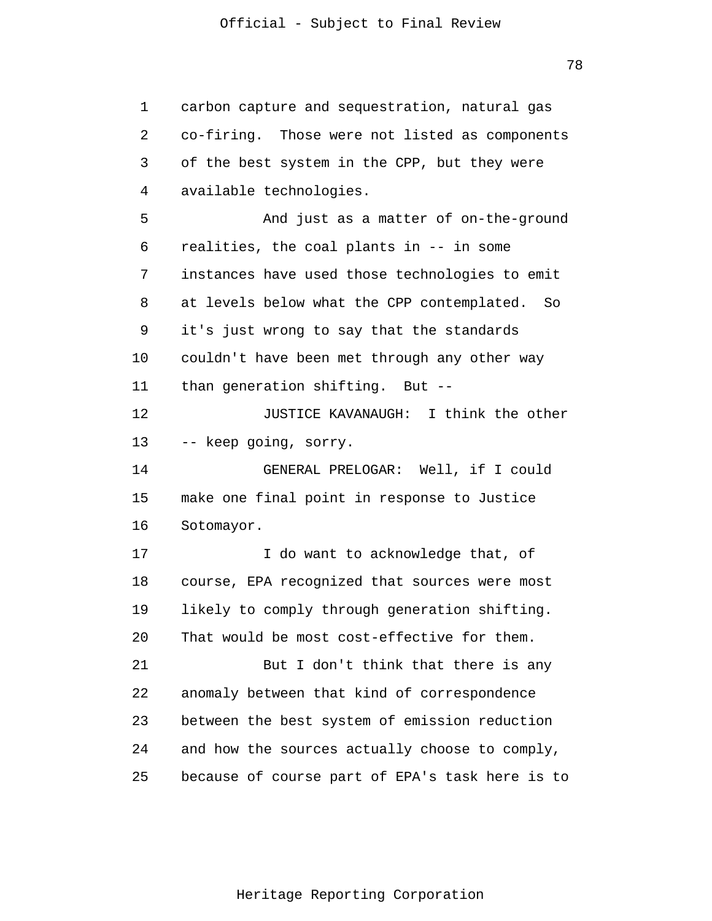1 2 3 4 5 6 7 8 9 10 11 12 13 14 15 16 17 18 19 20 21 22 23 24 25 carbon capture and sequestration, natural gas co-firing. Those were not listed as components of the best system in the CPP, but they were available technologies. And just as a matter of on-the-ground realities, the coal plants in -- in some instances have used those technologies to emit at levels below what the CPP contemplated. So it's just wrong to say that the standards couldn't have been met through any other way than generation shifting. But -- JUSTICE KAVANAUGH: I think the other -- keep going, sorry. GENERAL PRELOGAR: Well, if I could make one final point in response to Justice Sotomayor. I do want to acknowledge that, of course, EPA recognized that sources were most likely to comply through generation shifting. That would be most cost-effective for them. But I don't think that there is any anomaly between that kind of correspondence between the best system of emission reduction and how the sources actually choose to comply, because of course part of EPA's task here is to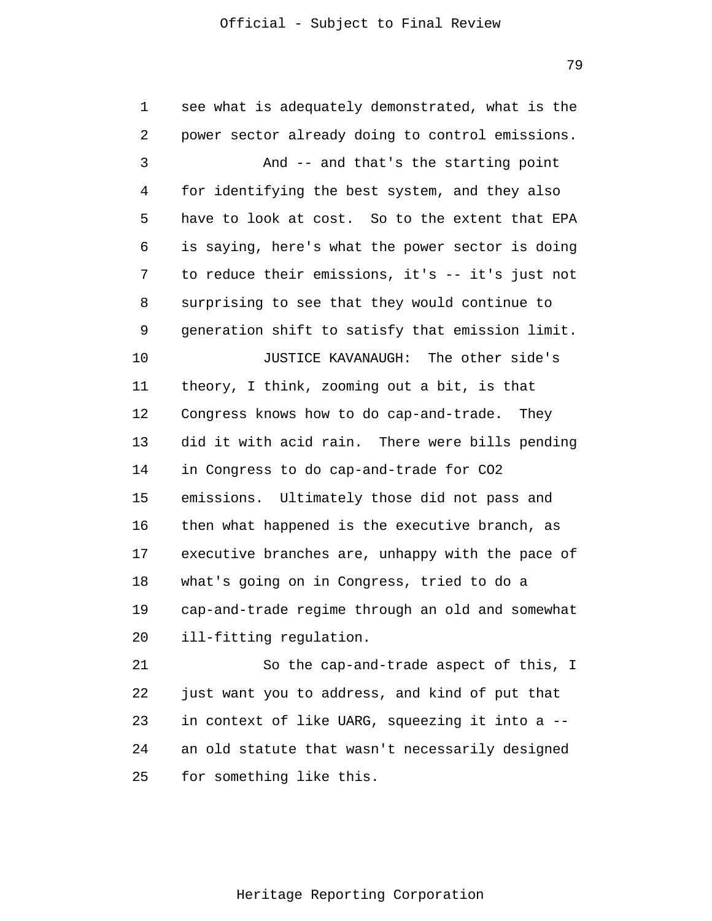1 2 3 4 5 6 7 8 9 10 11 12 13 14 15 16 17 18 19 20 21 22 23 24 25 see what is adequately demonstrated, what is the power sector already doing to control emissions. And -- and that's the starting point for identifying the best system, and they also have to look at cost. So to the extent that EPA is saying, here's what the power sector is doing to reduce their emissions, it's -- it's just not surprising to see that they would continue to generation shift to satisfy that emission limit. JUSTICE KAVANAUGH: The other side's theory, I think, zooming out a bit, is that Congress knows how to do cap-and-trade. They did it with acid rain. There were bills pending in Congress to do cap-and-trade for CO2 emissions. Ultimately those did not pass and then what happened is the executive branch, as executive branches are, unhappy with the pace of what's going on in Congress, tried to do a cap-and-trade regime through an old and somewhat ill-fitting regulation. So the cap-and-trade aspect of this, I just want you to address, and kind of put that in context of like UARG, squeezing it into a - an old statute that wasn't necessarily designed for something like this.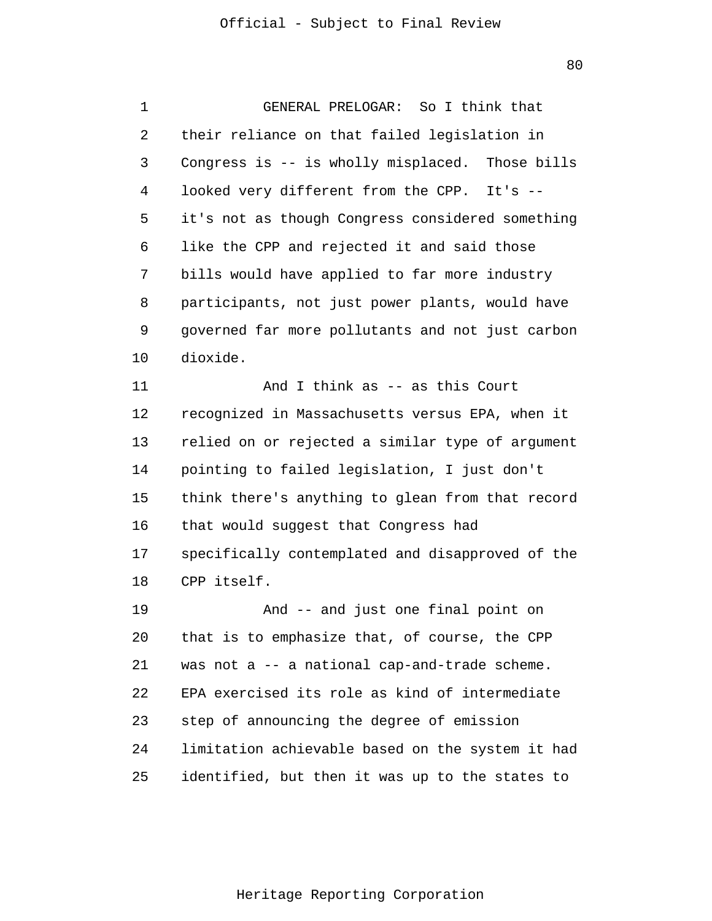1 2 3 4 5 6 7 8 9 10 11 12 13 14 15 16 17 18 GENERAL PRELOGAR: So I think that their reliance on that failed legislation in Congress is -- is wholly misplaced. Those bills looked very different from the CPP. It's - it's not as though Congress considered something like the CPP and rejected it and said those bills would have applied to far more industry participants, not just power plants, would have governed far more pollutants and not just carbon dioxide. And I think as -- as this Court recognized in Massachusetts versus EPA, when it relied on or rejected a similar type of argument pointing to failed legislation, I just don't think there's anything to glean from that record that would suggest that Congress had specifically contemplated and disapproved of the CPP itself.

19 20 21 22 23 24 25 And -- and just one final point on that is to emphasize that, of course, the CPP was not a -- a national cap-and-trade scheme. EPA exercised its role as kind of intermediate step of announcing the degree of emission limitation achievable based on the system it had identified, but then it was up to the states to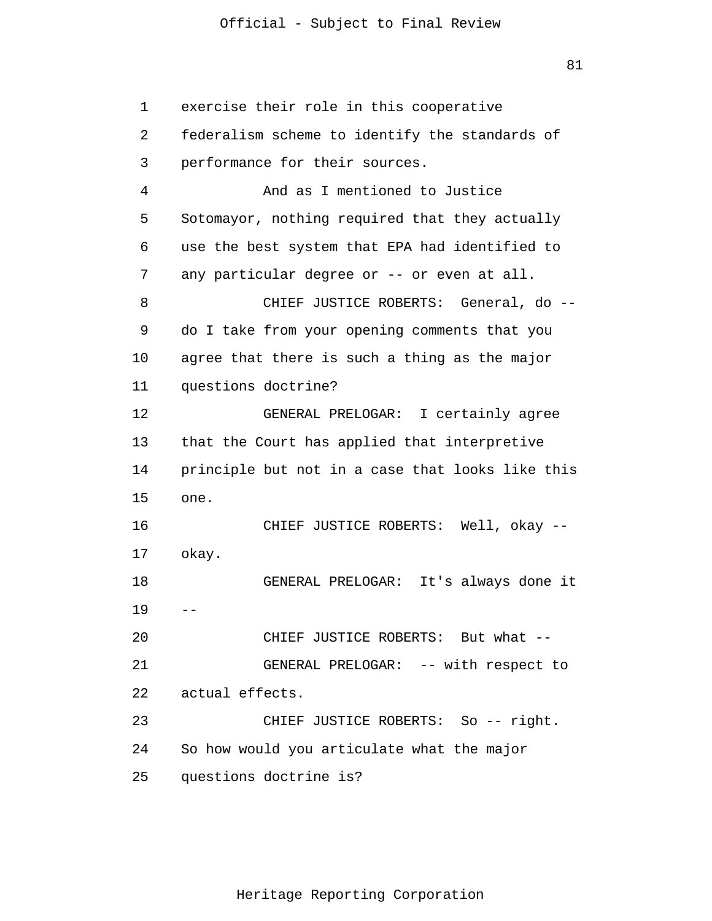1 2 3 4 5 6 7 8 9 10 11 12 13 14 15 16 17 18 19 20 21 22 23 24 25 exercise their role in this cooperative federalism scheme to identify the standards of performance for their sources. And as I mentioned to Justice Sotomayor, nothing required that they actually use the best system that EPA had identified to any particular degree or -- or even at all. CHIEF JUSTICE ROBERTS: General, do - do I take from your opening comments that you agree that there is such a thing as the major questions doctrine? GENERAL PRELOGAR: I certainly agree that the Court has applied that interpretive principle but not in a case that looks like this one. okay. CHIEF JUSTICE ROBERTS: Well, okay -- GENERAL PRELOGAR: It's always done it  $-$ CHIEF JUSTICE ROBERTS: But what -- GENERAL PRELOGAR: -- with respect to actual effects. CHIEF JUSTICE ROBERTS: So -- right. So how would you articulate what the major questions doctrine is?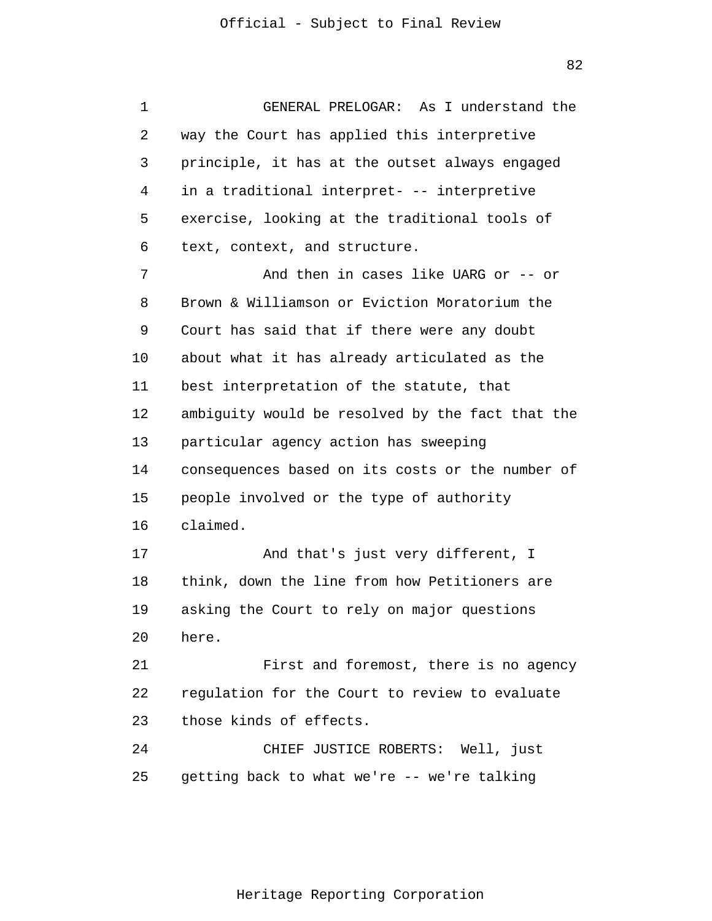1 2 3 4 5 6 7 8 9 10 11 12 13 14 15 16 17 18 19 20 21 22 23 24 25 GENERAL PRELOGAR: As I understand the way the Court has applied this interpretive principle, it has at the outset always engaged in a traditional interpret- -- interpretive exercise, looking at the traditional tools of text, context, and structure. And then in cases like UARG or -- or Brown & Williamson or Eviction Moratorium the Court has said that if there were any doubt about what it has already articulated as the best interpretation of the statute, that ambiguity would be resolved by the fact that the particular agency action has sweeping consequences based on its costs or the number of people involved or the type of authority claimed. And that's just very different, I think, down the line from how Petitioners are asking the Court to rely on major questions here. First and foremost, there is no agency regulation for the Court to review to evaluate those kinds of effects. CHIEF JUSTICE ROBERTS: Well, just getting back to what we're -- we're talking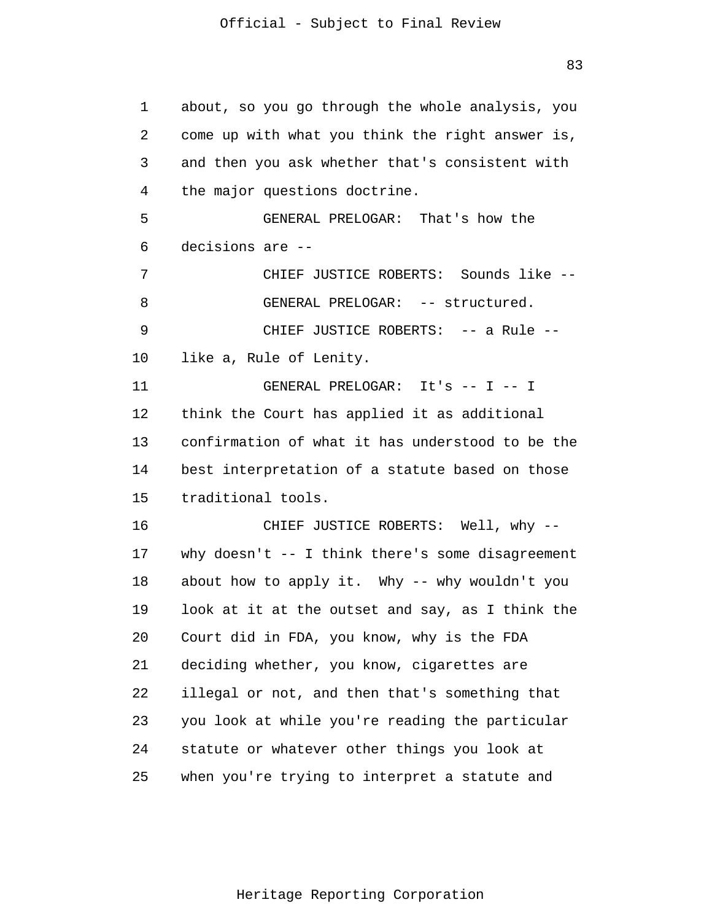1 2 3 4 5 6 7 8 9 10 11 12 13 14 15 16 17 18 19 20 21 22 23 24 25 about, so you go through the whole analysis, you come up with what you think the right answer is, and then you ask whether that's consistent with the major questions doctrine. GENERAL PRELOGAR: That's how the decisions are -- CHIEF JUSTICE ROBERTS: Sounds like -- GENERAL PRELOGAR: -- structured. CHIEF JUSTICE ROBERTS: -- a Rule - like a, Rule of Lenity. GENERAL PRELOGAR: It's -- I -- I think the Court has applied it as additional confirmation of what it has understood to be the best interpretation of a statute based on those traditional tools. CHIEF JUSTICE ROBERTS: Well, why - why doesn't -- I think there's some disagreement about how to apply it. Why -- why wouldn't you look at it at the outset and say, as I think the Court did in FDA, you know, why is the FDA deciding whether, you know, cigarettes are illegal or not, and then that's something that you look at while you're reading the particular statute or whatever other things you look at when you're trying to interpret a statute and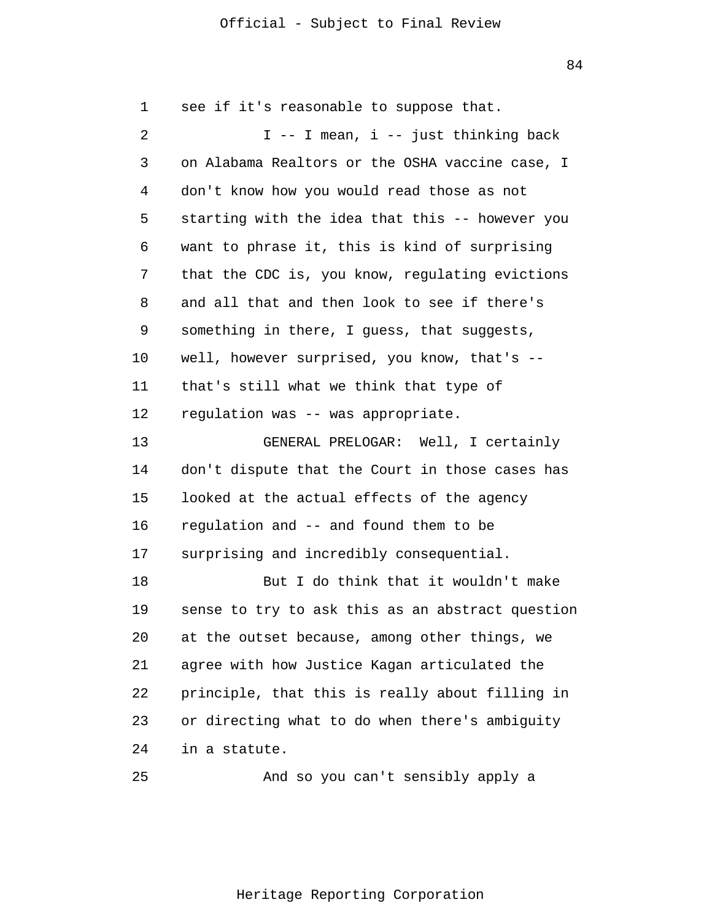1 2 3 4 5 6 7 8 9 10 11 12 13 14 15 16 17 18 19 20 21 22 23 24 see if it's reasonable to suppose that. I -- I mean, i -- just thinking back on Alabama Realtors or the OSHA vaccine case, I don't know how you would read those as not starting with the idea that this -- however you want to phrase it, this is kind of surprising that the CDC is, you know, regulating evictions and all that and then look to see if there's something in there, I guess, that suggests, well, however surprised, you know, that's - that's still what we think that type of regulation was -- was appropriate. GENERAL PRELOGAR: Well, I certainly don't dispute that the Court in those cases has looked at the actual effects of the agency regulation and -- and found them to be surprising and incredibly consequential. But I do think that it wouldn't make sense to try to ask this as an abstract question at the outset because, among other things, we agree with how Justice Kagan articulated the principle, that this is really about filling in or directing what to do when there's ambiguity in a statute.

And so you can't sensibly apply a

25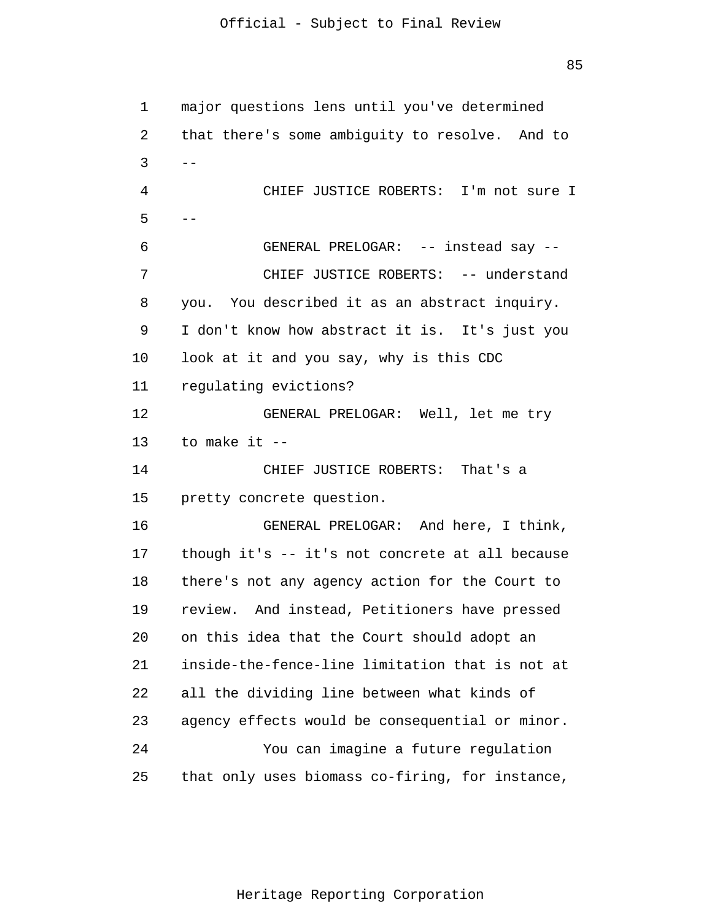| 1  | major questions lens until you've determined    |
|----|-------------------------------------------------|
| 2  | that there's some ambiguity to resolve. And to  |
| 3  | $\qquad \qquad -$                               |
| 4  | CHIEF JUSTICE ROBERTS: I'm not sure I           |
| 5  |                                                 |
| 6  | GENERAL PRELOGAR: -- instead say --             |
| 7  | CHIEF JUSTICE ROBERTS: -- understand            |
| 8  | you. You described it as an abstract inquiry.   |
| 9  | I don't know how abstract it is. It's just you  |
| 10 | look at it and you say, why is this CDC         |
| 11 | regulating evictions?                           |
| 12 | GENERAL PRELOGAR: Well, let me try              |
| 13 | to make it --                                   |
| 14 | CHIEF JUSTICE ROBERTS: That's a                 |
| 15 | pretty concrete question.                       |
| 16 | GENERAL PRELOGAR: And here, I think,            |
| 17 | though it's -- it's not concrete at all because |
| 18 | there's not any agency action for the Court to  |
| 19 | review. And instead, Petitioners have pressed   |
| 20 | on this idea that the Court should adopt an     |
| 21 | inside-the-fence-line limitation that is not at |
| 22 | all the dividing line between what kinds of     |
| 23 | agency effects would be consequential or minor. |
| 24 | You can imagine a future regulation             |
| 25 | that only uses biomass co-firing, for instance, |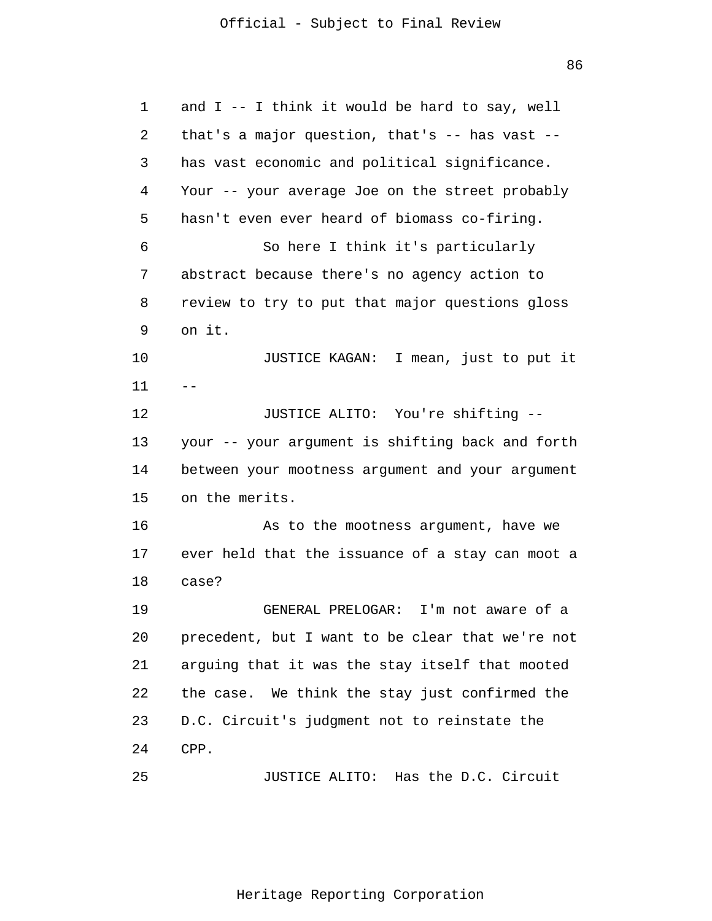86

1 2 3 4 5 6 7 8 9 10 11 12 13 14 15 16 17 18 19 20 21 22 23 24 25  $$ and I -- I think it would be hard to say, well that's a major question, that's -- has vast - has vast economic and political significance. Your -- your average Joe on the street probably hasn't even ever heard of biomass co-firing. So here I think it's particularly abstract because there's no agency action to review to try to put that major questions gloss on it. JUSTICE KAGAN: I mean, just to put it JUSTICE ALITO: You're shifting - your -- your argument is shifting back and forth between your mootness argument and your argument on the merits. As to the mootness argument, have we ever held that the issuance of a stay can moot a case? GENERAL PRELOGAR: I'm not aware of a precedent, but I want to be clear that we're not arguing that it was the stay itself that mooted the case. We think the stay just confirmed the D.C. Circuit's judgment not to reinstate the CPP. JUSTICE ALITO: Has the D.C. Circuit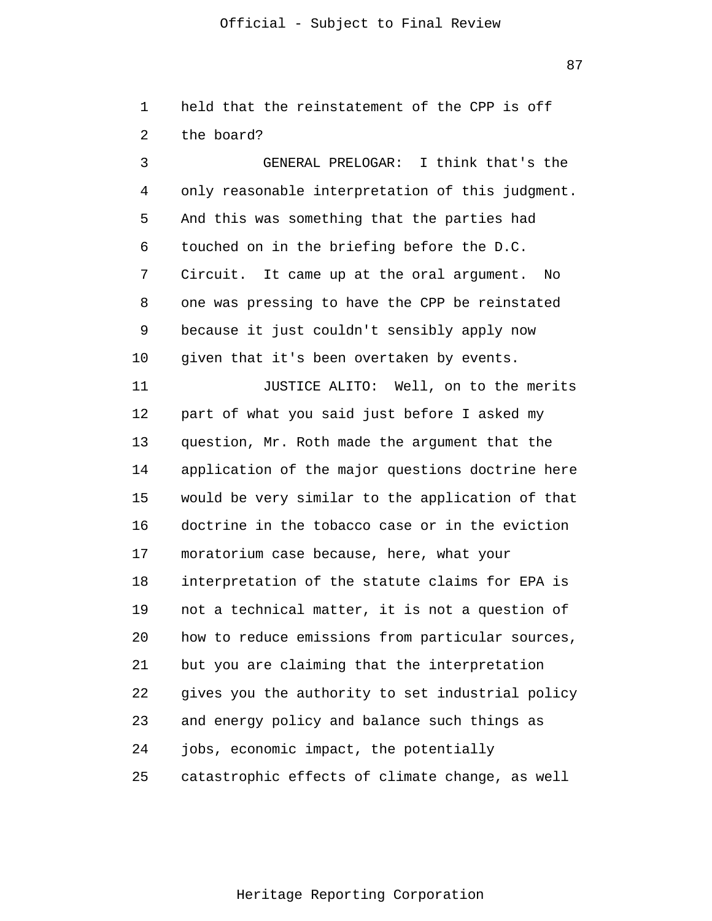87

1  $\overline{a}$ held that the reinstatement of the CPP is off the board?

3 4 5 6 7 8 9 10 11 12 13 14 15 16 17 18 19 20 21 22 23 24 25 GENERAL PRELOGAR: I think that's the only reasonable interpretation of this judgment. And this was something that the parties had touched on in the briefing before the D.C. Circuit. It came up at the oral argument. No one was pressing to have the CPP be reinstated because it just couldn't sensibly apply now given that it's been overtaken by events. JUSTICE ALITO: Well, on to the merits part of what you said just before I asked my question, Mr. Roth made the argument that the application of the major questions doctrine here would be very similar to the application of that doctrine in the tobacco case or in the eviction moratorium case because, here, what your interpretation of the statute claims for EPA is not a technical matter, it is not a question of how to reduce emissions from particular sources, but you are claiming that the interpretation gives you the authority to set industrial policy and energy policy and balance such things as jobs, economic impact, the potentially catastrophic effects of climate change, as well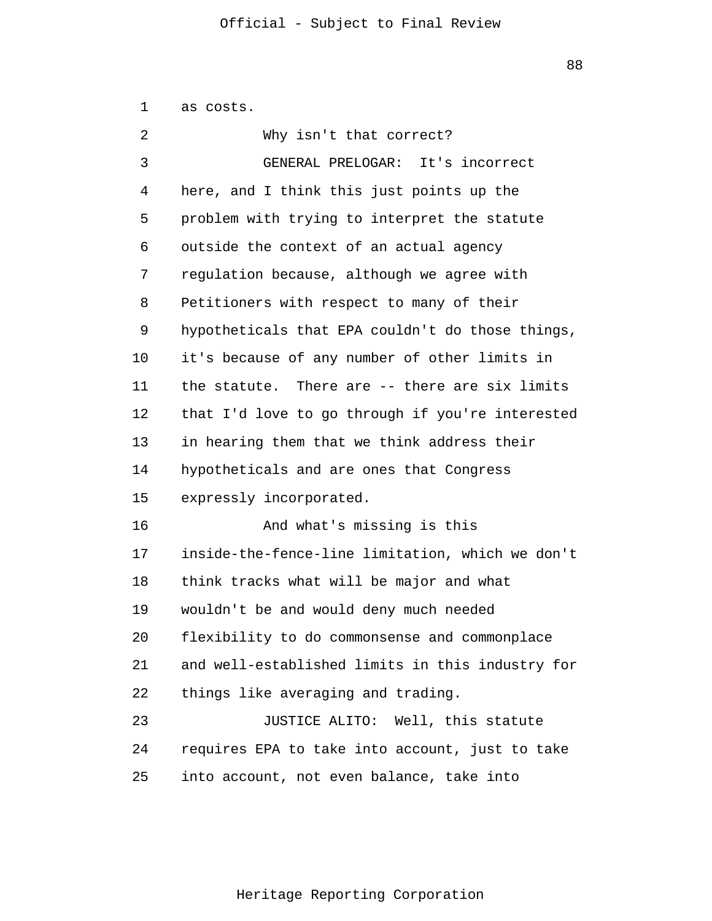| 1  | as costs.                                        |
|----|--------------------------------------------------|
| 2  | Why isn't that correct?                          |
| 3  | GENERAL PRELOGAR: It's incorrect                 |
| 4  | here, and I think this just points up the        |
| 5  | problem with trying to interpret the statute     |
| 6  | outside the context of an actual agency          |
| 7  | regulation because, although we agree with       |
| 8  | Petitioners with respect to many of their        |
| 9  | hypotheticals that EPA couldn't do those things, |
| 10 | it's because of any number of other limits in    |
| 11 | the statute. There are -- there are six limits   |
| 12 | that I'd love to go through if you're interested |
| 13 | in hearing them that we think address their      |
| 14 | hypotheticals and are ones that Congress         |
| 15 | expressly incorporated.                          |
| 16 | And what's missing is this                       |
| 17 | inside-the-fence-line limitation, which we don't |
| 18 | think tracks what will be major and what         |
| 19 | wouldn't be and would deny much needed           |
| 20 | flexibility to do commonsense and commonplace    |
| 21 | and well-established limits in this industry for |
| 22 | things like averaging and trading.               |
| 23 | JUSTICE ALITO: Well, this statute                |
| 24 | requires EPA to take into account, just to take  |
| 25 | into account, not even balance, take into        |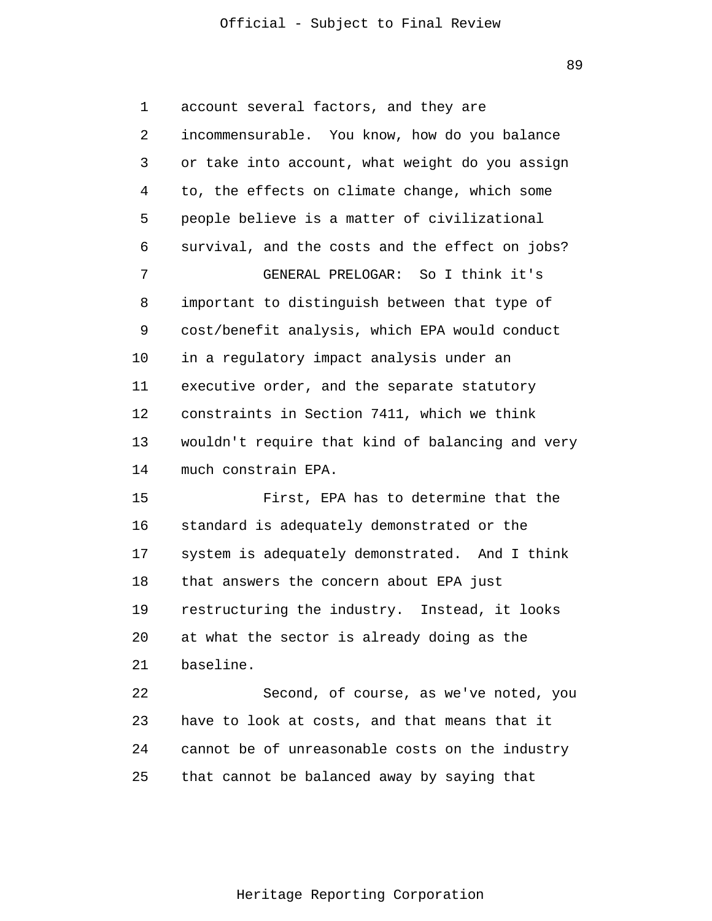89

1 2 3 4 5 6 7 8 9 10 11 12 13 14 account several factors, and they are incommensurable. You know, how do you balance or take into account, what weight do you assign to, the effects on climate change, which some people believe is a matter of civilizational survival, and the costs and the effect on jobs? GENERAL PRELOGAR: So I think it's important to distinguish between that type of cost/benefit analysis, which EPA would conduct in a regulatory impact analysis under an executive order, and the separate statutory constraints in Section 7411, which we think wouldn't require that kind of balancing and very much constrain EPA.

15 16 17 18 19 20 21 First, EPA has to determine that the standard is adequately demonstrated or the system is adequately demonstrated. And I think that answers the concern about EPA just restructuring the industry. Instead, it looks at what the sector is already doing as the baseline.

22 23 24 25 Second, of course, as we've noted, you have to look at costs, and that means that it cannot be of unreasonable costs on the industry that cannot be balanced away by saying that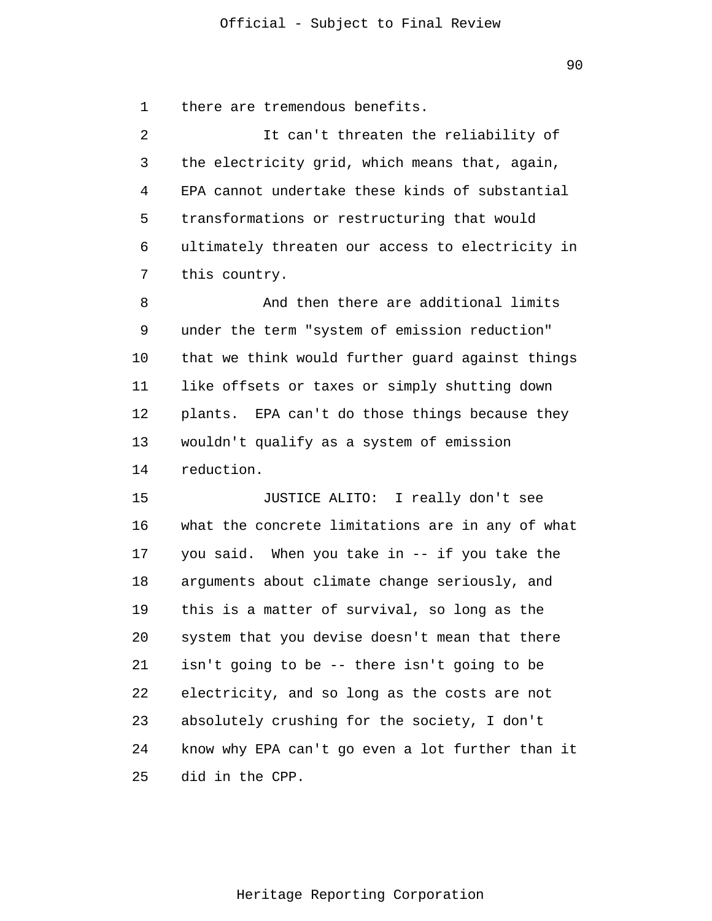1 there are tremendous benefits.

2 3 4 5 6 7 It can't threaten the reliability of the electricity grid, which means that, again, EPA cannot undertake these kinds of substantial transformations or restructuring that would ultimately threaten our access to electricity in this country.

8 9 10 11 12 13 14 And then there are additional limits under the term "system of emission reduction" that we think would further guard against things like offsets or taxes or simply shutting down plants. EPA can't do those things because they wouldn't qualify as a system of emission reduction.

15 16 17 18 19 20 21 22 23 24 25 JUSTICE ALITO: I really don't see what the concrete limitations are in any of what you said. When you take in -- if you take the arguments about climate change seriously, and this is a matter of survival, so long as the system that you devise doesn't mean that there isn't going to be -- there isn't going to be electricity, and so long as the costs are not absolutely crushing for the society, I don't know why EPA can't go even a lot further than it did in the CPP.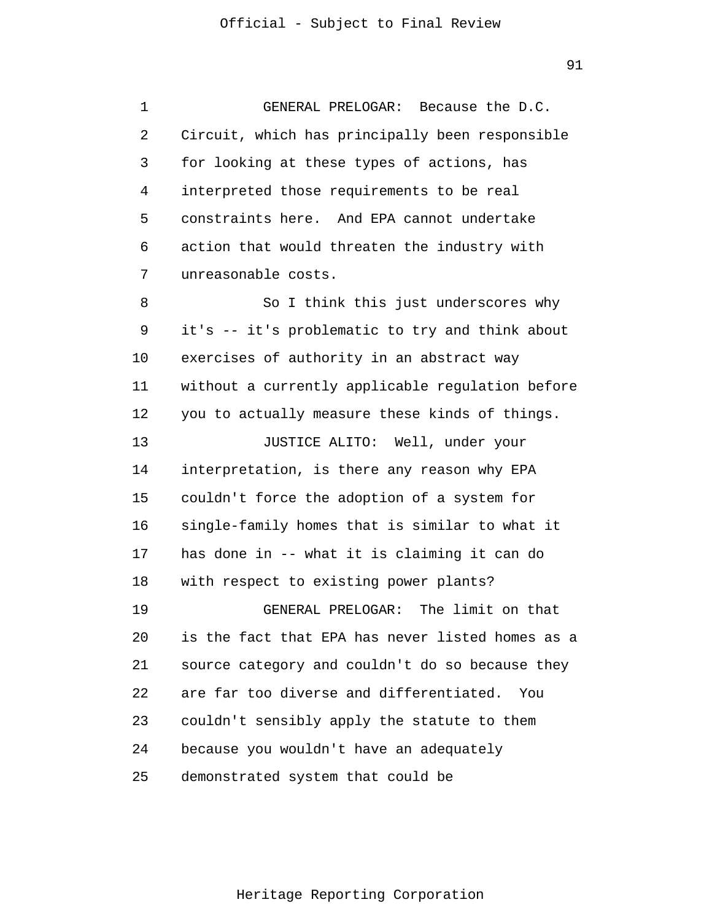1 2 3 4 5 6 7 8 9 10 11 12 13 14 15 16 17 18 19 20 21 22 23 24 GENERAL PRELOGAR: Because the D.C. Circuit, which has principally been responsible for looking at these types of actions, has interpreted those requirements to be real constraints here. And EPA cannot undertake action that would threaten the industry with unreasonable costs. So I think this just underscores why it's -- it's problematic to try and think about exercises of authority in an abstract way without a currently applicable regulation before you to actually measure these kinds of things. JUSTICE ALITO: Well, under your interpretation, is there any reason why EPA couldn't force the adoption of a system for single-family homes that is similar to what it has done in -- what it is claiming it can do with respect to existing power plants? GENERAL PRELOGAR: The limit on that is the fact that EPA has never listed homes as a source category and couldn't do so because they are far too diverse and differentiated. You couldn't sensibly apply the statute to them because you wouldn't have an adequately

25 demonstrated system that could be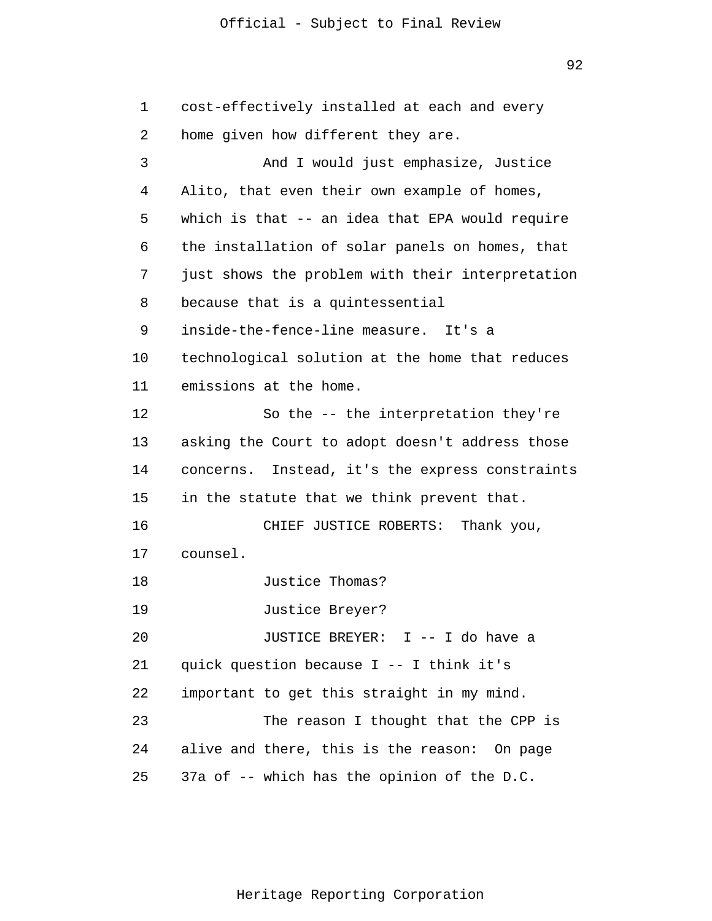92

1 2 3 4 5 6 7 8 9 10 11 12 13 14 15 16 17 18 19 20 21 22 23 24 25 cost-effectively installed at each and every home given how different they are. And I would just emphasize, Justice Alito, that even their own example of homes, which is that -- an idea that EPA would require the installation of solar panels on homes, that just shows the problem with their interpretation because that is a quintessential inside-the-fence-line measure. It's a technological solution at the home that reduces emissions at the home. So the -- the interpretation they're asking the Court to adopt doesn't address those concerns. Instead, it's the express constraints in the statute that we think prevent that. CHIEF JUSTICE ROBERTS: Thank you, counsel. Justice Thomas? Justice Breyer? JUSTICE BREYER: I -- I do have a quick question because I -- I think it's important to get this straight in my mind. The reason I thought that the CPP is alive and there, this is the reason: On page 37a of -- which has the opinion of the D.C.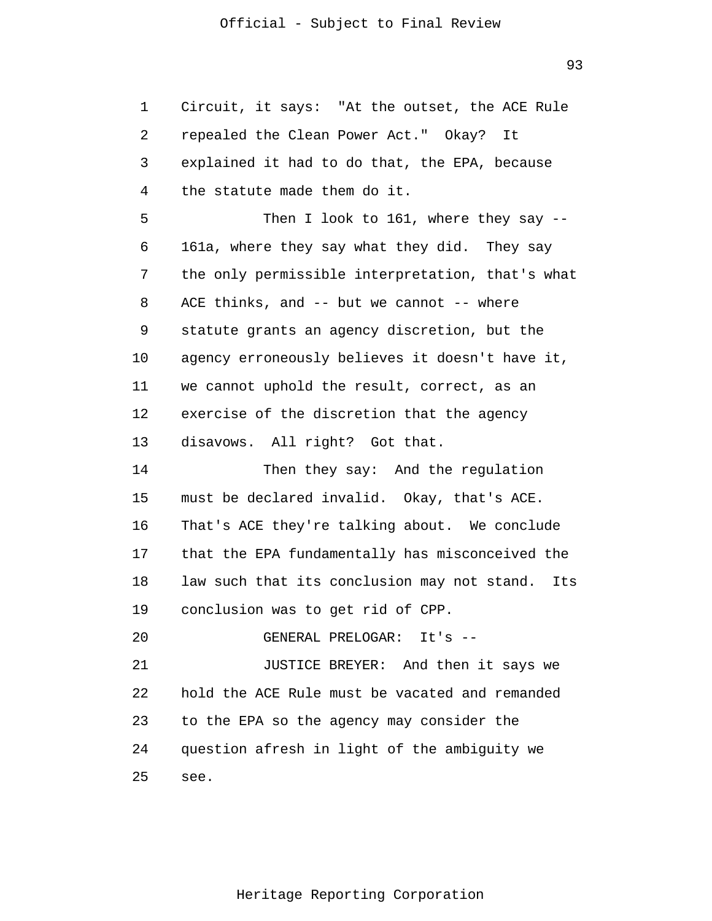93

| 1  | Circuit, it says: "At the outset, the ACE Rule   |
|----|--------------------------------------------------|
| 2  | repealed the Clean Power Act." Okay? It          |
| 3  | explained it had to do that, the EPA, because    |
| 4  | the statute made them do it.                     |
| 5  | Then I look to 161, where they say --            |
| 6  | 161a, where they say what they did. They say     |
| 7  | the only permissible interpretation, that's what |
| 8  | ACE thinks, and -- but we cannot -- where        |
| 9  | statute grants an agency discretion, but the     |
| 10 | agency erroneously believes it doesn't have it,  |
| 11 | we cannot uphold the result, correct, as an      |
| 12 | exercise of the discretion that the agency       |
| 13 | disavows. All right? Got that.                   |
| 14 | Then they say: And the regulation                |
| 15 | must be declared invalid. Okay, that's ACE.      |
| 16 | That's ACE they're talking about. We conclude    |
| 17 | that the EPA fundamentally has misconceived the  |
| 18 | law such that its conclusion may not stand. Its  |
| 19 | conclusion was to get rid of CPP.                |
| 20 | GENERAL PRELOGAR: It's --                        |
| 21 | JUSTICE BREYER: And then it says we              |
| 22 | hold the ACE Rule must be vacated and remanded   |
| 23 | to the EPA so the agency may consider the        |
| 24 | question afresh in light of the ambiguity we     |
| 25 | see.                                             |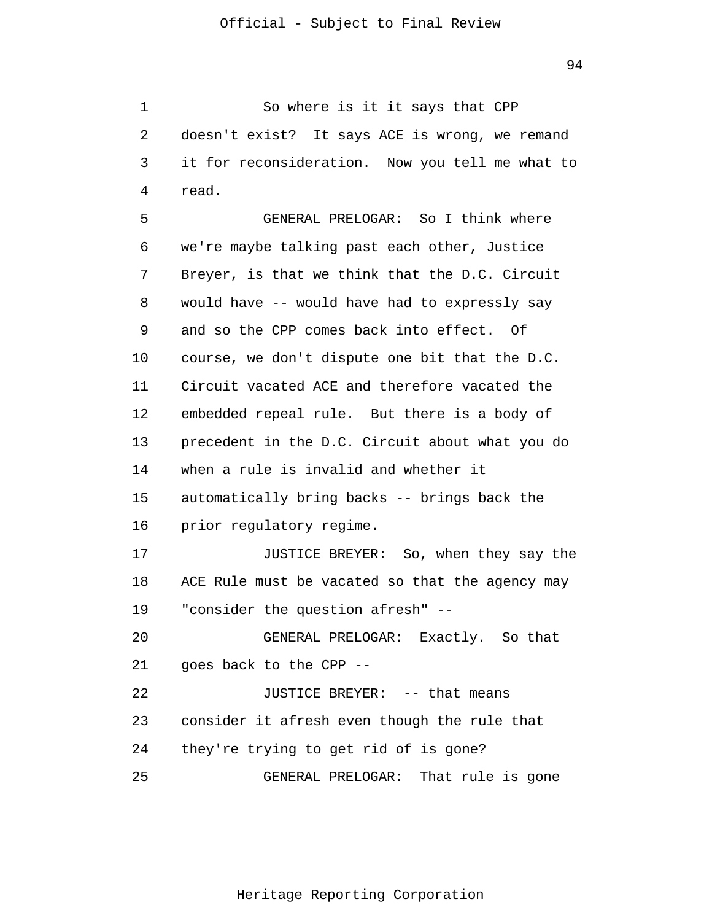1 2 3 4 So where is it it says that CPP doesn't exist? It says ACE is wrong, we remand it for reconsideration. Now you tell me what to read.

5 6 7 8 9 10 11 12 13 14 15 16 17 18 19 20 21 22 23 24 25 GENERAL PRELOGAR: So I think where we're maybe talking past each other, Justice Breyer, is that we think that the D.C. Circuit would have -- would have had to expressly say and so the CPP comes back into effect. Of course, we don't dispute one bit that the D.C. Circuit vacated ACE and therefore vacated the embedded repeal rule. But there is a body of precedent in the D.C. Circuit about what you do when a rule is invalid and whether it automatically bring backs -- brings back the prior regulatory regime. JUSTICE BREYER: So, when they say the ACE Rule must be vacated so that the agency may "consider the question afresh" -- GENERAL PRELOGAR: Exactly. So that goes back to the CPP -- JUSTICE BREYER: -- that means consider it afresh even though the rule that they're trying to get rid of is gone? GENERAL PRELOGAR: That rule is gone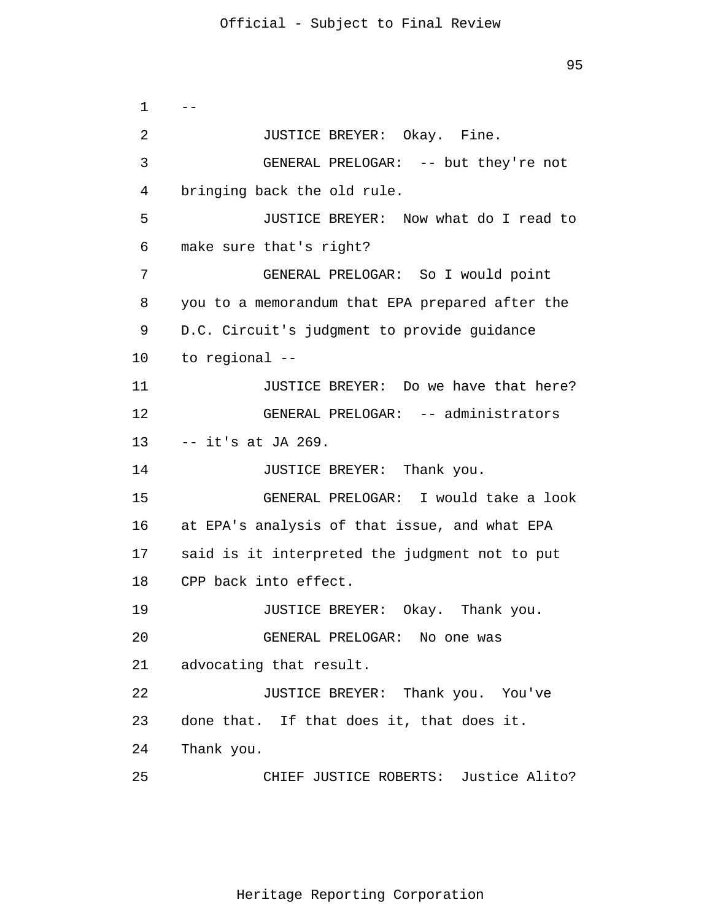```
1 
 2 
 3 
 4 
 5 
 6 
 7 
 8 
 9 
10 
11 
12 
13 
14 
15 
16 
17 
18 
19 
20 
21 
22 
23 
24 
25 
      - JUSTICE BREYER: Okay. Fine.
                 GENERAL PRELOGAR: -- but they're not
       bringing back the old rule.
                 JUSTICE BREYER: Now what do I read to
       make sure that's right?
                 GENERAL PRELOGAR: So I would point
       you to a memorandum that EPA prepared after the
       D.C. Circuit's judgment to provide guidance
       to regional --
                 JUSTICE BREYER: Do we have that here?
                 GENERAL PRELOGAR: -- administrators 
      -- it's at JA 269.
                 JUSTICE BREYER: Thank you.
                 GENERAL PRELOGAR: I would take a look
       at EPA's analysis of that issue, and what EPA
       said is it interpreted the judgment not to put
       CPP back into effect.
                 JUSTICE BREYER: Okay. Thank you.
                 GENERAL PRELOGAR: No one was
       advocating that result.
                 JUSTICE BREYER: Thank you. You've
       done that. If that does it, that does it.
       Thank you.
                 CHIEF JUSTICE ROBERTS: Justice Alito?
```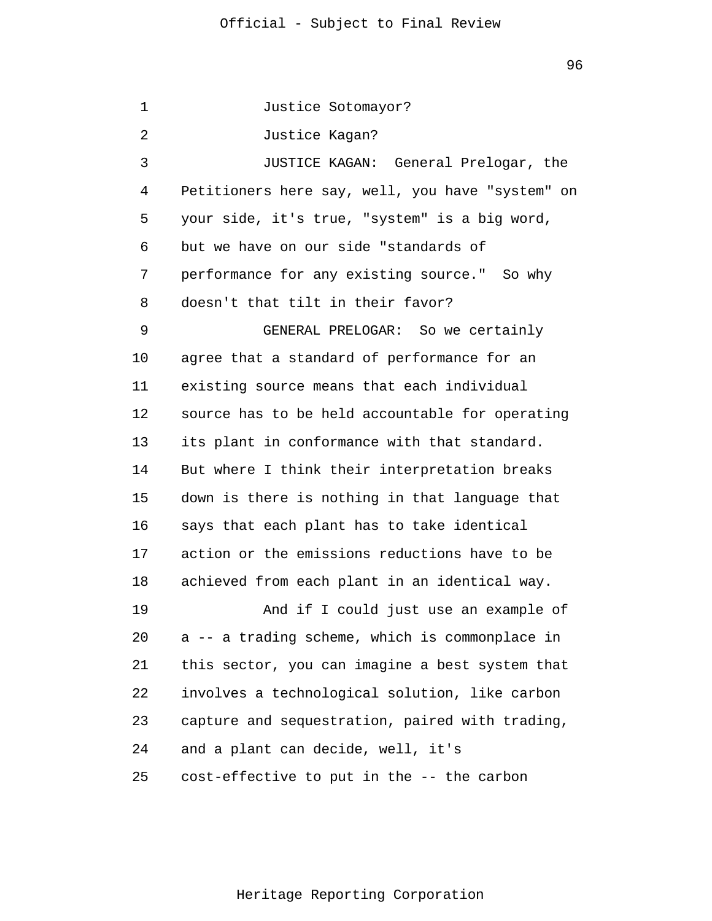1 2 3 4 5 6 7 8 9 10 11 12 13 14 15 16 17 18 19 20 21 22 23 24 25 Justice Sotomayor? Justice Kagan? JUSTICE KAGAN: General Prelogar, the Petitioners here say, well, you have "system" on your side, it's true, "system" is a big word, but we have on our side "standards of performance for any existing source." So why doesn't that tilt in their favor? GENERAL PRELOGAR: So we certainly agree that a standard of performance for an existing source means that each individual source has to be held accountable for operating its plant in conformance with that standard. But where I think their interpretation breaks down is there is nothing in that language that says that each plant has to take identical action or the emissions reductions have to be achieved from each plant in an identical way. And if I could just use an example of a -- a trading scheme, which is commonplace in this sector, you can imagine a best system that involves a technological solution, like carbon capture and sequestration, paired with trading, and a plant can decide, well, it's cost-effective to put in the -- the carbon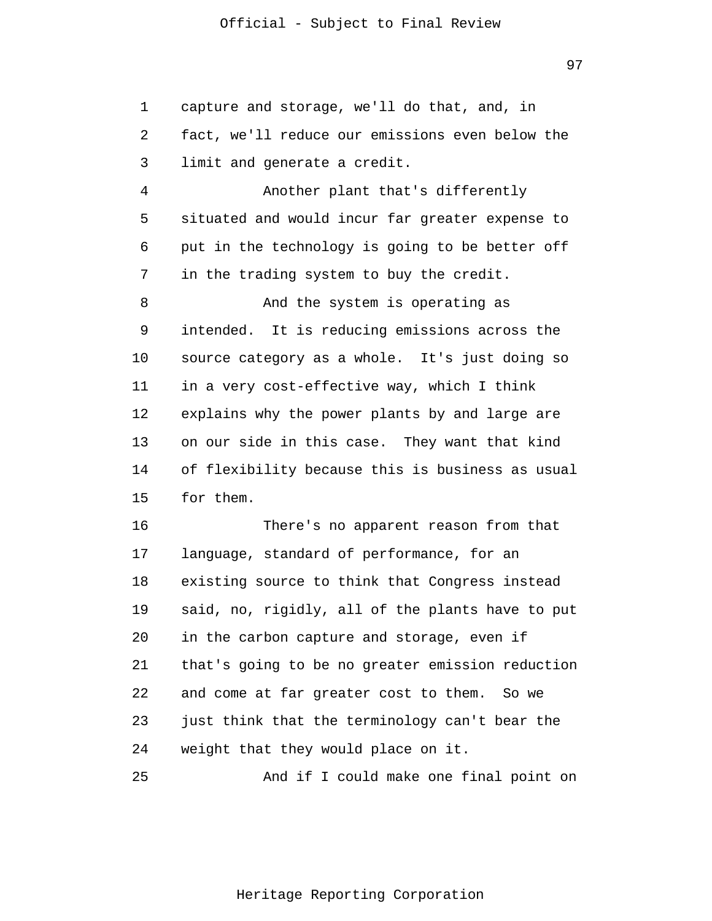1 2 3 capture and storage, we'll do that, and, in fact, we'll reduce our emissions even below the limit and generate a credit.

4 5 6 7 Another plant that's differently situated and would incur far greater expense to put in the technology is going to be better off in the trading system to buy the credit.

8 9 10 11 12 13 14 15 And the system is operating as intended. It is reducing emissions across the source category as a whole. It's just doing so in a very cost-effective way, which I think explains why the power plants by and large are on our side in this case. They want that kind of flexibility because this is business as usual for them.

16 17 18 19 20 21 22 23 24 There's no apparent reason from that language, standard of performance, for an existing source to think that Congress instead said, no, rigidly, all of the plants have to put in the carbon capture and storage, even if that's going to be no greater emission reduction and come at far greater cost to them. So we just think that the terminology can't bear the weight that they would place on it.

25 And if I could make one final point on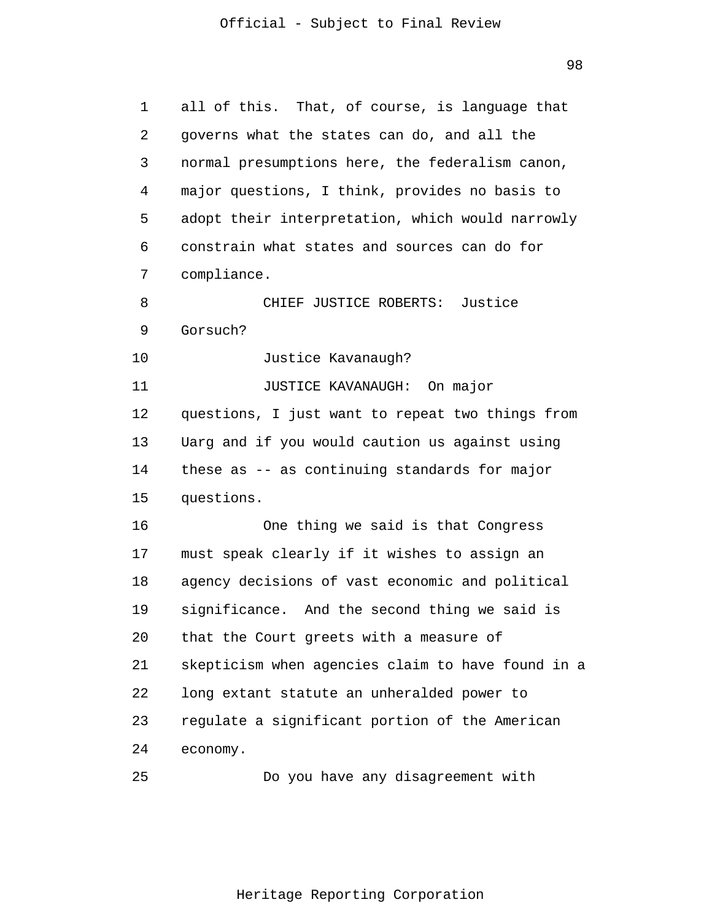98

| 1  | all of this. That, of course, is language that    |
|----|---------------------------------------------------|
| 2  | governs what the states can do, and all the       |
| 3  | normal presumptions here, the federalism canon,   |
| 4  | major questions, I think, provides no basis to    |
| 5  | adopt their interpretation, which would narrowly  |
| 6  | constrain what states and sources can do for      |
| 7  | compliance.                                       |
| 8  | CHIEF JUSTICE ROBERTS: Justice                    |
| 9  | Gorsuch?                                          |
| 10 | Justice Kavanaugh?                                |
| 11 | JUSTICE KAVANAUGH: On major                       |
| 12 | questions, I just want to repeat two things from  |
| 13 | Uarg and if you would caution us against using    |
| 14 | these as -- as continuing standards for major     |
| 15 | questions.                                        |
| 16 | One thing we said is that Congress                |
| 17 | must speak clearly if it wishes to assign an      |
| 18 | agency decisions of vast economic and political   |
| 19 | significance. And the second thing we said is     |
| 20 | that the Court greets with a measure of           |
| 21 | skepticism when agencies claim to have found in a |
| 22 | long extant statute an unheralded power to        |
| 23 | regulate a significant portion of the American    |
| 24 | economy.                                          |
| 25 | Do you have any disagreement with                 |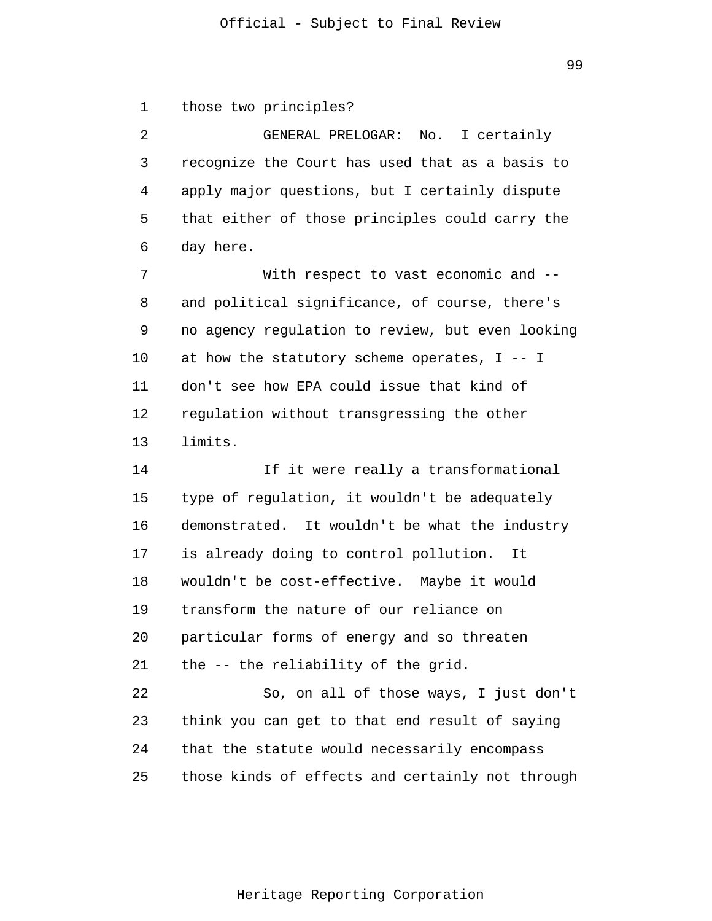1 those two principles?

2 3 4 5 6 GENERAL PRELOGAR: No. I certainly recognize the Court has used that as a basis to apply major questions, but I certainly dispute that either of those principles could carry the day here.

7 8 9 10 11 12 13 With respect to vast economic and - and political significance, of course, there's no agency regulation to review, but even looking at how the statutory scheme operates, I -- I don't see how EPA could issue that kind of regulation without transgressing the other limits.

14 15 16 17 18 19 20 21 22 23 24 25 If it were really a transformational type of regulation, it wouldn't be adequately demonstrated. It wouldn't be what the industry is already doing to control pollution. It wouldn't be cost-effective. Maybe it would transform the nature of our reliance on particular forms of energy and so threaten the -- the reliability of the grid. So, on all of those ways, I just don't think you can get to that end result of saying that the statute would necessarily encompass those kinds of effects and certainly not through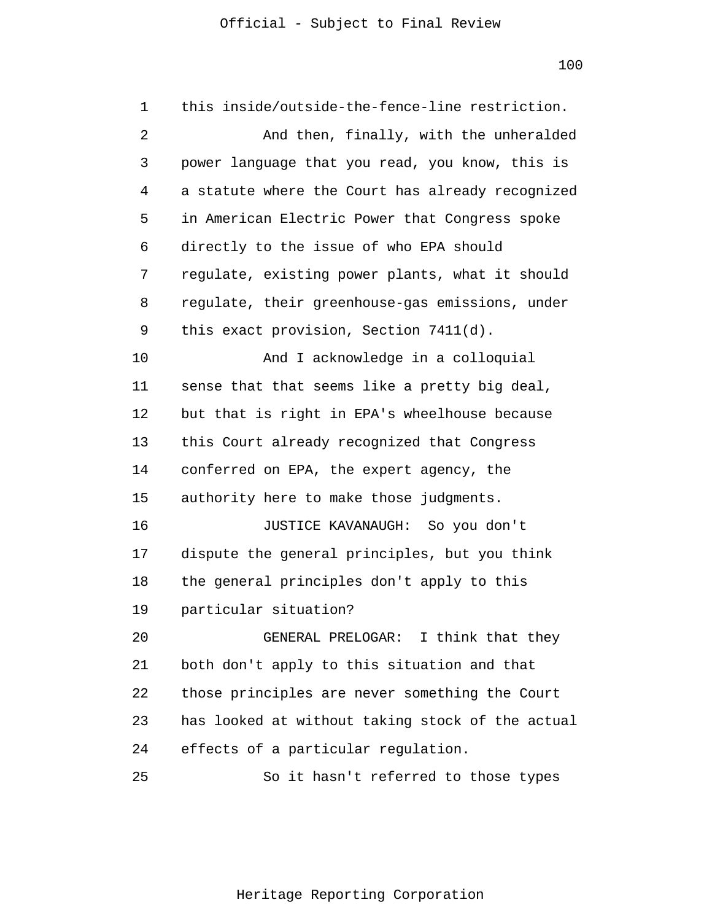1 2 3 4 5 6 7 8 9 10 11 12 13 14 15 16 17 18 19 20 21 22 23 24 25 this inside/outside-the-fence-line restriction. And then, finally, with the unheralded power language that you read, you know, this is a statute where the Court has already recognized in American Electric Power that Congress spoke directly to the issue of who EPA should regulate, existing power plants, what it should regulate, their greenhouse-gas emissions, under this exact provision, Section 7411(d). And I acknowledge in a colloquial sense that that seems like a pretty big deal, but that is right in EPA's wheelhouse because this Court already recognized that Congress conferred on EPA, the expert agency, the authority here to make those judgments. JUSTICE KAVANAUGH: So you don't dispute the general principles, but you think the general principles don't apply to this particular situation? GENERAL PRELOGAR: I think that they both don't apply to this situation and that those principles are never something the Court has looked at without taking stock of the actual effects of a particular regulation. So it hasn't referred to those types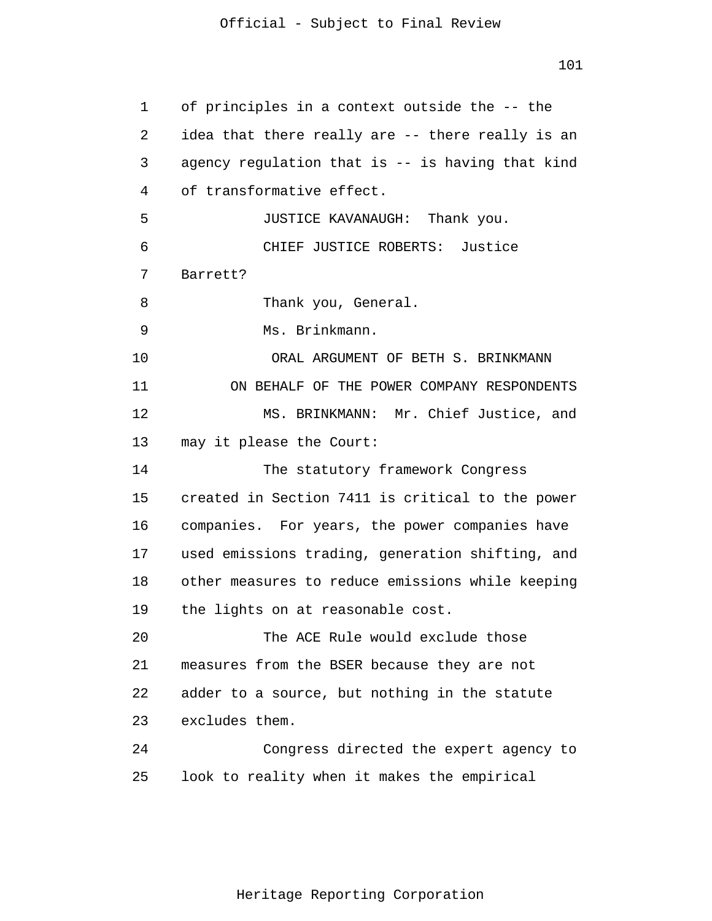1 2 3 4 5 6 7 8 9 10 11 12 13 14 15 16 17 18 19 20 21 22 23 24 25 of principles in a context outside the -- the idea that there really are -- there really is an agency regulation that is -- is having that kind of transformative effect. JUSTICE KAVANAUGH: Thank you. CHIEF JUSTICE ROBERTS: Justice Barrett? Thank you, General. Ms. Brinkmann. ORAL ARGUMENT OF BETH S. BRINKMANN ON BEHALF OF THE POWER COMPANY RESPONDENTS MS. BRINKMANN: Mr. Chief Justice, and may it please the Court: The statutory framework Congress created in Section 7411 is critical to the power companies. For years, the power companies have used emissions trading, generation shifting, and other measures to reduce emissions while keeping the lights on at reasonable cost. The ACE Rule would exclude those measures from the BSER because they are not adder to a source, but nothing in the statute excludes them. Congress directed the expert agency to look to reality when it makes the empirical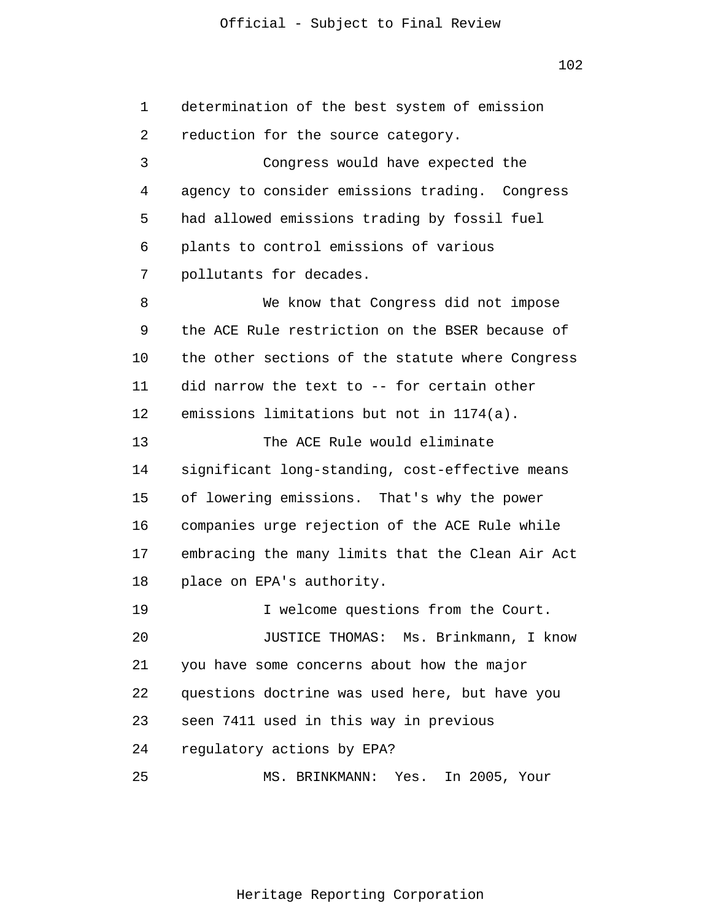102

1 2 3 4 5 6 7 8 9 10 11 12 13 14 15 16 17 18 19 20 21 22 23 24 25 determination of the best system of emission reduction for the source category. Congress would have expected the agency to consider emissions trading. Congress had allowed emissions trading by fossil fuel plants to control emissions of various pollutants for decades. We know that Congress did not impose the ACE Rule restriction on the BSER because of the other sections of the statute where Congress did narrow the text to -- for certain other emissions limitations but not in 1174(a). The ACE Rule would eliminate significant long-standing, cost-effective means of lowering emissions. That's why the power companies urge rejection of the ACE Rule while embracing the many limits that the Clean Air Act place on EPA's authority. I welcome questions from the Court. JUSTICE THOMAS: Ms. Brinkmann, I know you have some concerns about how the major questions doctrine was used here, but have you seen 7411 used in this way in previous regulatory actions by EPA? MS. BRINKMANN: Yes. In 2005, Your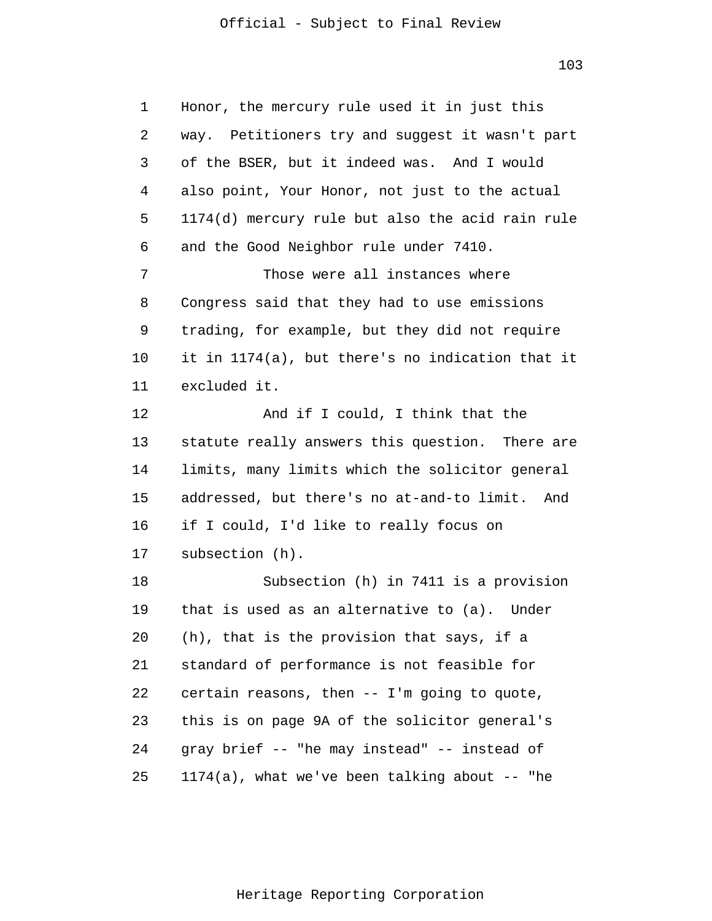103

1 2 3 4 5 6 7 8 9 10 11 12 13 14 15 16 17 18 19 20 21 22 23 24 25 Honor, the mercury rule used it in just this way. Petitioners try and suggest it wasn't part of the BSER, but it indeed was. And I would also point, Your Honor, not just to the actual 1174(d) mercury rule but also the acid rain rule and the Good Neighbor rule under 7410. Those were all instances where Congress said that they had to use emissions trading, for example, but they did not require it in 1174(a), but there's no indication that it excluded it. And if I could, I think that the statute really answers this question. There are limits, many limits which the solicitor general addressed, but there's no at-and-to limit. And if I could, I'd like to really focus on subsection (h). Subsection (h) in 7411 is a provision that is used as an alternative to (a). Under (h), that is the provision that says, if a standard of performance is not feasible for certain reasons, then -- I'm going to quote, this is on page 9A of the solicitor general's gray brief -- "he may instead" -- instead of  $1174(a)$ , what we've been talking about -- "he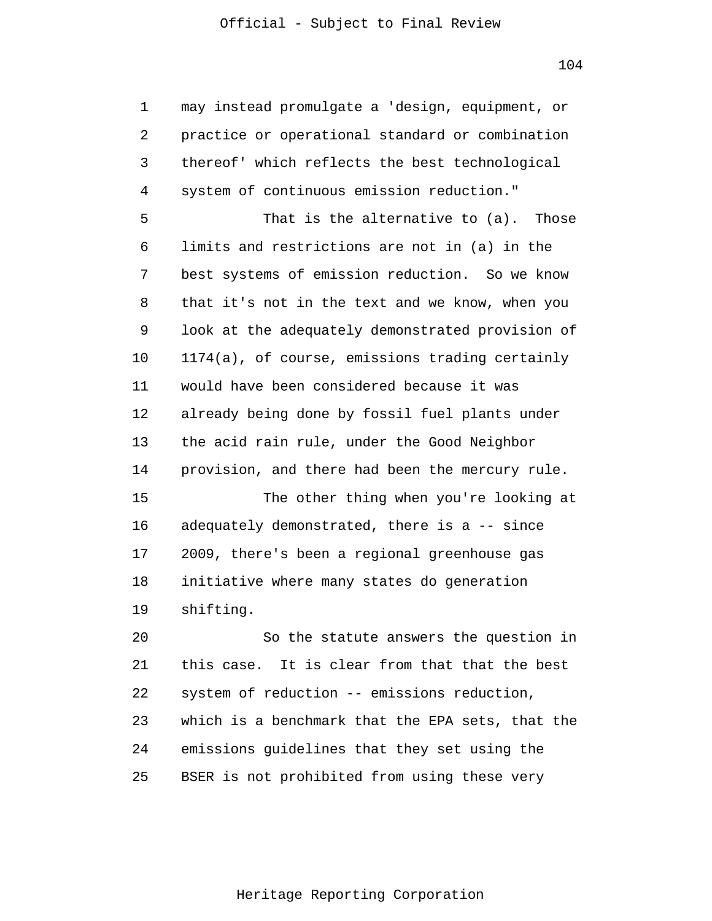104

1 2 3 4 5 6 7 8 9 10 11 12 13 14 15 16 17 18 19 20 21 22 23 24 25 may instead promulgate a 'design, equipment, or practice or operational standard or combination thereof' which reflects the best technological system of continuous emission reduction." That is the alternative to (a). Those limits and restrictions are not in (a) in the best systems of emission reduction. So we know that it's not in the text and we know, when you look at the adequately demonstrated provision of 1174(a), of course, emissions trading certainly would have been considered because it was already being done by fossil fuel plants under the acid rain rule, under the Good Neighbor provision, and there had been the mercury rule. The other thing when you're looking at adequately demonstrated, there is a -- since 2009, there's been a regional greenhouse gas initiative where many states do generation shifting. So the statute answers the question in this case. It is clear from that that the best system of reduction -- emissions reduction, which is a benchmark that the EPA sets, that the emissions guidelines that they set using the BSER is not prohibited from using these very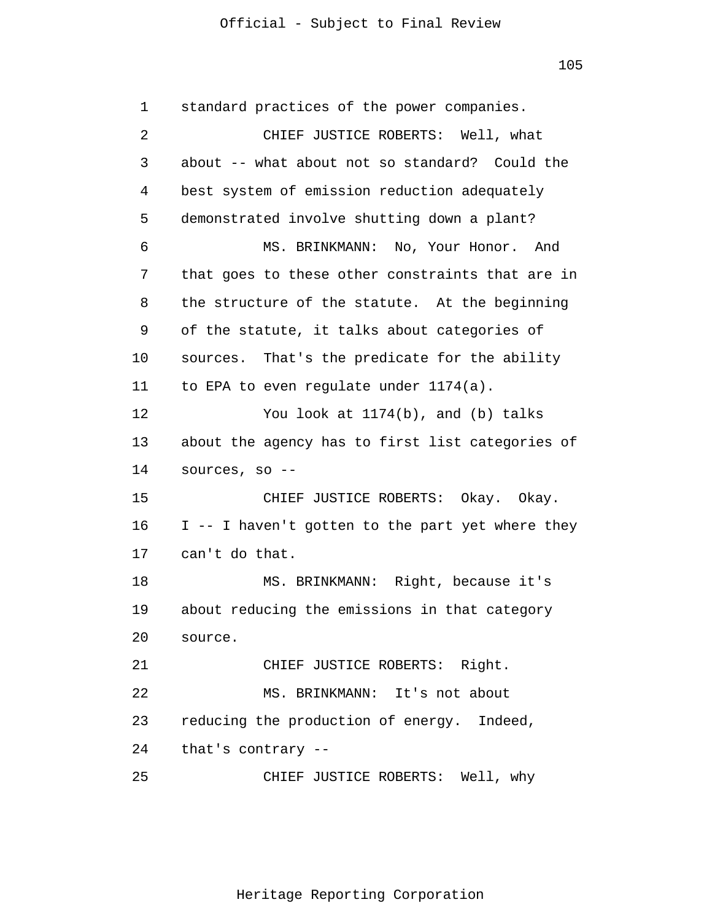105

1 2 3 4 5 6 7 8 9 10 11 12 13 14 15 16 17 18 19 20 21 22 23 24 25 standard practices of the power companies. CHIEF JUSTICE ROBERTS: Well, what about -- what about not so standard? Could the best system of emission reduction adequately demonstrated involve shutting down a plant? MS. BRINKMANN: No, Your Honor. And that goes to these other constraints that are in the structure of the statute. At the beginning of the statute, it talks about categories of sources. That's the predicate for the ability to EPA to even regulate under 1174(a). You look at 1174(b), and (b) talks about the agency has to first list categories of sources, so -- CHIEF JUSTICE ROBERTS: Okay. Okay. I -- I haven't gotten to the part yet where they can't do that. MS. BRINKMANN: Right, because it's about reducing the emissions in that category source. CHIEF JUSTICE ROBERTS: Right. MS. BRINKMANN: It's not about reducing the production of energy. Indeed, that's contrary -- CHIEF JUSTICE ROBERTS: Well, why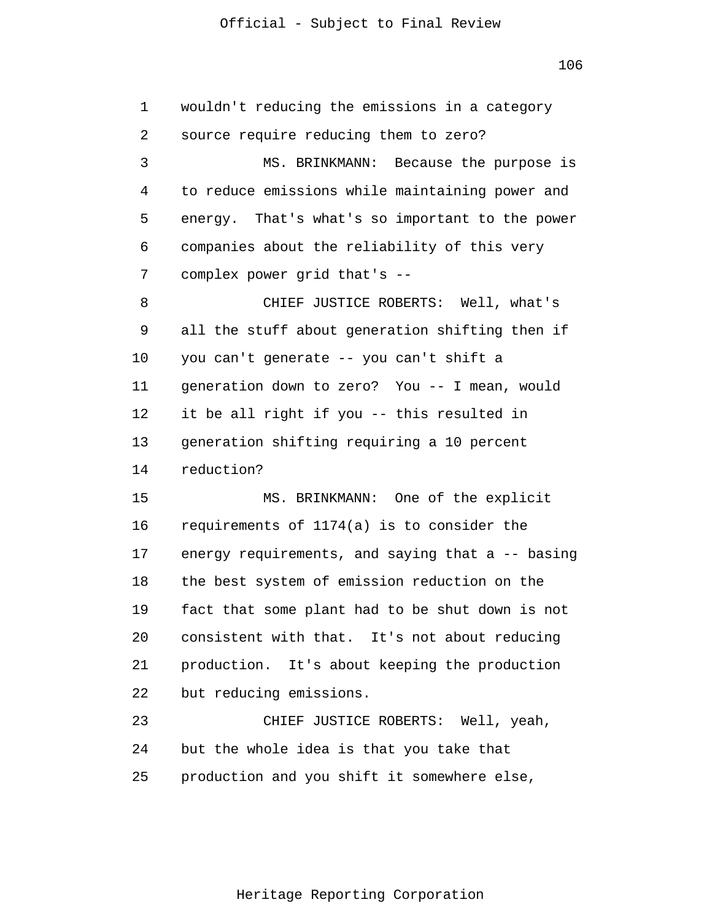1 2 3 4 5 6 7 8 9 10 11 12 13 14 15 16 17 18 19 20 21 22 23 24 25 wouldn't reducing the emissions in a category source require reducing them to zero? MS. BRINKMANN: Because the purpose is to reduce emissions while maintaining power and energy. That's what's so important to the power companies about the reliability of this very complex power grid that's -- CHIEF JUSTICE ROBERTS: Well, what's all the stuff about generation shifting then if you can't generate -- you can't shift a generation down to zero? You -- I mean, would it be all right if you -- this resulted in generation shifting requiring a 10 percent reduction? MS. BRINKMANN: One of the explicit requirements of 1174(a) is to consider the energy requirements, and saying that a -- basing the best system of emission reduction on the fact that some plant had to be shut down is not consistent with that. It's not about reducing production. It's about keeping the production but reducing emissions. CHIEF JUSTICE ROBERTS: Well, yeah, but the whole idea is that you take that production and you shift it somewhere else,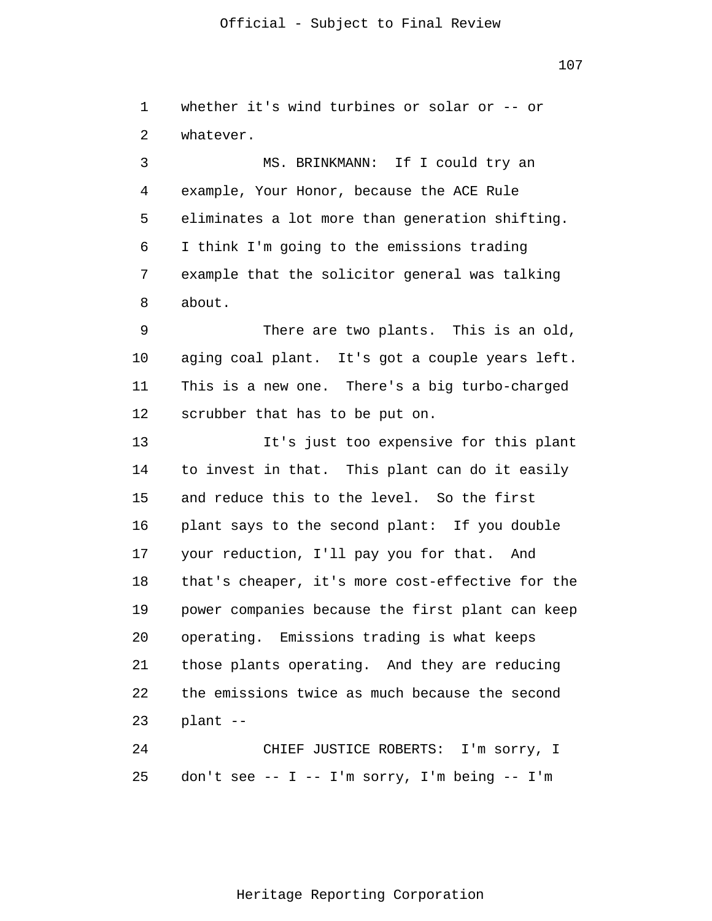107

1 2 whether it's wind turbines or solar or -- or whatever.

3 4 5 6 7 8 MS. BRINKMANN: If I could try an example, Your Honor, because the ACE Rule eliminates a lot more than generation shifting. I think I'm going to the emissions trading example that the solicitor general was talking about.

9 10 11 12 There are two plants. This is an old, aging coal plant. It's got a couple years left. This is a new one. There's a big turbo-charged scrubber that has to be put on.

13 14 15 16 17 18 19 20 21 22 23 It's just too expensive for this plant to invest in that. This plant can do it easily and reduce this to the level. So the first plant says to the second plant: If you double your reduction, I'll pay you for that. And that's cheaper, it's more cost-effective for the power companies because the first plant can keep operating. Emissions trading is what keeps those plants operating. And they are reducing the emissions twice as much because the second plant --

24 25 CHIEF JUSTICE ROBERTS: I'm sorry, I don't see -- I -- I'm sorry, I'm being -- I'm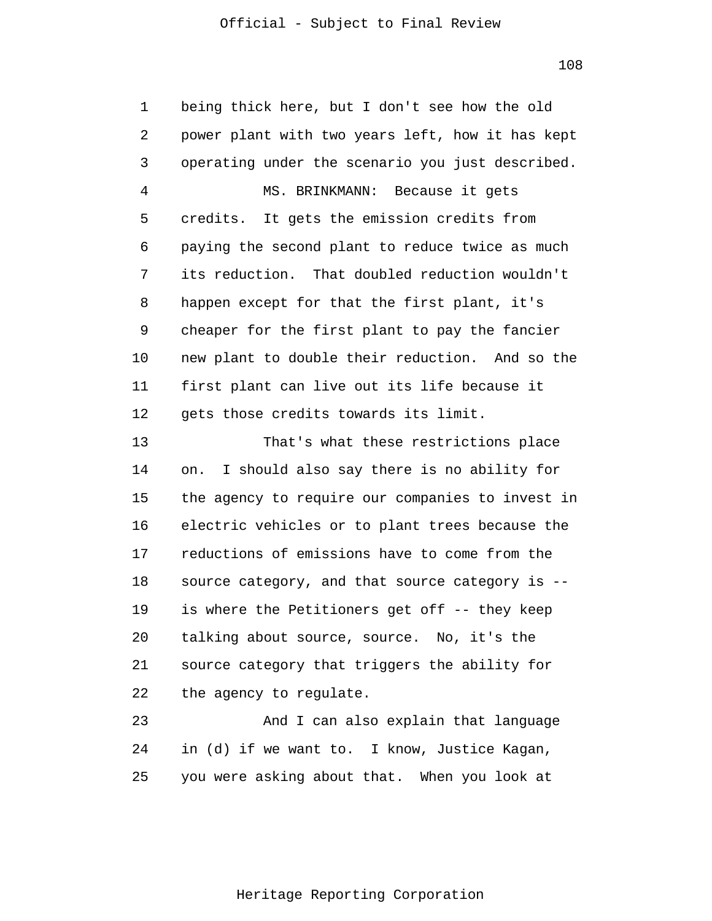1 2 3 4 5 6 7 8 9 10 11 12 13 14 15 16 17 18 19 20 21 22 23 24 being thick here, but I don't see how the old power plant with two years left, how it has kept operating under the scenario you just described. MS. BRINKMANN: Because it gets credits. It gets the emission credits from paying the second plant to reduce twice as much its reduction. That doubled reduction wouldn't happen except for that the first plant, it's cheaper for the first plant to pay the fancier new plant to double their reduction. And so the first plant can live out its life because it gets those credits towards its limit. That's what these restrictions place on. I should also say there is no ability for the agency to require our companies to invest in electric vehicles or to plant trees because the reductions of emissions have to come from the source category, and that source category is - is where the Petitioners get off -- they keep talking about source, source. No, it's the source category that triggers the ability for the agency to regulate. And I can also explain that language in (d) if we want to. I know, Justice Kagan,

25 you were asking about that. When you look at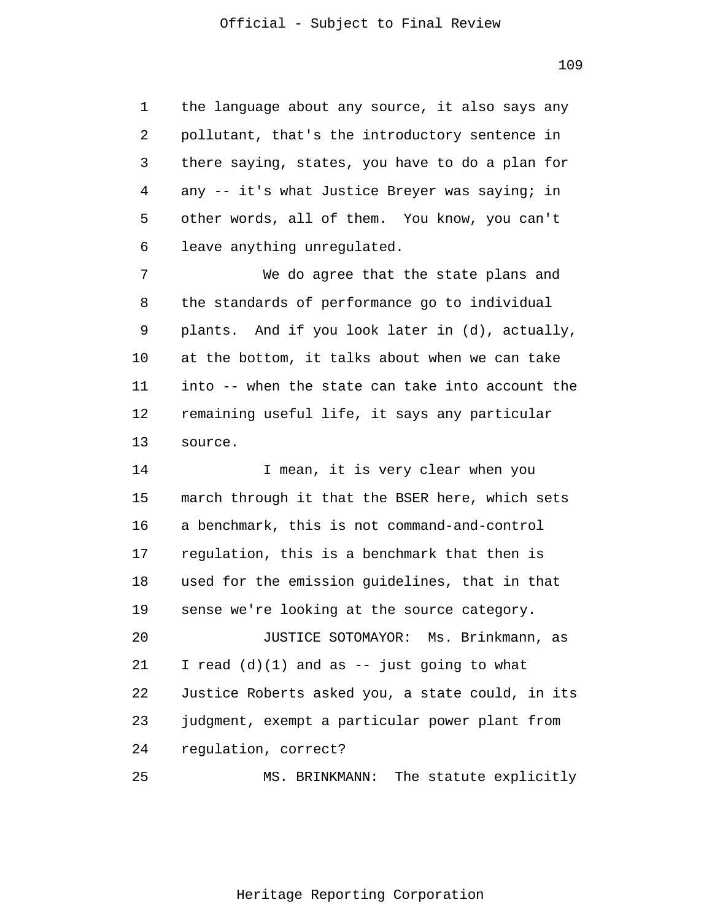1 2 3 4 5 6 the language about any source, it also says any pollutant, that's the introductory sentence in there saying, states, you have to do a plan for any -- it's what Justice Breyer was saying; in other words, all of them. You know, you can't leave anything unregulated.

7 8 9 10 11 12 13 We do agree that the state plans and the standards of performance go to individual plants. And if you look later in (d), actually, at the bottom, it talks about when we can take into -- when the state can take into account the remaining useful life, it says any particular source.

14 15 16 17 18 19 20 21 22 23 24 25 I mean, it is very clear when you march through it that the BSER here, which sets a benchmark, this is not command-and-control regulation, this is a benchmark that then is used for the emission guidelines, that in that sense we're looking at the source category. JUSTICE SOTOMAYOR: Ms. Brinkmann, as I read  $(d)(1)$  and as  $--$  just going to what Justice Roberts asked you, a state could, in its judgment, exempt a particular power plant from regulation, correct? MS. BRINKMANN: The statute explicitly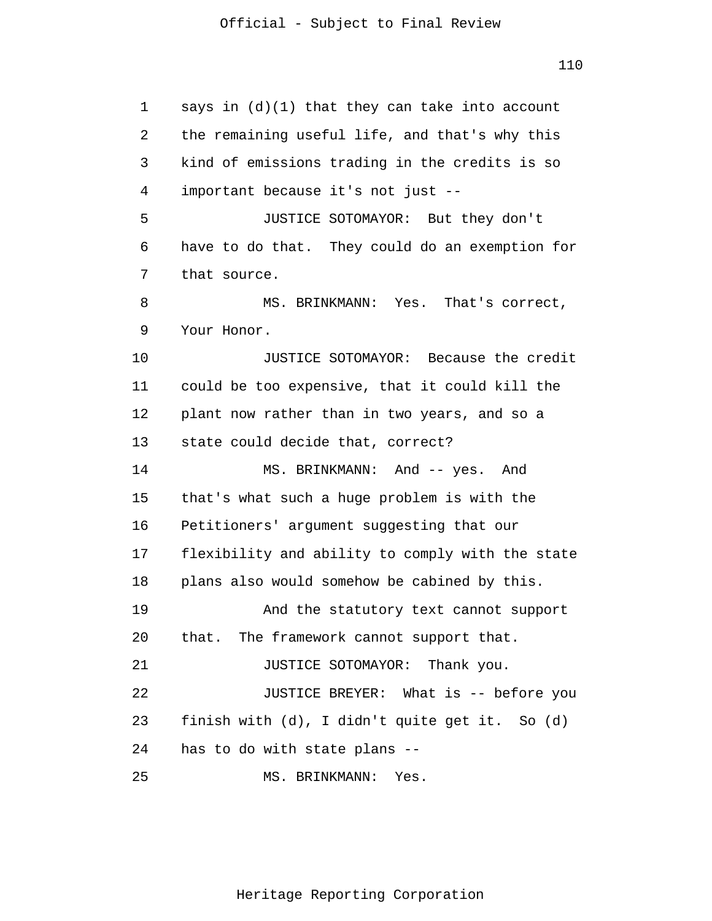1 2 3 4 5 6 7 8 9 10 11 12 13 14 15 16 17 18 19 20 21 22 23 24 25 says in (d)(1) that they can take into account the remaining useful life, and that's why this kind of emissions trading in the credits is so important because it's not just -- JUSTICE SOTOMAYOR: But they don't have to do that. They could do an exemption for that source. MS. BRINKMANN: Yes. That's correct, Your Honor. JUSTICE SOTOMAYOR: Because the credit could be too expensive, that it could kill the plant now rather than in two years, and so a state could decide that, correct? MS. BRINKMANN: And -- yes. And that's what such a huge problem is with the Petitioners' argument suggesting that our flexibility and ability to comply with the state plans also would somehow be cabined by this. And the statutory text cannot support that. The framework cannot support that. JUSTICE SOTOMAYOR: Thank you. JUSTICE BREYER: What is -- before you finish with (d), I didn't quite get it. So (d) has to do with state plans -- MS. BRINKMANN: Yes.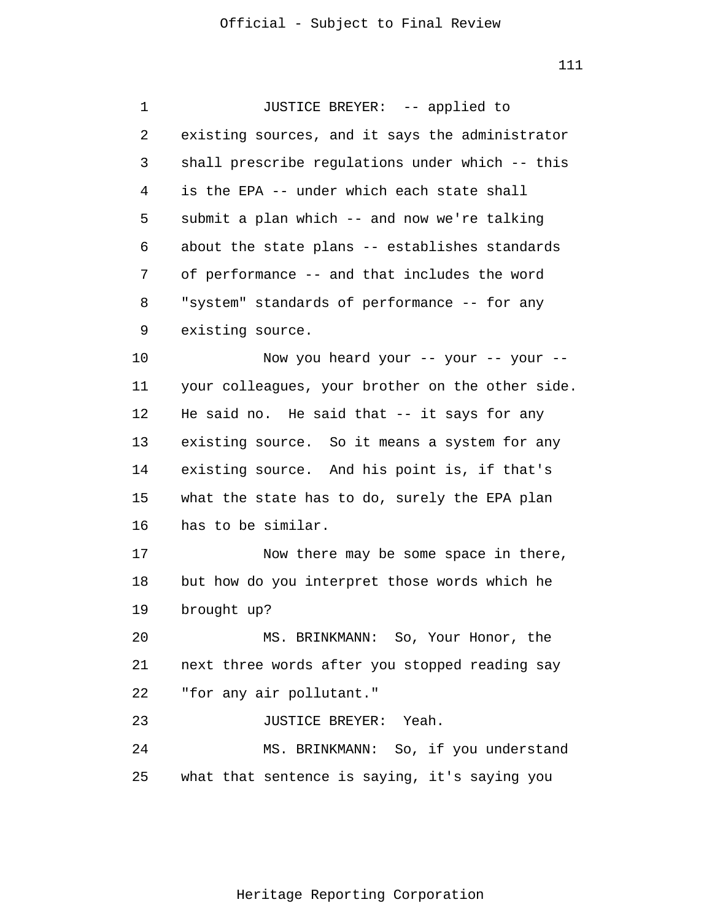1 2 3 4 5 6 7 8 9 10 11 12 13 14 15 16 17 18 19 20 21 22 23 24 25 JUSTICE BREYER: -- applied to existing sources, and it says the administrator shall prescribe regulations under which -- this is the EPA -- under which each state shall submit a plan which -- and now we're talking about the state plans -- establishes standards of performance -- and that includes the word "system" standards of performance -- for any existing source. Now you heard your -- your -- your - your colleagues, your brother on the other side. He said no. He said that -- it says for any existing source. So it means a system for any existing source. And his point is, if that's what the state has to do, surely the EPA plan has to be similar. Now there may be some space in there, but how do you interpret those words which he brought up? MS. BRINKMANN: So, Your Honor, the next three words after you stopped reading say "for any air pollutant." JUSTICE BREYER: Yeah. MS. BRINKMANN: So, if you understand what that sentence is saying, it's saying you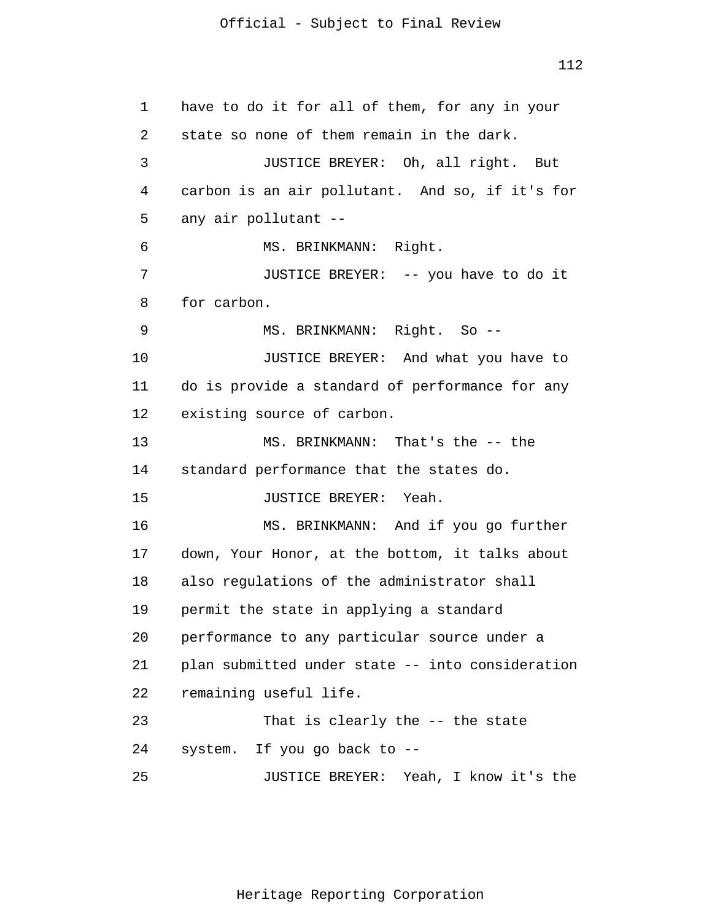```
1 
 2 
 3 
 4 
 5 
 6 
 7 
 8 
 9 
10 
11 
12 
13 
14 
15 
16 
17 
18 
19 
20 
21 
22 
23 
24 
25 
      have to do it for all of them, for any in your
       state so none of them remain in the dark.
                 JUSTICE BREYER: Oh, all right. But
       carbon is an air pollutant. And so, if it's for
       any air pollutant --
                MS. BRINKMANN: Right.
                 JUSTICE BREYER: -- you have to do it
       for carbon.
                 MS. BRINKMANN: Right. So --
                 JUSTICE BREYER: And what you have to
       do is provide a standard of performance for any
       existing source of carbon.
                 MS. BRINKMANN: That's the -- the
       standard performance that the states do.
                 JUSTICE BREYER: Yeah.
                 MS. BRINKMANN: And if you go further
       down, Your Honor, at the bottom, it talks about
       also regulations of the administrator shall
       permit the state in applying a standard
       performance to any particular source under a
       plan submitted under state -- into consideration
       remaining useful life.
                 That is clearly the -- the state
       system. If you go back to --
                 JUSTICE BREYER: Yeah, I know it's the
```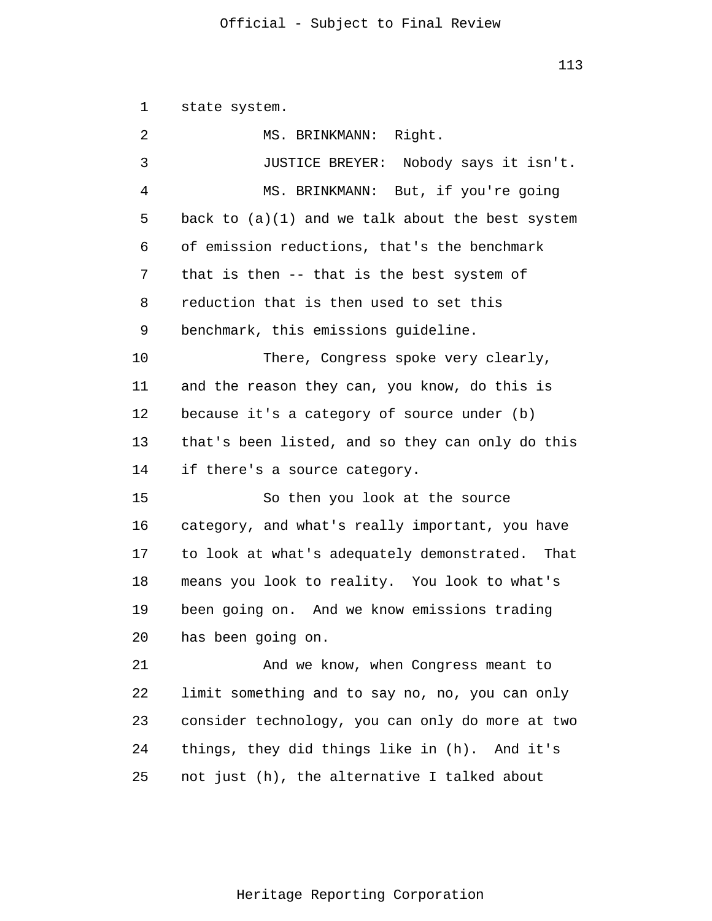113

1 state system.

| 2  | MS. BRINKMANN: Right.                              |
|----|----------------------------------------------------|
| 3  | JUSTICE BREYER: Nobody says it isn't.              |
| 4  | MS. BRINKMANN: But, if you're going                |
| 5  | back to $(a)(1)$ and we talk about the best system |
| 6  | of emission reductions, that's the benchmark       |
| 7  | that is then -- that is the best system of         |
| 8  | reduction that is then used to set this            |
| 9  | benchmark, this emissions guideline.               |
| 10 | There, Congress spoke very clearly,                |
| 11 | and the reason they can, you know, do this is      |
| 12 | because it's a category of source under (b)        |
| 13 | that's been listed, and so they can only do this   |
| 14 | if there's a source category.                      |
| 15 | So then you look at the source                     |
| 16 | category, and what's really important, you have    |
| 17 | to look at what's adequately demonstrated. That    |
| 18 | means you look to reality. You look to what's      |
| 19 | been going on. And we know emissions trading       |
| 20 | has been going on.                                 |
| 21 | And we know, when Congress meant to                |
| 22 | limit something and to say no, no, you can only    |
| 23 | consider technology, you can only do more at two   |
| 24 |                                                    |
|    | things, they did things like in (h). And it's      |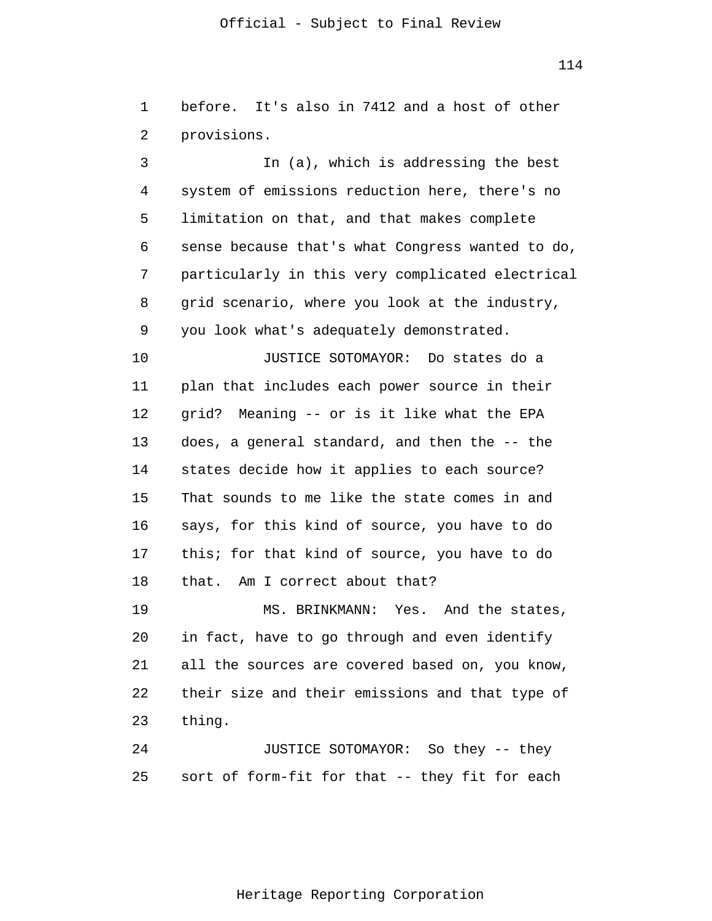114

1 2 before. It's also in 7412 and a host of other provisions.

3 4 5 6 7 8 9 In (a), which is addressing the best system of emissions reduction here, there's no limitation on that, and that makes complete sense because that's what Congress wanted to do, particularly in this very complicated electrical grid scenario, where you look at the industry, you look what's adequately demonstrated.

10 11 12 13 14 15 16 17 18 JUSTICE SOTOMAYOR: Do states do a plan that includes each power source in their grid? Meaning -- or is it like what the EPA does, a general standard, and then the -- the states decide how it applies to each source? That sounds to me like the state comes in and says, for this kind of source, you have to do this; for that kind of source, you have to do that. Am I correct about that?

19 20 21 22 23 MS. BRINKMANN: Yes. And the states, in fact, have to go through and even identify all the sources are covered based on, you know, their size and their emissions and that type of thing.

24 25 JUSTICE SOTOMAYOR: So they -- they sort of form-fit for that -- they fit for each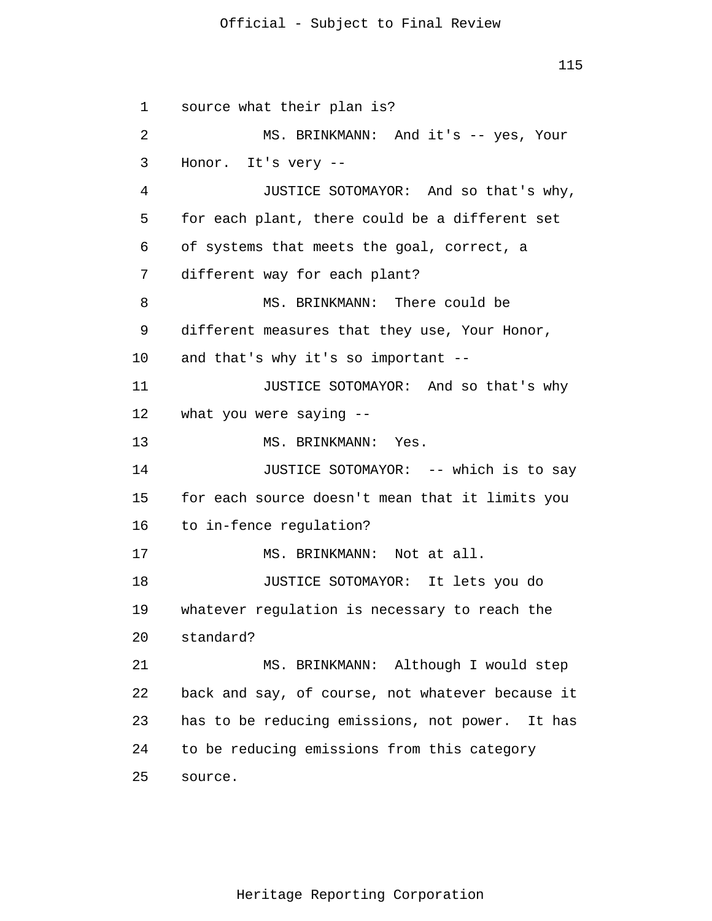115

1 2 3 4 5 6 7 8 9 10 11 12 13 14 15 16 17 18 19 20 21 22 23 24 25 source what their plan is? MS. BRINKMANN: And it's -- yes, Your Honor. It's very -- JUSTICE SOTOMAYOR: And so that's why, for each plant, there could be a different set of systems that meets the goal, correct, a different way for each plant? MS. BRINKMANN: There could be different measures that they use, Your Honor, and that's why it's so important -- JUSTICE SOTOMAYOR: And so that's why what you were saying -- MS. BRINKMANN: Yes. JUSTICE SOTOMAYOR: -- which is to say for each source doesn't mean that it limits you to in-fence regulation? MS. BRINKMANN: Not at all. JUSTICE SOTOMAYOR: It lets you do whatever regulation is necessary to reach the standard? MS. BRINKMANN: Although I would step back and say, of course, not whatever because it has to be reducing emissions, not power. It has to be reducing emissions from this category source.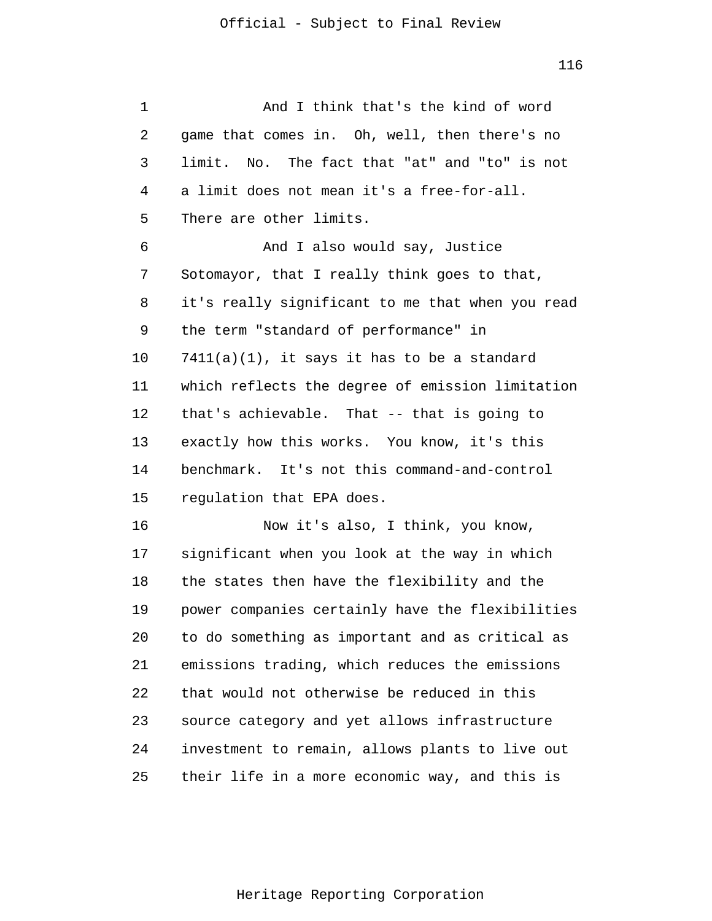| 1  | And I think that's the kind of word              |
|----|--------------------------------------------------|
| 2  | game that comes in. Oh, well, then there's no    |
| 3  | limit. No. The fact that "at" and "to" is not    |
| 4  | a limit does not mean it's a free-for-all.       |
| 5  | There are other limits.                          |
| 6  | And I also would say, Justice                    |
| 7  | Sotomayor, that I really think goes to that,     |
| 8  | it's really significant to me that when you read |
| 9  | the term "standard of performance" in            |
| 10 | $7411(a)(1)$ , it says it has to be a standard   |
| 11 | which reflects the degree of emission limitation |
| 12 | that's achievable. That -- that is going to      |
| 13 | exactly how this works. You know, it's this      |
| 14 | benchmark. It's not this command-and-control     |
| 15 | regulation that EPA does.                        |
| 16 | Now it's also, I think, you know,                |
| 17 | significant when you look at the way in which    |
| 18 | the states then have the flexibility and the     |
| 19 | power companies certainly have the flexibilities |
| 20 | to do something as important and as critical as  |
| 21 | emissions trading, which reduces the emissions   |
| 22 | that would not otherwise be reduced in this      |
| 23 | source category and yet allows infrastructure    |
| 24 | investment to remain, allows plants to live out  |
| 25 | their life in a more economic way, and this is   |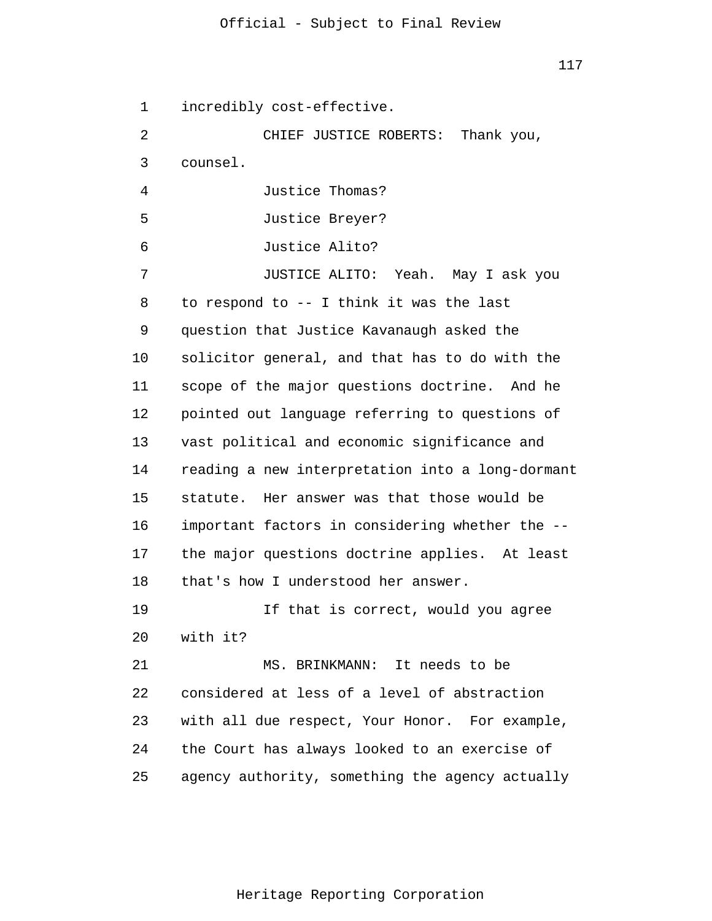1 2 3 4 5 6 7 8 9 10 11 12 13 14 15 16 17 18 19 20 21 22 23 24 25 incredibly cost-effective. CHIEF JUSTICE ROBERTS: Thank you, counsel. Justice Thomas? Justice Breyer? Justice Alito? JUSTICE ALITO: Yeah. May I ask you to respond to -- I think it was the last question that Justice Kavanaugh asked the solicitor general, and that has to do with the scope of the major questions doctrine. And he pointed out language referring to questions of vast political and economic significance and reading a new interpretation into a long-dormant statute. Her answer was that those would be important factors in considering whether the - the major questions doctrine applies. At least that's how I understood her answer. If that is correct, would you agree with it? MS. BRINKMANN: It needs to be considered at less of a level of abstraction with all due respect, Your Honor. For example, the Court has always looked to an exercise of agency authority, something the agency actually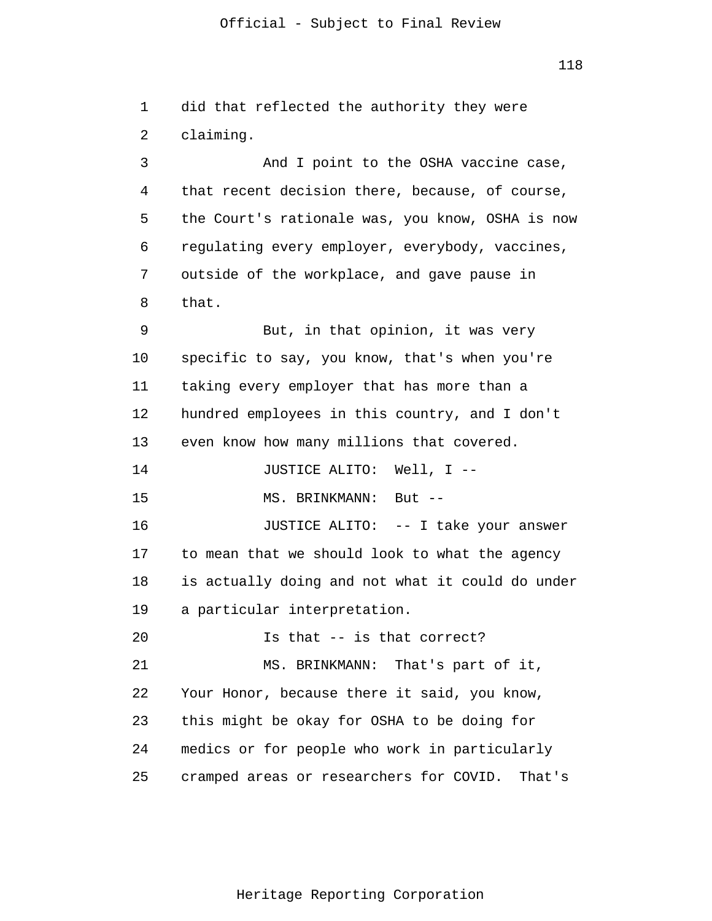118

1 2 3 4 did that reflected the authority they were claiming. And I point to the OSHA vaccine case, that recent decision there, because, of course,

5 6 7 8 the Court's rationale was, you know, OSHA is now regulating every employer, everybody, vaccines, outside of the workplace, and gave pause in that.

9 10 11 12 13 But, in that opinion, it was very specific to say, you know, that's when you're taking every employer that has more than a hundred employees in this country, and I don't even know how many millions that covered.

14 JUSTICE ALITO: Well, I --

15 MS. BRINKMANN: But --

16 17 18 19 JUSTICE ALITO: -- I take your answer to mean that we should look to what the agency is actually doing and not what it could do under a particular interpretation.

20 21 22 23 24 25 Is that -- is that correct? MS. BRINKMANN: That's part of it, Your Honor, because there it said, you know, this might be okay for OSHA to be doing for medics or for people who work in particularly cramped areas or researchers for COVID. That's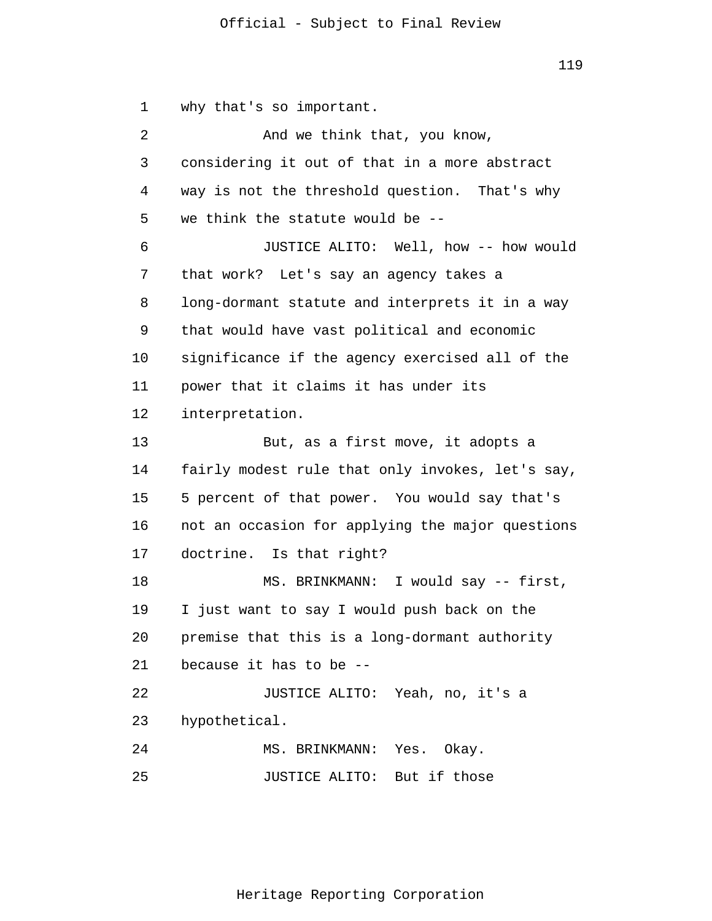119

1 why that's so important.

| 2  | And we think that, you know,                     |
|----|--------------------------------------------------|
| 3  | considering it out of that in a more abstract    |
| 4  | way is not the threshold question. That's why    |
| 5  | we think the statute would be --                 |
| 6  | JUSTICE ALITO: Well, how -- how would            |
| 7  | that work? Let's say an agency takes a           |
| 8  | long-dormant statute and interprets it in a way  |
| 9  | that would have vast political and economic      |
| 10 | significance if the agency exercised all of the  |
| 11 | power that it claims it has under its            |
| 12 | interpretation.                                  |
| 13 | But, as a first move, it adopts a                |
| 14 | fairly modest rule that only invokes, let's say, |
| 15 | 5 percent of that power. You would say that's    |
| 16 | not an occasion for applying the major questions |
| 17 | doctrine. Is that right?                         |
| 18 | MS. BRINKMANN: I would say -- first,             |
| 19 | I just want to say I would push back on the      |
| 20 | premise that this is a long-dormant authority    |
| 21 | because it has to be --                          |
| 22 | JUSTICE ALITO: Yeah, no, it's a                  |
| 23 | hypothetical.                                    |
| 24 | MS. BRINKMANN: Yes. Okay.                        |
| 25 | JUSTICE ALITO: But if those                      |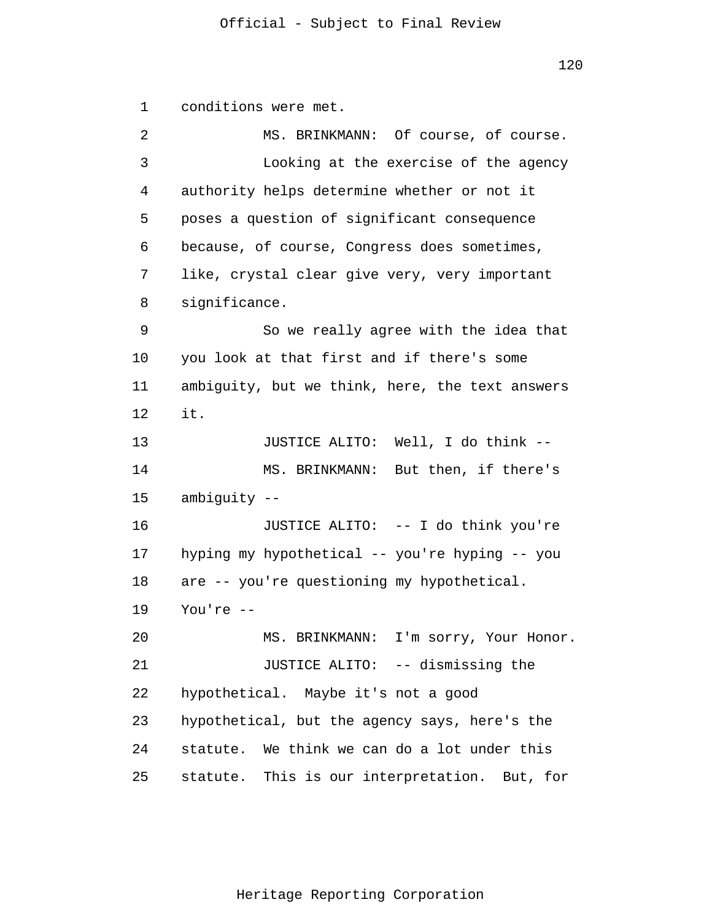1 2 3 4 5 6 7 8 9 10 11 12 13 14 15 16 17 18 19 20 21 22 23 24 25 conditions were met. MS. BRINKMANN: Of course, of course. Looking at the exercise of the agency authority helps determine whether or not it poses a question of significant consequence because, of course, Congress does sometimes, like, crystal clear give very, very important significance. So we really agree with the idea that you look at that first and if there's some ambiguity, but we think, here, the text answers it. JUSTICE ALITO: Well, I do think -- MS. BRINKMANN: But then, if there's ambiguity -- JUSTICE ALITO: -- I do think you're hyping my hypothetical -- you're hyping -- you are -- you're questioning my hypothetical. You're -- MS. BRINKMANN: I'm sorry, Your Honor. JUSTICE ALITO: -- dismissing the hypothetical. Maybe it's not a good hypothetical, but the agency says, here's the statute. We think we can do a lot under this statute. This is our interpretation. But, for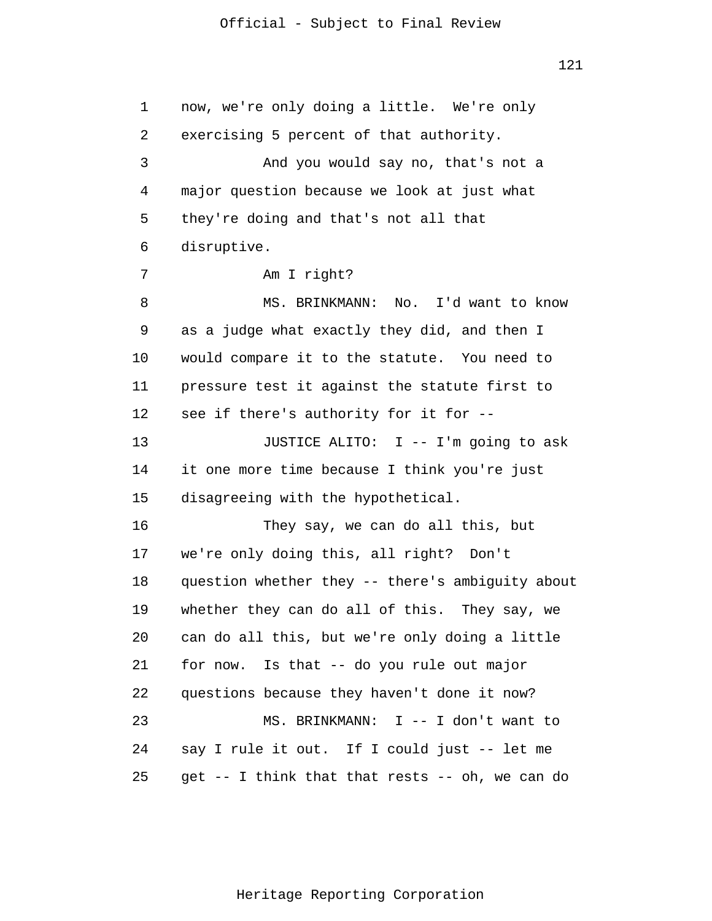121

1 2 3 4 5 6 7 8 9 10 11 12 13 14 15 16 17 18 19 20 21 22 23 24 25 now, we're only doing a little. We're only exercising 5 percent of that authority. And you would say no, that's not a major question because we look at just what they're doing and that's not all that disruptive. Am I right? MS. BRINKMANN: No. I'd want to know as a judge what exactly they did, and then I would compare it to the statute. You need to pressure test it against the statute first to see if there's authority for it for -- JUSTICE ALITO: I -- I'm going to ask it one more time because I think you're just disagreeing with the hypothetical. They say, we can do all this, but we're only doing this, all right? Don't question whether they -- there's ambiguity about whether they can do all of this. They say, we can do all this, but we're only doing a little for now. Is that -- do you rule out major questions because they haven't done it now? MS. BRINKMANN: I -- I don't want to say I rule it out. If I could just -- let me get -- I think that that rests -- oh, we can do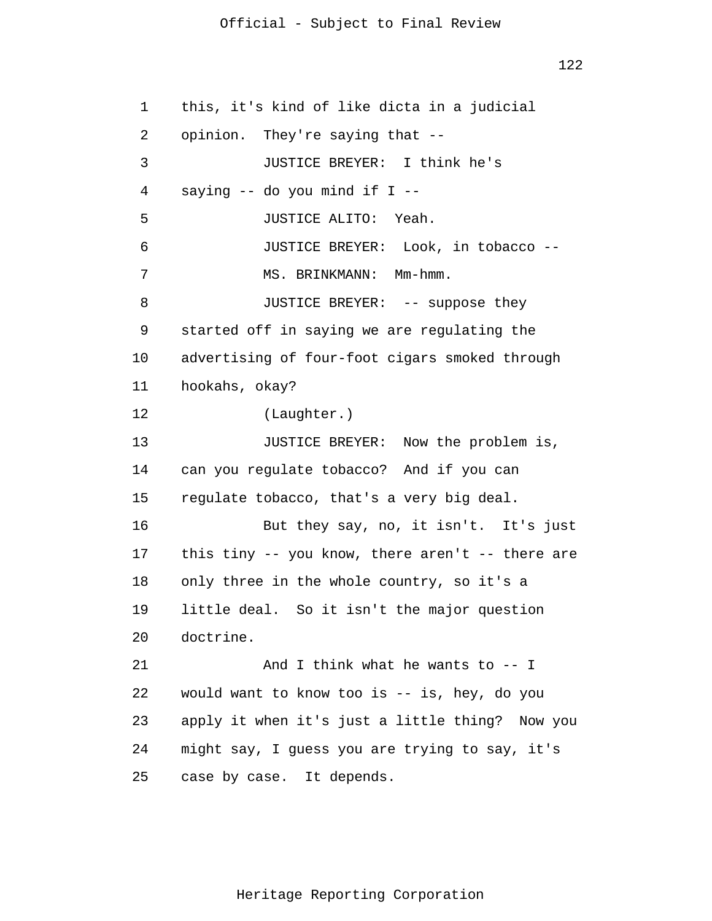122

1 2 3 4 5 6 7 8 9 10 11 12 13 14 15 16 17 18 19 20 21 22 23 24 25 this, it's kind of like dicta in a judicial opinion. They're saying that -- JUSTICE BREYER: I think he's saying -- do you mind if I -- JUSTICE ALITO: Yeah. JUSTICE BREYER: Look, in tobacco -- MS. BRINKMANN: Mm-hmm. JUSTICE BREYER: -- suppose they started off in saying we are regulating the advertising of four-foot cigars smoked through hookahs, okay? (Laughter.) JUSTICE BREYER: Now the problem is, can you regulate tobacco? And if you can regulate tobacco, that's a very big deal. But they say, no, it isn't. It's just this tiny -- you know, there aren't -- there are only three in the whole country, so it's a little deal. So it isn't the major question doctrine. And I think what he wants to -- I would want to know too is -- is, hey, do you apply it when it's just a little thing? Now you might say, I guess you are trying to say, it's case by case. It depends.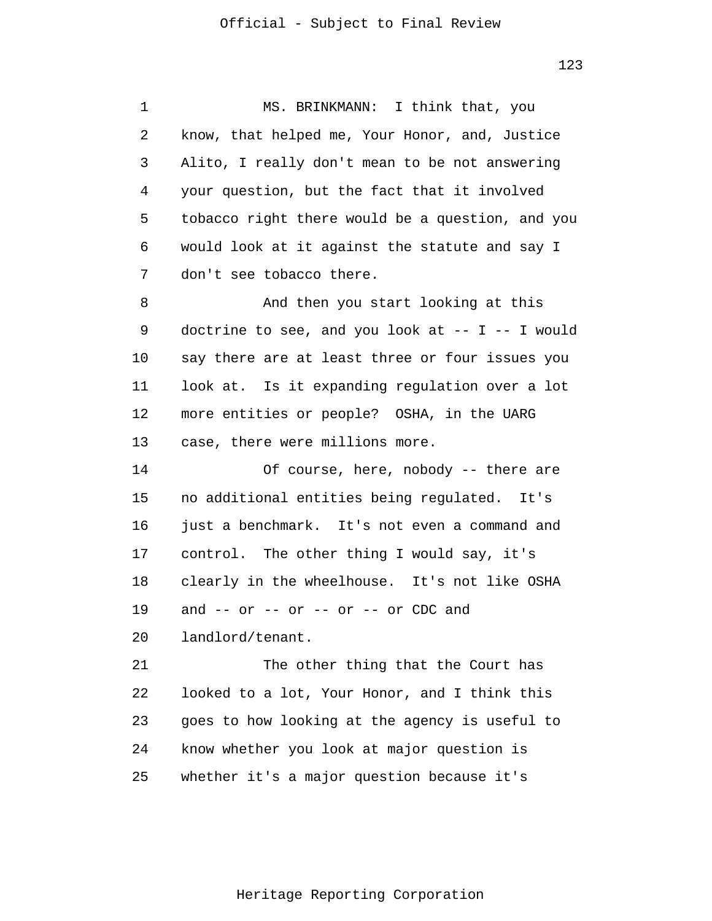1 2 3 4 5 6 7 8 9 10 11 12 13 14 15 16 17 18 19 20 21 22 23 24 25 MS. BRINKMANN: I think that, you know, that helped me, Your Honor, and, Justice Alito, I really don't mean to be not answering your question, but the fact that it involved tobacco right there would be a question, and you would look at it against the statute and say I don't see tobacco there. And then you start looking at this doctrine to see, and you look at  $-- I -- I$  would say there are at least three or four issues you look at. Is it expanding regulation over a lot more entities or people? OSHA, in the UARG case, there were millions more. Of course, here, nobody -- there are no additional entities being regulated. It's just a benchmark. It's not even a command and control. The other thing I would say, it's clearly in the wheelhouse. It's not like OSHA and  $--$  or  $--$  or  $--$  or  $--$  or CDC and landlord/tenant. The other thing that the Court has looked to a lot, Your Honor, and I think this goes to how looking at the agency is useful to know whether you look at major question is whether it's a major question because it's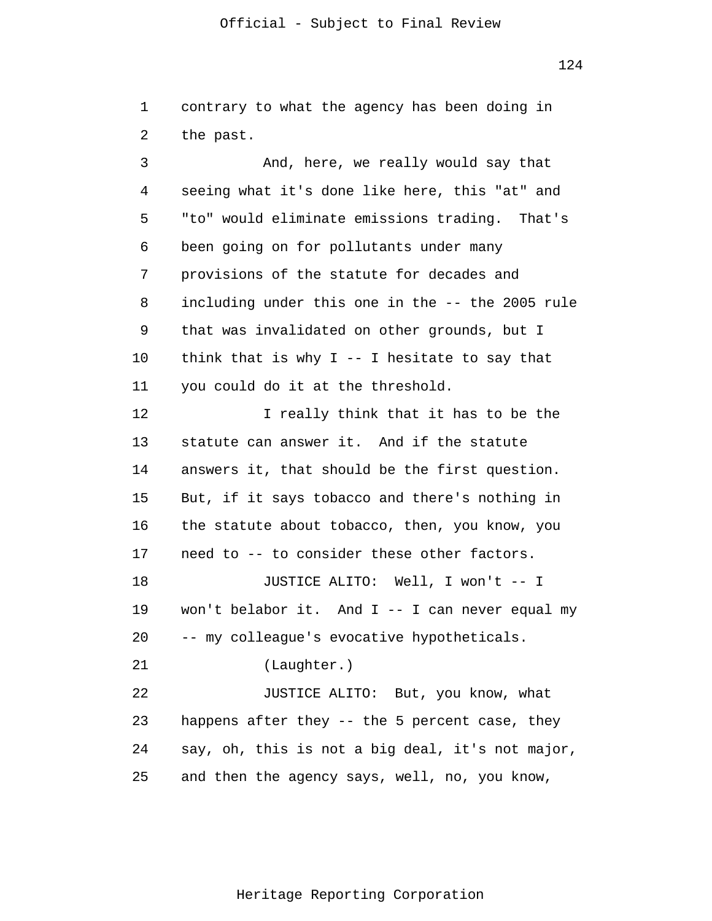124

1 2 contrary to what the agency has been doing in the past.

3 4 5 6 7 8 9 10 11 12 13 14 15 16 17 18 19 20 21 22 23 24 25 And, here, we really would say that seeing what it's done like here, this "at" and "to" would eliminate emissions trading. That's been going on for pollutants under many provisions of the statute for decades and including under this one in the -- the 2005 rule that was invalidated on other grounds, but I think that is why  $I$  -- I hesitate to say that you could do it at the threshold. I really think that it has to be the statute can answer it. And if the statute answers it, that should be the first question. But, if it says tobacco and there's nothing in the statute about tobacco, then, you know, you need to -- to consider these other factors. JUSTICE ALITO: Well, I won't -- I won't belabor it. And I -- I can never equal my -- my colleague's evocative hypotheticals. (Laughter.) JUSTICE ALITO: But, you know, what happens after they -- the 5 percent case, they say, oh, this is not a big deal, it's not major, and then the agency says, well, no, you know,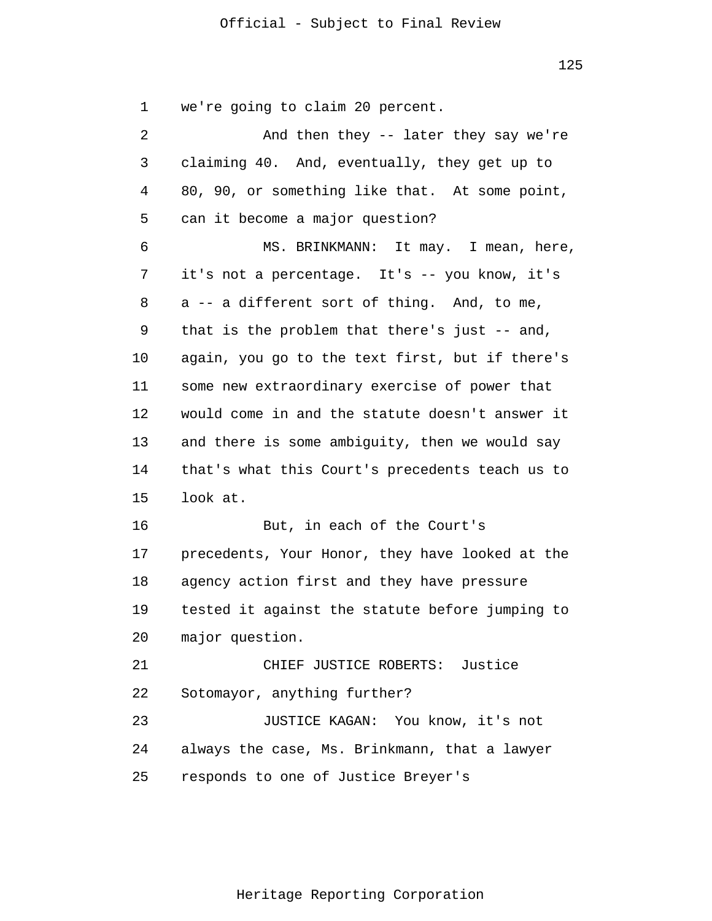1 we're going to claim 20 percent.

| $\overline{2}$ | And then they -- later they say we're           |
|----------------|-------------------------------------------------|
| 3              | claiming 40. And, eventually, they get up to    |
| 4              | 80, 90, or something like that. At some point,  |
| 5              | can it become a major question?                 |
| 6              | MS. BRINKMANN: It may. I mean, here,            |
| 7              | it's not a percentage. It's -- you know, it's   |
| 8              | a -- a different sort of thing. And, to me,     |
| 9              | that is the problem that there's just $-$ and,  |
| 10             | again, you go to the text first, but if there's |
| 11             | some new extraordinary exercise of power that   |
| 12             | would come in and the statute doesn't answer it |
| 13             | and there is some ambiguity, then we would say  |
| 14             | that's what this Court's precedents teach us to |
| 15             | look at.                                        |
| 16             | But, in each of the Court's                     |
| 17             | precedents, Your Honor, they have looked at the |
| 18             | agency action first and they have pressure      |
| 19             | tested it against the statute before jumping to |
| 20             | major question.                                 |
| 21             | CHIEF JUSTICE ROBERTS: Justice                  |
| 22             | Sotomayor, anything further?                    |
| 23             | JUSTICE KAGAN: You know, it's not               |
| 24             | always the case, Ms. Brinkmann, that a lawyer   |
| 25             | responds to one of Justice Breyer's             |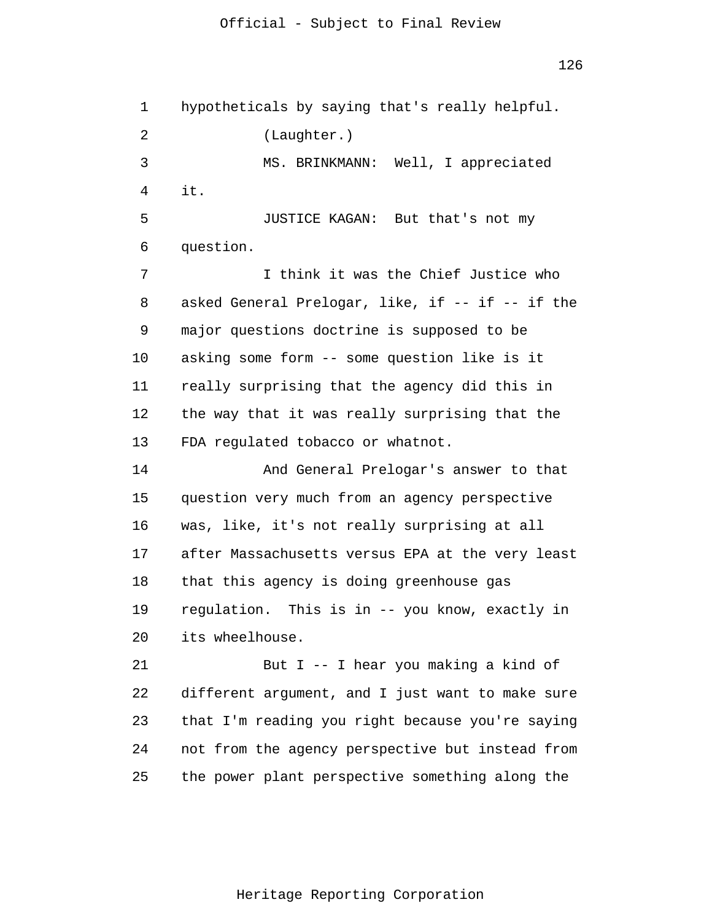1 2 3 4 5 6 7 8 9 10 11 12 13 14 15 16 17 18 19 20 21 22 23 24 25 hypotheticals by saying that's really helpful. (Laughter.) MS. BRINKMANN: Well, I appreciated it. JUSTICE KAGAN: But that's not my question. I think it was the Chief Justice who asked General Prelogar, like, if -- if -- if the major questions doctrine is supposed to be asking some form -- some question like is it really surprising that the agency did this in the way that it was really surprising that the FDA regulated tobacco or whatnot. And General Prelogar's answer to that question very much from an agency perspective was, like, it's not really surprising at all after Massachusetts versus EPA at the very least that this agency is doing greenhouse gas regulation. This is in -- you know, exactly in its wheelhouse. But I -- I hear you making a kind of different argument, and I just want to make sure that I'm reading you right because you're saying not from the agency perspective but instead from the power plant perspective something along the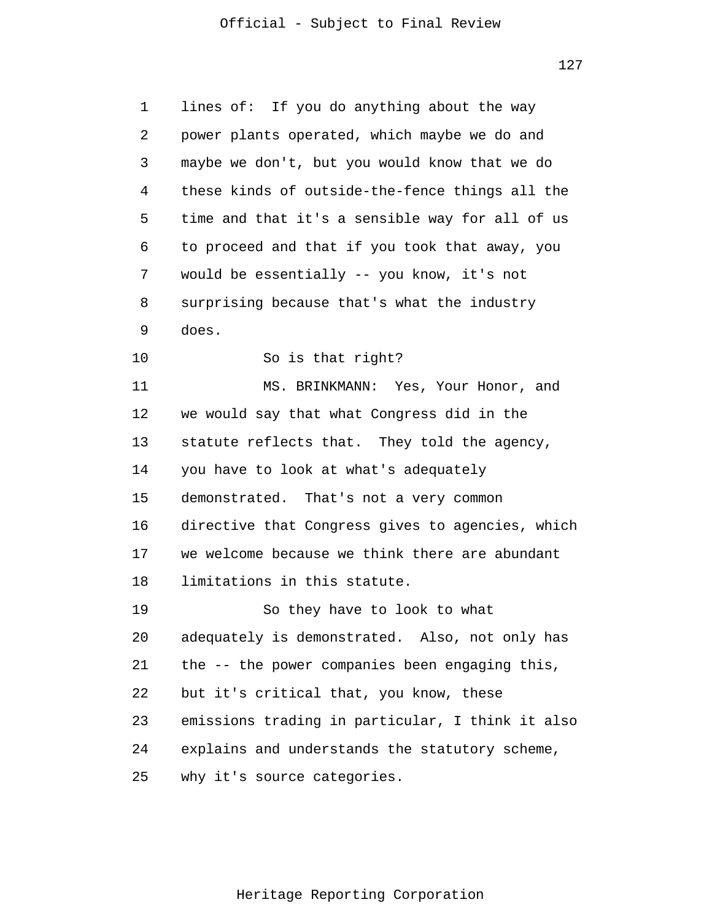127

1 2 3 4 5 6 7 8 9 10 11 12 13 14 15 16 17 18 19 20 21 22 23 24 25 lines of: If you do anything about the way power plants operated, which maybe we do and maybe we don't, but you would know that we do these kinds of outside-the-fence things all the time and that it's a sensible way for all of us to proceed and that if you took that away, you would be essentially -- you know, it's not surprising because that's what the industry does. So is that right? MS. BRINKMANN: Yes, Your Honor, and we would say that what Congress did in the statute reflects that. They told the agency, you have to look at what's adequately demonstrated. That's not a very common directive that Congress gives to agencies, which we welcome because we think there are abundant limitations in this statute. So they have to look to what adequately is demonstrated. Also, not only has the -- the power companies been engaging this, but it's critical that, you know, these emissions trading in particular, I think it also explains and understands the statutory scheme, why it's source categories.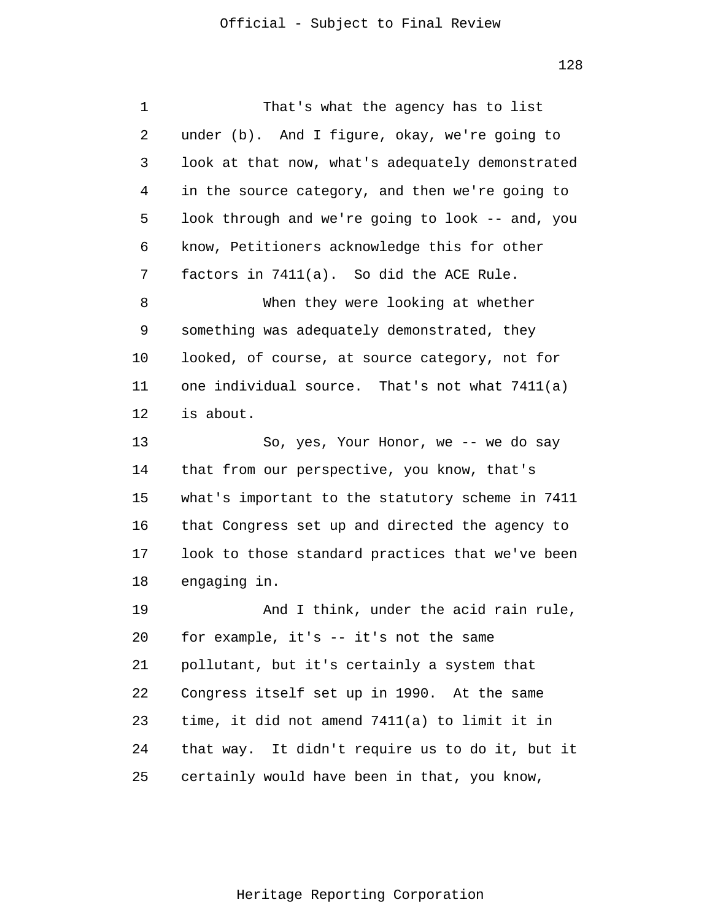| 1  | That's what the agency has to list               |
|----|--------------------------------------------------|
| 2  | under (b). And I figure, okay, we're going to    |
| 3  | look at that now, what's adequately demonstrated |
| 4  | in the source category, and then we're going to  |
| 5  | look through and we're going to look -- and, you |
| 6  | know, Petitioners acknowledge this for other     |
| 7  | factors in 7411(a). So did the ACE Rule.         |
| 8  | When they were looking at whether                |
| 9  | something was adequately demonstrated, they      |
| 10 | looked, of course, at source category, not for   |
| 11 | one individual source. That's not what 7411(a)   |
| 12 | is about.                                        |
| 13 | So, yes, Your Honor, we -- we do say             |
| 14 | that from our perspective, you know, that's      |
| 15 | what's important to the statutory scheme in 7411 |
| 16 | that Congress set up and directed the agency to  |
| 17 | look to those standard practices that we've been |
| 18 | engaging in.                                     |
| 19 | And I think, under the acid rain rule,           |
| 20 | for example, it's -- it's not the same           |
| 21 | pollutant, but it's certainly a system that      |
| 22 | Congress itself set up in 1990. At the same      |
| 23 | time, it did not amend 7411(a) to limit it in    |
| 24 | that way. It didn't require us to do it, but it  |
| 25 | certainly would have been in that, you know,     |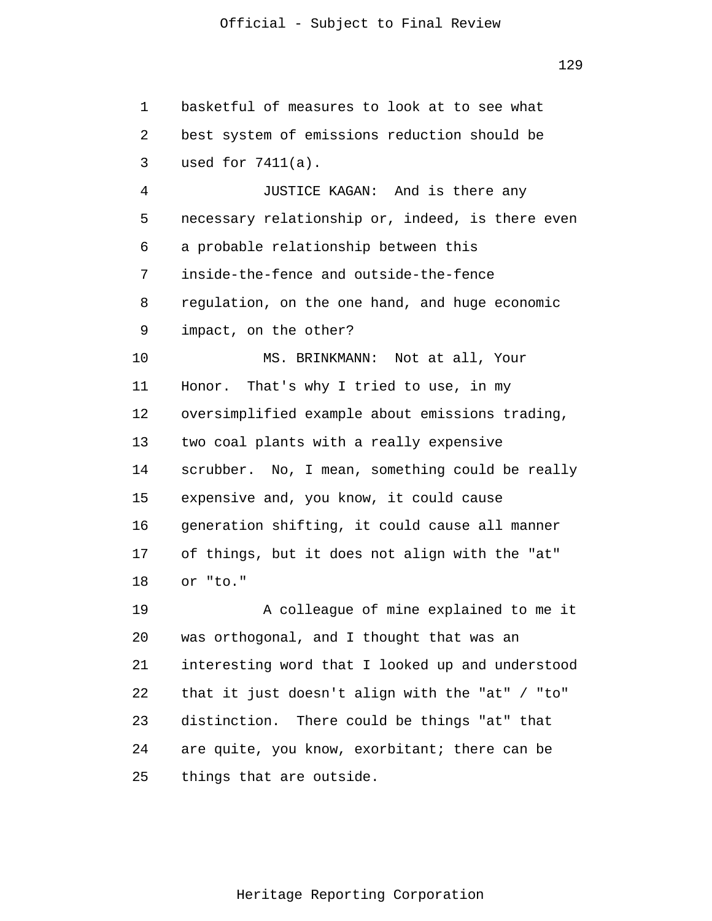129

1 2 3 4 5 6 7 8 9 10 11 12 13 14 15 16 17 18 19 20 21 22 23 24 25 basketful of measures to look at to see what best system of emissions reduction should be used for 7411(a). JUSTICE KAGAN: And is there any necessary relationship or, indeed, is there even a probable relationship between this inside-the-fence and outside-the-fence regulation, on the one hand, and huge economic impact, on the other? MS. BRINKMANN: Not at all, Your Honor. That's why I tried to use, in my oversimplified example about emissions trading, two coal plants with a really expensive scrubber. No, I mean, something could be really expensive and, you know, it could cause generation shifting, it could cause all manner of things, but it does not align with the "at" or "to." A colleague of mine explained to me it was orthogonal, and I thought that was an interesting word that I looked up and understood that it just doesn't align with the "at" / "to" distinction. There could be things "at" that are quite, you know, exorbitant; there can be things that are outside.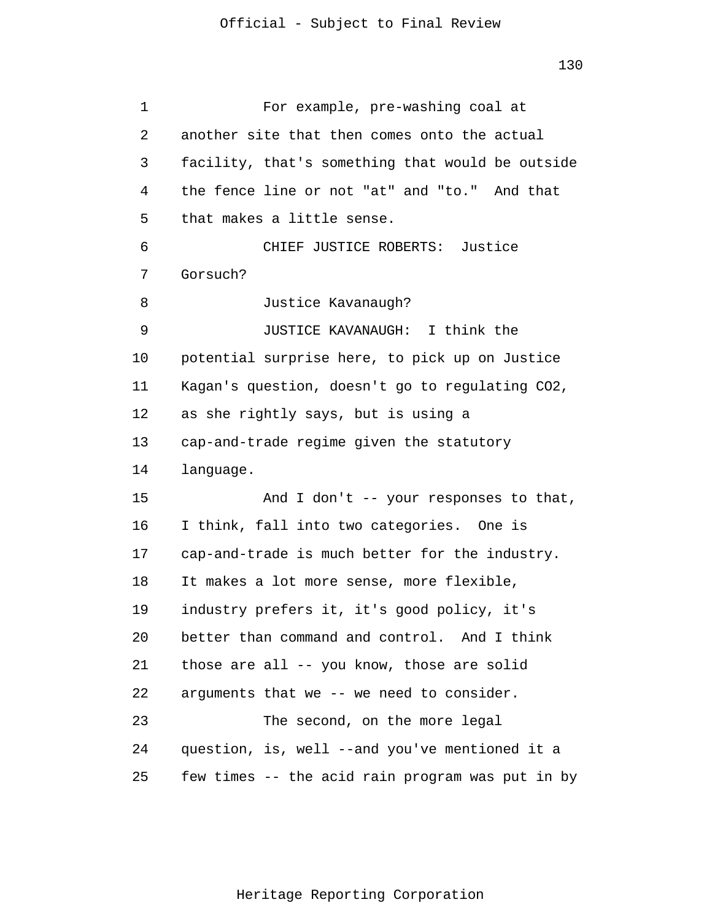1 2 3 4 5 6 7 8 9 10 11 12 13 14 15 16 17 18 19 20 21 22 23 24 25 For example, pre-washing coal at another site that then comes onto the actual facility, that's something that would be outside the fence line or not "at" and "to." And that that makes a little sense. CHIEF JUSTICE ROBERTS: Justice Gorsuch? Justice Kavanaugh? JUSTICE KAVANAUGH: I think the potential surprise here, to pick up on Justice Kagan's question, doesn't go to regulating CO2, as she rightly says, but is using a cap-and-trade regime given the statutory language. And I don't -- your responses to that, I think, fall into two categories. One is cap-and-trade is much better for the industry. It makes a lot more sense, more flexible, industry prefers it, it's good policy, it's better than command and control. And I think those are all -- you know, those are solid arguments that we -- we need to consider. The second, on the more legal question, is, well --and you've mentioned it a few times -- the acid rain program was put in by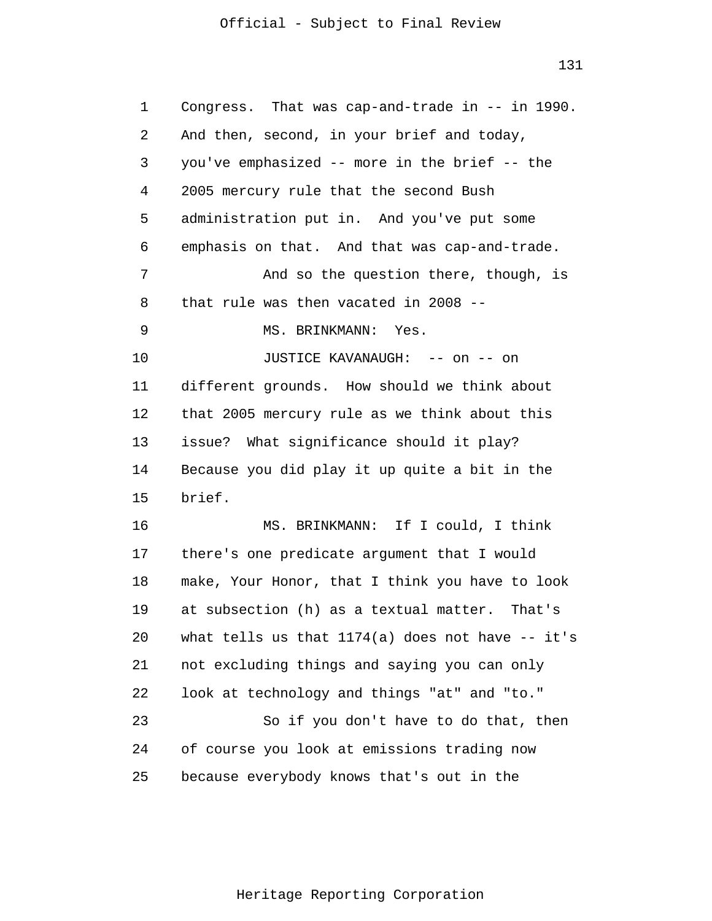131

| 1  | Congress. That was cap-and-trade in -- in 1990.    |
|----|----------------------------------------------------|
| 2  | And then, second, in your brief and today,         |
| 3  | you've emphasized -- more in the brief -- the      |
| 4  | 2005 mercury rule that the second Bush             |
| 5  | administration put in. And you've put some         |
| 6  | emphasis on that. And that was cap-and-trade.      |
| 7  | And so the question there, though, is              |
| 8  | that rule was then vacated in 2008 --              |
| 9  | MS. BRINKMANN:<br>Yes.                             |
| 10 | JUSTICE KAVANAUGH: -- on -- on                     |
| 11 | different grounds. How should we think about       |
| 12 | that 2005 mercury rule as we think about this      |
| 13 | issue? What significance should it play?           |
| 14 | Because you did play it up quite a bit in the      |
| 15 | brief.                                             |
| 16 | MS. BRINKMANN: If I could, I think                 |
| 17 | there's one predicate argument that I would        |
| 18 | make, Your Honor, that I think you have to look    |
| 19 | at subsection (h) as a textual matter. That's      |
| 20 | what tells us that $1174(a)$ does not have -- it's |
| 21 | not excluding things and saying you can only       |
| 22 | look at technology and things "at" and "to."       |
| 23 | So if you don't have to do that, then              |
| 24 | of course you look at emissions trading now        |
| 25 | because everybody knows that's out in the          |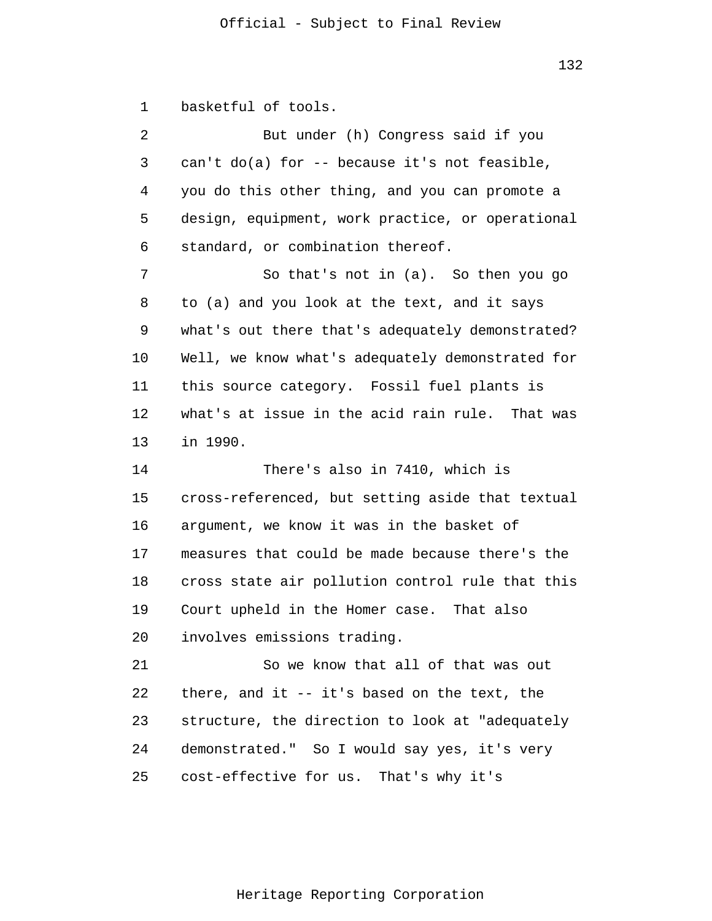1 basketful of tools.

2 3 4 5 6 But under (h) Congress said if you can't do(a) for -- because it's not feasible, you do this other thing, and you can promote a design, equipment, work practice, or operational standard, or combination thereof.

7 8 9 10 11 12 13 So that's not in (a). So then you go to (a) and you look at the text, and it says what's out there that's adequately demonstrated? Well, we know what's adequately demonstrated for this source category. Fossil fuel plants is what's at issue in the acid rain rule. That was in 1990.

14 15 16 17 18 19 20 There's also in 7410, which is cross-referenced, but setting aside that textual argument, we know it was in the basket of measures that could be made because there's the cross state air pollution control rule that this Court upheld in the Homer case. That also involves emissions trading.

21 22 23 24 25 So we know that all of that was out there, and it -- it's based on the text, the structure, the direction to look at "adequately demonstrated." So I would say yes, it's very cost-effective for us. That's why it's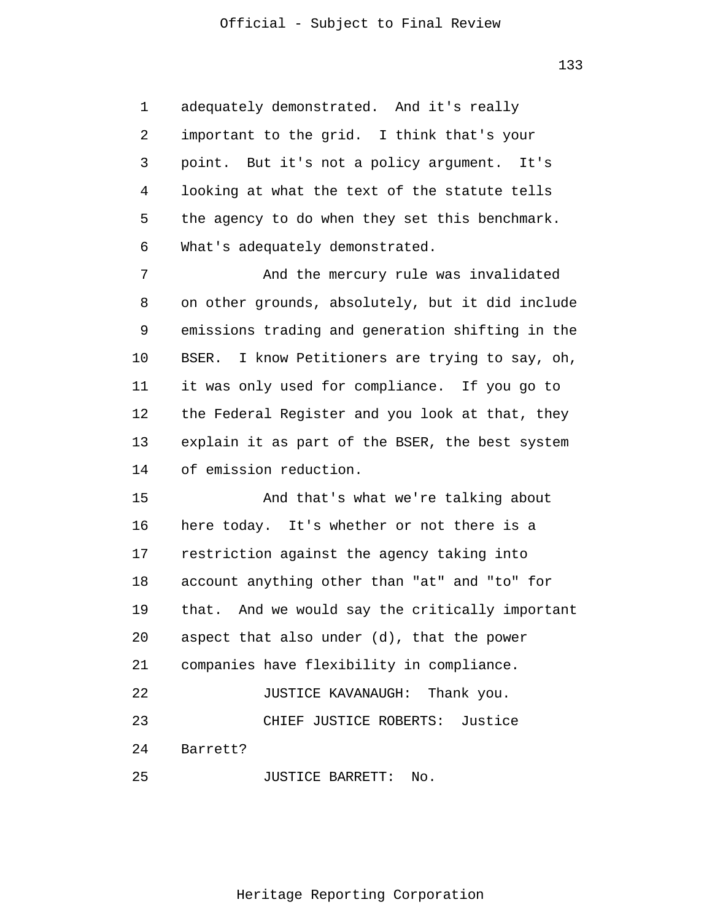133

1 2 3 4 5 6 adequately demonstrated. And it's really important to the grid. I think that's your point. But it's not a policy argument. It's looking at what the text of the statute tells the agency to do when they set this benchmark. What's adequately demonstrated.

7 8 9 10 11 12 13 14 And the mercury rule was invalidated on other grounds, absolutely, but it did include emissions trading and generation shifting in the BSER. I know Petitioners are trying to say, oh, it was only used for compliance. If you go to the Federal Register and you look at that, they explain it as part of the BSER, the best system of emission reduction.

15 16 17 18 19 20 21 22 23 24 25 And that's what we're talking about here today. It's whether or not there is a restriction against the agency taking into account anything other than "at" and "to" for that. And we would say the critically important aspect that also under (d), that the power companies have flexibility in compliance. JUSTICE KAVANAUGH: Thank you. CHIEF JUSTICE ROBERTS: Justice Barrett? JUSTICE BARRETT: No.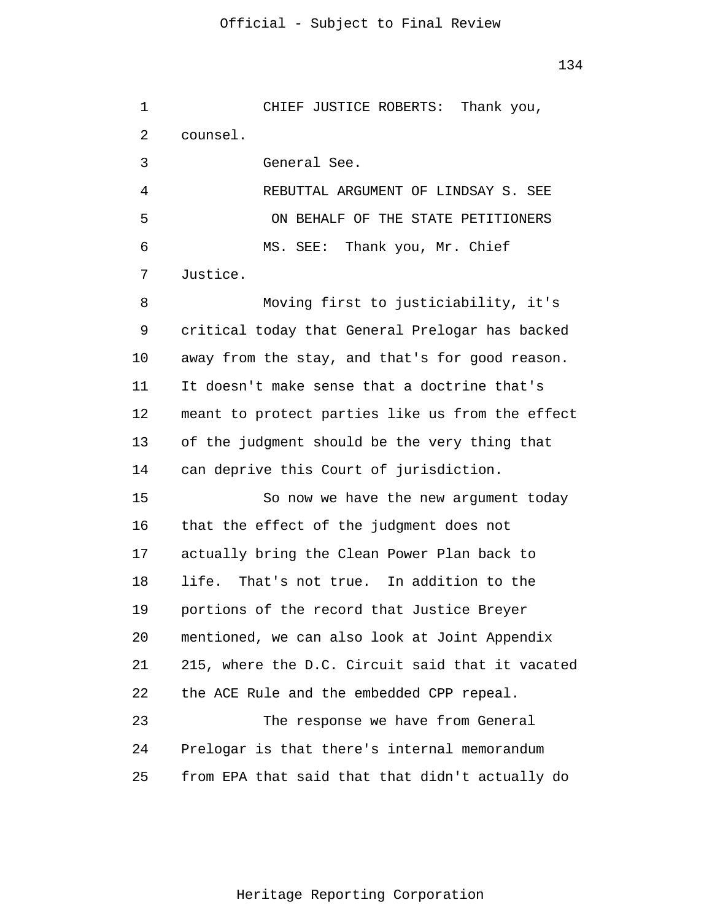1 2 3 4 5 6 7 8 9 10 11 12 13 14 15 16 17 18 19 20 21 22 23 24 25 CHIEF JUSTICE ROBERTS: Thank you, counsel. General See. REBUTTAL ARGUMENT OF LINDSAY S. SEE ON BEHALF OF THE STATE PETITIONERS MS. SEE: Thank you, Mr. Chief Justice. Moving first to justiciability, it's critical today that General Prelogar has backed away from the stay, and that's for good reason. It doesn't make sense that a doctrine that's meant to protect parties like us from the effect of the judgment should be the very thing that can deprive this Court of jurisdiction. So now we have the new argument today that the effect of the judgment does not actually bring the Clean Power Plan back to life. That's not true. In addition to the portions of the record that Justice Breyer mentioned, we can also look at Joint Appendix 215, where the D.C. Circuit said that it vacated the ACE Rule and the embedded CPP repeal. The response we have from General Prelogar is that there's internal memorandum from EPA that said that that didn't actually do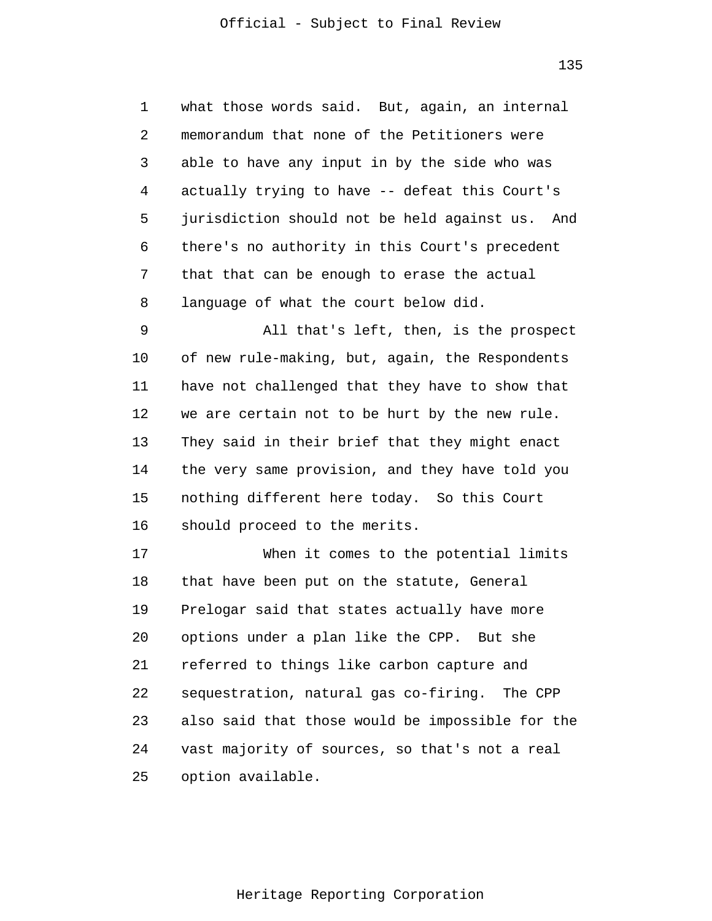135

1 2 3 4 5 6 7 8 what those words said. But, again, an internal memorandum that none of the Petitioners were able to have any input in by the side who was actually trying to have -- defeat this Court's jurisdiction should not be held against us. And there's no authority in this Court's precedent that that can be enough to erase the actual language of what the court below did.

9 10 11 12 13 14 15 16 All that's left, then, is the prospect of new rule-making, but, again, the Respondents have not challenged that they have to show that we are certain not to be hurt by the new rule. They said in their brief that they might enact the very same provision, and they have told you nothing different here today. So this Court should proceed to the merits.

17 18 19 20 21 22 23 24 25 When it comes to the potential limits that have been put on the statute, General Prelogar said that states actually have more options under a plan like the CPP. But she referred to things like carbon capture and sequestration, natural gas co-firing. The CPP also said that those would be impossible for the vast majority of sources, so that's not a real option available.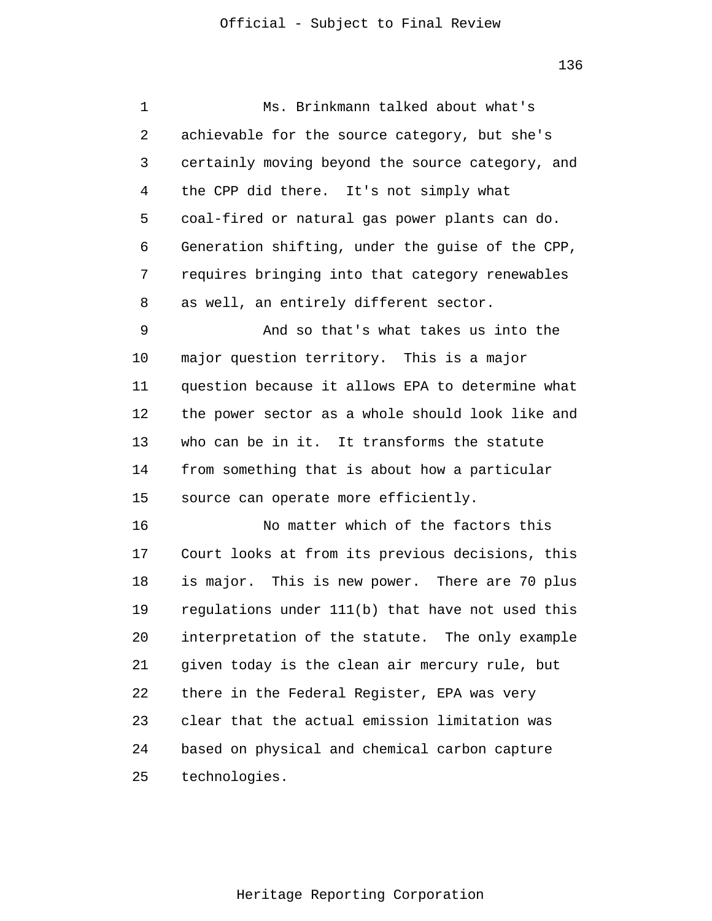1 2 3 4 5 6 7 8 9 10 11 12 13 14 15 16 17 18 19 20 21 22 23 24 25 Ms. Brinkmann talked about what's achievable for the source category, but she's certainly moving beyond the source category, and the CPP did there. It's not simply what coal-fired or natural gas power plants can do. Generation shifting, under the guise of the CPP, requires bringing into that category renewables as well, an entirely different sector. And so that's what takes us into the major question territory. This is a major question because it allows EPA to determine what the power sector as a whole should look like and who can be in it. It transforms the statute from something that is about how a particular source can operate more efficiently. No matter which of the factors this Court looks at from its previous decisions, this is major. This is new power. There are 70 plus regulations under 111(b) that have not used this interpretation of the statute. The only example given today is the clean air mercury rule, but there in the Federal Register, EPA was very clear that the actual emission limitation was based on physical and chemical carbon capture technologies.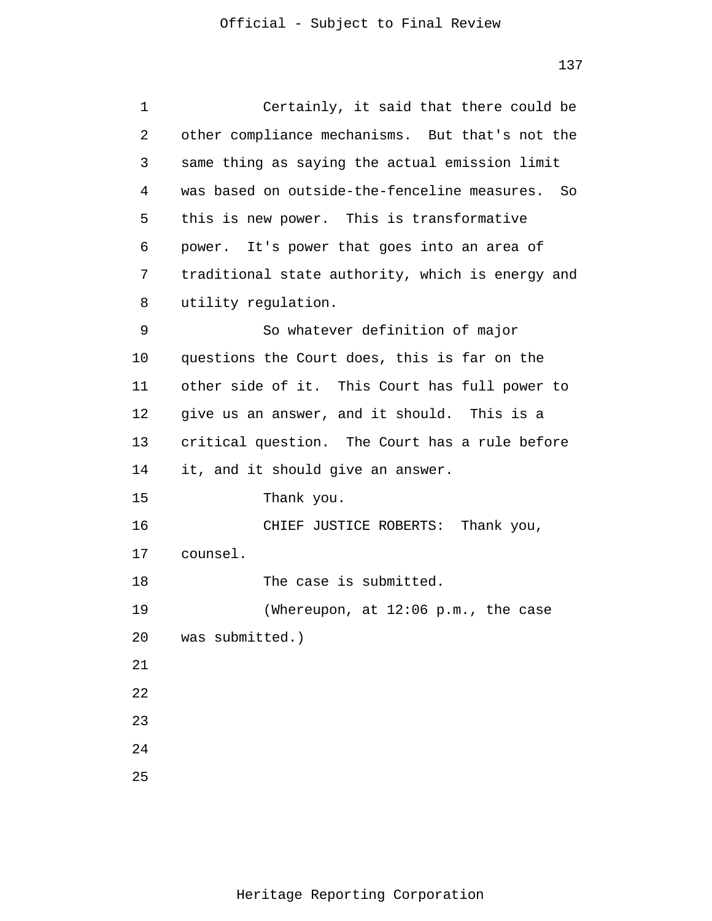| 1  | Certainly, it said that there could be           |
|----|--------------------------------------------------|
| 2  | other compliance mechanisms. But that's not the  |
| 3  | same thing as saying the actual emission limit   |
| 4  | was based on outside-the-fenceline measures. So  |
| 5  | this is new power. This is transformative        |
| 6  | power. It's power that goes into an area of      |
| 7  | traditional state authority, which is energy and |
| 8  | utility regulation.                              |
| 9  | So whatever definition of major                  |
| 10 | questions the Court does, this is far on the     |
| 11 | other side of it. This Court has full power to   |
| 12 | give us an answer, and it should. This is a      |
| 13 | critical question. The Court has a rule before   |
| 14 | it, and it should give an answer.                |
| 15 | Thank you.                                       |
| 16 | CHIEF JUSTICE ROBERTS: Thank you,                |
| 17 | counsel.                                         |
| 18 | The case is submitted.                           |
| 19 | (Whereupon, at 12:06 p.m., the case              |
| 20 | was submitted.)                                  |
| 21 |                                                  |
| 22 |                                                  |
| 23 |                                                  |
| 24 |                                                  |
| 25 |                                                  |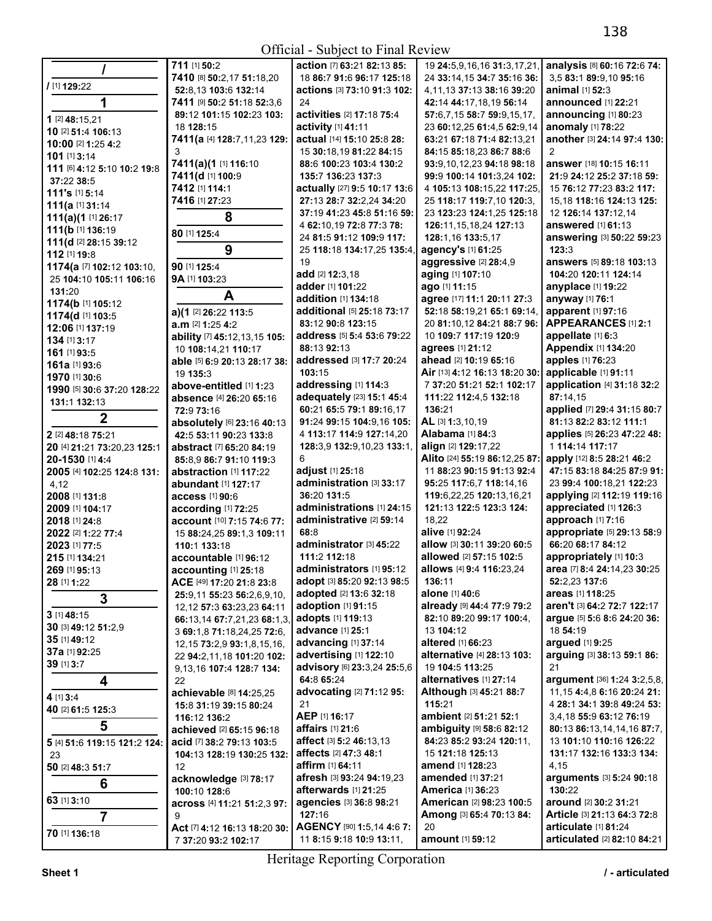|                              | 711 [1] 50:2                      | action [7] 63:21 82:13 85:   | 19 24:5,9,16,16 31:3,17,21,     | analysis [8] 60:16 72:6 74:     |
|------------------------------|-----------------------------------|------------------------------|---------------------------------|---------------------------------|
|                              | 7410 [8] 50:2,17 51:18,20         | 18 86:7 91:6 96:17 125:18    | 24 33:14,15 34:7 35:16 36:      | 3,5 83:1 89:9,10 95:16          |
| / [1] 129:22                 |                                   |                              |                                 |                                 |
|                              | 52:8.13 103:6 132:14              | actions [3] 73:10 91:3 102:  | 4,11,13 37:13 38:16 39:20       | animal [1] 52:3                 |
| 1                            | 7411 [9] 50:2 51:18 52:3,6        | 24                           | 42:14 44:17,18,19 56:14         | announced [1] 22:21             |
| 1 [2] 48:15,21               | 89:12 101:15 102:23 103:          | activities [2] 17:18 75:4    | 57:6.7.15 58:7 59:9.15.17.      | announcing [1] 80:23            |
|                              | 18 128:15                         | activity [1] 41:11           | 23 60:12,25 61:4,5 62:9,14      | anomaly [1] 78:22               |
| 10 [2] 51:4 106:13           | 7411(a [4] 128:7,11,23 129:       | actual [14] 15:10 25:8 28:   | 63:21 67:18 71:4 82:13,21       | another [3] 24:14 97:4 130:     |
| 10:00 [2] 1:25 4:2           |                                   |                              |                                 |                                 |
| 101 [1] 3:14                 | 3                                 | 15 30:18,19 81:22 84:15      | 84:15 85:18,23 86:7 88:6        | $\overline{2}$                  |
| 111 [6] 4:12 5:10 10:2 19:8  | 7411(a)(1 [1] 116:10              | 88:6 100:23 103:4 130:2      | 93:9,10,12,23 94:18 98:18       | answer [18] 10:15 16:11         |
| 37:22 38:5                   | 7411(d [1] 100:9                  | 135:7 136:23 137:3           | 99:9 100:14 101:3,24 102:       | 21:9 24:12 25:2 37:18 59:       |
|                              | 7412 [1] 114:1                    | actually [27] 9:5 10:17 13:6 | 4 105:13 108:15,22 117:25,      | 15 76:12 77:23 83:2 117:        |
| 111's [1] 5:14               | 7416 [1] 27:23                    | 27:13 28:7 32:2,24 34:20     | 25 118:17 119:7,10 120:3,       | 15,18 118:16 124:13 125:        |
| 111(a [1] 31:14              |                                   |                              |                                 |                                 |
| 111(a)(1 [1] 26:17           | 8                                 | 37:19 41:23 45:8 51:16 59:   | 23 123:23 124:1,25 125:18       | 12 126:14 137:12,14             |
| 111(b [1] 136:19             |                                   | 4 62:10,19 72:8 77:3 78:     | 126:11, 15, 18, 24 127: 13      | answered [1] 61:13              |
| 111(d [2] 28:15 39:12        | 80 [1] 125:4                      | 24 81:5 91:12 109:9 117:     | 128:1,16 133:5,17               | answering [3] 50:22 59:23       |
|                              | 9                                 | 25 118:18 134:17,25 135:4,   | agency's [1] 61:25              | 123:3                           |
| 112 [1] 19:8                 |                                   | 19                           | aggressive [2] 28:4,9           | answers [5] 89:18 103:13        |
| 1174(a [7] 102:12 103:10,    | 90 [1] 125:4                      |                              |                                 |                                 |
| 25 104:10 105:11 106:16      | 9A [1] 103:23                     | add [2] 12:3,18              | aging [1] 107:10                | 104:20 120:11 124:14            |
| 131:20                       |                                   | adder [1] 101:22             | ago [1] 11:15                   | anyplace [1] 19:22              |
| 1174(b [1] 105:12            | A                                 | addition [1] 134:18          | agree [17] 11:1 20:11 27:3      | anyway [1] 76:1                 |
|                              | a)(1 [2] 26:22 113:5              | additional [5] 25:18 73:17   | 52:18 58:19,21 65:1 69:14,      | apparent [1] 97:16              |
| 1174(d [1] 103:5             | a.m [2] 1:25 4:2                  | 83:12 90:8 123:15            | 20 81:10,12 84:21 88:7 96:      | <b>APPEARANCES [1] 2:1</b>      |
| 12:06 [1] 137:19             |                                   |                              |                                 |                                 |
| 134 [1] 3:17                 | ability [7] 45:12,13,15 105:      | address [5] 5:4 53:6 79:22   | 10 109:7 117:19 120:9           | appellate [1] 6:3               |
| 161 [1] 93:5                 | 10 108:14,21 110:17               | 88:13 92:13                  | agrees [1] 21:12                | Appendix [1] 134:20             |
| 161a [1] 93:6                | able [5] 6:9 20:13 28:17 38:      | addressed [3] 17:7 20:24     | ahead [2] 10:19 65:16           | apples [1] 76:23                |
| 1970 [1] 30:6                | 19 135:3                          | 103:15                       | Air [13] 4:12 16:13 18:20 30:   | applicable [1] 91:11            |
|                              | above-entitled [1] 1:23           | addressing [1] 114:3         | 7 37:20 51:21 52:1 102:17       | application [4] 31:18 32:2      |
| 1990 [5] 30:6 37:20 128:22   |                                   | adequately [23] 15:1 45:4    |                                 |                                 |
| 131:1 132:13                 | absence [4] 26:20 65:16           |                              | 111:22 112:4,5 132:18           | 87:14.15                        |
|                              | 72:9 73:16                        | 60:21 65:5 79:1 89:16,17     | 136:21                          | applied [7] 29:4 31:15 80:7     |
| $\mathbf 2$                  | absolutely [6] 23:16 40:13        | 91:24 99:15 104:9,16 105:    | AL [3] 1:3,10,19                | 81:13 82:2 83:12 111:1          |
| 2 [2] 48:18 75:21            | 42:5 53:11 90:23 133:8            | 4 113:17 114:9 127:14,20     | <b>Alabama</b> [1] 84:3         | applies [5] 26:23 47:22 48:     |
| 20 [4] 21:21 73:20,23 125:1  | abstract [7] 65:20 84:19          | 128:3,9 132:9,10,23 133:1,   | align [2] 129:17,22             | 1 114:14 117:17                 |
| 20-1530 [1] 4:4              | 85:8.9 86:7 91:10 119:3           | 6                            | Alito [24] 55:19 86:12,25 87:   | apply [12] 8:5 28:21 46:2       |
|                              |                                   |                              |                                 |                                 |
| 2005 [4] 102:25 124:8 131:   | abstraction [1] 117:22            | adjust [1] 25:18             | 11 88:23 90:15 91:13 92:4       | 47:15 83:18 84:25 87:9 91:      |
| 4,12                         | abundant [1] 127:17               | administration [3] 33:17     | 95:25 117:6,7 118:14,16         | 23 99:4 100:18,21 122:23        |
| 2008 [1] 131:8               | access [1] 90:6                   | 36:20 131:5                  | 119:6,22,25 120:13,16,21        | applying [2] 112:19 119:16      |
| 2009 [1] 104:17              | according [1] 72:25               | administrations [1] 24:15    | 121:13 122:5 123:3 124:         | appreciated [1] 126:3           |
| 2018 [1] 24:8                | account [10] 7:15 74:6 77:        | administrative [2] 59:14     | 18,22                           | approach [1] 7:16               |
|                              |                                   | 68:8                         | alive [1] 92:24                 | appropriate [5] 29:13 58:9      |
| 2022 [2] 1:22 77:4           | 15 88:24,25 89:1,3 109:11         |                              |                                 |                                 |
| 2023 [1] 77:5                | 110:1 133:18                      | administrator [3] 45:22      | allow [3] 30:11 39:20 60:5      | 66:20 68:17 84:12               |
| 215 [1] 134:21               | accountable [1] 96:12             | 111:2 112:18                 | allowed [2] 57:15 102:5         | appropriately [1] 10:3          |
| 269 [1] 95:13                | accounting [1] 25:18              | administrators [1] 95:12     | allows [4] 9:4 116:23,24        | area [7] 8:4 24:14,23 30:25     |
| 28 [1] 1:22                  | ACE [49] 17:20 21:8 23:8          | adopt [3] 85:20 92:13 98:5   | 136:11                          | 52:2,23 137:6                   |
|                              |                                   | adopted [2] 13:6 32:18       | alone [1] 40:6                  | areas [1] 118:25                |
| 3                            | 25:9,11 55:23 56:2,6,9,10,        |                              |                                 |                                 |
| $3$ [1] $48:15$              | 12, 12 57:3 63:23, 23 64:11       | adoption [1] 91:15           | already [9] 44:4 77:9 79:2      | aren't [3] 64:2 72:7 122:17     |
|                              | 66:13,14 67:7,21,23 68:1,3,       | adopts [1] 119:13            | 82:10 89:20 99:17 100:4,        | argue [5] 5:6 8:6 24:20 36:     |
| 30 [3] 49:12 51:2,9          | 3 69:1,8 71:18,24,25 72:6,        | advance [1] 25:1             | 13 104:12                       | 18 54:19                        |
| 35 [1] 49:12                 | 12, 15 73: 2, 9 93: 1, 8, 15, 16, | advancing [1] 37:14          | altered [1] 66:23               | argued [1] 9:25                 |
| 37a [1] 92:25                | 22 94:2,11,18 101:20 102:         | advertising [1] 122:10       | alternative [4] 28:13 103:      | arguing [3] 38:13 59:1 86:      |
| 39 [1] 3:7                   |                                   | advisory [6] 23:3,24 25:5,6  | 19 104:5 113:25                 | 21                              |
|                              | 9,13,16 107:4 128:7 134:          |                              |                                 |                                 |
| 4                            | 22                                | 64:8 65:24                   | alternatives [1] 27:14          | argument [36] 1:24 3:2,5,8,     |
| 4 [1] 3:4                    | achievable [8] 14:25,25           | advocating [2] 71:12 95:     | Although [3] 45:21 88:7         | 11, 15 4: 4, 8 6: 16 20: 24 21: |
| 40 [2] 61:5 125:3            | 15:8 31:19 39:15 80:24            | 21                           | 115:21                          | 4 28:1 34:1 39:8 49:24 53:      |
|                              | 116:12 136:2                      | AEP [1] 16:17                | ambient [2] 51:21 52:1          | 3,4,18 55:9 63:12 76:19         |
| 5                            | achieved [2] 65:15 96:18          | affairs [1] 21:6             | ambiguity [9] 58:6 82:12        | 80:13 86:13,14,14,16 87:7,      |
|                              | acid [7] 38:2 79:13 103:5         | affect [3] 5:2 46:13,13      | 84:23 85:2 93:24 120:11,        | 13 101:10 110:16 126:22         |
| 5 [4] 51:6 119:15 121:2 124: |                                   |                              |                                 |                                 |
| 23                           | 104:13 128:19 130:25 132:         | affects [2] 47:3 48:1        | 15 121:18 125:13                | 131:17 132:16 133:3 134:        |
| 50 [2] 48:3 51:7             | 12                                | <b>affirm</b> [1] 64:11      | <b>amend</b> [1] <b>128:</b> 23 | 4,15                            |
|                              | acknowledge [3] 78:17             | afresh [3] 93:24 94:19,23    | amended [1] 37:21               | arguments [3] 5:24 90:18        |
| 6                            | 100:10 128:6                      | afterwards [1] 21:25         | <b>America [1] 36:23</b>        | 130:22                          |
| 63 [1] 3:10                  | across [4] 11:21 51:2,3 97:       | agencies [3] 36:8 98:21      | <b>American [2] 98:23 100:5</b> | around [2] 30:2 31:21           |
|                              |                                   |                              |                                 |                                 |
| $\overline{7}$               | 9                                 | 127:16                       | Among [3] 65:4 70:13 84:        | Article [3] 21:13 64:3 72:8     |
| 70 [1] 136:18                | Act [7] 4:12 16:13 18:20 30:      | AGENCY [90] 1:5,14 4:6 7:    | 20                              | articulate [1] 81:24            |
|                              | 7 37:20 93:2 102:17               | 11 8:15 9:18 10:9 13:11,     | amount [1] 59:12                | articulated [2] 82:10 84:21     |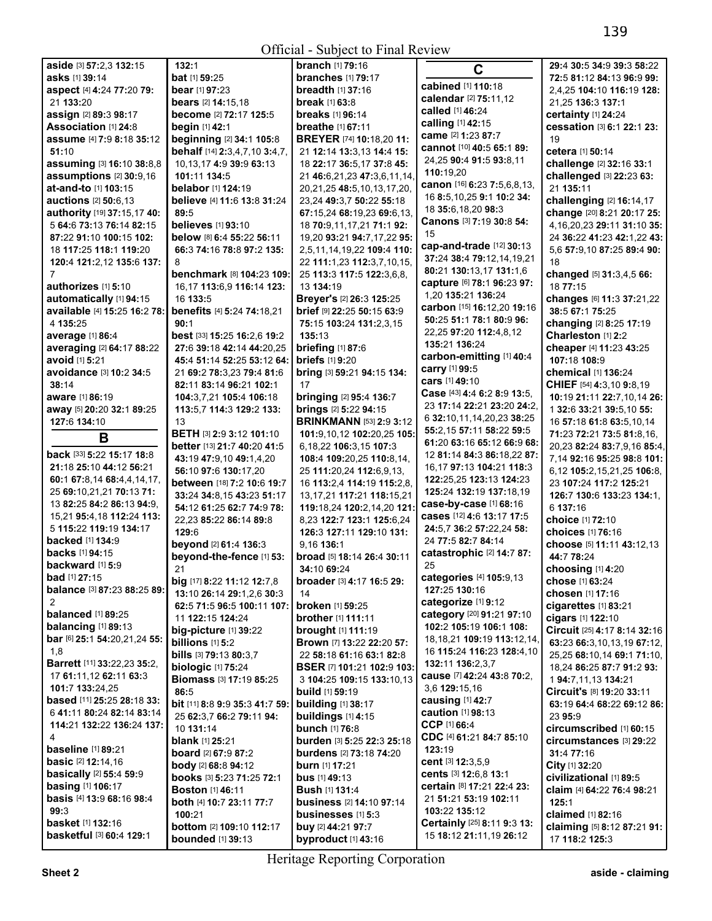|                                     |                                 | $500 - 1000$                    |                                  |                                 |
|-------------------------------------|---------------------------------|---------------------------------|----------------------------------|---------------------------------|
| aside [3] 57:2,3 132:15             | 132:1                           | <b>branch</b> [1] 79:16         | $\mathbf C$                      | 29:4 30:5 34:9 39:3 58:22       |
| asks [1] 39:14                      | bat [1] 59:25                   | <b>branches</b> [1] 79:17       |                                  | 72:5 81:12 84:13 96:9 99:       |
| aspect [4] 4:24 77:20 79:           | bear [1] 97:23                  | breadth [1] 37:16               | cabined [1] 110:18               | 2,4,25 104:10 116:19 128:       |
| 21 133:20                           | bears [2] 14:15.18              | break [1] 63:8                  | calendar [2] 75:11,12            | 21,25 136:3 137:1               |
| assign [2] 89:3 98:17               | become [2] 72:17 125:5          | <b>breaks</b> [1] 96:14         | called [1] 46:24                 | certainty [1] 24:24             |
|                                     |                                 |                                 | calling [1] 42:15                |                                 |
| Association [1] 24:8                | begin [1] 42:1                  | <b>breathe</b> [1] 67:11        | came [2] 1:23 87:7               | cessation [3] 6:1 22:1 23:      |
| assume [4] 7:9 8:18 35:12           | beginning [2] 34:1 105:8        | <b>BREYER</b> [74] 10:18,20 11: |                                  | 19                              |
| 51:10                               | behalf [14] 2:3,4,7,10 3:4,7,   | 21 12:14 13:3,13 14:4 15:       | cannot [10] 40:5 65:1 89:        | cetera [1] 50:14                |
| assuming [3] 16:10 38:8,8           | 10,13,17 4:9 39:9 63:13         | 18 22:17 36:5,17 37:8 45:       | 24,25 90:4 91:5 93:8,11          | challenge [2] 32:16 33:1        |
| assumptions [2] 30:9,16             | 101:11 134:5                    | 21 46:6,21,23 47:3,6,11,14,     | 110:19,20                        | challenged [3] 22:23 63:        |
|                                     |                                 |                                 | canon [16] 6:23 7:5,6,8,13,      |                                 |
| at-and-to [1] 103:15                | belabor [1] 124:19              | 20,21,25 48:5,10,13,17,20,      |                                  | 21 135:11                       |
| <b>auctions</b> [2] <b>50:</b> 6,13 | believe [4] 11:6 13:8 31:24     | 23,24 49:3,7 50:22 55:18        | 16 8:5, 10, 25 9:1 10:2 34:      | challenging [2] 16:14,17        |
| authority [19] 37:15,17 40:         | 89:5                            | 67:15,24 68:19,23 69:6,13,      | 18 35:6, 18, 20 98:3             | change [20] 8:21 20:17 25:      |
| 5 64:6 73:13 76:14 82:15            | <b>believes</b> [1] 93:10       | 18 70:9.11.17.21 71:1 92:       | Canons [3] 7:19 30:8 54:         | 4, 16, 20, 23 29: 11 31: 10 35: |
| 87:22 91:10 100:15 102:             | below [8] 6:4 55:22 56:11       | 19,20 93:21 94:7,17,22 95:      | 15                               | 24 36:22 41:23 42:1,22 43:      |
|                                     |                                 |                                 | cap-and-trade [12] 30:13         |                                 |
| 18 117:25 118:1 119:20              | 66:3 74:16 78:8 97:2 135:       | 2,5,11,14,19,22 109:4 110:      | 37:24 38:4 79:12,14,19,21        | 5,6 57:9,10 87:25 89:4 90:      |
| 120:4 121:2,12 135:6 137:           | 8                               | 22 111:1,23 112:3,7,10,15,      |                                  | 18                              |
| 7                                   | benchmark [8] 104:23 109:       | 25 113:3 117:5 122:3,6,8,       | 80:21 130:13,17 131:1,6          | changed [5] 31:3,4,5 66:        |
| authorizes [1] 5:10                 | 16,17 113:6,9 116:14 123:       | 13 134:19                       | capture [6] 78:1 96:23 97:       | 18 77:15                        |
| automatically [1] 94:15             | 16 133:5                        | Breyer's [2] 26:3 125:25        | 1,20 135:21 136:24               | changes [6] 11:3 37:21,22       |
|                                     |                                 |                                 | carbon [15] 16:12,20 19:16       |                                 |
| available [4] 15:25 16:2 78:        | benefits [4] 5:24 74:18,21      | brief [9] 22:25 50:15 63:9      |                                  | 38:5 67:1 75:25                 |
| 4 135:25                            | 90:1                            | 75:15 103:24 131:2,3,15         | 50:25 51:1 78:1 80:9 96:         | changing [2] 8:25 17:19         |
| average [1] 86:4                    | best [33] 15:25 16:2,6 19:2     | 135:13                          | 22,25 97:20 112:4,8,12           | Charleston [1] 2:2              |
| averaging [2] 64:17 88:22           | 27:6 39:18 42:14 44:20,25       | briefing [1] 87:6               | 135:21 136:24                    | cheaper [4] 11:23 43:25         |
| avoid [1] 5:21                      |                                 | <b>briefs</b> [1] 9:20          | carbon-emitting [1] 40:4         | 107:18 108:9                    |
|                                     | 45:4 51:14 52:25 53:12 64:      |                                 | carry [1] 99:5                   |                                 |
| avoidance [3] 10:2 34:5             | 21 69:2 78:3,23 79:4 81:6       | bring [3] 59:21 94:15 134:      | cars [1] 49:10                   | chemical [1] 136:24             |
| 38:14                               | 82:11 83:14 96:21 102:1         | 17                              |                                  | CHIEF [54] 4:3,10 9:8,19        |
| aware [1] 86:19                     | 104:3,7,21 105:4 106:18         | bringing [2] 95:4 136:7         | Case [43] 4:4 6:2 8:9 13:5,      | 10:19 21:11 22:7,10,14 26:      |
| away [5] 20:20 32:1 89:25           | 113:5,7 114:3 129:2 133:        | brings [2] 5:22 94:15           | 23 17:14 22:21 23:20 24:2,       | 1 32:6 33:21 39:5,10 55:        |
| 127:6 134:10                        | 13                              | <b>BRINKMANN</b> [53] 2:9 3:12  | 6 32:10,11,14,20,23 38:25        | 16 57:18 61:8 63:5,10,14        |
|                                     |                                 |                                 | 55:2,15 57:11 58:22 59:5         |                                 |
| B                                   | <b>BETH</b> [3] 2:9 3:12 101:10 | 101:9,10,12 102:20,25 105:      |                                  | 71:23 72:21 73:5 81:8,16,       |
|                                     | better [13] 21:7 40:20 41:5     | 6,18,22 106:3,15 107:3          | 61:20 63:16 65:12 66:9 68:       | 20,23 82:24 83:7,9,16 85:4,     |
| back [33] 5:22 15:17 18:8           | 43:19 47:9,10 49:1,4,20         | 108:4 109:20,25 110:8,14,       | 12 81:14 84:3 86:18,22 87:       | 7,14 92:16 95:25 98:8 101:      |
| 21:18 25:10 44:12 56:21             | 56:10 97:6 130:17,20            | 25 111:20,24 112:6,9,13,        | 16,17 97:13 104:21 118:3         | 6,12 105:2,15,21,25 106:8,      |
| 60:1 67:8,14 68:4,4,14,17,          | between [18] 7:2 10:6 19:7      | 16 113:2,4 114:19 115:2,8,      | 122:25,25 123:13 124:23          | 23 107:24 117:2 125:21          |
| 25 69:10,21,21 70:13 71:            |                                 |                                 | 125:24 132:19 137:18,19          |                                 |
| 13 82:25 84:2 86:13 94:9,           | 33:24 34:8,15 43:23 51:17       | 13, 17, 21 117: 21 118: 15, 21  |                                  | 126:7 130:6 133:23 134:1.       |
|                                     | 54:12 61:25 62:7 74:9 78:       | 119:18,24 120:2,14,20 121:      | case-by-case [1] 68:16           | 6 137:16                        |
| 15,21 95:4,18 112:24 113:           | 22,23 85:22 86:14 89:8          | 8,23 122:7 123:1 125:6,24       | cases [12] 4:6 13:17 17:5        | choice [1] 72:10                |
| 5 115:22 119:19 134:17              | 129:6                           | 126:3 127:11 129:10 131:        | 24:5,7 36:2 57:22,24 58:         | choices [1] 76:16               |
| backed [1] 134:9                    | beyond [2] 61:4 136:3           | 9,16 136:1                      | 24 77:5 82:7 84:14               | choose [5] 11:11 43:12,13       |
| <b>backs</b> [1] 94:15              |                                 |                                 | catastrophic [2] 14:7 87:        |                                 |
|                                     | beyond-the-fence [1] 53:        | broad [5] 18:14 26:4 30:11      |                                  | 44:7 78:24                      |
| backward $[1]$ 5:9                  | 21                              | 34:10 69:24                     | 25                               | choosing [1] 4:20               |
| bad [1] 27:15                       | big [17] 8:22 11:12 12:7,8      | broader [3] 4:17 16:5 29:       | categories [4] 105:9,13          | chose [1] 63:24                 |
| balance [3] 87:23 88:25 89:         | 13:10 26:14 29:1,2,6 30:3       | 14                              | 127:25 130:16                    | chosen [1] 17:16                |
| 2                                   |                                 | <b>broken</b> [1] 59:25         | categorize [1] 9:12              |                                 |
| <b>balanced</b> [1] 89:25           | 62:5 71:5 96:5 100:11 107:      |                                 | category [20] 91:21 97:10        | cigarettes [1] 83:21            |
| balancing [1] 89:13                 | 11 122:15 124:24                | <b>brother</b> [1] 111:11       | 102:2 105:19 106:1 108:          | cigars [1] 122:10               |
|                                     | big-picture [1] 39:22           | <b>brought [1] 111:19</b>       |                                  | Circuit [25] 4:17 8:14 32:16    |
| bar [6] 25:1 54:20,21,24 55:        | billions [1] 5:2                | Brown [7] 13:22 22:20 57:       | 18, 18, 21 109: 19 113: 12, 14,  | 63:23 66:3,10,13,19 67:12,      |
| 1,8                                 | bills [3] 79:13 80:3,7          | 22 58:18 61:16 63:1 82:8        | 16 <b>115:24 116:23 128:4,10</b> | 25,25 68:10,14 69:1 71:10,      |
| Barrett [11] 33:22,23 35:2,         | <b>biologic</b> [1] 75:24       | BSER [7] 101:21 102:9 103:      | 132:11 136:2,3,7                 | 18,24 86:25 87:7 91:2 93:       |
| 17 61:11,12 62:11 63:3              |                                 |                                 | cause [7] 42:24 43:8 70:2,       |                                 |
|                                     | <b>Biomass [3] 17:19 85:25</b>  | 3 104:25 109:15 133:10.13       |                                  | 1 94:7,11,13 134:21             |
| 101:7 133:24,25                     | 86:5                            | <b>build</b> [1] 59:19          | 3,6 129:15,16                    | Circuit's [8] 19:20 33:11       |
| based [11] 25:25 28:18 33:          | bit [11] 8:8 9:9 35:3 41:7 59:  | <b>building</b> [1] 38:17       | causing [1] 42:7                 | 63:19 64:4 68:22 69:12 86:      |
| 6 41:11 80:24 82:14 83:14           | 25 62:3,7 66:2 79:11 94:        | buildings [1] 4:15              | caution [1] 98:13                | 23 95:9                         |
| 114:21 132:22 136:24 137:           | 10 131:14                       | bunch [1] 76:8                  | CCP [1] 66:4                     | circumscribed [1] 60:15         |
| 4                                   |                                 |                                 | CDC [4] 61:21 84:7 85:10         |                                 |
| <b>baseline</b> [1] 89:21           | <b>blank</b> [1] <b>25:</b> 21  | burden [3] 5:25 22:3 25:18      | 123:19                           | circumstances [3] 29:22         |
|                                     | board [2] 67:9 87:2             | <b>burdens</b> [2] 73:18 74:20  |                                  | 31:4 77:16                      |
| <b>basic</b> [2] <b>12:14,16</b>    | body [2] 68:8 94:12             | <b>burn</b> [1] 17:21           | cent [3] 12:3,5,9                | City [1] 32:20                  |
| basically [2] 55:4 59:9             | books [3] 5:23 71:25 72:1       | <b>bus</b> $[1]$ 49:13          | cents [3] 12:6,8 13:1            | civilizational [1] 89:5         |
| <b>basing [1] 106:17</b>            | <b>Boston</b> [1] 46:11         | <b>Bush [1] 131:4</b>           | certain [8] 17:21 22:4 23:       | claim [4] 64:22 76:4 98:21      |
| basis [4] 13:9 68:16 98:4           |                                 |                                 | 21 51:21 53:19 102:11            |                                 |
|                                     | both [4] 10:7 23:11 77:7        | business [2] 14:10 97:14        |                                  | 125:1                           |
| 99:3                                | 100:21                          | businesses $[1]$ 5:3            | 103:22 135:12                    | claimed [1] 82:16               |
| basket [1] 132:16                   | bottom [2] 109:10 112:17        | buy [2] 44:21 97:7              | Certainly [25] 8:11 9:3 13:      | claiming [5] 8:12 87:21 91:     |
| basketful [3] 60:4 129:1            | <b>bounded</b> [1] 39:13        | byproduct [1] 43:16             | 15 18:12 21:11,19 26:12          | 17 118:2 125:3                  |
|                                     |                                 |                                 |                                  |                                 |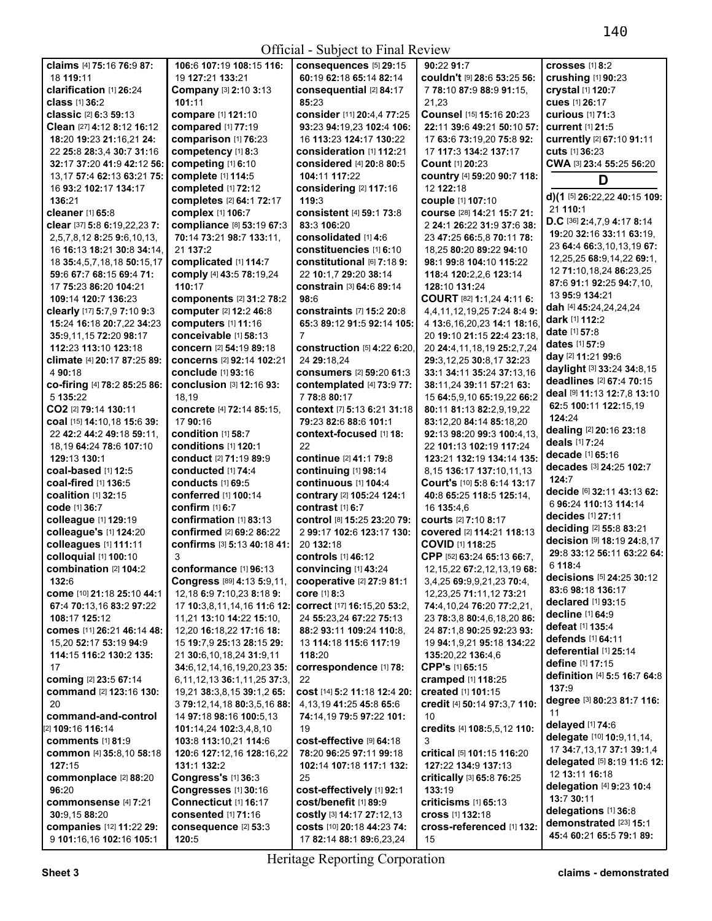|                                   |                                    | OTHUM - SUBJUCT TO T THAT INCORD          |                                  |                                |
|-----------------------------------|------------------------------------|-------------------------------------------|----------------------------------|--------------------------------|
| claims [4] 75:16 76:9 87:         | 106:6 107:19 108:15 116:           | <b>consequences</b> [5] 29:15             | 90:22 91:7                       | crosses [1] 8:2                |
| 18 119:11                         | 19 127:21 133:21                   | 60:19 62:18 65:14 82:14                   | couldn't [9] 28:6 53:25 56:      | crushing [1] 90:23             |
| clarification [1] 26:24           | Company [3] 2:10 3:13              | consequential [2] 84:17                   | 7 78:10 87:9 88:9 91:15,         | crystal [1] 120:7              |
| <b>class</b> [1] 36:2             | 101:11                             | 85:23                                     | 21,23                            | cues [1] 26:17                 |
| classic [2] 6:3 59:13             | compare [1] 121:10                 | consider [11] 20:4,4 77:25                | Counsel [15] 15:16 20:23         | <b>curious</b> [1] 71:3        |
| Clean [27] 4:12 8:12 16:12        | compared [1] 77:19                 | 93:23 94:19,23 102:4 106:                 | 22:11 39:6 49:21 50:10 57:       | <b>current</b> [1] 21:5        |
| 18:20 19:23 21:16,21 24:          | comparison [1] 76:23               | 16 113:23 124:17 130:22                   | 17 63:6 73:19,20 75:8 92:        | currently [2] 67:10 91:11      |
| 22 25:8 28:3,4 30:7 31:16         | competency [1] 8:3                 | consideration [1] 112:21                  | 17 117:3 134:2 137:17            | cuts [1] 36:23                 |
| 32:17 37:20 41:9 42:12 56:        | competing [1] 6:10                 | <b>considered</b> [4] 20:8 80:5           | Count [1] 20:23                  | CWA [3] 23:4 55:25 56:20       |
| 13,17 57:4 62:13 63:21 75:        | complete [1] 114:5                 | 104:11 117:22                             | country [4] 59:20 90:7 118:      |                                |
| 16 93:2 102:17 134:17             | completed [1] 72:12                | considering [2] 117:16                    | 12 122:18                        | D                              |
| 136:21                            | completes [2] 64:1 72:17           | 119:3                                     | couple [1] 107:10                | d)(1 [5] 26:22,22 40:15 109:   |
| cleaner [1] 65:8                  | complex [1] 106:7                  | <b>consistent</b> [4] 59:1 73:8           | course [28] 14:21 15:7 21:       | 21 110:1                       |
| clear [37] 5:8 6:19,22,23 7:      | compliance [8] 53:19 67:3          | 83:3 106:20                               | 2 24:1 26:22 31:9 37:6 38:       | D.C [36] 2:4,7,9 4:17 8:14     |
| 2,5,7,8,12 8:25 9:6,10,13,        | 70:14 73:21 98:7 133:11,           | consolidated [1] 4:6                      | 23 47:25 66:5,8 70:11 78:        | 19:20 32:16 33:11 63:19,       |
| 16 16:13 18:21 30:8 34:14,        | 21 137:2                           | constituencies [1] 6:10                   | 18,25 80:20 89:22 94:10          | 23 64:4 66:3, 10, 13, 19 67:   |
|                                   |                                    |                                           |                                  | 12,25,25 68:9,14,22 69:1,      |
| 18 35:4,5,7,18,18 50:15,17        | complicated [1] 114:7              | constitutional [6] 7:18 9:                | 98:1 99:8 104:10 115:22          | 12 71:10,18,24 86:23,25        |
| 59:6 67:7 68:15 69:4 71:          | comply [4] 43:5 78:19,24           | 22 10:1,7 29:20 38:14                     | 118:4 120:2,2,6 123:14           | 87:6 91:1 92:25 94:7,10,       |
| 17 75:23 86:20 104:21             | 110:17                             | <b>constrain</b> [3] <b>64:6 89:14</b>    | 128:10 131:24                    | 13 95:9 134:21                 |
| 109:14 120:7 136:23               | components [2] 31:2 78:2           | 98:6                                      | COURT [82] 1:1,24 4:11 6:        | dah [4] 45:24,24,24,24         |
| clearly [17] 5:7,9 7:10 9:3       | computer [2] 12:2 46:8             | constraints [7] 15:2 20:8                 | 4.4.11.12.19.25 7:24 8:4 9:      | dark [1] 112:2                 |
| 15:24 16:18 20:7,22 34:23         | computers [1] 11:16                | 65:3 89:12 91:5 92:14 105:                | 4 13:6, 16, 20, 23 14:1 18:16,   | <b>date</b> [1] <b>57:8</b>    |
| 35:9,11,15 72:20 98:17            | conceivable [1] 58:13              | 7                                         | 20 19:10 21:15 22:4 23:18,       | <b>dates</b> [1] <b>57:9</b>   |
| 112:23 113:10 123:18              | concern [2] 54:19 89:18            | construction [5] 4:22 6:20,               | 20 24:4, 11, 18, 19 25:2, 7, 24  | day [2] 11:21 99:6             |
| climate [4] 20:17 87:25 89:       | concerns [2] 92:14 102:21          | 24 29:18.24                               | 29:3,12,25 30:8,17 32:23         |                                |
| 4 90:18                           | <b>conclude</b> [1] 93:16          | consumers [2] 59:20 61:3                  | 33:1 34:11 35:24 37:13,16        | daylight [3] 33:24 34:8,15     |
| co-firing [4] 78:2 85:25 86:      | <b>conclusion</b> [3] 12:16 93:    | contemplated [4] 73:9 77:                 | 38:11,24 39:11 57:21 63:         | deadlines [2] 67:4 70:15       |
| 5 135:22                          | 18,19                              | 778:880:17                                | 15 64:5,9,10 65:19,22 66:2       | deal [9] 11:13 12:7,8 13:10    |
| CO2 [2] 79:14 130:11              | concrete [4] 72:14 85:15,          | <b>context</b> [7] 5:13 6:21 31:18        | 80:11 81:13 82:2,9,19,22         | 62:5 100:11 122:15,19          |
| coal [15] 14:10,18 15:6 39:       | 17 90:16                           | 79:23 82:6 88:6 101:1                     | 83:12,20 84:14 85:18,20          | 124:24                         |
| 22 42:2 44:2 49:18 59:11,         | condition [1] 58:7                 | context-focused [1] 18:                   | 92:13 98:20 99:3 100:4,13,       | dealing [2] 20:16 23:18        |
| 18,19 64:24 78:6 107:10           | conditions [1] 120:1               | 22                                        | 22 101:13 102:19 117:24          | deals [1] 7:24                 |
| 129:13 130:1                      | conduct [2] 71:19 89:9             | continue [2] 41:1 79:8                    | 123:21 132:19 134:14 135:        | decade [1] 65:16               |
| coal-based [1] 12:5               | conducted [1] 74:4                 | continuing [1] 98:14                      | 8,15 136:17 137:10,11,13         | decades [3] 24:25 102:7        |
| coal-fired [1] 136:5              | conducts [1] 69:5                  | continuous [1] 104:4                      | Court's [10] 5:8 6:14 13:17      | 124:7                          |
| <b>coalition</b> [1] <b>32:15</b> | conferred [1] 100:14               | contrary [2] 105:24 124:1                 | 40:8 65:25 118:5 125:14,         | decide [6] 32:11 43:13 62:     |
| <b>code</b> [1] 36:7              | <b>confirm</b> [1] 6:7             | contrast [1] 6:7                          | 16 135:4,6                       | 6 96:24 110:13 114:14          |
| colleague [1] 129:19              | confirmation [1] 83:13             | control [8] 15:25 23:20 79:               | <b>courts</b> [2] 7:10 8:17      | decides [1] 27:11              |
| colleague's [1] 124:20            | confirmed [2] 69:2 86:22           | 2 99:17 102:6 123:17 130:                 | covered [2] 114:21 118:13        | deciding [2] 55:8 83:21        |
| colleagues [1] 111:11             | confirms [3] 5:13 40:18 41:        | 20 132:18                                 | <b>COVID [1] 118:25</b>          | decision [9] 18:19 24:8,17     |
| colloquial [1] 100:10             | 3                                  | controls [1] 46:12                        | CPP [52] 63:24 65:13 66:7,       | 29:8 33:12 56:11 63:22 64:     |
| combination [2] 104:2             | conformance [1] 96:13              | convincing [1] 43:24                      | 12, 15, 22 67: 2, 12, 13, 19 68: | 6 118:4                        |
| 132:6                             | Congress [89] 4:13 5:9,11,         | cooperative [2] 27:9 81:1                 | 3,4,25 69:9,9,21,23 70:4,        | decisions [5] 24:25 30:12      |
| come [10] 21:18 25:10 44:1        | 12,18 6:9 7:10,23 8:18 9:          | core [1] 8:3                              | 12,23,25 71:11,12 73:21          | 83:6 98:18 136:17              |
| 67:4 70:13,16 83:2 97:22          | 17 10:3,8,11,14,16 11:6 12:        | <b>correct</b> [17] <b>16:15,20 53:2,</b> | 74:4, 10, 24 76: 20 77: 2, 21,   | declared [1] 93:15             |
| 108:17 125:12                     | 11,21 13:10 14:22 15:10,           | 24 55:23,24 67:22 75:13                   | 23 78:3,8 80:4,6,18,20 86:       | decline [1] 64:9               |
| comes [11] 26:21 46:14 48:        | 12,20 16:18,22 17:16 18:           | 88:2 93:11 109:24 110:8,                  | 24 87:1,8 90:25 92:23 93:        | <b>defeat</b> [1] <b>135:4</b> |
| 15,20 52:17 53:19 94:9            | 15 19:7,9 25:13 28:15 29:          | 13 114:18 115:6 117:19                    | 19 94:1,9,21 95:18 134:22        | defends [1] 64:11              |
| 114:15 116:2 130:2 135:           | 21 30:6,10,18,24 31:9,11           | 118:20                                    | 135:20,22 136:4,6                | deferential [1] 25:14          |
|                                   |                                    |                                           | CPP's [1] 65:15                  | <b>define</b> [1] <b>17:15</b> |
| 17                                | 34:6,12,14,16,19,20,23 35:         | correspondence [1] 78:                    |                                  | definition [4] 5:5 16:7 64:8   |
| coming [2] 23:5 67:14             | 6, 11, 12, 13 36: 1, 11, 25 37: 3, | 22                                        | cramped [1] 118:25               | 137:9                          |
| command [2] 123:16 130:           | 19,21 38:3,8,15 39:1,2 65:         | COSt [14] 5:2 11:18 12:4 20:              | created [1] 101:15               | degree [3] 80:23 81:7 116:     |
| 20                                | 3 79:12,14,18 80:3,5,16 88:        | 4, 13, 19 41: 25 45: 8 65: 6              | credit [4] 50:14 97:3,7 110:     | 11                             |
| command-and-control               | 14 97:18 98:16 100:5,13            | 74:14.19 79:5 97:22 101:                  | 10                               | delayed [1] 74:6               |
| [2] 109:16 116:14                 | 101:14,24 102:3,4,8,10             | 19                                        | credits [4] 108:5,5,12 110:      | delegate [10] 10:9,11,14,      |
| comments [1] 81:9                 | 103:8 113:10,21 114:6              | cost-effective [9] 64:18                  | 3                                | 17 34:7,13,17 37:1 39:1,4      |
| <b>common</b> [4] 35:8,10 58:18   | 120:6 127:12,16 128:16,22          | 78:20 96:25 97:11 99:18                   | critical [5] 101:15 116:20       | delegated [5] 8:19 11:6 12:    |
| 127:15                            | 131:1 132:2                        | 102:14 107:18 117:1 132:                  | 127:22 134:9 137:13              | 12 13:11 16:18                 |
| commonplace [2] 88:20             | <b>Congress's [1] 36:3</b>         | 25                                        | critically [3] 65:8 76:25        |                                |
| 96:20                             | Congresses [1] 30:16               | cost-effectively [1] 92:1                 | 133:19                           | delegation [4] 9:23 10:4       |
| commonsense [4] 7:21              | Connecticut [1] 16:17              | cost/benefit [1] 89:9                     | criticisms [1] 65:13             | 13:7 30:11                     |
| 30:9,15 88:20                     | <b>consented</b> [1] <b>71:16</b>  | Costly [3] 14:17 27:12,13                 | Cross [1] 132:18                 | delegations [1] 36:8           |
| companies [12] 11:22 29:          | consequence [2] 53:3               | COStS [10] 20:18 44:23 74:                | cross-referenced [1] 132:        | demonstrated [23] 15:1         |
| 9 101:16,16 102:16 105:1          | 120:5                              | 17 82:14 88:1 89:6,23,24                  | 15                               | 45:4 60:21 65:5 79:1 89:       |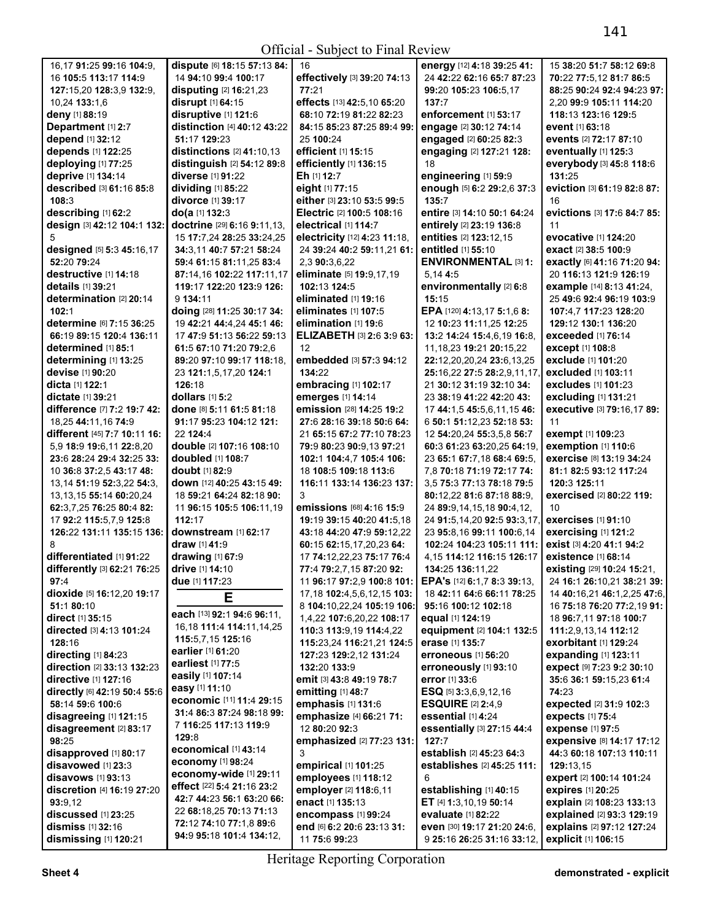Official - Subject to Final Review

| 16,17 91:25 99:16 104:9,                   | dispute [6] 18:15 57:13 84:                           | 16                                                       | energy [12] 4:18 39:25 41:                                | 15 38:20 51:7 58:12 69:8                             |
|--------------------------------------------|-------------------------------------------------------|----------------------------------------------------------|-----------------------------------------------------------|------------------------------------------------------|
| 16 105:5 113:17 114:9                      | 14 94:10 99:4 100:17                                  | effectively [3] 39:20 74:13                              | 24 42:22 62:16 65:7 87:23                                 | 70:22 77:5,12 81:7 86:5                              |
| 127:15,20 128:3,9 132:9,                   | <b>disputing [2] 16:21,23</b>                         | 77:21                                                    | 99:20 105:23 106:5,17                                     | 88:25 90:24 92:4 94:23 97:                           |
| 10,24 133:1,6                              | disrupt [1] 64:15                                     | effects [13] 42:5,10 65:20                               | 137:7                                                     | 2,20 99:9 105:11 114:20                              |
| deny [1] 88:19                             | disruptive [1] 121:6                                  | 68:10 72:19 81:22 82:23                                  | enforcement [1] 53:17                                     | 118:13 123:16 129:5                                  |
| Department [1] 2:7                         | distinction [4] 40:12 43:22                           | 84:15 85:23 87:25 89:4 99:                               | engage [2] 30:12 74:14                                    | event [1] 63:18                                      |
| depend [1] 32:12                           | 51:17 129:23                                          | 25 100:24                                                | engaged [2] 60:25 82:3                                    | events [2] 72:17 87:10                               |
| depends [1] 122:25                         | distinctions $[2]$ 41:10,13                           | efficient [1] 15:15                                      | engaging [2] 127:21 128:                                  | eventually [1] 125:3                                 |
| deploying [1] 77:25                        | distinguish [2] 54:12 89:8                            | efficiently [1] 136:15                                   | 18                                                        | everybody [3] 45:8 118:6                             |
| deprive [1] 134:14                         | diverse [1] 91:22                                     | Eh [1] 12:7                                              | engineering [1] 59:9                                      | 131:25                                               |
| described [3] 61:16 85:8                   | dividing [1] 85:22                                    | eight [1] 77:15                                          | enough [5] 6:2 29:2,6 37:3                                | eviction [3] 61:19 82:8 87:                          |
| 108:3                                      | divorce [1] 39:17                                     | either [3] 23:10 53:5 99:5                               | 135:7                                                     | 16                                                   |
| describing [1] 62:2                        | do(a [1] 132:3                                        | Electric [2] 100:5 108:16                                | entire [3] 14:10 50:1 64:24                               | evictions [3] 17:6 84:7 85:                          |
| design [3] 42:12 104:1 132:                | doctrine [29] 6:16 9:11,13,                           | electrical [1] 114:7                                     | entirely [2] 23:19 136:8                                  | 11                                                   |
|                                            | 15 17:7,24 28:25 33:24,25                             | electricity [12] 4:23 11:18,                             | entities [2] 123:12,15                                    | evocative [1] 124:20                                 |
| designed [5] 5:3 45:16,17                  | 34:3,11 40:7 57:21 58:24                              | 24 39:24 40:2 59:11,21 61:                               | entitled [1] 55:10                                        | exact [2] 38:5 100:9                                 |
| 52:20 79:24                                | 59:4 61:15 81:11,25 83:4                              | 2,3 90:3,6,22                                            | <b>ENVIRONMENTAL [3] 1:</b>                               | exactly [6] 41:16 71:20 94:                          |
| destructive [1] 14:18<br>details [1] 39:21 | 87:14,16 102:22 117:11,17<br>119:17 122:20 123:9 126: | eliminate [5] 19:9,17,19<br>102:13 124:5                 | 5,14 4:5                                                  | 20 116:13 121:9 126:19                               |
| determination [2] 20:14                    | 9 134:11                                              | eliminated [1] 19:16                                     | environmentally [2] 6:8<br>15:15                          | example [14] 8:13 41:24,<br>25 49:6 92:4 96:19 103:9 |
| 102:1                                      | doing [28] 11:25 30:17 34:                            | eliminates [1] 107:5                                     | EPA [120] 4:13,17 5:1,6 8:                                |                                                      |
| determine [6] 7:15 36:25                   | 19 42:21 44:4,24 45:1 46:                             | elimination [1] 19:6                                     | 12 10:23 11:11,25 12:25                                   | 107:4,7 117:23 128:20<br>129:12 130:1 136:20         |
| 66:19 89:15 120:4 136:11                   | 17 47:9 51:13 56:22 59:13                             | <b>ELIZABETH [3] 2:6 3:9 63:</b>                         | 13:2 14:24 15:4,6,19 16:8,                                | exceeded [1] 76:14                                   |
| determined [1] 85:1                        | 61:5 67:10 71:20 79:2.6                               | 12                                                       | 11, 18, 23 19: 21 20: 15, 22                              | except [1] 108:8                                     |
| determining [1] 13:25                      | 89:20 97:10 99:17 118:18,                             | embedded [3] 57:3 94:12                                  | 22:12,20,20,24 23:6,13,25                                 | exclude [1] 101:20                                   |
| devise [1] 90:20                           | 23 121:1,5,17,20 124:1                                | 134:22                                                   | 25:16,22 27:5 28:2,9,11,17                                | excluded [1] 103:11                                  |
| dicta [1] 122:1                            | 126:18                                                | embracing [1] 102:17                                     | 21 30:12 31:19 32:10 34:                                  | excludes [1] 101:23                                  |
| <b>dictate</b> [1] <b>39:21</b>            | dollars [1] 5:2                                       | emerges [1] 14:14                                        | 23 38:19 41:22 42:20 43:                                  | excluding [1] 131:21                                 |
| difference [7] 7:2 19:7 42:                | done [8] 5:11 61:5 81:18                              | emission [28] 14:25 19:2                                 | 17 44:1,5 45:5,6,11,15 46:                                | executive [3] 79:16,17 89:                           |
| 18,25 44:11,16 74:9                        | 91:17 95:23 104:12 121:                               | 27:6 28:16 39:18 50:6 64:                                | 6 50:1 51:12,23 52:18 53:                                 | 11                                                   |
| different [45] 7:7 10:11 16:               | 22 124:4                                              | 21 65:15 67:2 77:10 78:23                                | 12 54:20,24 55:3,5,8 56:7                                 | exempt [1] 109:23                                    |
| 5,9 18:9 19:6,11 22:8,20                   | double [2] 107:16 108:10                              | 79:9 80:23 90:9,13 97:21                                 | 60:3 61:23 63:20,25 64:19,                                | exemption [1] 110:6                                  |
| 23:6 28:24 29:4 32:25 33:                  | doubled [1] 108:7                                     | 102:1 104:4,7 105:4 106:                                 | 23 65:1 67:7,18 68:4 69:5,                                | exercise [8] 13:19 34:24                             |
| 10 36:8 37:2,5 43:17 48:                   | <b>doubt</b> [1] <b>82:</b> 9                         | 18 108:5 109:18 113:6                                    | 7,8 70:18 71:19 72:17 74:                                 | 81:1 82:5 93:12 117:24                               |
| 13,14 51:19 52:3,22 54:3,                  | down [12] 40:25 43:15 49:                             | 116:11 133:14 136:23 137:                                | 3,5 75:3 77:13 78:18 79:5                                 | 120:3 125:11                                         |
| 13, 13, 15 55: 14 60: 20, 24               | 18 59:21 64:24 82:18 90:                              | 3                                                        | 80:12,22 81:6 87:18 88:9,                                 | exercised [2] 80:22 119:                             |
| 62:3.7.25 76:25 80:4 82:                   | 11 96:15 105:5 106:11,19                              | emissions [68] 4:16 15:9                                 | 24 89:9,14,15,18 90:4,12,                                 | 10                                                   |
| 17 92:2 115:5,7,9 125:8                    | 112:17                                                | 19:19 39:15 40:20 41:5,18                                | 24 91:5,14,20 92:5 93:3,17,                               | <b>exercises</b> [1] 91:10                           |
| 126:22 131:11 135:15 136:                  | downstream [1] 62:17                                  | 43:18 44:20 47:9 59:12,22                                | 23 95:8,16 99:11 100:6,14                                 | exercising [1] 121:2                                 |
| 8                                          | draw [1] 41:9                                         | 60:15 62:15,17,20,23 64:                                 | 102:24 104:23 105:11 111:                                 | exist [3] 4:20 41:1 94:2                             |
| differentiated [1] 91:22                   | drawing [1] 67:9                                      | 17 74:12,22,23 75:17 76:4                                | 4,15 114:12 116:15 126:17                                 | existence [1] 68:14                                  |
| differently [3] 62:21 76:25                | drive [1] 14:10                                       | 77:4 79:2,7,15 87:20 92:                                 | 134:25 136:11,22                                          | existing [29] 10:24 15:21,                           |
| 97:4                                       | due [1] 117:23                                        | 11 96:17 97:2,9 100:8 101:   EPA's [12] 6:1,7 8:3 39:13, |                                                           | 24 16:1 26:10,21 38:21 39:                           |
| dioxide [5] 16:12,20 19:17                 | Е                                                     | 17,18 102:4,5,6,12,15 103:                               | 18 42:11 64:6 66:11 78:25                                 | 14 40:16,21 46:1,2,25 47:6,                          |
| 51:1 80:10                                 |                                                       | 8 104:10,22,24 105:19 106:                               | 95:16 100:12 102:18                                       | 16 75:18 76:20 77:2,19 91:                           |
| direct $[1]$ 35:15                         | each [13] 92:1 94:6 96:11,                            | 1,4,22 107:6,20,22 108:17                                | equal [1] 124:19                                          | 18 96:7,11 97:18 100:7                               |
| directed [3] 4:13 101:24                   | 16,18 111:4 114:11,14,25                              | 110:3 113:9,19 114:4,22                                  | equipment [2] 104:1 132:5                                 | 111:2,9,13,14 112:12                                 |
| 128:16                                     | 115:5,7,15 125:16<br>earlier [1] 61:20                | 115:23,24 116:21,21 124:5                                | erase [1] 135:7                                           | <b>exorbitant</b> [1] <b>129:</b> 24                 |
| directing [1] 84:23                        | earliest [1] 77:5                                     | 127:23 129:2,12 131:24                                   | erroneous [1] 56:20                                       | expanding [1] 123:11                                 |
| direction [2] 33:13 132:23                 | easily [1] 107:14                                     | 132:20 133:9                                             | erroneously [1] 93:10                                     | expect [9] 7:23 9:2 30:10                            |
| directive [1] 127:16                       | easy [1] 11:10                                        | emit [3] 43:8 49:19 78:7                                 | error [1] 33:6                                            | 35:6 36:1 59:15,23 61:4                              |
| directly [6] 42:19 50:4 55:6               | economic [11] 11:4 29:15                              | emitting [1] 48:7                                        | <b>ESQ</b> [5] $3:3,6,9,12,16$                            | 74:23                                                |
| 58:14 59:6 100:6                           | 31:4 86:3 87:24 98:18 99:                             | emphasis [1] 131:6                                       | <b>ESQUIRE [2] 2:4,9</b>                                  | expected [2] 31:9 102:3                              |
| disagreeing [1] 121:15                     | 7 116:25 117:13 119:9                                 | emphasize [4] 66:21 71:                                  | essential [1] 4:24                                        | expects [1] 75:4                                     |
| disagreement [2] 83:17                     | 129:8                                                 | 12 80:20 92:3                                            | essentially [3] 27:15 44:4                                | expense [1] 97:5                                     |
| 98:25                                      | economical [1] 43:14                                  | emphasized [2] 77:23 131:                                | 127:7                                                     | <b>expensive [8] 14:17 17:12</b>                     |
| disapproved [1] 80:17                      | economy [1] 98:24                                     | 3                                                        | establish [2] 45:23 64:3                                  | 44:3 60:18 107:13 110:11                             |
| disavowed [1] 23:3                         | economy-wide [1] 29:11                                | empirical [1] 101:25                                     | establishes [2] 45:25 111:                                | 129:13.15                                            |
| disavows $[1]$ 93:13                       | effect [22] 5:4 21:16 23:2                            | employees [1] 118:12                                     | 6                                                         | expert [2] 100:14 101:24                             |
| discretion [4] 16:19 27:20                 | 42:7 44:23 56:1 63:20 66:                             | employer [2] 118:6,11                                    | establishing [1] 40:15                                    | expires [1] 20:25                                    |
| 93:9,12                                    | 22 68:18,25 70:13 71:13                               | enact [1] 135:13                                         | ET [4] 1:3,10,19 50:14                                    | explain [2] 108:23 133:13                            |
| discussed [1] 23:25<br>dismiss [1] 32:16   | 72:12 74:10 77:1,8 89:6                               | encompass [1] 99:24                                      | evaluate [1] 82:22                                        | explained [2] 93:3 129:19                            |
| dismissing [1] 120:21                      | 94:9 95:18 101:4 134:12,                              | end [6] 6:2 20:6 23:13 31:<br>11 75:6 99:23              | even [30] 19:17 21:20 24:6,<br>9 25:16 26:25 31:16 33:12, | explains [2] 97:12 127:24<br>explicit [1] 106:15     |
|                                            |                                                       |                                                          |                                                           |                                                      |

Heritage Reporting Corporation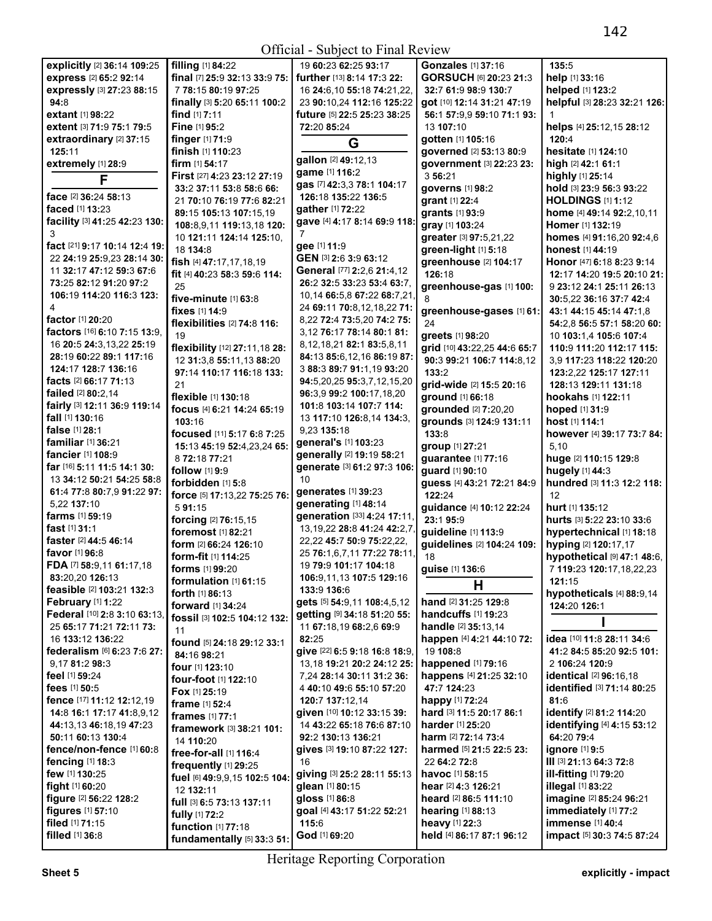|                                    |                                      | ULIICIAI - SUDJECI IO FIIIAI NEVIEW |                                   |                                      |
|------------------------------------|--------------------------------------|-------------------------------------|-----------------------------------|--------------------------------------|
| explicitly [2] 36:14 109:25        | filling [1] 84:22                    | 19 60:23 62:25 93:17                | <b>Gonzales</b> [1] 37:16         | 135:5                                |
| express [2] 65:2 92:14             | final [7] 25:9 32:13 33:9 75:        | further [13] 8:14 17:3 22:          | GORSUCH [6] 20:23 21:3            | help [1] 33:16                       |
| expressly [3] 27:23 88:15          | 7 78:15 80:19 97:25                  | 16 24:6, 10 55: 18 74: 21, 22,      | 32:7 61:9 98:9 130:7              | helped [1] 123:2                     |
| 94:8                               | finally [3] 5:20 65:11 100:2         | 23 90:10,24 112:16 125:22           | got [10] 12:14 31:21 47:19        | helpful [3] 28:23 32:21 126:         |
| extant [1] 98:22                   | <b>find</b> $[1]$ <b>7:11</b>        | future [5] 22:5 25:23 38:25         | 56:1 57:9,9 59:10 71:1 93:        |                                      |
| extent [3] 71:9 75:1 79:5          | Fine [1] 95:2                        | 72:20 85:24                         | 13 107:10                         | helps [4] 25:12,15 28:12             |
| extraordinary [2] 37:15            | <b>finger</b> $[1]$ 71:9             | G                                   | gotten [1] 105:16                 | 120:4                                |
| 125:11                             | finish [1] 110:23                    |                                     | governed [2] 53:13 80:9           | hesitate [1] 124:10                  |
| extremely [1] 28:9                 | <b>firm</b> $[1]$ 54:17              | gallon [2] 49:12,13                 | government [3] 22:23 23:          | high [2] 42:1 61:1                   |
| F                                  | First [27] 4:23 23:12 27:19          | game [1] 116:2                      | 3 56:21                           | highly [1] 25:14                     |
|                                    | 33:2 37:11 53:8 58:6 66:             | gas [7] 42:3,3 78:1 104:17          | governs [1] 98:2                  | hold [3] 23:9 56:3 93:22             |
| face [2] 36:24 58:13               | 21 70:10 76:19 77:6 82:21            | 126:18 135:22 136:5                 | grant [1] 22:4                    | <b>HOLDINGS [1] 1:12</b>             |
| faced [1] 13:23                    | 89:15 105:13 107:15,19               | gather [1] 72:22                    | <b>grants</b> [1] 93:9            | home [4] 49:14 92:2,10,11            |
| facility [3] 41:25 42:23 130:      | 108:8,9,11 119:13,18 120:            | gave [4] 4:17 8:14 69:9 118:        | gray [1] 103:24                   | <b>Homer</b> [1] 132:19              |
| 3                                  | 10 121:11 124:14 125:10,             | 7                                   | greater [3] 97:5,21,22            | homes [4] 91:16,20 92:4,6            |
| fact [21] 9:17 10:14 12:4 19:      | 18 134:8                             | gee [1] 11:9                        | green-light [1] 5:18              | honest [1] 44:19                     |
| 22 24:19 25:9,23 28:14 30:         | fish [4] 47:17,17,18,19              | GEN [3] 2:6 3:9 63:12               | greenhouse [2] 104:17             | Honor [47] 6:18 8:23 9:14            |
| 11 32:17 47:12 59:3 67:6           | fit [4] 40:23 58:3 59:6 114:         | General [77] 2:2,6 21:4,12          | 126:18                            | 12:17 14:20 19:5 20:10 21:           |
| 73:25 82:12 91:20 97:2             | 25                                   | 26:2 32:5 33:23 53:4 63:7.          | greenhouse-gas [1] 100:           | 9 23:12 24:1 25:11 26:13             |
| 106:19 114:20 116:3 123:           | five-minute [1] 63:8                 | 10,14 66:5,8 67:22 68:7,21,         | 8                                 | 30:5,22 36:16 37:7 42:4              |
| 4                                  | fixes [1] 14:9                       | 24 69:11 70:8,12,18,22 71:          | greenhouse-gases [1] 61:          | 43:1 44:15 45:14 47:1.8              |
| factor [1] 20:20                   | flexibilities $[2]$ 74:8 116:        | 8,22 72:4 73:5,20 74:2 75:          | 24                                | 54:2,8 56:5 57:1 58:20 60:           |
| factors [16] 6:10 7:15 13:9,       | 19                                   | 3,12 76:17 78:14 80:1 81:           | greets [1] 98:20                  | 10 103:1,4 105:6 107:4               |
| 16 20:5 24:3,13,22 25:19           | flexibility [12] 27:11,18 28:        | 8,12,18,21 82:1 83:5,8,11           | grid [10] 43:22,25 44:6 65:7      | 110:9 111:20 112:17 115:             |
| 28:19 60:22 89:1 117:16            | 12 31:3,8 55:11,13 88:20             | 84:13 85:6,12,16 86:19 87:          | 90:3 99:21 106:7 114:8,12         | 3.9 117:23 118:22 120:20             |
| 124:17 128:7 136:16                | 97:14 110:17 116:18 133:             | 3 88:3 89:7 91:1,19 93:20           | 133:2                             | 123:2,22 125:17 127:11               |
| facts [2] 66:17 71:13              | 21                                   | 94:5,20,25 95:3,7,12,15,20          | grid-wide [2] 15:5 20:16          | 128:13 129:11 131:18                 |
| failed [2] 80:2,14                 | <b>flexible</b> [1] <b>130:18</b>    | 96:3,9 99:2 100:17,18,20            | ground [1] 66:18                  | <b>hookahs</b> [1] <b>122:11</b>     |
| fairly [3] 12:11 36:9 119:14       | focus [4] 6:21 14:24 65:19           | 101:8 103:14 107:7 114:             | grounded [2] 7:20,20              | hoped [1] 31:9                       |
| fall [1] 130:16                    | 103:16                               | 13 117:10 126:8,14 134:3,           | grounds [3] 124:9 131:11          | host [1] 114:1                       |
| false [1] 28:1                     | focused [11] 5:17 6:8 7:25           | 9,23 135:18                         | 133:8                             | however [4] 39:17 73:7 84:           |
| familiar [1] 36:21                 | 15:13 45:19 52:4,23,24 65:           | general's [1] 103:23                | group [1] 27:21                   | 5.10                                 |
| fancier [1] 108:9                  | 8 72:18 77:21                        | generally [2] 19:19 58:21           | guarantee [1] 77:16               | huge [2] 110:15 129:8                |
| far [16] 5:11 11:5 14:1 30:        | follow [1] 9:9                       | generate [3] 61:2 97:3 106:         | guard [1] 90:10                   | hugely [1] 44:3                      |
| 13 34:12 50:21 54:25 58:8          | forbidden [1] 5:8                    | 10                                  | guess [4] 43:21 72:21 84:9        | hundred [3] 11:3 12:2 118:           |
| 61:4 77:8 80:7,9 91:22 97:         | force [5] 17:13,22 75:25 76:         | generates [1] 39:23                 | 122:24                            | 12                                   |
| 5,22 137:10                        | 591:15                               | generating [1] 48:14                | guidance [4] 10:12 22:24          | hurt [1] 135:12                      |
| farms [1] 59:19                    | forcing [2] 76:15,15                 | generation [33] 4:24 17:11,         | 23:195:9                          | hurts [3] 5:22 23:10 33:6            |
| fast $[1]$ 31:1                    | foremost [1] 82:21                   | 13, 19, 22 28: 8 41: 24 42: 2, 7,   | guideline [1] 113:9               | hypertechnical [1] 18:18             |
| faster [2] 44:5 46:14              | form [2] 66:24 126:10                | 22,22 45:7 50:9 75:22,22,           | guidelines [2] 104:24 109:        | hyping [2] 120:17,17                 |
| favor [1] 96:8                     | form-fit [1] 114:25                  | 25 76:1,6,7,11 77:22 78:11,         | 18                                | hypothetical [9] 47:1 48:6,          |
| FDA [7] 58:9,11 61:17,18           | forms [1] 99:20                      | 19 79:9 101:17 104:18               | guise [1] 136:6                   | 7 119:23 120:17,18,22,23             |
| 83:20,20 126:13                    | formulation [1] 61:15                | 106:9,11,13 107:5 129:16            |                                   | 121:15                               |
| feasible [2] 103:21 132:3          | forth [1] 86:13                      | 133:9 136:6                         | H                                 | hypotheticals [4] 88:9,14            |
| February [1] 1:22                  | <b>forward</b> [1] 34:24             | gets [5] 54:9,11 108:4,5,12         | hand [2] 31:25 129:8              | 124:20 126:1                         |
| Federal [10] 2:8 3:10 63:13,       | fossil [3] 102:5 104:12 132:         | getting [9] 34:18 51:20 55:         | <b>handcuffs</b> [1] <b>19:23</b> |                                      |
| 25 65:17 71:21 72:11 73:           | 11                                   | 11 67:18,19 68:2,6 69:9             | <b>handle</b> [2] 35:13,14        |                                      |
| 16 133:12 136:22                   | found [5] 24:18 29:12 33:1           | 82:25                               | happen [4] 4:21 44:10 72:         | idea [10] 11:8 28:11 34:6            |
| federalism [6] 6:23 7:6 27:        | 84:16 98:21                          | give [22] 6:5 9:18 16:8 18:9,       | 19 108:8                          | 41:2 84:5 85:20 92:5 101:            |
| 9.17 81:2 98:3                     | <b>four</b> [1] <b>123:10</b>        | 13,18 19:21 20:2 24:12 25:          | happened [1] 79:16                | 2 106:24 120:9                       |
| feel [1] 59:24                     | four-foot [1] 122:10                 | 7,24 28:14 30:11 31:2 36:           | happens [4] 21:25 32:10           | identical [2] 96:16,18               |
| fees [1] 50:5                      | Fox [1] 25:19                        | 4 40:10 49:6 55:10 57:20            | 47:7 124:23                       | identified [3] 71:14 80:25           |
| fence [17] 11:12 12:12,19          | frame [1] 52:4                       | 120:7 137:12,14                     | happy [1] 72:24                   | 81:6                                 |
| 14:8 16:1 17:17 41:8,9,12          | frames [1] 77:1                      | given [10] 10:12 33:15 39:          | hard [3] 11:5 20:17 86:1          | identify [2] 81:2 114:20             |
| 44:13,13 46:18,19 47:23            | framework [3] 38:21 101:             | 14 43:22 65:18 76:6 87:10           | harder [1] 25:20                  | identifying [4] 4:15 53:12           |
| 50:11 60:13 130:4                  | 14 110:20                            | 92:2 130:13 136:21                  | <b>harm</b> [2] <b>72:14 73:4</b> | 64:20 79:4                           |
| fence/non-fence [1] 60:8           | free-for-all [1] 116:4               | gives [3] 19:10 87:22 127:          | harmed [5] 21:5 22:5 23:          | <b>ignore</b> [1] 9:5                |
| fencing $[1]$ 18:3                 | frequently [1] 29:25                 | 16                                  | 22 64:2 72:8                      | III [3] 21:13 64:3 72:8              |
| few [1] 130:25                     | fuel [6] 49:9,9,15 102:5 104:        | giving [3] 25:2 28:11 55:13         | <b>havoc</b> $[1]$ 58:15          | <b>ill-fitting</b> [1] <b>79:</b> 20 |
| <b>fight</b> $[1]$ 60:20           | 12 132:11                            | glean [1] 80:15                     | hear [2] 4:3 126:21               | <b>illegal</b> [1] 83:22             |
| figure [2] 56:22 128:2             |                                      |                                     |                                   |                                      |
|                                    |                                      | gloss [1] 86:8                      | heard [2] 86:5 111:10             | imagine [2] 85:24 96:21              |
| <b>figures</b> [1] 57:10           | full [3] 6:5 73:13 137:11            | goal [4] 43:17 51:22 52:21          | hearing [1] 88:13                 | immediately [1] 77:2                 |
| filed [1] 71:15<br>filled [1] 36:8 | fully [1] 72:2<br>function [1] 77:18 | 115:6                               | heavy [1] 22:3                    | immense [1] 40:4                     |

Heritage Reporting Corporation

**fundamentally** [5] **33:**3 **51:**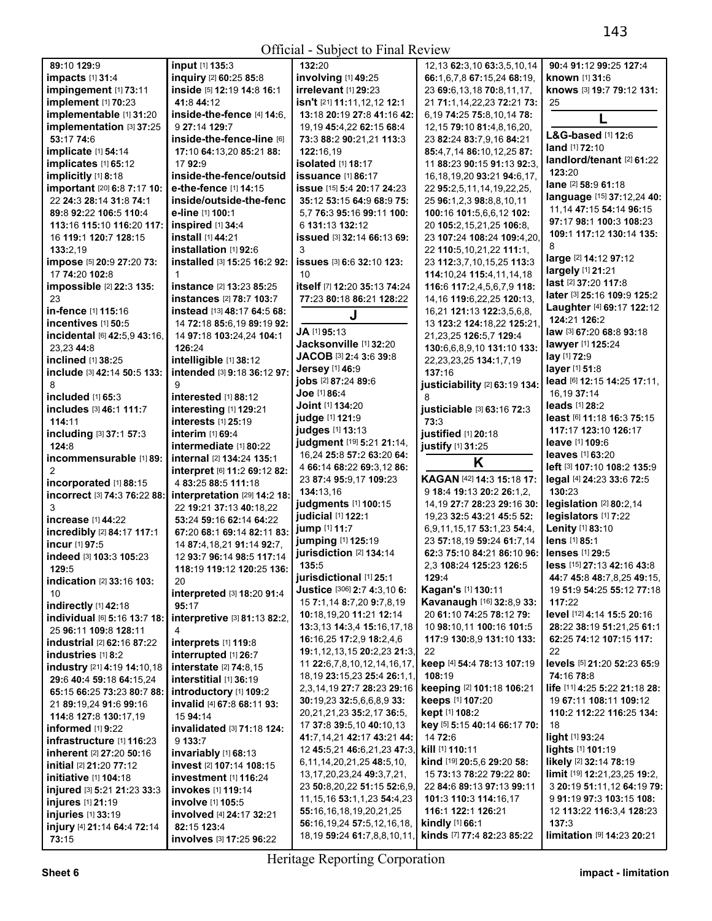|                                       | 01.II.UM                                | $\overline{O}$ and $\overline{O}$ and $\overline{O}$ and $\overline{O}$ and $\overline{O}$ |                                                        |                                           |
|---------------------------------------|-----------------------------------------|--------------------------------------------------------------------------------------------|--------------------------------------------------------|-------------------------------------------|
| 89:10 129:9                           | input [1] 135:3                         | 132:20                                                                                     | 12, 13 62: 3, 10 63: 3, 5, 10, 14                      | 90:4 91:12 99:25 127:4                    |
| impacts [1] 31:4                      | inquiry [2] 60:25 85:8                  | involving [1] 49:25                                                                        | 66:1,6,7,8 67:15,24 68:19,                             | known [1] 31:6                            |
| impingement [1] 73:11                 | inside [5] 12:19 14:8 16:1              | irrelevant [1] 29:23                                                                       | 23 69:6, 13, 18 70:8, 11, 17,                          | knows [3] 19:7 79:12 131:                 |
|                                       |                                         |                                                                                            |                                                        |                                           |
| implement [1] 70:23                   | 41:8 44:12                              | isn't [21] 11:11,12,12 12:1                                                                | 21 71:1,14,22,23 72:21 73:                             | 25                                        |
| implementable [1] 31:20               | inside-the-fence [4] 14:6,              | 13:18 20:19 27:8 41:16 42:                                                                 | 6,19 74:25 75:8,10,14 78:                              |                                           |
| implementation [3] 37:25              | 9 27:14 129:7                           | 19,19 45:4,22 62:15 68:4                                                                   | 12, 15 79: 10 81: 4, 8, 16, 20,                        |                                           |
| 53:17 74:6                            | inside-the-fence-line [6]               | 73:3 88:2 90:21,21 113:3                                                                   | 23 82:24 83:7,9,16 84:21                               | L&G-based [1] 12:6                        |
| implicate [1] 54:14                   | 17:10 64:13,20 85:21 88:                | 122:16,19                                                                                  | 85:4,7,14 86:10,12,25 87:                              | land [1] 72:10                            |
| implicates [1] 65:12                  | 17 92:9                                 | isolated [1] 18:17                                                                         | 11 88:23 90:15 91:13 92:3.                             | landlord/tenant [2] 61:22                 |
|                                       |                                         |                                                                                            |                                                        | 123:20                                    |
| implicitly [1] 8:18                   | inside-the-fence/outsid                 | <b>issuance</b> [1] 86:17                                                                  | 16, 18, 19, 20 93: 21 94: 6, 17,                       | lane [2] 58:9 61:18                       |
| important [20] 6:8 7:17 10:           | e-the-fence [1] 14:15                   | <b>issue</b> [15] 5:4 20:17 24:23                                                          | 22 95:2,5,11,14,19,22,25,                              |                                           |
| 22 24:3 28:14 31:8 74:1               | inside/outside-the-fenc                 | 35:12 53:15 64:9 68:9 75:                                                                  | 25 96:1,2,3 98:8,8,10,11                               | language [15] 37:12,24 40:                |
| 89:8 92:22 106:5 110:4                | e-line [1] 100:1                        | 5.7 76:3 95:16 99:11 100:                                                                  | 100:16 101:5,6,6,12 102:                               | 11.14 47:15 54:14 96:15                   |
| 113:16 115:10 116:20 117:             | inspired [1] 34:4                       | 6 131:13 132:12                                                                            | 20 105:2,15,21,25 106:8,                               | 97:17 98:1 100:3 108:23                   |
|                                       | install [1] 44:21                       | issued [3] 32:14 66:13 69:                                                                 | 23 107:24 108:24 109:4,20,                             | 109:1 117:12 130:14 135:                  |
| 16 119:1 120:7 128:15                 |                                         |                                                                                            |                                                        | 8                                         |
| 133:2,19                              | installation [1] 92:6                   | 3                                                                                          | 22 110:5,10,21,22 111:1,                               | large [2] 14:12 97:12                     |
| impose [5] 20:9 27:20 73:             | installed [3] 15:25 16:2 92:            | issues [3] 6:6 32:10 123:                                                                  | 23 112:3,7,10,15,25 113:3                              |                                           |
| 17 74:20 102:8                        | $\mathbf{1}$                            | 10                                                                                         | 114:10,24 115:4,11,14,18                               | largely [1] 21:21                         |
| impossible [2] 22:3 135:              | instance [2] 13:23 85:25                | itself [7] 12:20 35:13 74:24                                                               | 116:6 117:2,4,5,6,7,9 118:                             | last [2] 37:20 117:8                      |
| 23                                    | instances [2] 78:7 103:7                | 77:23 80:18 86:21 128:22                                                                   | 14, 16 119: 6, 22, 25 120: 13,                         | later [3] 25:16 109:9 125:2               |
|                                       |                                         |                                                                                            |                                                        | Laughter [4] 69:17 122:12                 |
| in-fence [1] 115:16                   | instead [13] 48:17 64:5 68:             | J                                                                                          | 16,21 121:13 122:3,5,6,8,                              | 124:21 126:2                              |
| incentives [1] 50:5                   | 14 72:18 85:6.19 89:19 92:              |                                                                                            | 13 123:2 124:18.22 125:21                              |                                           |
| incidental [6] 42:5,9 43:16,          | 14 97:18 103:24,24 104:1                | JA [1] 95:13                                                                               | 21,23,25 126:5,7 129:4                                 | law [3] 67:20 68:8 93:18                  |
| 23.23 44:8                            | 126:24                                  | Jacksonville [1] 32:20                                                                     | 130:6,6,8,9,10 131:10 133:                             | lawyer [1] 125:24                         |
| inclined [1] 38:25                    | intelligible [1] 38:12                  | JACOB [3] 2:4 3:6 39:8                                                                     | 22, 23, 23, 25 134: 1, 7, 19                           | lay [1] 72:9                              |
| include [3] 42:14 50:5 133:           | intended [3] 9:18 36:12 97:             | <b>Jersey</b> [1] 46:9                                                                     | 137:16                                                 | layer [1] 51:8                            |
|                                       |                                         | jobs [2] 87:24 89:6                                                                        |                                                        | lead [6] 12:15 14:25 17:11,               |
| 8                                     | 9                                       | Joe [1] 86:4                                                                               | justiciability [2] 63:19 134:                          | 16,19 37:14                               |
| included [1] 65:3                     | interested [1] 88:12                    |                                                                                            | 8                                                      |                                           |
| includes [3] 46:1 111:7               | interesting [1] 129:21                  | <b>Joint</b> [1] 134:20                                                                    | justiciable [3] 63:16 72:3                             | leads [1] 28:2                            |
| 114:11                                | interests [1] 25:19                     | judge [1] 121:9                                                                            | 73:3                                                   | least [6] 11:18 16:3 75:15                |
| including [3] 37:1 57:3               | interim [1] 69:4                        | judges [1] 13:13                                                                           | justified [1] 20:18                                    | 117:17 123:10 126:17                      |
| 124:8                                 | intermediate [1] 80:22                  | judgment [19] 5:21 21:14,                                                                  | justify [1] 31:25                                      | leave [1] 109:6                           |
|                                       |                                         |                                                                                            |                                                        |                                           |
|                                       |                                         |                                                                                            |                                                        |                                           |
| incommensurable [1] 89:               | internal [2] 134:24 135:1               | 16,24 25:8 57:2 63:20 64:                                                                  |                                                        | leaves [1] 63:20                          |
| $\overline{2}$                        | interpret [6] 11:2 69:12 82:            | 4 66:14 68:22 69:3,12 86:                                                                  | K                                                      | left [3] 107:10 108:2 135:9               |
| incorporated [1] 88:15                | 4 83:25 88:5 111:18                     | 23 87:4 95:9,17 109:23                                                                     | KAGAN [42] 14:3 15:18 17:                              | legal [4] 24:23 33:6 72:5                 |
|                                       |                                         | 134:13,16                                                                                  | 9 18:4 19:13 20:2 26:1,2,                              | 130:23                                    |
| incorrect [3] 74:3 76:22 88:          | interpretation [29] 14:2 18:            | judgments [1] 100:15                                                                       | 14,19 27:7 28:23 29:16 30:                             | legislation $[2]$ 80:2,14                 |
| 3                                     | 22 19:21 37:13 40:18,22                 |                                                                                            |                                                        |                                           |
| increase [1] 44:22                    | 53:24 59:16 62:14 64:22                 | judicial [1] 122:1                                                                         | 19,23 32:5 43:21 45:5 52:                              | legislators [1] 7:22                      |
| incredibly [2] 84:17 117:1            | 67:20 68:1 69:14 82:11 83:              | jump [1] 11:7                                                                              | 6,9,11,15,17 53:1,23 54:4,                             | Lenity [1] 83:10                          |
| incur [1] 97:5                        | 14 87:4, 18, 21 91:14 92:7,             | jumping [1] 125:19                                                                         | 23 57:18,19 59:24 61:7,14                              | lens [1] 85:1                             |
| indeed [3] 103:3 105:23               | 12 93:7 96:14 98:5 117:14               | jurisdiction [2] 134:14                                                                    | 62:3 75:10 84:21 86:10 96:                             | <b>lenses</b> [1] 29:5                    |
|                                       |                                         | 135:5                                                                                      | 2,3 108:24 125:23 126:5                                | less [15] 27:13 42:16 43:8                |
| 129:5                                 | 118:19 119:12 120:25 136:               | jurisdictional [1] 25:1                                                                    | 129:4                                                  | <b>44:7 45:8 48:7,8,25 49:15,</b>         |
| indication [2] 33:16 103:             | 20                                      |                                                                                            |                                                        |                                           |
| 10                                    | interpreted [3] 18:20 91:4              | Justice [306] 2:7 4:3,10 6:                                                                | <b>Kagan's [1] 130:11</b>                              | 19 51:9 54:25 55:12 77:18                 |
| indirectly [1] 42:18                  | 95:17                                   | 15 7:1,14 8:7,20 9:7,8,19                                                                  | Kavanaugh [16] 32:8,9 33:                              | 117:22                                    |
| individual [6] 5:16 13:7 18:          | interpretive [3] 81:13 82:2,            | 10:18,19,20 11:21 12:14                                                                    | 20 61:10 74:25 78:12 79:                               | level [12] 4:14 15:5 20:16                |
| 25 96:11 109:8 128:11                 | 4                                       | 13:3,13 14:3,4 15:16,17,18                                                                 | 10 98:10,11 100:16 101:5                               | 28:22 38:19 51:21,25 61:1                 |
| industrial [2] 62:16 87:22            | interprets [1] 119:8                    | 16:16,25 17:2,9 18:2,4,6                                                                   | 117:9 130:8,9 131:10 133:                              | 62:25 74:12 107:15 117:                   |
|                                       |                                         | 19:1,12,13,15 20:2,23 21:3,                                                                | 22                                                     | 22                                        |
| industries [1] 8:2                    | interrupted [1] 26:7                    |                                                                                            |                                                        |                                           |
| industry [21] 4:19 14:10,18           | interstate [2] 74:8,15                  | 11 22:6,7,8,10,12,14,16,17,                                                                | keep [4] 54:4 78:13 107:19                             | levels [5] 21:20 52:23 65:9<br>74:16 78:8 |
| 29:6 40:4 59:18 64:15.24              | interstitial [1] 36:19                  | 18, 19 23: 15, 23 25: 4 26: 1, 1,                                                          | 108:19                                                 |                                           |
| 65:15 66:25 73:23 80:7 88:            | introductory [1] 109:2                  | 2,3,14,19 27:7 28:23 29:16                                                                 | keeping [2] 101:18 106:21                              | life [11] 4:25 5:22 21:18 28:             |
| 21 89:19.24 91:6 99:16                | invalid [4] 67:8 68:11 93:              | 30:19,23 32:5,6,6,8,9 33:                                                                  | keeps [1] 107:20                                       | 19 67:11 108:11 109:12                    |
| 114:8 127:8 130:17,19                 | 15 94:14                                | 20, 21, 21, 23 35: 2, 17 36: 5,                                                            | kept [1] 108:2                                         | 110:2 112:22 116:25 134:                  |
|                                       |                                         | 17 37:8 39:5,10 40:10,13                                                                   | key [5] 5:15 40:14 66:17 70:                           | 18                                        |
| <b>informed</b> [1] 9:22              | invalidated [3] 71:18 124:              | 41:7,14,21 42:17 43:21 44:                                                                 | 14 72:6                                                | light [1] 93:24                           |
| infrastructure [1] 116:23             | 9 133:7                                 |                                                                                            |                                                        |                                           |
| inherent [2] 27:20 50:16              | invariably [1] 68:13                    | 12 45:5,21 46:6,21,23 47:3,                                                                | kill [1] 110:11                                        | lights [1] 101:19                         |
| <b>initial</b> [2] <b>21:20 77:12</b> | invest [2] 107:14 108:15                | 6,11,14,20,21,25 48:5,10,                                                                  | kind [19] 20:5,6 29:20 58:                             | likely [2] 32:14 78:19                    |
| <b>initiative</b> [1] <b>104:18</b>   | investment $[1]$ 116:24                 | 13, 17, 20, 23, 24 49: 3, 7, 21,                                                           | 15 73:13 78:22 79:22 80:                               | limit [19] 12:21,23,25 19:2,              |
| injured [3] 5:21 21:23 33:3           | <b>invokes</b> [1] <b>119:14</b>        | 23 50:8,20,22 51:15 52:6,9,                                                                | 22 84:6 89:13 97:13 99:11                              |                                           |
|                                       |                                         | 11, 15, 16 53: 1, 1, 23 54: 4, 23                                                          | 101:3 110:3 114:16,17                                  | 9 91:19 97:3 103:15 108:                  |
| <b>injures</b> [1] 21:19              | <b>involve</b> [1] <b>105:</b> 5        | 55:16,16,18,19,20,21,25                                                                    | 116:1 122:1 126:21                                     | 12 113:22 116:3,4 128:23                  |
| injuries [1] 33:19                    | involved [4] 24:17 32:21                |                                                                                            |                                                        | 3 20:19 51:11,12 64:19 79:                |
| injury [4] 21:14 64:4 72:14<br>73:15  | 82:15 123:4<br>involves [3] 17:25 96:22 | 56:16,19,24 57:5,12,16,18,<br>18,19 59:24 61:7,8,8,10,11,                                  | <b>kindly</b> $[1]$ 66:1<br>kinds [7] 77:4 82:23 85:22 | 137:3<br>limitation [9] 14:23 20:21       |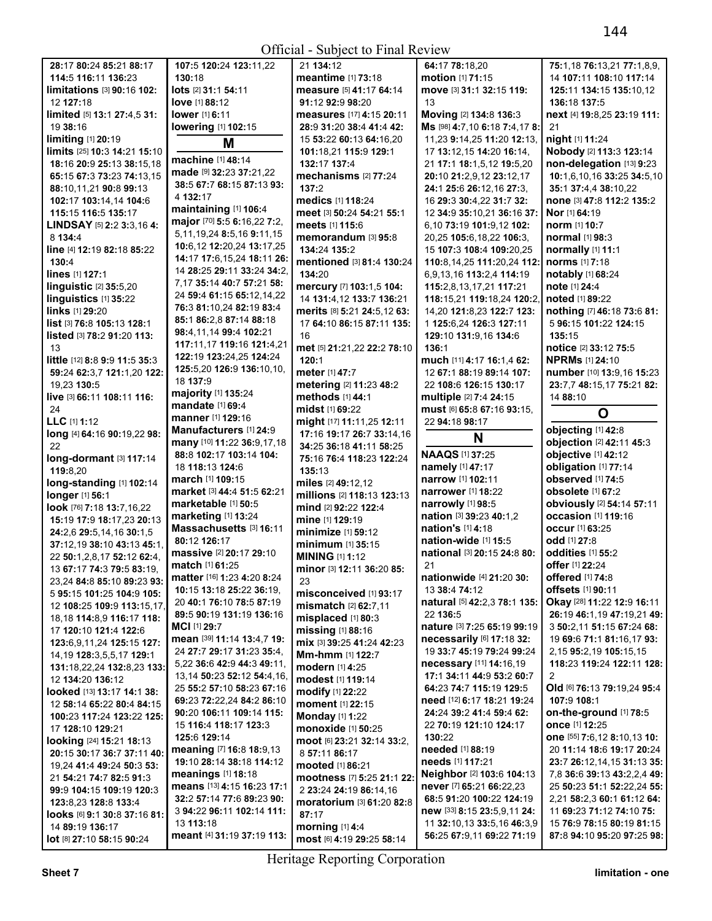$Offical$  - Subject to Final Review

|                                              |                                         | UHICIAI - SUDJECI IO FIIIAI REVIEW                  |                                                         |                                                         |
|----------------------------------------------|-----------------------------------------|-----------------------------------------------------|---------------------------------------------------------|---------------------------------------------------------|
| 28:17 80:24 85:21 88:17                      | 107:5 120:24 123:11,22                  | 21 134:12                                           | 64:17 78:18,20                                          | 75:1,18 76:13,21 77:1,8,9,                              |
| 114:5 116:11 136:23                          | 130:18                                  | meantime [1] 73:18                                  | motion [1] 71:15                                        | 14 107:11 108:10 117:14                                 |
| limitations [3] 90:16 102:                   | lots [2] 31:1 54:11                     | measure [5] 41:17 64:14                             | move [3] 31:1 32:15 119:                                | 125:11 134:15 135:10,12                                 |
| 12 127:18                                    | <b>love</b> [1] 88:12                   | 91:12 92:9 98:20                                    | 13                                                      | 136:18 137:5                                            |
| limited [5] 13:1 27:4,5 31:                  | <b>lower</b> [1] 6:11                   | measures [17] 4:15 20:11                            | Moving [2] 134:8 136:3                                  | next [4] 19:8,25 23:19 111:                             |
| 19 38:16                                     | lowering [1] 102:15                     | 28:9 31:20 38:4 41:4 42:                            | Ms [98] 4:7,10 6:18 7:4,17 8:                           | 21                                                      |
| limiting [1] 20:19                           | M                                       | 15 53:22 60:13 64:16,20                             | 11,23 9:14,25 11:20 12:13,                              | night [1] 11:24                                         |
| limits [25] 10:3 14:21 15:10                 |                                         | 101:18,21 115:9 129:1                               | 17 13:12,15 14:20 16:14,                                | Nobody [2] 113:3 123:14                                 |
| 18:16 20:9 25:13 38:15,18                    | machine [1] 48:14                       | 132:17 137:4                                        | 21 17:1 18:1,5,12 19:5,20                               | non-delegation [13] 9:23                                |
| 65:15 67:3 73:23 74:13.15                    | made [9] 32:23 37:21,22                 | mechanisms [2] 77:24                                | 20:10 21:2,9,12 23:12,17                                | 10:1,6,10,16 33:25 34:5,10                              |
| 88:10,11,21 90:8 99:13                       | 38:5 67:7 68:15 87:13 93:               | 137:2                                               | 24:1 25:6 26:12,16 27:3,                                | 35:1 37:4,4 38:10,22                                    |
| 102:17 103:14,14 104:6                       | 4 132:17                                | medics [1] 118:24                                   | 16 29:3 30:4,22 31:7 32:                                | none [3] 47:8 112:2 135:2                               |
| 115:15 116:5 135:17                          | maintaining [1] 106:4                   | meet [3] 50:24 54:21 55:1                           | 12 34:9 35:10,21 36:16 37:                              | <b>Nor</b> [1] 64:19                                    |
| <b>LINDSAY</b> [5] $2:2$ 3:3,16 4:           | major [70] 5:5 6:16,22 7:2,             | meets [1] 115:6                                     | 6,10 73:19 101:9,12 102:                                | norm [1] 10:7                                           |
| 8 134:4                                      | 5, 11, 19, 24 8: 5, 16 9: 11, 15        |                                                     | 20,25 105:6,18,22 106:3,                                | normal [1] 98:3                                         |
|                                              | 10:6,12 12:20,24 13:17,25               | memorandum [3] 95:8                                 |                                                         |                                                         |
| line [4] 12:19 82:18 85:22                   | 14:17 17:6,15,24 18:11 26:              | 134:24 135:2                                        | 15 107:3 108:4 109:20,25                                | normally [1] 11:1                                       |
| 130:4                                        | 14 28:25 29:11 33:24 34:2,              | mentioned [3] 81:4 130:24                           | 110:8,14,25 111:20,24 112:                              | norms [1] 7:18                                          |
| lines [1] 127:1                              | 7.17 35:14 40:7 57:21 58:               | 134:20                                              | 6,9,13,16 113:2,4 114:19                                | notably [1] 68:24                                       |
| linguistic $[2]$ 35:5,20                     | 24 59:4 61:15 65:12,14,22               | mercury [7] 103:1,5 104:                            | 115:2,8,13,17,21 117:21                                 | note [1] 24:4                                           |
| linguistics [1] 35:22                        | 76:3 81:10.24 82:19 83:4                | 14 131:4,12 133:7 136:21                            | 118:15,21 119:18,24 120:2,                              | noted [1] 89:22                                         |
| <b>links</b> [1] 29:20                       |                                         | merits [8] 5:21 24:5,12 63:                         | 14,20 121:8,23 122:7 123:                               | nothing [7] 46:18 73:6 81:                              |
| list [3] 76:8 105:13 128:1                   | 85:186:2,887:1488:18                    | 17 64:10 86:15 87:11 135:                           | 1 125:6,24 126:3 127:11                                 | 5 96:15 101:22 124:15                                   |
| listed [3] 78:2 91:20 113:                   | 98:4,11,14 99:4 102:21                  | 16                                                  | 129:10 131:9,16 134:6                                   | 135:15                                                  |
| 13                                           | 117:11,17 119:16 121:4,21               | met [5] 21:21,22 22:2 78:10                         | 136:1                                                   | notice [2] 33:12 75:5                                   |
| little [12] 8:8 9:9 11:5 35:3                | 122:19 123:24,25 124:24                 | 120:1                                               | much [11] 4:17 16:1,4 62:                               | <b>NPRMs</b> [1] 24:10                                  |
| 59:24 62:3,7 121:1,20 122:                   | 125:5,20 126:9 136:10,10,               | meter [1] 47:7                                      | 12 67:1 88:19 89:14 107:                                | number [10] 13:9,16 15:23                               |
| 19,23 130:5                                  | 18 137:9                                | metering [2] 11:23 48:2                             | 22 108:6 126:15 130:17                                  | 23:7,7 48:15,17 75:21 82:                               |
| live [3] 66:11 108:11 116:                   | <b>majority</b> [1] 135:24              | <b>methods</b> [1] 44:1                             | multiple [2] 7:4 24:15                                  | 14 88:10                                                |
| 24                                           | mandate [1] 69:4                        | <b>midst</b> [1] 69:22                              | <b>must</b> [6] <b>65:8 67:16 93:15,</b>                | O                                                       |
| LLC [1] 1:12                                 | <b>manner</b> [1] <b>129:16</b>         | might [17] 11:11,25 12:11                           | 22 94:18 98:17                                          |                                                         |
| long [4] 64:16 90:19,22 98:                  | Manufacturers [1] 24:9                  | 17:16 19:17 26:7 33:14,16                           |                                                         | objecting [1] 42:8                                      |
|                                              | many [10] 11:22 36:9,17,18              |                                                     | N                                                       | objection [2] 42:11 45:3                                |
|                                              |                                         |                                                     |                                                         |                                                         |
| 22                                           | 88:8 102:17 103:14 104:                 | 34:25 36:18 41:11 58:25                             | <b>NAAQS [1] 37:25</b>                                  | objective [1] 42:12                                     |
| long-dormant [3] 117:14                      | 18 118:13 124:6                         | 75:16 76:4 118:23 122:24                            | namely [1] 47:17                                        | obligation [1] 77:14                                    |
| 119:8,20                                     | <b>march</b> [1] <b>109:15</b>          | 135:13                                              | <b>narrow</b> [1] 102:11                                | observed [1] 74:5                                       |
| long-standing [1] 102:14                     | market [3] 44:4 51:5 62:21              | miles [2] 49:12,12                                  | <b>narrower</b> [1] <b>18:22</b>                        | obsolete [1] 67:2                                       |
| longer [1] 56:1                              | marketable [1] 50:5                     | millions [2] 118:13 123:13                          |                                                         |                                                         |
| look [76] 7:18 13:7,16,22                    |                                         | mind [2] 92:22 122:4                                | narrowly [1] 98:5                                       | obviously [2] 54:14 57:11                               |
| 15:19 17:9 18:17,23 20:13                    | marketing [1] 13:24                     | mine [1] 129:19                                     | nation [3] 39:23 40:1,2                                 | <b>occasion</b> [1] 119:16                              |
| 24:2,6 29:5,14,16 30:1,5                     | Massachusetts [3] 16:11                 | minimize [1] 59:12                                  | nation's [1] 4:18                                       | occur <sup>[1]</sup> 63:25                              |
| 37:12.19 38:10 43:13 45:1.                   | 80:12 126:17                            | minimum [1] 35:15                                   | nation-wide [1] 15:5                                    | odd [1] 27:8                                            |
| 22 50:1,2,8,17 52:12 62:4,                   | massive [2] 20:17 29:10                 | <b>MINING [1] 1:12</b>                              | national [3] 20:15 24:8 80:                             | oddities [1] 55:2                                       |
| 13 67:17 74:3 79:5 83:19,                    | <b>match</b> [1] 61:25                  | minor [3] 12:11 36:20 85:                           | 21                                                      | offer [1] 22:24                                         |
| 23,24 84:8 85:10 89:23 93:                   | matter [16] 1:23 4:20 8:24              | 23                                                  | <b>nationwide</b> [4] 21:20 30:                         | <b>offered</b> [1] 74:8                                 |
| 5 95:15 101:25 104:9 105:                    | 10:15 13:18 25:22 36:19,                | misconceived [1] 93:17                              | 13 38:4 74:12                                           | offsets [1] 90:11                                       |
| 12 108:25 109:9 113:15,17,                   | 20 40:1 76:10 78:5 87:19                | mismatch [2] 62:7,11                                | natural [5] 42:2,3 78:1 135:                            | Okay [28] 11:22 12:9 16:11                              |
| 18, 18 114: 8, 9 116: 17 118:                | 89:5 90:19 131:19 136:16                | misplaced [1] 80:3                                  | 22 136:5                                                | 26:19 46:1,19 47:19,21 49:                              |
| 17 120:10 121:4 122:6                        | MCI [1] 29:7                            | missing [1] 88:16                                   | nature [3] 7:25 65:19 99:19                             | 3 50:2,11 51:15 67:24 68:                               |
| 123:6,9,11,24 125:15 127:                    | mean [39] 11:14 13:4,7 19:              | mix [3] 39:25 41:24 42:23                           | necessarily [6] 17:18 32:                               | 19 69:6 71:1 81:16,17 93:                               |
| 14,19 128:3,5,5,17 129:1                     | 24 27:7 29:17 31:23 35:4,               | Mm-hmm [1] 122:7                                    | 19 33:7 45:19 79:24 99:24                               | 2, 15 95: 2, 19 105: 15, 15                             |
| 131:18,22,24 132:8,23 133:                   | 5,22 36:6 42:9 44:3 49:11,              | <b>modern</b> [1] <b>4:25</b>                       | necessary [11] 14:16,19                                 | 118:23 119:24 122:11 128:                               |
| 12 134:20 136:12                             | 13,14 50:23 52:12 54:4,16,              | modest [1] 119:14                                   | 17:1 34:11 44:9 53:2 60:7                               | $\overline{2}$                                          |
| looked [13] 13:17 14:1 38:                   | 25 55:2 57:10 58:23 67:16               | modify [1] 22:22                                    | 64:23 74:7 115:19 129:5                                 | Old [6] 76:13 79:19,24 95:4                             |
| 12 58:14 65:22 80:4 84:15                    | 69:23 72:22,24 84:2 86:10               | moment [1] 22:15                                    | need [12] 6:17 18:21 19:24                              | 107:9 108:1                                             |
|                                              | 90:20 106:11 109:14 115:                |                                                     | 24:24 39:2 41:4 59:4 62:                                | on-the-ground [1] 78:5                                  |
| 100:23 117:24 123:22 125:                    | 15 116:4 118:17 123:3                   | <b>Monday</b> [1] 1:22                              | 22 <b>70:</b> 19 <b>121:</b> 10 <b>124:</b> 17          | once [1] 12:25                                          |
| 17 128:10 129:21                             | 125:6 129:14                            | monoxide [1] 50:25                                  | 130:22                                                  | one [55] 7:6,12 8:10,13 10:                             |
| <b>looking</b> [24] <b>15:21 18:13</b>       | meaning [7] 16:8 18:9,13                | moot [6] 23:21 32:14 33:2,                          | needed [1] 88:19                                        | 20 11:14 18:6 19:17 20:24                               |
| 20:15 30:17 36:7 37:11 40:                   | 19:10 28:14 38:18 114:12                | 8 57:11 86:17                                       | needs [1] 117:21                                        | 23:7 26:12,14,15 31:13 35:                              |
| 19,24 41:4 49:24 50:3 53:                    | meanings [1] 18:18                      | mooted [1] 86:21                                    | Neighbor [2] 103:6 104:13                               | 7,8 36:6 39:13 43:2,2,4 49:                             |
| 21 54:21 74:7 82:5 91:3                      | means [13] 4:15 16:23 17:1              | mootness [7] 5:25 21:1 22:                          | never [7] 65:21 66:22,23                                | 25 50:23 51:1 52:22,24 55:                              |
| 99:9 104:15 109:19 120:3                     | 32:2 57:14 77:6 89:23 90:               | 2 23:24 24:19 86:14,16                              | 68:5 91:20 100:22 124:19                                | 2,21 58:2,3 60:1 61:12 64:                              |
| 123:8,23 128:8 133:4                         | 3 94:22 96:11 102:14 111:               | moratorium [3] 61:20 82:8                           |                                                         | 11 69:23 71:12 74:10 75:                                |
| <b>looks</b> [6] 9:1 30:8 37:16 81:          |                                         | 87:17                                               | new [33] 8:15 23:5,9,11 24:                             |                                                         |
| 14 89:19 136:17<br>lot [8] 27:10 58:15 90:24 | 13 113:18<br>meant [4] 31:19 37:19 113: | <b>morning</b> [1] 4:4<br>most [6] 4:19 29:25 58:14 | 11 32:10,13 33:5,16 46:3,9<br>56:25 67:9,11 69:22 71:19 | 15 76:9 78:15 80:19 81:15<br>87:8 94:10 95:20 97:25 98: |

Heritage Reporting Corporation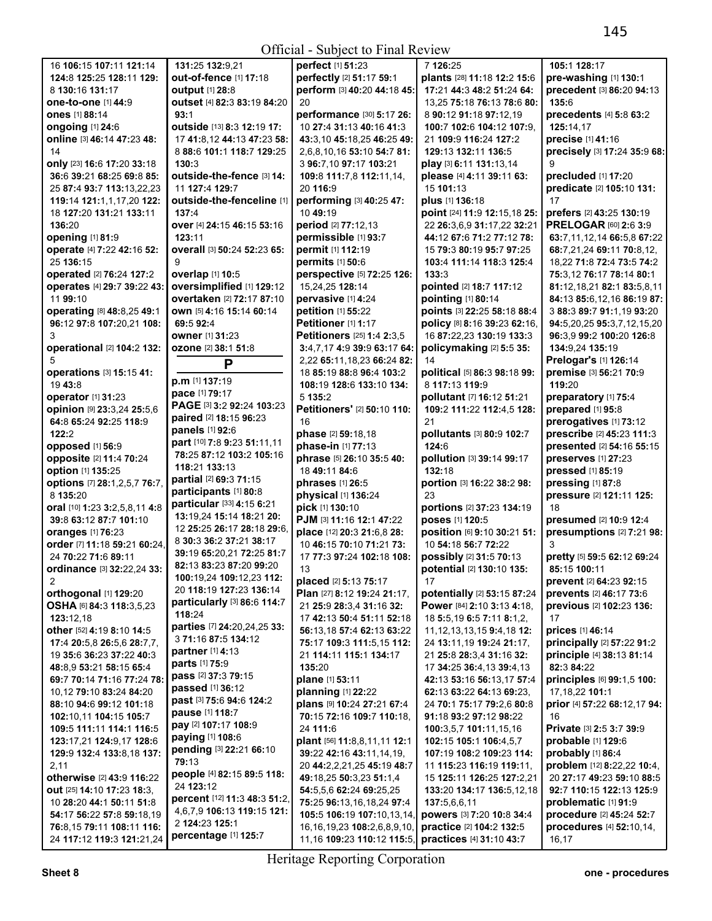## Official - Subject to Final Review

| 16 106:15 107:11 121:14                   | 131:25 132:9,21                                    | perfect [1] 51:23                                   | 7 126:25                         | 105:1 128:17                           |
|-------------------------------------------|----------------------------------------------------|-----------------------------------------------------|----------------------------------|----------------------------------------|
| 124:8 125:25 128:11 129:                  | out-of-fence [1] 17:18                             | perfectly [2] 51:17 59:1                            | plants [28] 11:18 12:2 15:6      | pre-washing [1] 130:1                  |
| 8 130:16 131:17                           | <b>output</b> [1] 28:8                             | perform [3] 40:20 44:18 45:                         | 17:21 44:3 48:2 51:24 64:        | precedent [3] 86:20 94:13              |
| one-to-one [1] 44:9                       | outset [4] 82:3 83:19 84:20                        | 20                                                  | 13,25 75:18 76:13 78:6 80:       | 135:6                                  |
| <b>ones</b> [1] 88:14                     | 93:1                                               | performance [30] 5:17 26:                           | 8 90:12 91:18 97:12,19           | precedents [4] 5:8 63:2                |
| ongoing $[1]$ 24:6                        | outside [13] 8:3 12:19 17:                         | 10 27:4 31:13 40:16 41:3                            | 100:7 102:6 104:12 107:9.        | 125:14.17                              |
| online [3] 46:14 47:23 48:                | 17 41:8.12 44:13 47:23 58:                         | 43:3,10 45:18,25 46:25 49:                          | 21 109:9 116:24 127:2            | precise [1] 41:16                      |
|                                           |                                                    |                                                     |                                  |                                        |
| 14                                        | 8 88:6 101:1 118:7 129:25                          | 2,6,8,10,16 53:10 54:7 81:                          | 129:13 132:11 136:5              | precisely [3] 17:24 35:9 68:           |
| only [23] 16:6 17:20 33:18                | 130:3                                              | 3 96:7,10 97:17 103:21                              | play [3] 6:11 131:13,14          | 9                                      |
| 36:6 39:21 68:25 69:8 85:                 | outside-the-fence [3] 14:                          | 109:8 111:7,8 112:11,14,                            | please [4] 4:11 39:11 63:        | precluded [1] 17:20                    |
| 25 87:4 93:7 113:13,22,23                 | 11 127:4 129:7                                     | 20 116:9                                            | 15 101:13                        | predicate [2] 105:10 131:              |
| 119:14 121:1,1,17,20 122:                 | outside-the-fenceline [1]                          | performing [3] 40:25 47:                            | plus [1] 136:18                  | 17                                     |
| 18 127:20 131:21 133:11                   | 137:4                                              | 10 49:19                                            | point [24] 11:9 12:15,18 25:     | prefers [2] 43:25 130:19               |
| 136:20                                    | over [4] 24:15 46:15 53:16                         | period [2] 77:12,13                                 | 22 26:3,6,9 31:17,22 32:21       | PRELOGAR [60] 2:6 3:9                  |
| opening [1] 81:9                          | 123:11                                             | permissible [1] 93:7                                | 44:12 67:6 71:2 77:12 78:        | 63:7,11,12,14 66:5,8 67:22             |
| operate [4] 7:22 42:16 52:                | overall [3] 50:24 52:23 65:                        | permit [1] 112:19                                   | 15 79:3 80:19 95:7 97:25         | 68:7,21,24 69:11 70:8,12,              |
| 25 136:15                                 | 9                                                  | permits [1] 50:6                                    | 103:4 111:14 118:3 125:4         | 18,22 71:8 72:4 73:5 74:2              |
| operated [2] 76:24 127:2                  | overlap [1] 10:5                                   | perspective [5] 72:25 126:                          | 133:3                            | 75:3,12 76:17 78:14 80:1               |
| operates [4] 29:7 39:22 43:               | oversimplified [1] 129:12                          | 15,24,25 128:14                                     | pointed [2] 18:7 117:12          | 81:12,18,21 82:1 83:5,8,11             |
| 11 99:10                                  | overtaken [2] 72:17 87:10                          | pervasive [1] 4:24                                  | pointing [1] 80:14               | 84:13 85:6,12,16 86:19 87:             |
| operating [8] 48:8,25 49:1                | own [5] 4:16 15:14 60:14                           | petition [1] 55:22                                  | points [3] 22:25 58:18 88:4      | 3 88:3 89:7 91:1,19 93:20              |
| 96:12 97:8 107:20,21 108:                 | 69:5 92:4                                          | Petitioner [1] 1:17                                 | policy [8] 8:16 39:23 62:16,     | 94:5,20,25 95:3,7,12,15,20             |
| 3                                         | owner [1] 31:23                                    | Petitioners [25] 1:4 2:3.5                          | 16 87:22,23 130:19 133:3         | 96:3,9 99:2 100:20 126:8               |
| operational [2] 104:2 132:                |                                                    |                                                     |                                  |                                        |
|                                           | <b>ozone</b> [2] 38:1 51:8                         | 3:4,7,17 4:9 39:9 63:17 64:                         | policymaking [2] 5:5 35:         | 134:9,24 135:19                        |
| 5                                         | P                                                  | 2,22 65:11,18,23 66:24 82:                          | 14                               | Prelogar's [1] 126:14                  |
| operations [3] 15:15 41:                  | p.m [1] 137:19                                     | 18 85:19 88:8 96:4 103:2                            | political [5] 86:3 98:18 99:     | premise [3] 56:21 70:9                 |
| 19 43:8                                   | pace [1] 79:17                                     | 108:19 128:6 133:10 134:                            | 8 117:13 119:9                   | 119:20                                 |
| operator [1] 31:23                        | PAGE [3] 3:2 92:24 103:23                          | 5 135:2                                             | pollutant [7] 16:12 51:21        | preparatory [1] 75:4                   |
| opinion [9] 23:3,24 25:5,6                | paired [2] 18:15 96:23                             | Petitioners' [2] 50:10 110:                         | 109:2 111:22 112:4,5 128:        | prepared [1] 95:8                      |
| 64:8 65:24 92:25 118:9                    | panels [1] 92:6                                    | 16                                                  | 21                               | prerogatives [1] 73:12                 |
| 122:2                                     | part [10] 7:8 9:23 51:11,11                        | phase [2] 59:18,18                                  | pollutants [3] 80:9 102:7        | prescribe [2] 45:23 111:3              |
| opposed [1] 56:9                          | 78:25 87:12 103:2 105:16                           | phase-in [1] 77:13                                  | 124:6                            | presented [2] 54:16 55:15              |
| opposite [2] 11:4 70:24                   | 118:21 133:13                                      | phrase [5] 26:10 35:5 40:                           | pollution [3] 39:14 99:17        | preserves [1] 27:23                    |
| option [1] 135:25                         | partial [2] 69:3 71:15                             | 18 49:11 84:6                                       | 132:18                           | pressed [1] 85:19                      |
| options [7] 28:1,2,5,7 76:7,              | participants [1] 80:8                              | phrases [1] 26:5                                    | portion [3] 16:22 38:2 98:       | pressing [1] 87:8                      |
| 8 135:20                                  | particular [33] 4:15 6:21                          | physical [1] 136:24                                 | 23                               | pressure [2] 121:11 125:               |
| oral [10] 1:23 3:2,5,8,11 4:8             | 13:19,24 15:14 18:21 20:                           | pick [1] 130:10                                     | portions [2] 37:23 134:19        | 18                                     |
| 39:8 63:12 87:7 101:10                    | 12 25:25 26:17 28:18 29:6.                         | PJM [3] 11:16 12:1 47:22                            | poses [1] 120:5                  | presumed [2] 10:9 12:4                 |
| oranges [1] 76:23                         |                                                    | place [12] 20:3 21:6,8 28:                          | position [6] 9:10 30:21 51:      | presumptions [2] 7:21 98:              |
| order [7] 11:18 59:21 60:24,              | 8 30:3 36:2 37:21 38:17                            | 10 46:15 70:10 71:21 73:                            | 10 54:18 56:7 72:22              |                                        |
| 24 70:22 71:6 89:11                       | 39:19 65:20,21 72:25 81:7                          | 17 77:3 97:24 102:18 108:                           | possibly [2] 31:5 70:13          | pretty [5] 59:5 62:12 69:24            |
| ordinance [3] 32:22,24 33:                | 82:13 83:23 87:20 99:20                            | 13                                                  | potential [2] 130:10 135:        | 85:15 100:11                           |
| 2                                         | 100:19,24 109:12,23 112:                           | placed [2] 5:13 75:17                               | 17                               | prevent [2] 64:23 92:15                |
| orthogonal [1] 129:20                     | 20 118:19 127:23 136:14                            | Plan [27] 8:12 19:24 21:17,                         | potentially [2] 53:15 87:24      | prevents [2] 46:17 73:6                |
| OSHA [6] 84:3 118:3,5,23                  | particularly [3] 86:6 114:7                        | 21 25:9 28:3,4 31:16 32:                            | Power [84] 2:10 3:13 4:18,       | previous [2] 102:23 136:               |
| 123:12,18                                 | 118:24                                             | 17 42:13 50:4 51:11 52:18                           | 18 5:5,19 6:5 7:11 8:1,2,        | 17                                     |
| other [52] 4:19 8:10 14:5                 | parties [7] 24:20,24,25 33:<br>3 71:16 87:5 134:12 | 56:13,18 57:4 62:13 63:22                           | 11, 12, 13, 13, 15 9: 4, 18 12:  | prices [1] 46:14                       |
| 17:4 20:5,8 26:5,6 28:7,7,                |                                                    | 75:17 109:3 111:5,15 112:                           | 24 13:11, 19 19:24 21:17,        | principally [2] 57:22 91:2             |
| 19 35:6 36:23 37:22 40:3                  | partner [1] 4:13                                   | 21 114:11 115:1 134:17                              | 21 25:8 28:3,4 31:16 32:         | principle [4] 38:13 81:14              |
| 48:8,9 53:21 58:15 65:4                   | parts [1] 75:9                                     | 135:20                                              | 17 34:25 36:4,13 39:4,13         | 82:3 84:22                             |
| 69:7 70:14 71:16 77:24 78:                | pass [2] 37:3 79:15                                | plane [1] 53:11                                     | 42:13 53:16 56:13,17 57:4        | principles [6] 99:1,5 100:             |
| 10,12 79:10 83:24 84:20                   | passed [1] 36:12                                   | planning [1] 22:22                                  | 62:13 63:22 64:13 69:23,         | 17,18,22 101:1                         |
| 88:10 94:6 99:12 101:18                   | past [3] 75:6 94:6 124:2                           | plans [9] 10:24 27:21 67:4                          | 24 70:1 75:17 79:2,6 80:8        | prior [4] 57:22 68:12,17 94:           |
| 102:10,11 104:15 105:7                    | pause [1] 118:7                                    | 70:15 72:16 109:7 110:18,                           | 91:18 93:2 97:12 98:22           | 16                                     |
| 109:5 111:11 114:1 116:5                  | pay [2] 107:17 108:9                               | 24 111:6                                            | 100:3,5,7 101:11,15,16           | <b>Private</b> [3] <b>2:5 3:7 39:9</b> |
| 123:17,21 124:9,17 128:6                  | paying [1] 108:6                                   | plant [56] 11:8,8,11,11 12:1                        | 102:15 105:1 106:4,5,7           | probable [1] 129:6                     |
| 129:9 132:4 133:8,18 137:                 | pending [3] 22:21 66:10                            | 39:22 42:16 43:11,14,19,                            | 107:19 108:2 109:23 114:         | probably [1] 86:4                      |
| 2,11                                      | 79:13                                              | 20 44:2,2,21,25 45:19 48:7                          | 11 <b>115:23 116:19 119:11</b> , | problem [12] 8:22,22 10:4,             |
| otherwise [2] 43:9 116:22                 | people [4] 82:15 89:5 118:                         | 49:18,25 50:3,23 51:1,4                             | 15 125:11 126:25 127:2,21        | 20 27:17 49:23 59:10 88:5              |
| <b>out</b> [25] <b>14:10 17:23 18:3</b> , | 24 123:12                                          | 54:5,5,6 62:24 69:25,25                             | 133:20 134:17 136:5,12,18        | 92:7 110:15 122:13 125:9               |
| 10 28:20 44:1 50:11 51:8                  | percent [12] 11:3 48:3 51:2,                       | 75:25 96:13,16,18,24 97:4                           | 137:5,6,6,11                     | problematic [1] 91:9                   |
| 54:17 56:22 57:8 59:18,19                 | 4,6,7,9 106:13 119:15 121:                         | 105:5 106:19 107:10,13,14,                          | powers [3] 7:20 10:8 34:4        | procedure [2] 45:24 52:7               |
| 76:8,15 79:11 108:11 116:                 | 2 124:23 125:1                                     | 16, 16, 19, 23 108: 2, 6, 8, 9, 10,                 | practice [2] 104:2 132:5         | procedures [4] 52:10,14,               |
| 24 117:12 119:3 121:21,24                 | percentage [1] 125:7                               | 11,16 109:23 110:12 115:5, practices [4] 31:10 43:7 |                                  | 16,17                                  |

11,16 **109:**23 **110:**12 **115:**5, Heritage Reporting Corporation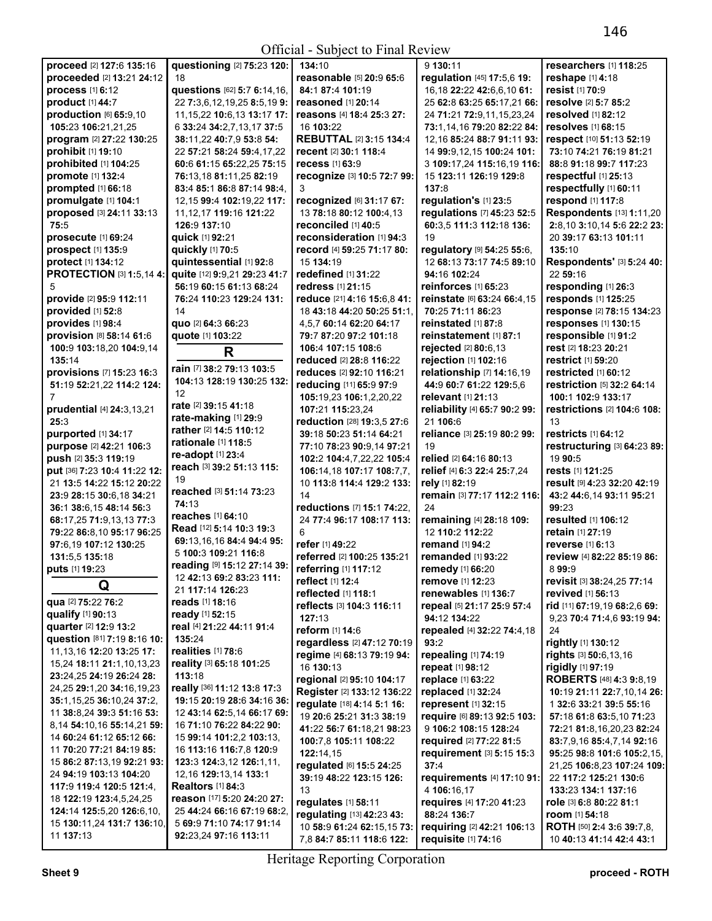Official - Subject to Final Review

| proceed [2] 127:6 135:16                | questioning [2] 75:23 120:               | 134:10                         | 9 130:11                      | researchers [1] 118:25                  |
|-----------------------------------------|------------------------------------------|--------------------------------|-------------------------------|-----------------------------------------|
|                                         |                                          |                                |                               |                                         |
| proceeded [2] 13:21 24:12               | 18                                       | reasonable [5] 20:9 65:6       | regulation [45] 17:5,6 19:    | reshape [1] 4:18                        |
| <b>process</b> [1] 6:12                 | questions [62] 5:7 6:14,16,              | 84:1 87:4 101:19               | 16,18 22:22 42:6,6,10 61:     | resist [1] 70:9                         |
| product [1] 44:7                        | 22 7:3,6,12,19,25 8:5,19 9:              | reasoned [1] 20:14             | 25 62:8 63:25 65:17,21 66:    | resolve [2] 5:7 85:2                    |
| production [6] 65:9,10                  | 11, 15, 22 10: 6, 13 13: 17 17:          | reasons [4] 18:4 25:3 27:      | 24 71:21 72:9,11,15,23,24     | resolved [1] 82:12                      |
| 105:23 106:21,21,25                     | 6 33:24 34:2,7,13,17 37:5                | 16 103:22                      | 73:1.14.16 79:20 82:22 84:    | <b>resolves</b> [1] 68:15               |
| program [2] 27:22 130:25                | 38:11,22 40:7,9 53:8 54:                 | <b>REBUTTAL [2] 3:15 134:4</b> | 12,16 85:24 88:7 91:11 93:    | respect [10] 51:13 52:19                |
| prohibit [1] 19:10                      | 22 57:21 58:24 59:4,17,22                | recent [2] 30:1 118:4          | 14 99:9,12,15 100:24 101:     | 73:10 74:21 76:19 81:21                 |
| prohibited [1] 104:25                   | 60:6 61:15 65:22,25 75:15                | recess [1] 63:9                | 3 109:17,24 115:16,19 116:    | 88:8 91:18 99:7 117:23                  |
| promote [1] 132:4                       | 76:13,18 81:11,25 82:19                  | recognize [3] 10:5 72:7 99:    | 15 123:11 126:19 129:8        | respectful [1] 25:13                    |
| prompted [1] 66:18                      |                                          | 3                              | 137:8                         | respectfully [1] 60:11                  |
|                                         | 83:4 85:1 86:8 87:14 98:4,               |                                |                               |                                         |
| promulgate [1] 104:1                    | 12,15 99:4 102:19,22 117:                | recognized [6] 31:17 67:       | regulation's [1] 23:5         | respond [1] 117:8                       |
| proposed [3] 24:11 33:13                | 11, 12, 17 119: 16 121: 22               | 13 78:18 80:12 100:4.13        | regulations [7] 45:23 52:5    | Respondents [13] 1:11,20                |
| 75:5                                    | 126:9 137:10                             | reconciled [1] 40:5            | 60:3,5 111:3 112:18 136:      | 2:8,10 3:10,14 5:6 22:2 23:             |
| prosecute [1] 69:24                     | quick [1] 92:21                          | reconsideration [1] 94:3       | 19                            | 20 39:17 63:13 101:11                   |
| prospect [1] 135:9                      | quickly [1] 70:5                         | record [4] 59:25 71:17 80:     | regulatory [9] 54:25 55:6,    | 135:10                                  |
| protect [1] 134:12                      | quintessential [1] 92:8                  | 15 134:19                      | 12 68:13 73:17 74:5 89:10     | Respondents' [3] 5:24 40:               |
| <b>PROTECTION [3] 1:5,14 4:</b>         | quite [12] 9:9,21 29:23 41:7             | redefined [1] 31:22            | 94:16 102:24                  | 22 59:16                                |
| 5                                       | 56:19 60:15 61:13 68:24                  | redress [1] 21:15              | reinforces [1] 65:23          | responding [1] 26:3                     |
| provide [2] 95:9 112:11                 | 76:24 110:23 129:24 131:                 | reduce [21] 4:16 15:6,8 41:    | reinstate [6] 63:24 66:4,15   | responds [1] 125:25                     |
|                                         | 14                                       |                                |                               |                                         |
| provided [1] 52:8                       |                                          | 18 43:18 44:20 50:25 51:1,     | 70:25 71:11 86:23             | response [2] 78:15 134:23               |
| provides [1] 98:4                       | quo [2] 64:3 66:23                       | 4,5,7 60:14 62:20 64:17        | reinstated [1] 87:8           | responses [1] 130:15                    |
| provision [8] 58:14 61:6                | quote [1] 103:22                         | 79:7 87:20 97:2 101:18         | reinstatement [1] 87:1        | responsible [1] 91:2                    |
| 100:9 103:18,20 104:9,14                | R                                        | 106:4 107:15 108:6             | rejected [2] 80:6,13          | rest [2] 18:23 20:21                    |
| 135:14                                  |                                          | reduced [2] 28:8 116:22        | rejection [1] 102:16          | restrict [1] 59:20                      |
| provisions [7] 15:23 16:3               | rain [7] 38:2 79:13 103:5                | reduces [2] 92:10 116:21       | relationship [7] 14:16,19     | restricted [1] 60:12                    |
| 51:19 52:21,22 114:2 124:               | 104:13 128:19 130:25 132:                | reducing [11] 65:9 97:9        | 44:9 60:7 61:22 129:5,6       | restriction [5] 32:2 64:14              |
|                                         | 12                                       | 105:19,23 106:1,2,20,22        | relevant [1] 21:13            | 100:1 102:9 133:17                      |
| prudential [4] 24:3,13,21               | rate [2] 39:15 41:18                     | 107:21 115:23,24               | reliability [4] 65:7 90:2 99: | restrictions [2] 104:6 108:             |
| 25:3                                    | rate-making [1] 29:9                     | reduction [28] 19:3.5 27:6     | 21 106:6                      | 13                                      |
|                                         | rather [2] 14:5 110:12                   |                                |                               |                                         |
| purported [1] 34:17                     | rationale [1] 118:5                      | 39:18 50:23 51:14 64:21        | reliance [3] 25:19 80:2 99:   | restricts [1] 64:12                     |
| purpose [2] 42:21 106:3                 | re-adopt [1] 23:4                        | 77:10 78:23 90:9,14 97:21      | 19                            | restructuring [3] 64:23 89:             |
| push [2] 35:3 119:19                    |                                          | 102:2 104:4,7,22,22 105:4      | relied [2] 64:16 80:13        | 19 90:5                                 |
| put [36] 7:23 10:4 11:22 12:            | reach [3] 39:2 51:13 115:                | 106:14,18 107:17 108:7,7,      | relief [4] 6:3 22:4 25:7,24   | rests [1] 121:25                        |
| 21 13:5 14:22 15:12 20:22               | 19                                       | 10 113:8 114:4 129:2 133:      | rely [1] 82:19                | result [9] 4:23 32:20 42:19             |
| 23:9 28:15 30:6,18 34:21                | reached [3] 51:14 73:23                  | 14                             | remain [3] 77:17 112:2 116:   | 43:2 44:6,14 93:11 95:21                |
| 36:1 38:6,15 48:14 56:3                 | 74:13                                    | reductions [7] 15:1 74:22,     | 24                            | 99:23                                   |
| 68:17,25 71:9,13,13 77:3                | reaches [1] 64:10                        | 24 77:4 96:17 108:17 113:      | remaining [4] 28:18 109:      | resulted [1] 106:12                     |
| 79:22 86:8,10 95:17 96:25               | Read [12] 5:14 10:3 19:3                 | 6                              | 12 110:2 112:22               | retain [1] 27:19                        |
| 97:6.19 107:12 130:25                   | 69:13,16,16 84:4 94:4 95:                | refer [1] 49:22                | remand [1] 94:2               | reverse [1] 6:13                        |
|                                         | 5 100:3 109:21 116:8                     |                                |                               |                                         |
| 131:5,5 135:18                          | reading [9] 15:12 27:14 39:              | referred [2] 100:25 135:21     | <b>remanded</b> [1] 93:22     | review [4] 82:22 85:19 86:              |
| puts [1] 19:23                          | 12 42:13 69:2 83:23 111:                 | referring [1] 117:12           | remedy [1] 66:20              | 899:9                                   |
| Q                                       |                                          | reflect [1] 12:4               | remove [1] 12:23              | revisit [3] 38:24,25 77:14              |
|                                         | 21 117:14 126:23                         | reflected [1] 118:1            | renewables [1] 136:7          | revived [1] 56:13                       |
| qua [2] 75:22 76:2                      | reads [1] 18:16                          | reflects [3] 104:3 116:11      | repeal [5] 21:17 25:9 57:4    | rid [11] 67:19,19 68:2,6 69:            |
| qualify [1] 90:13                       | ready [1] 52:15                          | 127:13                         | 94:12 134:22                  | 9,23 70:4 71:4,6 93:19 94:              |
| quarter [2] 12:9 13:2                   | real [4] 21:22 44:11 91:4                | reform [1] 14:6                | repealed [4] 32:22 74:4,18    | 24                                      |
| question [81] 7:19 8:16 10:             | 135:24                                   | regardless [2] 47:12 70:19     | 93:2                          | rightly [1] 130:12                      |
| 11, 13, 16 12: 20 13: 25 17:            | realities [1] 78:6                       | regime [4] 68:13 79:19 94:     | repealing [1] 74:19           | rights [3] 50:6,13,16                   |
| 15,24 18:11 21:1,10,13,23               | reality [3] 65:18 101:25                 | 16 130:13                      | repeat [1] 98:12              | rigidly [1] 97:19                       |
| 23:24,25 24:19 26:24 28:                | 113:18                                   | regional [2] 95:10 104:17      | replace [1] 63:22             |                                         |
| 24,25 29:1,20 34:16,19,23               | really [36] 11:12 13:8 17:3              |                                |                               | <b>ROBERTS</b> [48] <b>4:3 9:8,19</b>   |
| 35:1,15,25 36:10,24 37:2,               | 19:15 20:19 28:6 34:16 36:               | Register [2] 133:12 136:22     | replaced [1] 32:24            | 10:19 21:11 22:7,10,14 26:              |
| 11 38:8,24 39:3 51:16 53:               | 12 43:14 62:5,14 66:17 69:               | regulate [18] 4:14 5:1 16:     | represent [1] 32:15           | 1 32:6 33:21 39:5 55:16                 |
|                                         |                                          | 19 20:6 25:21 31:3 38:19       | require [6] 89:13 92:5 103:   | 57:18 61:8 63:5,10 71:23                |
| 8,14 54:10,16 55:14,21 59:              | 16 71:10 76:22 84:22 90:                 | 41:22 56:7 61:18,21 98:23      | 9 106:2 108:15 128:24         | 72:21 81:8,16,20,23 82:24               |
| 14 60:24 61:12 65:12 66:                | 15 99:14 101:2,2 103:13,                 | 100:7,8 105:11 108:22          | required [2] 77:22 81:5       | 83:7,9,16 85:4,7,14 92:16               |
| 11 <b>70:</b> 20 <b>77:21 84:19 85:</b> | 16 113:16 116:7,8 120:9                  | 122:14,15                      | requirement [3] 5:15 15:3     | 95:25 98:8 101:6 105:2,15,              |
| 15 86:2 87:13,19 92:21 93:              | 123:3 124:3,12 126:1,11,                 | regulated [6] 15:5 24:25       | 37:4                          | 21,25 106:8,23 107:24 109:              |
| 24 94:19 103:13 104:20                  | 12,16 <b>129:</b> 13,14 <b>133:</b> 1    | 39:19 48:22 123:15 126:        | requirements [4] 17:10 91:    | 22 117:2 125:21 130:6                   |
| 117:9 119:4 120:5 121:4,                | <b>Realtors</b> [1] 84:3                 | 13                             | 4 106:16,17                   | 133:23 134:1 137:16                     |
| 18 <b>122:19 123:</b> 4,5,24,25         | <b>reason</b> [17] <b>5:20 24:20 27:</b> | regulates [1] 58:11            | requires [4] 17:20 41:23      | role [3] 6:8 80:22 81:1                 |
| 124:14 125:5,20 126:6,10,               | 25 44:24 66:16 67:19 68:2,               | regulating [13] 42:23 43:      | 88:24 136:7                   | room [1] 54:18                          |
| 15 130:11,24 131:7 136:10,              | 5 69:9 71:10 74:17 91:14                 |                                |                               |                                         |
| 11 137:13                               | 92:23,24 97:16 113:11                    | 10 58:9 61:24 62:15,15 73:     | requiring [2] 42:21 106:13    | <b>ROTH</b> [50] <b>2:4 3:6 39:7,8,</b> |
|                                         |                                          | 7,8 84:7 85:11 118:6 122:      | requisite [1] 74:16           | 10 40:13 41:14 42:4 43:1                |

7,8 **84:**7 **85:**11 **118:**6 **122:**  Heritage Reporting Corporation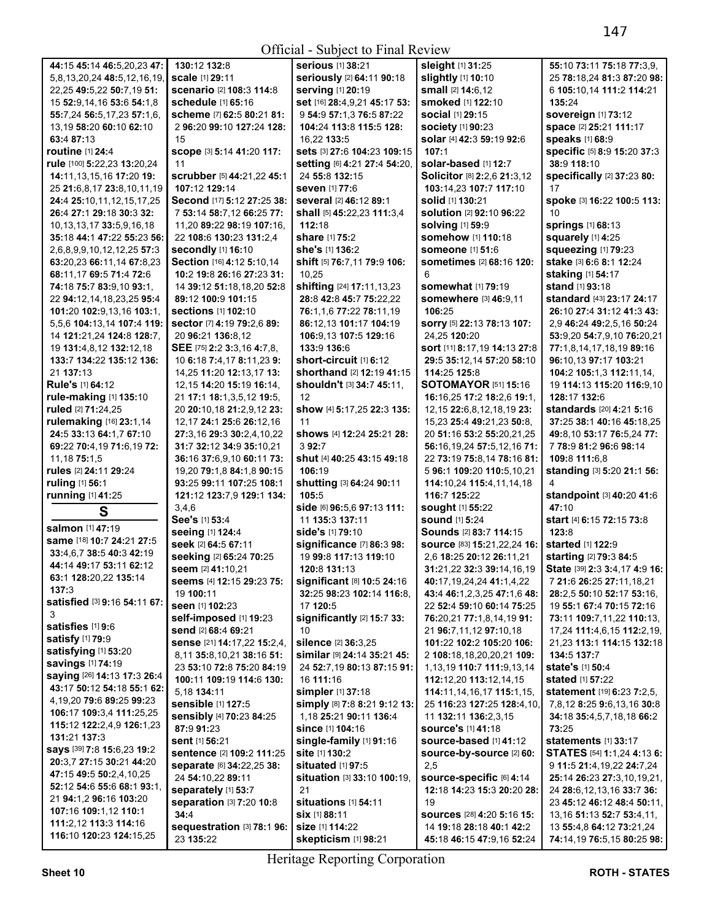## Official - Subject to Final Review

|                                    |                              | $\sum_{i=1}^{n}$                   |                                                    |                                          |
|------------------------------------|------------------------------|------------------------------------|----------------------------------------------------|------------------------------------------|
| 44:15 45:14 46:5,20,23 47:         | 130:12 132:8                 | <b>serious</b> [1] 38:21           | sleight [1] 31:25                                  | 55:10 73:11 75:18 77:3,9,                |
| 5,8,13,20,24 48:5,12,16,19,        | scale [1] 29:11              | seriously [2] 64:11 90:18          | slightly [1] 10:10                                 | 25 78:18,24 81:3 87:20 98:               |
| 22,25 49:5,22 50:7,19 51:          | scenario [2] 108:3 114:8     | serving [1] 20:19                  | small [2] 14:6,12                                  | 6 105:10,14 111:2 114:21                 |
| 15 52:9,14,16 53:6 54:1,8          | schedule [1] 65:16           | set [16] 28:4,9,21 45:17 53:       | smoked [1] 122:10                                  | 135:24                                   |
| 55:7,24 56:5,17,23 57:1,6,         | scheme [7] 62:5 80:21 81:    | 9 54:9 57:1,3 76:5 87:22           | <b>social</b> [1] 29:15                            | <b>sovereign [1] 73:12</b>               |
| 13,19 58:20 60:10 62:10            | 2 96:20 99:10 127:24 128:    | 104:24 113:8 115:5 128:            | <b>society [1] 90:23</b>                           | space [2] 25:21 111:17                   |
| 63:4 87:13                         | 15                           | 16,22 133:5                        | solar [4] 42:3 59:19 92:6                          | speaks [1] 68:9                          |
| routine [1] 24:4                   | SCOPE [3] 5:14 41:20 117:    | sets [3] 27:6 104:23 109:15        | 107:1                                              | specific [5] 8:9 15:20 37:3              |
|                                    |                              |                                    | solar-based [1] 12:7                               | 38:9 118:10                              |
| rule [100] 5:22,23 13:20,24        | 11                           | setting [6] 4:21 27:4 54:20,       |                                                    |                                          |
| 14:11,13,15,16 17:20 19:           | scrubber [5] 44:21,22 45:1   | 24 55:8 132:15                     | Solicitor [8] 2:2,6 21:3,12                        | specifically [2] 37:23 80:               |
| 25 21:6,8,17 23:8,10,11,19         | 107:12 129:14                | <b>seven</b> [1] 77:6              | 103:14.23 107:7 117:10                             | 17                                       |
| 24:4 25:10,11,12,15,17,25          | Second [17] 5:12 27:25 38:   | several [2] 46:12 89:1             | solid [1] 130:21                                   | spoke [3] 16:22 100:5 113:               |
| 26:4 27:1 29:18 30:3 32:           | 7 53:14 58:7,12 66:25 77:    | shall [5] 45:22,23 111:3,4         | <b>solution [2] 92:10 96:22</b>                    | 10                                       |
| 10, 13, 13, 17 33: 5, 9, 16, 18    | 11,20 89:22 98:19 107:16,    | 112:18                             | <b>solving [1] 59:9</b>                            | <b>springs</b> [1] 68:13                 |
| 35:18 44:1 47:22 55:23 56:         | 22 108:6 130:23 131:2,4      | share [1] 75:2                     | somehow [1] 110:18                                 | squarely [1] 4:25                        |
| 2,6,8,9,9,10,12,12,25 57:3         | secondly [1] 16:10           | she's [1] 136:2                    | someone [1] 51:6                                   | squeezing [1] 79:23                      |
| 63:20,23 66:11,14 67:8,23          | Section [16] 4:12 5:10,14    | shift [5] 76:7,11 79:9 106:        | sometimes [2] 68:16 120:                           | stake [3] 6:6 8:1 12:24                  |
| 68:11,17 69:5 71:4 72:6            | 10:2 19:8 26:16 27:23 31:    | 10,25                              | 6                                                  | staking [1] 54:17                        |
| 74:18 75:7 83:9,10 93:1,           | 14 39:12 51:18,18,20 52:8    | shifting [24] 17:11,13,23          | <b>somewhat</b> [1] 79:19                          | stand [1] 93:18                          |
| 22 94:12,14,18,23,25 95:4          | 89:12 100:9 101:15           | 28:8 42:8 45:7 75:22,22            | somewhere [3] 46:9,11                              | standard [43] 23:17 24:17                |
| 101:20 102:9,13,16 103:1,          | sections [1] 102:10          | 76:1,1,6 77:22 78:11,19            | 106:25                                             | 26:10 27:4 31:12 41:3 43:                |
| 5,5,6 104:13,14 107:4 119:         | sector [7] 4:19 79:2,6 89:   | 86:12,13 101:17 104:19             | sorry [5] 22:13 78:13 107:                         | 2,9 46:24 49:2,5,16 50:24                |
| 14 121:21,24 124:8 128:7,          | 20 96:21 136:8,12            | 106:9.13 107:5 129:16              | 24,25 120:20                                       | 53:9,20 54:7,9,10 76:20,21               |
| 19 131:4,8,12 132:12,18            | SEE [75] 2:2 3:3,16 4:7,8,   | 133:9 136:6                        | sort [11] 8:17,19 14:13 27:8                       | 77:1,8,14,17,18,19 89:16                 |
| 133:7 134:22 135:12 136:           | 10 6:18 7:4,17 8:11,23 9:    | short-circuit [1] 6:12             | 29:5 35:12,14 57:20 58:10                          | 96:10,13 97:17 103:21                    |
| 21 137:13                          | 14,25 11:20 12:13,17 13:     | shorthand [2] 12:19 41:15          | 114:25 125:8                                       | 104:2 105:1,3 112:11,14,                 |
| Rule's [1] 64:12                   | 12, 15 14: 20 15: 19 16: 14, | shouldn't [3] 34:7 45:11,          | <b>SOTOMAYOR</b> [51] 15:16                        | 19 114:13 115:20 116:9,10                |
| rule-making [1] 135:10             | 21 17:1 18:1,3,5,12 19:5,    | 12                                 | 16:16,25 17:2 18:2,6 19:1,                         | 128:17 132:6                             |
| ruled [2] 71:24,25                 | 20 20:10,18 21:2,9,12 23:    | show [4] 5:17,25 22:3 135:         | 12, 15 22: 6, 8, 12, 18, 19 23:                    | standards [20] 4:21 5:16                 |
| rulemaking [16] 23:1,14            | 12, 17 24:1 25:6 26:12, 16   | 11                                 | 15,23 25:4 49:21,23 50:8,                          | 37:25 38:1 40:16 45:18,25                |
| 24:5 33:13 64:1,7 67:10            | 27:3,16 29:3 30:2,4,10,22    | shows [4] 12:24 25:21 28:          | 20 51:16 53:2 55:20,21,25                          | 49:8,10 53:17 76:5,24 77:                |
| 69:22 70:4,19 71:6,19 72:          | 31:7 32:12 34:9 35:10,21     | 392:7                              | 56:16,19,24 57:5,12,16 71:                         | 7 78:9 81:2 96:6 98:14                   |
| 11, 18 75: 1, 5                    | 36:16 37:6,9,10 60:11 73:    | shut [4] 40:25 43:15 49:18         | 22 73:19 75:8,14 78:16 81:                         | 109:8 111:6,8                            |
| rules [2] 24:11 29:24              | 19,20 79:1,8 84:1,8 90:15    | 106:19                             | 5 96:1 109:20 110:5,10,21                          | standing [3] 5:20 21:1 56:               |
|                                    |                              | shutting [3] 64:24 90:11           |                                                    | 4                                        |
| ruling [1] 56:1                    | 93:25 99:11 107:25 108:1     |                                    | 114:10,24 115:4,11,14,18<br>116:7 125:22           |                                          |
| running [1] 41:25                  | 121:12 123:7,9 129:1 134:    | 105:5                              |                                                    | standpoint [3] 40:20 41:6<br>47:10       |
| S                                  | 3,4,6                        | side [6] 96:5,6 97:13 111:         | sought [1] 55:22                                   |                                          |
| salmon [1] 47:19                   | See's [1] 53:4               | 11 135:3 137:11                    | <b>sound [1] 5:24</b>                              | start [4] 6:15 72:15 73:8                |
| same [18] 10:7 24:21 27:5          | seeing [1] 124:4             | side's [1] 79:10                   | Sounds [2] 83:7 114:15                             | 123:8                                    |
| 33:4,6,7 38:5 40:3 42:19           | seek [2] 64:5 67:11          | significance [7] 86:3 98:          | <b>source</b> [83] <b>15:21,22,24 16:</b>          | started [1] 122:9                        |
| 44:14 49:17 53:11 62:12            | seeking [2] 65:24 70:25      | 19 99:8 117:13 119:10              | 2,6 18:25 20:12 26:11,21                           | starting [2] 79:3 84:5                   |
| 63:1 128:20,22 135:14              | seem [2] 41:10,21            | 120:8 131:13                       | 31:21,22 32:3 39:14,16,19                          | State [39] 2:3 3:4,17 4:9 16:            |
| 137:3                              | seems [4] 12:15 29:23 75:    | significant [8] 10:5 24:16         | 40:17,19,24,24 41:1,4,22                           | 7 21:6 26:25 27:11,18,21                 |
| satisfied [3] 9:16 54:11 67:       | 19 100:11                    | 32:25 98:23 102:14 116:8,          | 43:4 46:1,2,3,25 47:1,6 48:                        | 28:2,5 50:10 52:17 53:16,                |
| 3                                  | seen [1] 102:23              | 17 120:5                           | 22 52:4 59:10 60:14 75:25                          | 19 55:1 67:4 70:15 72:16                 |
| satisfies [1] 9:6                  | self-imposed [1] 19:23       | significantly [2] 15:7 33:         | 76:20,21 77:1,8,14,19 91:                          | 73:11 109:7,11,22 110:13,                |
|                                    | send [2] 68:4 69:21          | 10                                 | 21 96:7,11,12 97:10,18                             | 17,24 111:4,6,15 112:2,19,               |
| satisfy [1] 79:9                   | sense [21] 14:17,22 15:2,4,  | silence [2] 36:3,25                | 101:22 102:2 105:20 106:                           | 21,23 113:1 114:15 132:18                |
| <b>satisfying</b> [1] <b>53:20</b> | 8,11 35:8,10,21 38:16 51:    | similar [9] 24:14 35:21 45:        | 2 108:18,18,20,20,21 109:                          | 134:5 137:7                              |
| savings [1] 74:19                  | 23 53:10 72:8 75:20 84:19    | 24 52:7,19 80:13 87:15 91:         | 1,13,19 110:7 111:9,13,14                          | state's [1] 50:4                         |
| saying [26] 14:13 17:3 26:4        | 100:11 109:19 114:6 130:     | 16 111:16                          | 112:12,20 113:12,14,15                             | <b>stated</b> [1] <b>57:22</b>           |
| 43:17 50:12 54:18 55:1 62:         | 5.18 134:11                  | simpler [1] 37:18                  | 114:11,14,16,17 115:1,15,                          | <b>statement</b> [19] <b>6:23 7:2,5,</b> |
| 4,19,20 79:6 89:25 99:23           | sensible [1] 127:5           | simply [8] 7:8 8:21 9:12 13:       | 25 <b>116:</b> 23 <b>127:</b> 25 <b>128:</b> 4,10, | 7,8,12 8:25 9:6,13,16 30:8               |
| 106:17 109:3,4 111:25,25           | sensibly [4] 70:23 84:25     | 1,18 25:21 90:11 136:4             | 11 132:11 136:2,3,15                               | 34:18 35:4,5,7,18,18 66:2                |
| 115:12 122:2,4,9 126:1,23          | 87:991:23                    | since [1] 104:16                   | <b>source's [1] 41:18</b>                          | 73:25                                    |
| 131:21 137:3                       | sent [1] 56:21               | single-family [1] 91:16            | source-based [1] 41:12                             | statements [1] 33:17                     |
| says [39] 7:8 15:6,23 19:2         | sentence [2] 109:2 111:25    | site [1] 130:2                     | source-by-source [2] 60:                           | STATES [54] 1:1,24 4:13 6:               |
| 20:3,7 27:15 30:21 44:20           | separate [6] 34:22,25 38:    | situated [1] 97:5                  | 2,5                                                | 9 11:5 21:4,19,22 24:7,24                |
| 47:15 49:5 50:2,4,10,25            | 24 54:10,22 89:11            | <b>situation [3] 33:10 100:19,</b> | source-specific [6] 4:14                           | 25:14 26:23 27:3,10,19,21,               |
| 52:12 54:6 55:6 68:1 93:1,         | separately [1] 53:7          | 21                                 | 12:18 14:23 15:3 20:20 28:                         | 24 28:6,12,13,16 33:7 36:                |
| 21 94:1,2 96:16 103:20             | separation [3] 7:20 10:8     | situations [1] 54:11               | 19                                                 | 23 45:12 46:12 48:4 50:11,               |
| <b>107:16 109:1,12 110:1</b>       | 34:4                         | SİX [1] 88:11                      | SOUICeS [28] 4:20 5:16 15:                         | 13, 16 51: 13 52: 7 53: 4, 11,           |
| 111:2,12 113:3 114:16              | sequestration [3] 78:1 96:   | Size [1] 114:22                    | 14 19:18 28:18 40:1 42:2                           | 13 55:4,8 64:12 73:21,24                 |
| 116:10 120:23 124:15,25            | 23 135:22                    | skepticism [1] 98:21               | 45:18 46:15 47:9,16 52:24                          | 74:14,19 76:5,15 80:25 98:               |

Heritage Reporting Corporation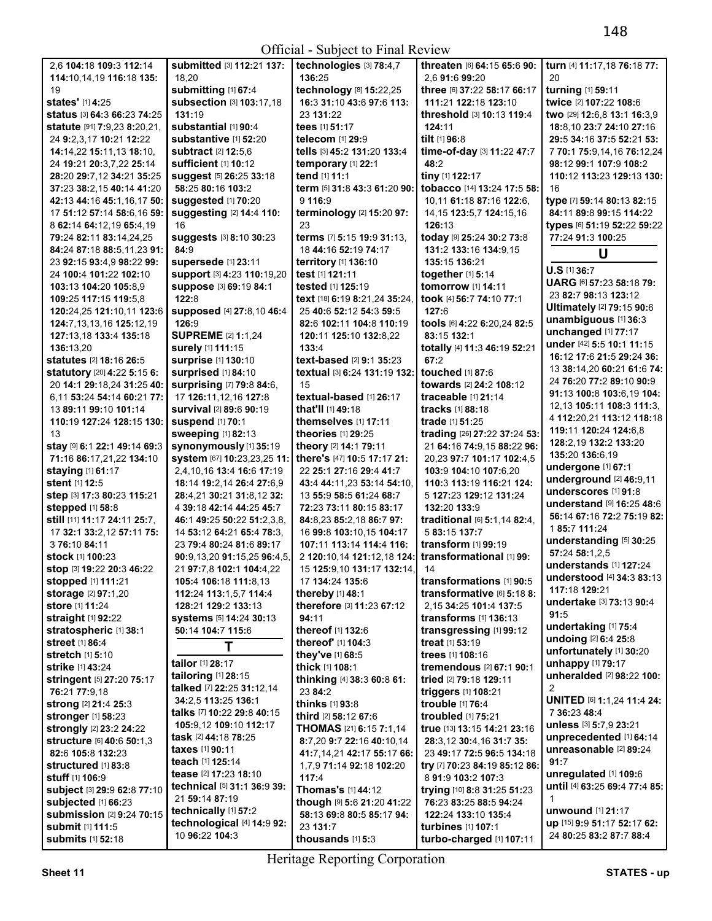Official - Subject to Final Review

| 2.6 104:18 109:3 112:14               | submitted [3] 112:21 137:           | technologies [3] 78:4,7        | threaten [6] 64:15 65:6 90:   | turn [4] 11:17,18 76:18 77:       |
|---------------------------------------|-------------------------------------|--------------------------------|-------------------------------|-----------------------------------|
| 114:10,14,19 116:18 135:              | 18.20                               | 136:25                         | 2.6 91:6 99:20                | 20                                |
| 19                                    | submitting [1] 67:4                 | technology [8] 15:22,25        | three [6] 37:22 58:17 66:17   | turning [1] 59:11                 |
|                                       |                                     |                                |                               |                                   |
| states' [1] 4:25                      | subsection [3] 103:17,18            | 16:3 31:10 43:6 97:6 113:      | 111:21 122:18 123:10          | twice [2] 107:22 108:6            |
| status [3] 64:3 66:23 74:25           | 131:19                              | 23 131:22                      | threshold [3] 10:13 119:4     | two [29] 12:6,8 13:1 16:3,9       |
| <b>statute</b> [91] 7:9,23 8:20,21,   | substantial [1] 90:4                | tees [1] 51:17                 | 124:11                        | 18:8, 10 23:7 24:10 27:16         |
| 24 9:2,3,17 10:21 12:22               | substantive [1] 52:20               | telecom [1] 29:9               | tilt [1] 96:8                 | 29:5 34:16 37:5 52:21 53:         |
|                                       | subtract [2] 12:5,6                 |                                | time-of-day [3] 11:22 47:7    |                                   |
| 14:14,22 15:11,13 18:10,              |                                     | tells [3] 45:2 131:20 133:4    |                               | 7 70:1 75:9,14,16 76:12,24        |
| 24 19:21 20:3,7,22 25:14              | sufficient [1] 10:12                | temporary [1] 22:1             | 48:2                          | 98:12 99:1 107:9 108:2            |
| 28:20 29:7,12 34:21 35:25             | <b>suggest</b> [5] 26:25 33:18      | tend [1] 11:1                  | tiny [1] 122:17               | 110:12 113:23 129:13 130:         |
| 37:23 38:2,15 40:14 41:20             | 58:25 80:16 103:2                   | term [5] 31:8 43:3 61:20 90:   | tobacco [14] 13:24 17:5 58:   | 16                                |
| 42:13 44:16 45:1,16,17 50:            | Suggested [1] 70:20                 | 9 116:9                        | 10,11 61:18 87:16 122:6,      | type [7] 59:14 80:13 82:15        |
|                                       |                                     |                                |                               |                                   |
| 17 51:12 57:14 58:6.16 59:            | suggesting [2] 14:4 110:            | terminology [2] 15:20 97:      | 14, 15 123: 5, 7 124: 15, 16  | 84:11 89:8 99:15 114:22           |
| 8 62:14 64:12,19 65:4,19              | 16                                  | 23                             | 126:13                        | types [6] 51:19 52:22 59:22       |
| 79:24 82:11 83:14,24,25               | suggests [3] 8:10 30:23             | terms [7] 5:15 19:9 31:13,     | today [9] 25:24 30:2 73:8     | 77:24 91:3 100:25                 |
| 84:24 87:18 88:5,11,23 91:            | 84:9                                | 18 44:16 52:19 74:17           | 131:2 133:16 134:9.15         |                                   |
| 23 92:15 93:4,9 98:22 99:             | supersede [1] 23:11                 | territory [1] 136:10           | 135:15 136:21                 | U                                 |
|                                       |                                     |                                |                               | U.S [1] 36:7                      |
| 24 100:4 101:22 102:10                | Support [3] 4:23 110:19,20          | test [1] 121:11                | together [1] 5:14             | UARG [6] 57:23 58:18 79:          |
| 103:13 104:20 105:8,9                 | Suppose [3] 69:19 84:1              | tested [1] 125:19              | tomorrow [1] 14:11            |                                   |
| 109:25 117:15 119:5,8                 | 122:8                               | text [18] 6:19 8:21,24 35:24,  | took [4] 56:7 74:10 77:1      | 23 82:7 98:13 123:12              |
| 120:24,25 121:10,11 123:6             | supposed [4] 27:8,10 46:4           | 25 40:6 52:12 54:3 59:5        | 127:6                         | Ultimately [2] 79:15 90:6         |
|                                       | 126:9                               |                                | tools [6] 4:22 6:20,24 82:5   | unambiguous [1] 36:3              |
| 124:7,13,13,16 125:12,19              |                                     | 82:6 102:11 104:8 110:19       |                               | unchanged [1] 77:17               |
| 127:13,18 133:4 135:18                | <b>SUPREME [2] 1:1,24</b>           | 120:11 125:10 132:8,22         | 83:15 132:1                   |                                   |
| 136:13.20                             | surely [1] 111:15                   | 133:4                          | totally [4] 11:3 46:19 52:21  | under [42] 5:5 10:1 11:15         |
| <b>statutes</b> [2] <b>18:16 26:5</b> | <b>surprise</b> [1] 130:10          | text-based [2] 9:1 35:23       | 67:2                          | 16:12 17:6 21:5 29:24 36:         |
| statutory [20] 4:22 5:15 6:           | Surprised [1] 84:10                 | textual [3] 6:24 131:19 132:   | touched [1] 87:6              | 13 38:14,20 60:21 61:6 74:        |
| 20 14:1 29:18,24 31:25 40:            | surprising [7] 79:8 84:6,           | 15                             | towards [2] 24:2 108:12       | 24 76:20 77:2 89:10 90:9          |
|                                       |                                     |                                |                               | 91:13 100:8 103:6,19 104:         |
| 6,11 53:24 54:14 60:21 77:            | 17 126:11,12,16 127:8               | textual-based [1] 26:17        | traceable [1] 21:14           | 12,13 105:11 108:3 111:3,         |
| 13 89:11 99:10 101:14                 | survival [2] 89:6 90:19             | that'll [1] 49:18              | tracks [1] 88:18              | 4 112:20,21 113:12 118:18         |
| 110:19 127:24 128:15 130:             | <b>suspend [1] 70:1</b>             | themselves [1] 17:11           | trade [1] 51:25               |                                   |
| 13                                    | sweeping [1] 82:13                  | theories $[1]$ 29:25           | trading [26] 27:22 37:24 53:  | 119:11 120:24 124:6,8             |
| stay [9] 6:1 22:1 49:14 69:3          | synonymously [1] 35:19              | theory [2] 14:1 79:11          | 21 64:16 74:9,15 88:22 96:    | 128:2,19 132:2 133:20             |
| 71:16 86:17,21,22 134:10              | system [67] 10:23,23,25 11:         | there's [47] 10:5 17:17 21:    | 20,23 97:7 101:17 102:4,5     | 135:20 136:6,19                   |
|                                       |                                     |                                |                               | undergone [1] 67:1                |
| staying [1] 61:17                     | 2,4,10,16 13:4 16:6 17:19           | 22 25:1 27:16 29:4 41:7        | 103:9 104:10 107:6.20         | underground [2] 46:9,11           |
| stent [1] 12:5                        | 18:14 19:2,14 26:4 27:6,9           | 43:4 44:11,23 53:14 54:10,     | 110:3 113:19 116:21 124:      | underscores [1] 91:8              |
| step [3] 17:3 80:23 115:21            | 28:4,21 30:21 31:8,12 32:           | 13 55:9 58:5 61:24 68:7        | 5 127:23 129:12 131:24        |                                   |
| <b>stepped</b> [1] 58:8               | 4 39:18 42:14 44:25 45:7            | 72:23 73:11 80:15 83:17        | 132:20 133:9                  | understand [9] 16:25 48:6         |
| still [11] 11:17 24:11 25:7.          | 46:1 49:25 50:22 51:2,3,8,          | 84:8,23 85:2,18 86:7 97:       | traditional [6] 5:1,14 82:4,  | 56:14 67:16 72:2 75:19 82:        |
| 17 32:1 33:2,12 57:11 75:             | 14 53:12 64:21 65:4 78:3,           | 16 99:8 103:10,15 104:17       | 5 83:15 137:7                 | 1 85:7 111:24                     |
|                                       |                                     |                                |                               | understanding [5] 30:25           |
| 3 76:10 84:11                         | 23 79:4 80:24 81:6 89:17            | 107:11 113:14 114:4 116:       | transform [1] 99:19           | 57:24 58:1,2,5                    |
| <b>stock [1] 100:23</b>               | 90:9.13.20 91:15.25 96:4.5.         | 2 120:10,14 121:12,18 124:     | transformational [1] 99:      | understands [1] 127:24            |
| stop [3] 19:22 20:3 46:22             | 21 97:7.8 102:1 104:4.22            | 15 125:9.10 131:17 132:14.     | 14                            |                                   |
| stopped [1] 111:21                    | 105:4 106:18 111:8.13               | 17 134:24 135:6                | transformations [1] 90:5      | understood $[4]$ 34:3 83:13       |
| storage [2] 97:1,20                   | 112:24 113:1,5,7 114:4              | thereby [1] 48:1               | transformative [6] 5:18 8:    | 117:18 129:21                     |
| <b>store</b> [1] <b>11:24</b>         | 128:21 129:2 133:13                 | therefore [3] 11:23 67:12      | 2.15 34:25 101:4 137:5        | undertake [3] 73:13 90:4          |
|                                       |                                     |                                |                               | 91:5                              |
| straight [1] 92:22                    | systems [5] 14:24 30:13             | 94:11                          | transforms [1] 136:13         | undertaking [1] 75:4              |
| stratospheric [1] 38:1                | 50:14 104:7 115:6                   | thereof [1] 132:6              | transgressing [1] 99:12       | undoing [2] 6:4 25:8              |
| street [1] 86:4                       | Τ                                   | thereof' [1] 104:3             | treat [1] 53:19               |                                   |
| stretch [1] 5:10                      |                                     | they've [1] 68:5               | trees [1] 108:16              | unfortunately [1] 30:20           |
| strike [1] 43:24                      | tailor [1] 28:17                    | thick [1] 108:1                | tremendous [2] 67:1 90:1      | unhappy [1] 79:17                 |
| stringent [5] 27:20 75:17             | tailoring [1] 28:15                 | thinking [4] 38:3 60:8 61:     | tried [2] 79:18 129:11        | unheralded [2] 98:22 100:         |
|                                       | talked [7] 22:25 31:12,14           | 23 84:2                        |                               | 2                                 |
| 76:21 77:9.18                         | 34:2,5 113:25 136:1                 |                                | triggers $[1]$ 108:21         | <b>UNITED [6] 1:1,24 11:4 24:</b> |
| strong [2] 21:4 25:3                  |                                     | thinks [1] 93:8                | trouble [1] 76:4              |                                   |
| <b>stronger</b> [1] 58:23             | talks [7] 10:22 29:8 40:15          | third [2] 58:12 67:6           | troubled [1] 75:21            | 7 36:23 48:4                      |
| <b>strongly</b> [2] 23:2 24:22        | 105:9,12 109:10 112:17              | <b>THOMAS</b> [21] 6:15 7:1,14 | true [13] 13:15 14:21 23:16   | unless [3] 5:7,9 23:21            |
| structure [6] 40:6 50:1,3             | <b>task</b> [2] <b>44:18 78:25</b>  | 8:7,20 9:7 22:16 40:10,14      | 28:3,12 30:4,16 31:7 35:      | unprecedented [1] 64:14           |
| 82:6 105:8 132:23                     | taxes [1] 90:11                     | 41:7,14,21 42:17 55:17 66:     | 23 49:17 72:5 96:5 134:18     | unreasonable [2] 89:24            |
|                                       | teach [1] 125:14                    |                                |                               | 91:7                              |
| structured [1] 83:8                   | <b>tease</b> [2] <b>17:23 18:10</b> | 1,7,9 71:14 92:18 102:20       | try [7] 70:23 84:19 85:12 86: | unregulated [1] 109:6             |
| stuff [1] 106:9                       |                                     | 117:4                          | 8 91:9 103:2 107:3            | until [4] 63:25 69:4 77:4 85:     |
| subject [3] 29:9 62:8 77:10           | technical [5] 31:1 36:9 39:         | Thomas's [1] 44:12             | trying [10] 8:8 31:25 51:23   |                                   |
| subjected [1] 66:23                   | 21 59:14 87:19                      | though [9] 5:6 21:20 41:22     | 76:23 83:25 88:5 94:24        | 1                                 |
| <b>submission</b> [2] 9:24 70:15      | technically [1] 57:2                | 58:13 69:8 80:5 85:17 94:      | 122:24 133:10 135:4           | unwound [1] 21:17                 |
| <b>submit</b> [1] 111:5               | technological [4] 14:9 92:          | 23 131:7                       | turbines [1] 107:1            | up [15] 9:9 51:17 52:17 62:       |
| submits [1] 52:18                     | 10 96:22 104:3                      |                                |                               | 24 80:25 83:2 87:7 88:4           |
|                                       |                                     | thousands $[1]$ 5:3            | turbo-charged [1] 107:11      |                                   |